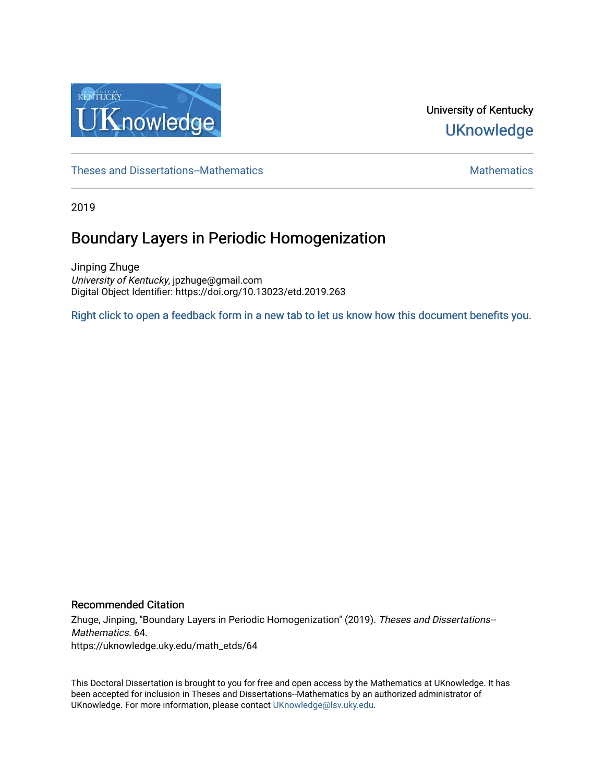

University of Kentucky **UKnowledge** 

[Theses and Dissertations--Mathematics](https://uknowledge.uky.edu/math_etds) [Mathematics](https://uknowledge.uky.edu/math) Mathematics Mathematics Mathematics

2019

# Boundary Layers in Periodic Homogenization

Jinping Zhuge University of Kentucky, jpzhuge@gmail.com Digital Object Identifier: https://doi.org/10.13023/etd.2019.263

[Right click to open a feedback form in a new tab to let us know how this document benefits you.](https://uky.az1.qualtrics.com/jfe/form/SV_9mq8fx2GnONRfz7)

# Recommended Citation

Zhuge, Jinping, "Boundary Layers in Periodic Homogenization" (2019). Theses and Dissertations-- Mathematics. 64. https://uknowledge.uky.edu/math\_etds/64

This Doctoral Dissertation is brought to you for free and open access by the Mathematics at UKnowledge. It has been accepted for inclusion in Theses and Dissertations--Mathematics by an authorized administrator of UKnowledge. For more information, please contact [UKnowledge@lsv.uky.edu](mailto:UKnowledge@lsv.uky.edu).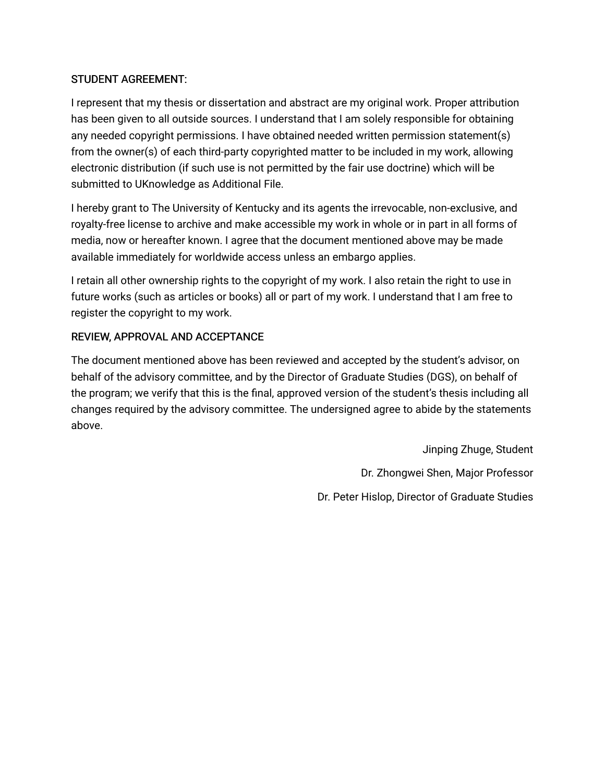# STUDENT AGREEMENT:

I represent that my thesis or dissertation and abstract are my original work. Proper attribution has been given to all outside sources. I understand that I am solely responsible for obtaining any needed copyright permissions. I have obtained needed written permission statement(s) from the owner(s) of each third-party copyrighted matter to be included in my work, allowing electronic distribution (if such use is not permitted by the fair use doctrine) which will be submitted to UKnowledge as Additional File.

I hereby grant to The University of Kentucky and its agents the irrevocable, non-exclusive, and royalty-free license to archive and make accessible my work in whole or in part in all forms of media, now or hereafter known. I agree that the document mentioned above may be made available immediately for worldwide access unless an embargo applies.

I retain all other ownership rights to the copyright of my work. I also retain the right to use in future works (such as articles or books) all or part of my work. I understand that I am free to register the copyright to my work.

# REVIEW, APPROVAL AND ACCEPTANCE

The document mentioned above has been reviewed and accepted by the student's advisor, on behalf of the advisory committee, and by the Director of Graduate Studies (DGS), on behalf of the program; we verify that this is the final, approved version of the student's thesis including all changes required by the advisory committee. The undersigned agree to abide by the statements above.

> Jinping Zhuge, Student Dr. Zhongwei Shen, Major Professor Dr. Peter Hislop, Director of Graduate Studies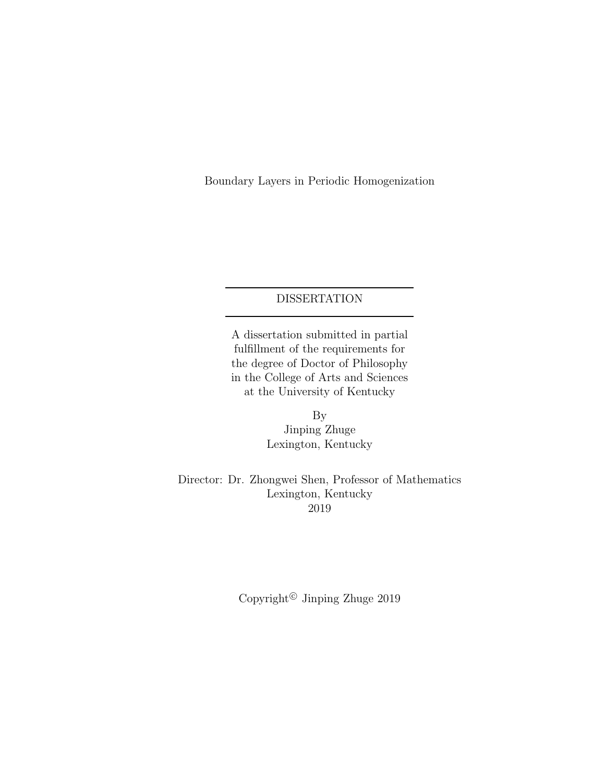Boundary Layers in Periodic Homogenization

# DISSERTATION

A dissertation submitted in partial fulfillment of the requirements for the degree of Doctor of Philosophy in the College of Arts and Sciences at the University of Kentucky

> By Jinping Zhuge Lexington, Kentucky

Director: Dr. Zhongwei Shen, Professor of Mathematics Lexington, Kentucky 2019

Copyright<sup>©</sup> Jinping Zhuge  $2019$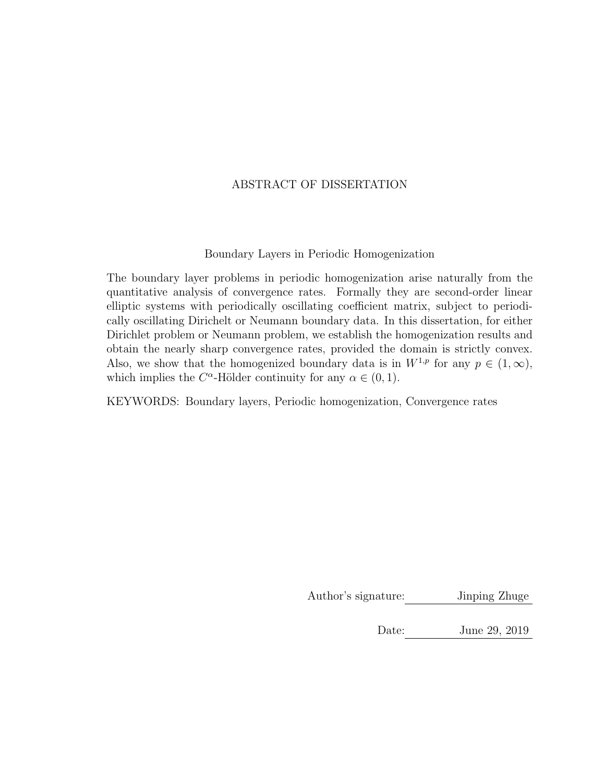# ABSTRACT OF DISSERTATION

# Boundary Layers in Periodic Homogenization

The boundary layer problems in periodic homogenization arise naturally from the quantitative analysis of convergence rates. Formally they are second-order linear elliptic systems with periodically oscillating coefficient matrix, subject to periodically oscillating Dirichelt or Neumann boundary data. In this dissertation, for either Dirichlet problem or Neumann problem, we establish the homogenization results and obtain the nearly sharp convergence rates, provided the domain is strictly convex. Also, we show that the homogenized boundary data is in  $W^{1,p}$  for any  $p \in (1,\infty)$ , which implies the  $C^{\alpha}$ -Hölder continuity for any  $\alpha \in (0, 1)$ .

KEYWORDS: Boundary layers, Periodic homogenization, Convergence rates

Author's signature: Jinping Zhuge

Date: June 29, 2019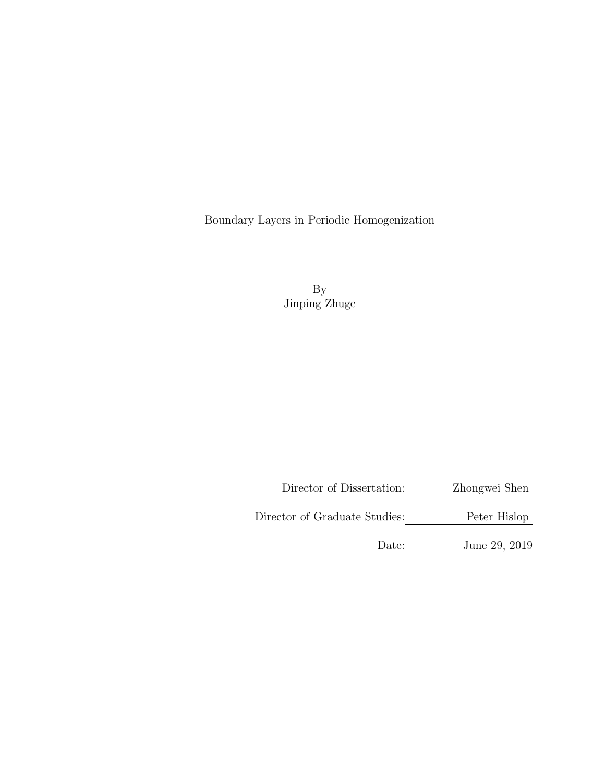Boundary Layers in Periodic Homogenization

By Jinping Zhuge

Director of Dissertation: Zhongwei Shen

Director of Graduate Studies: Peter Hislop

Date: June 29, 2019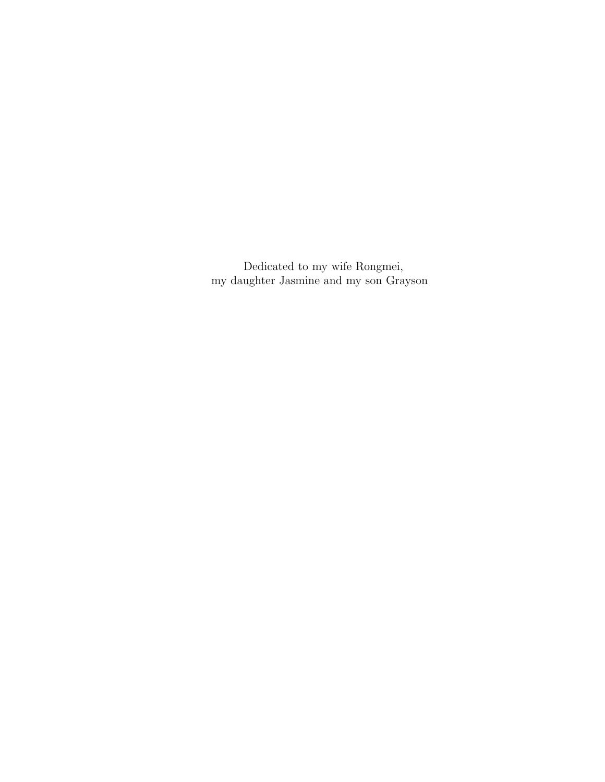Dedicated to my wife Rongmei, my daughter Jasmine and my son Grayson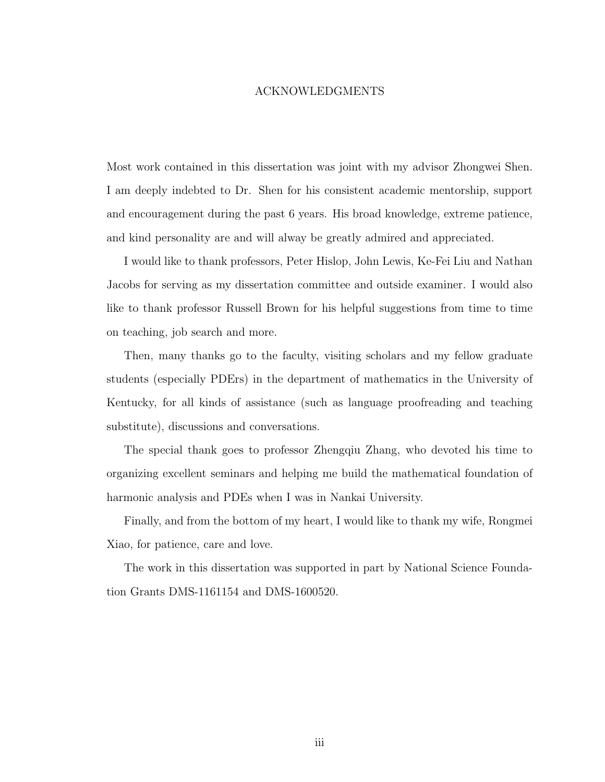### ACKNOWLEDGMENTS

<span id="page-6-0"></span>Most work contained in this dissertation was joint with my advisor Zhongwei Shen. I am deeply indebted to Dr. Shen for his consistent academic mentorship, support and encouragement during the past 6 years. His broad knowledge, extreme patience, and kind personality are and will alway be greatly admired and appreciated.

I would like to thank professors, Peter Hislop, John Lewis, Ke-Fei Liu and Nathan Jacobs for serving as my dissertation committee and outside examiner. I would also like to thank professor Russell Brown for his helpful suggestions from time to time on teaching, job search and more.

Then, many thanks go to the faculty, visiting scholars and my fellow graduate students (especially PDErs) in the department of mathematics in the University of Kentucky, for all kinds of assistance (such as language proofreading and teaching substitute), discussions and conversations.

The special thank goes to professor Zhengqiu Zhang, who devoted his time to organizing excellent seminars and helping me build the mathematical foundation of harmonic analysis and PDEs when I was in Nankai University.

Finally, and from the bottom of my heart, I would like to thank my wife, Rongmei Xiao, for patience, care and love.

The work in this dissertation was supported in part by National Science Foundation Grants DMS-1161154 and DMS-1600520.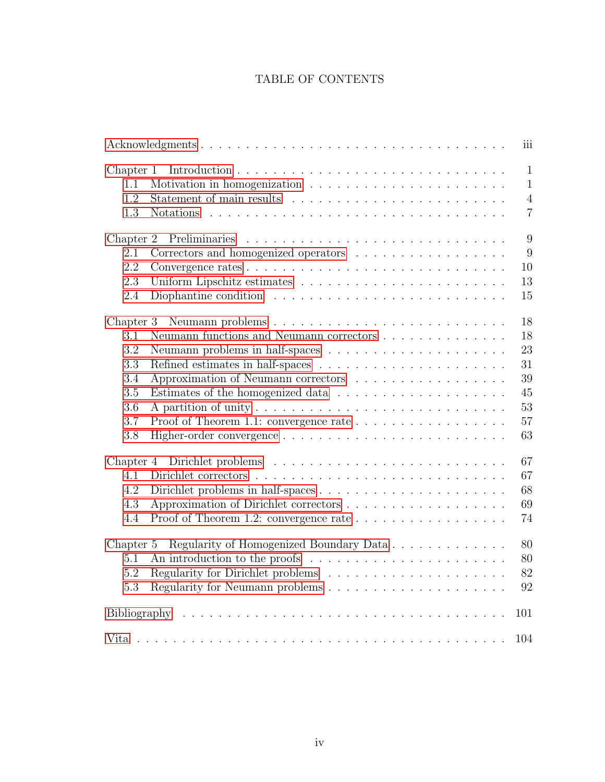# TABLE OF CONTENTS

|                                                                                                     | iii                          |
|-----------------------------------------------------------------------------------------------------|------------------------------|
| Chapter 1<br>1.1                                                                                    | $\mathbf{1}$<br>$\mathbf{1}$ |
| 1.2                                                                                                 | $\overline{4}$               |
| 1.3                                                                                                 | $\overline{7}$               |
| Chapter 2<br>Preliminaries                                                                          | 9                            |
| 2.1                                                                                                 | 9                            |
| 2.2<br>10                                                                                           |                              |
|                                                                                                     |                              |
| 13<br>2.3                                                                                           |                              |
| Diophantine condition $\ldots \ldots \ldots \ldots \ldots \ldots \ldots \ldots \ldots$<br>15<br>2.4 |                              |
| 18<br>Chapter 3                                                                                     |                              |
| Neumann functions and Neumann correctors $\ldots \ldots \ldots \ldots \ldots$<br>18<br>3.1          |                              |
| 23<br>3.2                                                                                           |                              |
| 3.3<br>31                                                                                           |                              |
| 39<br>3.4<br>Approximation of Neumann correctors                                                    |                              |
| 3.5<br>45                                                                                           |                              |
| 53<br>3.6                                                                                           |                              |
| 3.7<br>Proof of Theorem 1.1: convergence rate<br>57                                                 |                              |
| 63<br>3.8                                                                                           |                              |
|                                                                                                     |                              |
| 67<br>Chapter 4                                                                                     |                              |
| 67<br>4.1                                                                                           |                              |
| 4.2<br>68                                                                                           |                              |
| 69<br>4.3                                                                                           |                              |
| 74<br>4.4                                                                                           |                              |
| Regularity of Homogenized Boundary Data<br>80<br>Chapter 5                                          |                              |
| 80<br>5.1                                                                                           |                              |
| 82<br>5.2                                                                                           |                              |
| 92<br>5.3                                                                                           |                              |
|                                                                                                     |                              |
| 101                                                                                                 |                              |
| 104                                                                                                 |                              |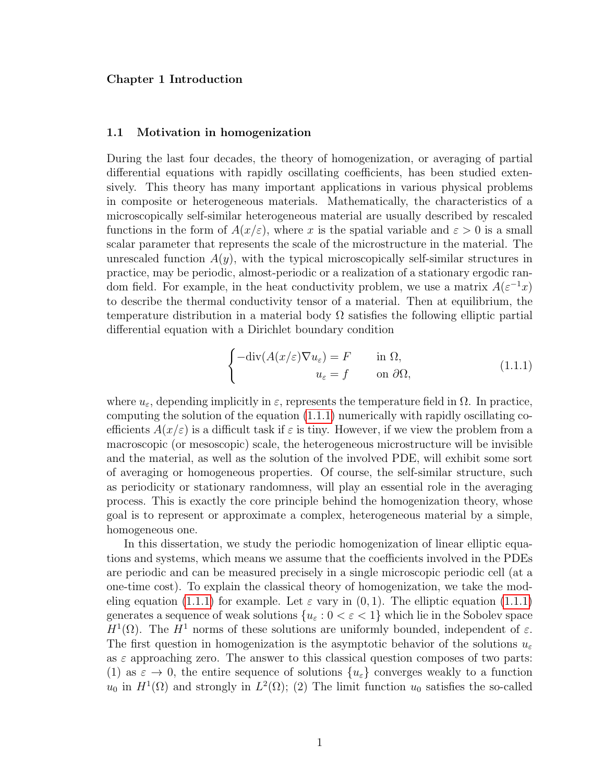#### <span id="page-8-0"></span>Chapter 1 Introduction

#### <span id="page-8-1"></span>1.1 Motivation in homogenization

During the last four decades, the theory of homogenization, or averaging of partial differential equations with rapidly oscillating coefficients, has been studied extensively. This theory has many important applications in various physical problems in composite or heterogeneous materials. Mathematically, the characteristics of a microscopically self-similar heterogeneous material are usually described by rescaled functions in the form of  $A(x/\varepsilon)$ , where x is the spatial variable and  $\varepsilon > 0$  is a small scalar parameter that represents the scale of the microstructure in the material. The unrescaled function  $A(y)$ , with the typical microscopically self-similar structures in practice, may be periodic, almost-periodic or a realization of a stationary ergodic random field. For example, in the heat conductivity problem, we use a matrix  $A(\varepsilon^{-1}x)$ to describe the thermal conductivity tensor of a material. Then at equilibrium, the temperature distribution in a material body  $\Omega$  satisfies the following elliptic partial differential equation with a Dirichlet boundary condition

<span id="page-8-2"></span>
$$
\begin{cases}\n-\text{div}(A(x/\varepsilon)\nabla u_{\varepsilon}) = F & \text{in } \Omega, \\
u_{\varepsilon} = f & \text{on } \partial\Omega,\n\end{cases}
$$
\n(1.1.1)

where  $u_{\varepsilon}$ , depending implicitly in  $\varepsilon$ , represents the temperature field in  $\Omega$ . In practice, computing the solution of the equation [\(1.1.1\)](#page-8-2) numerically with rapidly oscillating coefficients  $A(x/\varepsilon)$  is a difficult task if  $\varepsilon$  is tiny. However, if we view the problem from a macroscopic (or mesoscopic) scale, the heterogeneous microstructure will be invisible and the material, as well as the solution of the involved PDE, will exhibit some sort of averaging or homogeneous properties. Of course, the self-similar structure, such as periodicity or stationary randomness, will play an essential role in the averaging process. This is exactly the core principle behind the homogenization theory, whose goal is to represent or approximate a complex, heterogeneous material by a simple, homogeneous one.

In this dissertation, we study the periodic homogenization of linear elliptic equations and systems, which means we assume that the coefficients involved in the PDEs are periodic and can be measured precisely in a single microscopic periodic cell (at a one-time cost). To explain the classical theory of homogenization, we take the mod-eling equation [\(1.1.1\)](#page-8-2) for example. Let  $\varepsilon$  vary in (0, 1). The elliptic equation (1.1.1) generates a sequence of weak solutions  $\{u_{\varepsilon}: 0 < \varepsilon < 1\}$  which lie in the Sobolev space  $H^1(\Omega)$ . The  $H^1$  norms of these solutions are uniformly bounded, independent of  $\varepsilon$ . The first question in homogenization is the asymptotic behavior of the solutions  $u_{\varepsilon}$ as  $\varepsilon$  approaching zero. The answer to this classical question composes of two parts: (1) as  $\varepsilon \to 0$ , the entire sequence of solutions  $\{u_{\varepsilon}\}\$ converges weakly to a function  $u_0$  in  $H^1(\Omega)$  and strongly in  $L^2(\Omega)$ ; (2) The limit function  $u_0$  satisfies the so-called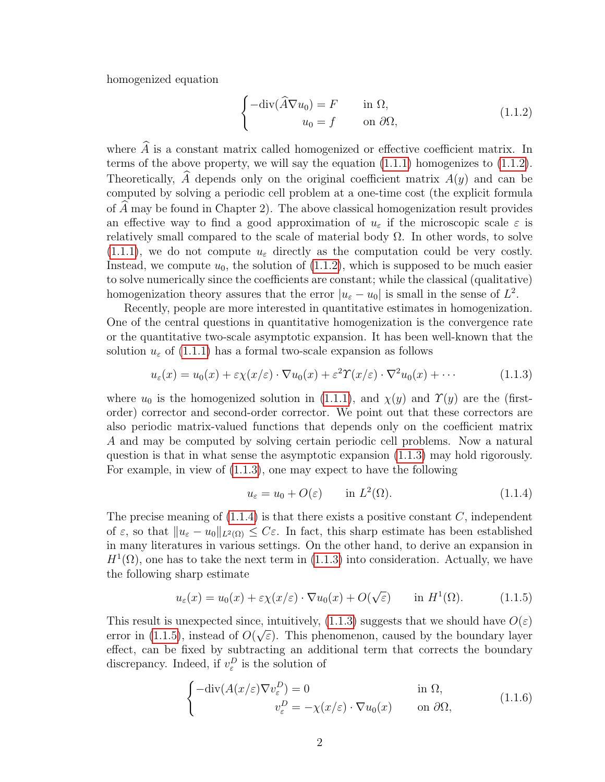homogenized equation

<span id="page-9-0"></span>
$$
\begin{cases}\n-\text{div}(\widehat{A}\nabla u_0) = F & \text{in } \Omega, \\
u_0 = f & \text{on } \partial\Omega,\n\end{cases}
$$
\n(1.1.2)

where  $\widehat{A}$  is a constant matrix called homogenized or effective coefficient matrix. In terms of the above property, we will say the equation [\(1.1.1\)](#page-8-2) homogenizes to [\(1.1.2\)](#page-9-0). Theoretically,  $\tilde{A}$  depends only on the original coefficient matrix  $A(y)$  and can be computed by solving a periodic cell problem at a one-time cost (the explicit formula of  $A$  may be found in Chapter 2). The above classical homogenization result provides an effective way to find a good approximation of  $u_{\varepsilon}$  if the microscopic scale  $\varepsilon$  is relatively small compared to the scale of material body  $\Omega$ . In other words, to solve  $(1.1.1)$ , we do not compute  $u_{\varepsilon}$  directly as the computation could be very costly. Instead, we compute  $u_0$ , the solution of  $(1.1.2)$ , which is supposed to be much easier to solve numerically since the coefficients are constant; while the classical (qualitative) homogenization theory assures that the error  $|u_{\varepsilon} - u_0|$  is small in the sense of  $L^2$ .

Recently, people are more interested in quantitative estimates in homogenization. One of the central questions in quantitative homogenization is the convergence rate or the quantitative two-scale asymptotic expansion. It has been well-known that the solution  $u_{\varepsilon}$  of [\(1.1.1\)](#page-8-2) has a formal two-scale expansion as follows

$$
u_{\varepsilon}(x) = u_0(x) + \varepsilon \chi(x/\varepsilon) \cdot \nabla u_0(x) + \varepsilon^2 \Upsilon(x/\varepsilon) \cdot \nabla^2 u_0(x) + \cdots
$$
 (1.1.3)

where  $u_0$  is the homogenized solution in [\(1.1.1\)](#page-8-2), and  $\chi(y)$  and  $\Upsilon(y)$  are the (firstorder) corrector and second-order corrector. We point out that these correctors are also periodic matrix-valued functions that depends only on the coefficient matrix A and may be computed by solving certain periodic cell problems. Now a natural question is that in what sense the asymptotic expansion [\(1.1.3\)](#page-9-1) may hold rigorously. For example, in view of [\(1.1.3\)](#page-9-1), one may expect to have the following

<span id="page-9-3"></span><span id="page-9-2"></span><span id="page-9-1"></span>
$$
u_{\varepsilon} = u_0 + O(\varepsilon) \qquad \text{in } L^2(\Omega). \tag{1.1.4}
$$

The precise meaning of  $(1.1.4)$  is that there exists a positive constant C, independent of  $\varepsilon$ , so that  $||u_{\varepsilon} - u_0||_{L^2(\Omega)} \leq C\varepsilon$ . In fact, this sharp estimate has been established in many literatures in various settings. On the other hand, to derive an expansion in  $H^1(\Omega)$ , one has to take the next term in [\(1.1.3\)](#page-9-1) into consideration. Actually, we have the following sharp estimate

$$
u_{\varepsilon}(x) = u_0(x) + \varepsilon \chi(x/\varepsilon) \cdot \nabla u_0(x) + O(\sqrt{\varepsilon}) \quad \text{in } H^1(\Omega). \tag{1.1.5}
$$

This result is unexpected since, intuitively, [\(1.1.3\)](#page-9-1) suggests that we should have  $O(\varepsilon)$ error in [\(1.1.5\)](#page-9-3), instead of  $O(\sqrt{\varepsilon})$ . This phenomenon, caused by the boundary layer effect, can be fixed by subtracting an additional term that corrects the boundary discrepancy. Indeed, if  $v_{\varepsilon}^D$  is the solution of

<span id="page-9-4"></span>
$$
\begin{cases}\n-\text{div}(A(x/\varepsilon)\nabla v_{\varepsilon}^{D}) = 0 & \text{in } \Omega, \\
v_{\varepsilon}^{D} = -\chi(x/\varepsilon) \cdot \nabla u_{0}(x) & \text{on } \partial\Omega,\n\end{cases}
$$
\n(1.1.6)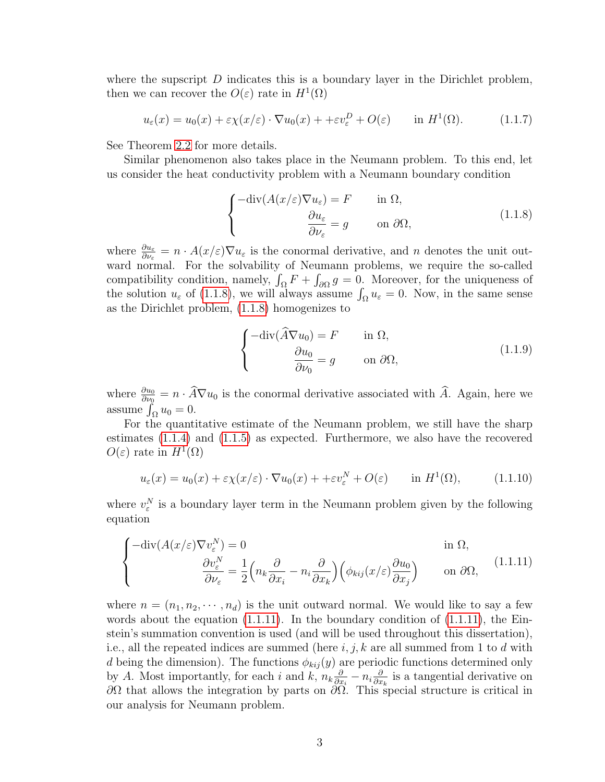where the supscript  $D$  indicates this is a boundary layer in the Dirichlet problem, then we can recover the  $O(\varepsilon)$  rate in  $H^1(\Omega)$ 

$$
u_{\varepsilon}(x) = u_0(x) + \varepsilon \chi(x/\varepsilon) \cdot \nabla u_0(x) + \varepsilon v_{\varepsilon}^D + O(\varepsilon) \quad \text{in } H^1(\Omega). \tag{1.1.7}
$$

See Theorem [2.2](#page-17-1) for more details.

<span id="page-10-0"></span>Similar phenomenon also takes place in the Neumann problem. To this end, let us consider the heat conductivity problem with a Neumann boundary condition

<span id="page-10-2"></span>
$$
\begin{cases}\n-\text{div}(A(x/\varepsilon)\nabla u_{\varepsilon}) = F & \text{in } \Omega, \\
\frac{\partial u_{\varepsilon}}{\partial \nu_{\varepsilon}} = g & \text{on } \partial \Omega,\n\end{cases}
$$
\n(1.1.8)

where  $\frac{\partial u_{\varepsilon}}{\partial \nu_{\varepsilon}} = n \cdot A(x/\varepsilon) \nabla u_{\varepsilon}$  is the conormal derivative, and n denotes the unit outward normal. For the solvability of Neumann problems, we require the so-called compatibility condition, namely,  $\int_{\Omega} F + \int_{\partial \Omega} g = 0$ . Moreover, for the uniqueness of the solution  $u_{\varepsilon}$  of [\(1.1.8\)](#page-10-0), we will always assume  $\int_{\Omega} u_{\varepsilon} = 0$ . Now, in the same sense as the Dirichlet problem, [\(1.1.8\)](#page-10-0) homogenizes to

$$
\begin{cases}\n-\text{div}(\widehat{A}\nabla u_0) = F & \text{in } \Omega, \\
\frac{\partial u_0}{\partial \nu_0} = g & \text{on } \partial \Omega,\n\end{cases}
$$
\n(1.1.9)

where  $\frac{\partial u_0}{\partial v_0} = n \cdot \widehat{A} \nabla u_0$  is the conormal derivative associated with  $\widehat{A}$ . Again, here we assume  $\int_{\Omega} u_0 = 0.$ 

For the quantitative estimate of the Neumann problem, we still have the sharp estimates [\(1.1.4\)](#page-9-2) and [\(1.1.5\)](#page-9-3) as expected. Furthermore, we also have the recovered  $O(\varepsilon)$  rate in  $H^1(\Omega)$ 

<span id="page-10-3"></span><span id="page-10-1"></span>
$$
u_{\varepsilon}(x) = u_0(x) + \varepsilon \chi(x/\varepsilon) \cdot \nabla u_0(x) + \varepsilon v_{\varepsilon}^N + O(\varepsilon) \quad \text{in } H^1(\Omega), \tag{1.1.10}
$$

where  $v_{\varepsilon}^N$  is a boundary layer term in the Neumann problem given by the following equation

$$
\begin{cases}\n-\text{div}(A(x/\varepsilon)\nabla v_{\varepsilon}^{N}) = 0 & \text{in } \Omega, \\
\frac{\partial v_{\varepsilon}^{N}}{\partial \nu_{\varepsilon}} = \frac{1}{2} \left( n_{k} \frac{\partial}{\partial x_{i}} - n_{i} \frac{\partial}{\partial x_{k}} \right) \left( \phi_{kij}(x/\varepsilon) \frac{\partial u_{0}}{\partial x_{j}} \right) & \text{on } \partial \Omega,\n\end{cases}
$$
\n(1.1.11)

where  $n = (n_1, n_2, \dots, n_d)$  is the unit outward normal. We would like to say a few words about the equation  $(1.1.11)$ . In the boundary condition of  $(1.1.11)$ , the Einstein's summation convention is used (and will be used throughout this dissertation), i.e., all the repeated indices are summed (here  $i, j, k$  are all summed from 1 to d with d being the dimension). The functions  $\phi_{kij}(y)$  are periodic functions determined only by A. Most importantly, for each i and k,  $n_k \frac{\partial}{\partial x}$  $\frac{\partial}{\partial x_i} - n_i \frac{\partial}{\partial x}$  $\frac{\partial}{\partial x_k}$  is a tangential derivative on  $\partial\Omega$  that allows the integration by parts on  $\partial\Omega$ . This special structure is critical in our analysis for Neumann problem.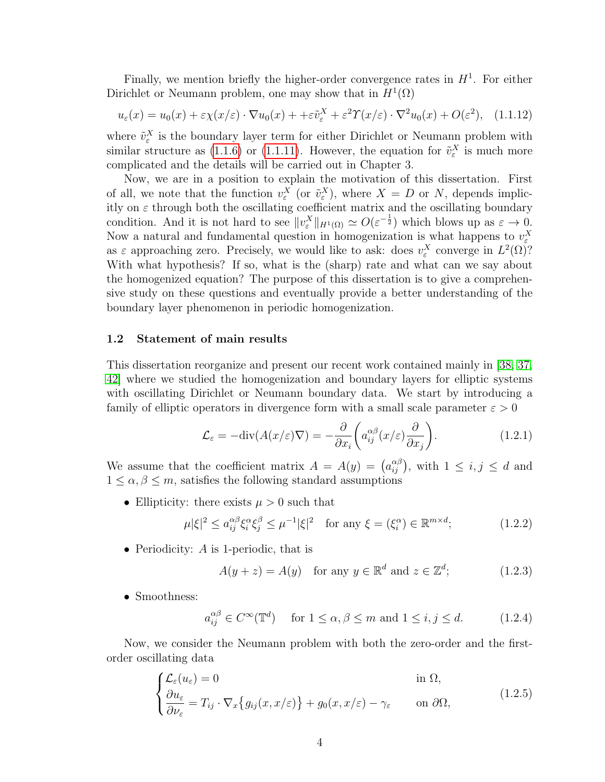Finally, we mention briefly the higher-order convergence rates in  $H<sup>1</sup>$ . For either Dirichlet or Neumann problem, one may show that in  $H^1(\Omega)$ 

<span id="page-11-2"></span>
$$
u_{\varepsilon}(x) = u_0(x) + \varepsilon \chi(x/\varepsilon) \cdot \nabla u_0(x) + \varepsilon \tilde{v}_{\varepsilon}^X + \varepsilon^2 \Upsilon(x/\varepsilon) \cdot \nabla^2 u_0(x) + O(\varepsilon^2), \quad (1.1.12)
$$

where  $\tilde{v}_{\varepsilon}^X$  is the boundary layer term for either Dirichlet or Neumann problem with similar structure as [\(1.1.6\)](#page-9-4) or [\(1.1.11\)](#page-10-1). However, the equation for  $\tilde{v}_{\varepsilon}^X$  is much more complicated and the details will be carried out in Chapter 3.

Now, we are in a position to explain the motivation of this dissertation. First of all, we note that the function  $v_{\varepsilon}^X$  (or  $\tilde{v}_{\varepsilon}^X$ ), where  $X = D$  or N, depends implicitly on  $\varepsilon$  through both the oscillating coefficient matrix and the oscillating boundary condition. And it is not hard to see  $||v_{\varepsilon}^X||_{H^1(\Omega)} \simeq O(\varepsilon^{-\frac{1}{2}})$  which blows up as  $\varepsilon \to 0$ . Now a natural and fundamental question in homogenization is what happens to  $v_{\varepsilon}^X$ as  $\varepsilon$  approaching zero. Precisely, we would like to ask: does  $v_{\varepsilon}^X$  converge in  $L^2(\Omega)$ ? With what hypothesis? If so, what is the (sharp) rate and what can we say about the homogenized equation? The purpose of this dissertation is to give a comprehensive study on these questions and eventually provide a better understanding of the boundary layer phenomenon in periodic homogenization.

#### <span id="page-11-0"></span>1.2 Statement of main results

This dissertation reorganize and present our recent work contained mainly in [\[38,](#page-110-0) [37,](#page-110-1) [42\]](#page-110-2) where we studied the homogenization and boundary layers for elliptic systems with oscillating Dirichlet or Neumann boundary data. We start by introducing a family of elliptic operators in divergence form with a small scale parameter  $\varepsilon > 0$ 

$$
\mathcal{L}_{\varepsilon} = -\text{div}(A(x/\varepsilon)\nabla) = -\frac{\partial}{\partial x_i} \left( a_{ij}^{\alpha\beta}(x/\varepsilon) \frac{\partial}{\partial x_j} \right). \tag{1.2.1}
$$

We assume that the coefficient matrix  $A = A(y) = (a_{ij}^{\alpha\beta})$ , with  $1 \le i, j \le d$  and  $1 \leq \alpha, \beta \leq m$ , satisfies the following standard assumptions

• Ellipticity: there exists  $\mu > 0$  such that

$$
\mu|\xi|^2 \le a_{ij}^{\alpha\beta}\xi_i^{\alpha}\xi_j^{\beta} \le \mu^{-1}|\xi|^2 \quad \text{for any } \xi = (\xi_i^{\alpha}) \in \mathbb{R}^{m \times d};\tag{1.2.2}
$$

• Periodicity: A is 1-periodic, that is

<span id="page-11-5"></span><span id="page-11-3"></span>
$$
A(y + z) = A(y) \quad \text{for any } y \in \mathbb{R}^d \text{ and } z \in \mathbb{Z}^d; \tag{1.2.3}
$$

• Smoothness:

<span id="page-11-4"></span><span id="page-11-1"></span>
$$
a_{ij}^{\alpha\beta} \in C^{\infty}(\mathbb{T}^d) \quad \text{ for } 1 \le \alpha, \beta \le m \text{ and } 1 \le i, j \le d. \tag{1.2.4}
$$

Now, we consider the Neumann problem with both the zero-order and the firstorder oscillating data

$$
\begin{cases} \mathcal{L}_{\varepsilon}(u_{\varepsilon}) = 0 & \text{in } \Omega, \\ \frac{\partial u_{\varepsilon}}{\partial \nu_{\varepsilon}} = T_{ij} \cdot \nabla_x \{ g_{ij}(x, x/\varepsilon) \} + g_0(x, x/\varepsilon) - \gamma_{\varepsilon} & \text{on } \partial \Omega, \end{cases}
$$
(1.2.5)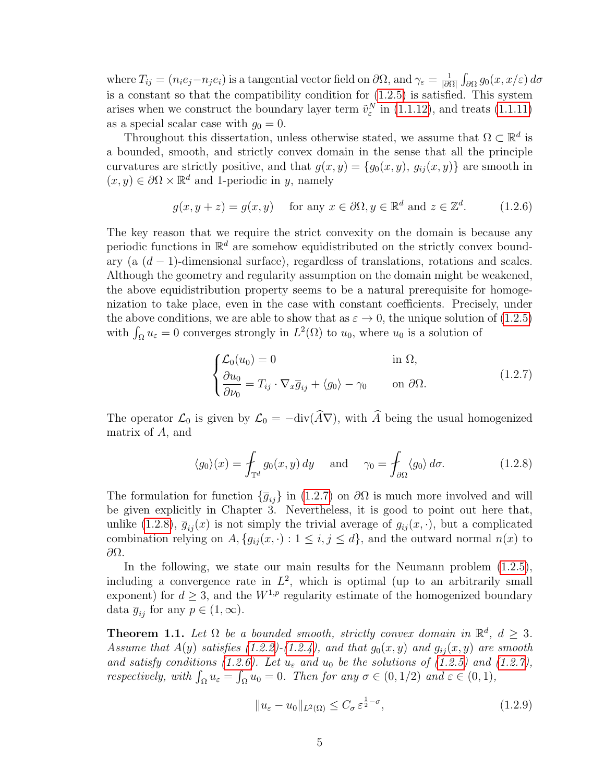where  $T_{ij} = (n_i e_j - n_j e_i)$  is a tangential vector field on  $\partial\Omega$ , and  $\gamma_{\varepsilon} = \frac{1}{\partial \Omega}$  $\frac{1}{\left|\partial\Omega\right|}\int_{\partial\Omega}g_0(x,x/\varepsilon)\,d\sigma$ is a constant so that the compatibility condition for [\(1.2.5\)](#page-11-1) is satisfied. This system arises when we construct the boundary layer term  $\tilde{v}_{\varepsilon}^{N}$  in [\(1.1.12\)](#page-11-2), and treats [\(1.1.11\)](#page-10-1) as a special scalar case with  $q_0 = 0$ .

Throughout this dissertation, unless otherwise stated, we assume that  $\Omega \subset \mathbb{R}^d$  is a bounded, smooth, and strictly convex domain in the sense that all the principle curvatures are strictly positive, and that  $g(x, y) = \{g_0(x, y), g_{ij}(x, y)\}\$ are smooth in  $(x, y) \in \partial\Omega \times \mathbb{R}^d$  and 1-periodic in y, namely

<span id="page-12-2"></span>
$$
g(x, y + z) = g(x, y)
$$
 for any  $x \in \partial\Omega$ ,  $y \in \mathbb{R}^d$  and  $z \in \mathbb{Z}^d$ . (1.2.6)

The key reason that we require the strict convexity on the domain is because any periodic functions in  $\mathbb{R}^d$  are somehow equidistributed on the strictly convex boundary (a  $(d-1)$ -dimensional surface), regardless of translations, rotations and scales. Although the geometry and regularity assumption on the domain might be weakened, the above equidistribution property seems to be a natural prerequisite for homogenization to take place, even in the case with constant coefficients. Precisely, under the above conditions, we are able to show that as  $\varepsilon \to 0$ , the unique solution of [\(1.2.5\)](#page-11-1) with  $\int_{\Omega} u_{\varepsilon} = 0$  converges strongly in  $L^2(\Omega)$  to  $u_0$ , where  $u_0$  is a solution of

<span id="page-12-0"></span>
$$
\begin{cases} \mathcal{L}_0(u_0) = 0 & \text{in } \Omega, \\ \frac{\partial u_0}{\partial \nu_0} = T_{ij} \cdot \nabla_x \overline{g}_{ij} + \langle g_0 \rangle - \gamma_0 & \text{on } \partial \Omega. \end{cases}
$$
 (1.2.7)

The operator  $\mathcal{L}_0$  is given by  $\mathcal{L}_0 = -\text{div}(\widehat{A}\nabla)$ , with  $\widehat{A}$  being the usual homogenized matrix of A, and

<span id="page-12-1"></span>
$$
\langle g_0 \rangle(x) = \int_{\mathbb{T}^d} g_0(x, y) \, dy \quad \text{and} \quad \gamma_0 = \int_{\partial \Omega} \langle g_0 \rangle \, d\sigma. \tag{1.2.8}
$$

The formulation for function  $\{\overline{g}_{ii}\}\$ in [\(1.2.7\)](#page-12-0) on  $\partial\Omega$  is much more involved and will be given explicitly in Chapter 3. Nevertheless, it is good to point out here that, unlike [\(1.2.8\)](#page-12-1),  $\overline{g}_{ii}(x)$  is not simply the trivial average of  $g_{ij}(x, \cdot)$ , but a complicated combination relying on  $A, \{g_{ij}(x, \cdot): 1 \leq i, j \leq d\}$ , and the outward normal  $n(x)$  to ∂Ω.

In the following, we state our main results for the Neumann problem [\(1.2.5\)](#page-11-1), including a convergence rate in  $L^2$ , which is optimal (up to an arbitrarily small exponent) for  $d \geq 3$ , and the  $W^{1,p}$  regularity estimate of the homogenized boundary data  $\overline{g}_{ij}$  for any  $p \in (1,\infty)$ .

<span id="page-12-3"></span>**Theorem 1.1.** Let  $\Omega$  be a bounded smooth, strictly convex domain in  $\mathbb{R}^d$ ,  $d \geq 3$ . Assume that  $A(y)$  satisfies [\(1.2.2\)](#page-11-3)-[\(1.2.4\)](#page-11-4), and that  $g_0(x, y)$  and  $g_{ij}(x, y)$  are smooth and satisfy conditions [\(1.2.6\)](#page-12-2). Let  $u_{\varepsilon}$  and  $u_0$  be the solutions of [\(1.2.5\)](#page-11-1) and [\(1.2.7\)](#page-12-0), respectively, with  $\int_{\Omega} u_{\varepsilon} = \int_{\Omega} u_0 = 0$ . Then for any  $\sigma \in (0, 1/2)$  and  $\varepsilon \in (0, 1)$ ,

<span id="page-12-4"></span>
$$
||u_{\varepsilon} - u_0||_{L^2(\Omega)} \le C_{\sigma} \varepsilon^{\frac{1}{2} - \sigma},
$$
\n(1.2.9)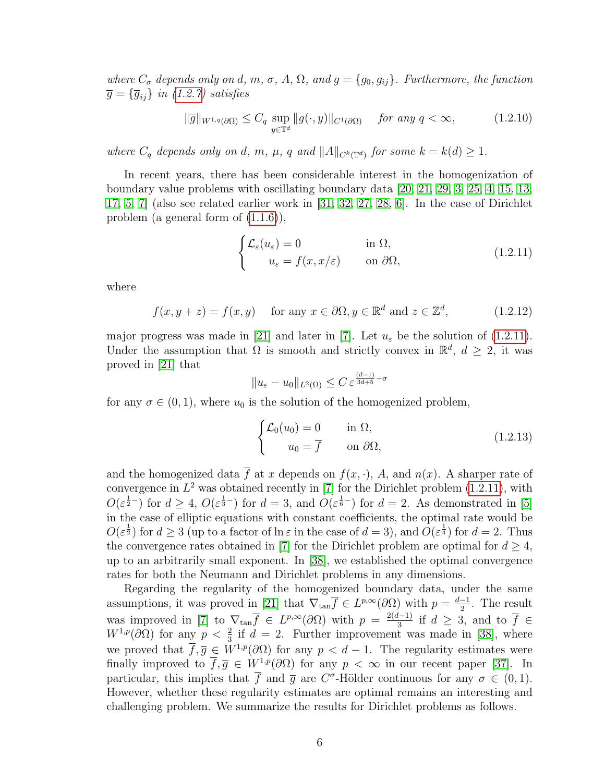where  $C_{\sigma}$  depends only on d, m,  $\sigma$ , A,  $\Omega$ , and  $g = \{g_0, g_{ij}\}\$ . Furthermore, the function  $\overline{g} = {\overline{g}_{ij}}$  in [\(1.2.7\)](#page-12-0) satisfies

$$
\|\overline{g}\|_{W^{1,q}(\partial\Omega)} \le C_q \sup_{y \in \mathbb{T}^d} \|g(\cdot,y)\|_{C^1(\partial\Omega)} \quad \text{for any } q < \infty,\tag{1.2.10}
$$

where  $C_q$  depends only on d, m,  $\mu$ , q and  $||A||_{C^k(\mathbb{T}^d)}$  for some  $k = k(d) \geq 1$ .

In recent years, there has been considerable interest in the homogenization of boundary value problems with oscillating boundary data [\[20,](#page-109-0) [21,](#page-109-1) [29,](#page-109-2) [3,](#page-108-1) [25,](#page-109-3) [4,](#page-108-2) [15,](#page-109-4) [13,](#page-108-3) [17,](#page-109-5) [5,](#page-108-4) [7\]](#page-108-5) (also see related earlier work in [\[31,](#page-110-3) [32,](#page-110-4) [27,](#page-109-6) [28,](#page-109-7) [6\]](#page-108-6). In the case of Dirichlet problem (a general form of [\(1.1.6\)](#page-9-4)),

<span id="page-13-0"></span>
$$
\begin{cases} \mathcal{L}_{\varepsilon}(u_{\varepsilon}) = 0 & \text{in } \Omega, \\ u_{\varepsilon} = f(x, x/\varepsilon) & \text{on } \partial\Omega, \end{cases}
$$
 (1.2.11)

where

<span id="page-13-1"></span>
$$
f(x, y + z) = f(x, y) \quad \text{for any } x \in \partial\Omega, y \in \mathbb{R}^d \text{ and } z \in \mathbb{Z}^d,
$$
 (1.2.12)

major progress was made in [\[21\]](#page-109-1) and later in [\[7\]](#page-108-5). Let  $u_{\varepsilon}$  be the solution of [\(1.2.11\)](#page-13-0). Under the assumption that  $\Omega$  is smooth and strictly convex in  $\mathbb{R}^d$ ,  $d \geq 2$ , it was proved in [\[21\]](#page-109-1) that

$$
||u_{\varepsilon}-u_0||_{L^2(\Omega)} \leq C \, \varepsilon^{\frac{(d-1)}{3d+5}-\sigma}
$$

for any  $\sigma \in (0,1)$ , where  $u_0$  is the solution of the homogenized problem,

<span id="page-13-2"></span>
$$
\begin{cases}\n\mathcal{L}_0(u_0) = 0 & \text{in } \Omega, \\
u_0 = \overline{f} & \text{on } \partial\Omega,\n\end{cases}
$$
\n(1.2.13)

and the homogenized data  $\overline{f}$  at x depends on  $f(x, \cdot)$ , A, and  $n(x)$ . A sharper rate of convergence in  $L^2$  was obtained recently in [\[7\]](#page-108-5) for the Dirichlet problem [\(1.2.11\)](#page-13-0), with  $O(\varepsilon^{\frac{1}{2}-})$  for  $d \geq 4$ ,  $O(\varepsilon^{\frac{1}{3}-})$  for  $d = 3$ , and  $O(\varepsilon^{\frac{1}{6}-})$  for  $d = 2$ . As demonstrated in [\[5\]](#page-108-4) in the case of elliptic equations with constant coefficients, the optimal rate would be  $O(\varepsilon^{\frac{1}{2}})$  for  $d \geq 3$  (up to a factor of  $\ln \varepsilon$  in the case of  $d = 3$ ), and  $O(\varepsilon^{\frac{1}{4}})$  for  $d = 2$ . Thus the convergence rates obtained in [\[7\]](#page-108-5) for the Dirichlet problem are optimal for  $d \geq 4$ , up to an arbitrarily small exponent. In [\[38\]](#page-110-0), we established the optimal convergence rates for both the Neumann and Dirichlet problems in any dimensions.

<span id="page-13-3"></span>Regarding the regularity of the homogenized boundary data, under the same assumptions, it was proved in [\[21\]](#page-109-1) that  $\nabla_{\tan} \overline{f} \in L^{p,\infty}(\partial \Omega)$  with  $p = \frac{d-1}{2}$  $\frac{-1}{2}$ . The result was improved in [\[7\]](#page-108-5) to  $\nabla_{\tan} \overline{f} \in L^{p,\infty}(\partial \Omega)$  with  $p = \frac{2(d-1)}{3}$  $\frac{(-1)}{3}$  if  $d \geq 3$ , and to  $\overline{f} \in$  $W^{1,p}(\partial\Omega)$  for any  $p < \frac{2}{3}$  if  $d = 2$ . Further improvement was made in [\[38\]](#page-110-0), where we proved that  $\overline{f}, \overline{g} \in W^{1,p}(\partial \Omega)$  for any  $p < d-1$ . The regularity estimates were finally improved to  $\overline{f}, \overline{g} \in W^{1,p}(\partial\Omega)$  for any  $p < \infty$  in our recent paper [\[37\]](#page-110-1). In particular, this implies that  $\bar{f}$  and  $\bar{g}$  are  $C^{\sigma}$ -Hölder continuous for any  $\sigma \in (0,1)$ . However, whether these regularity estimates are optimal remains an interesting and challenging problem. We summarize the results for Dirichlet problems as follows.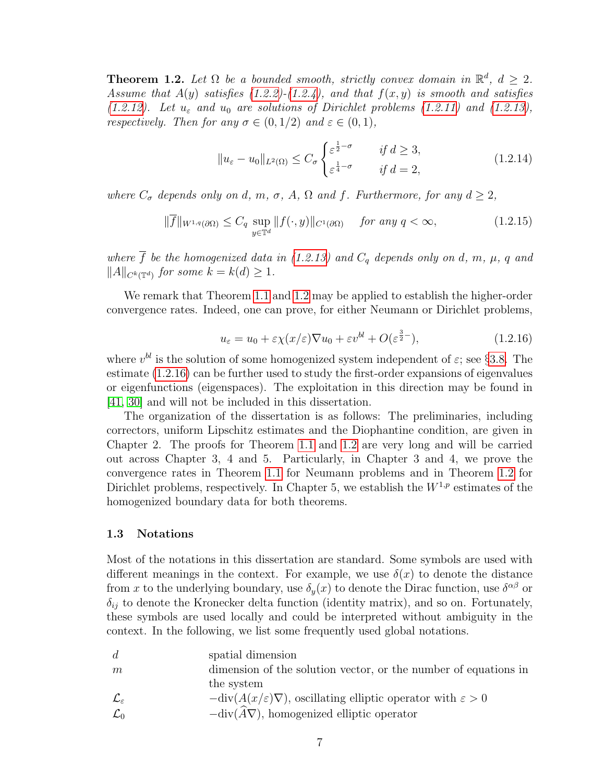**Theorem 1.2.** Let  $\Omega$  be a bounded smooth, strictly convex domain in  $\mathbb{R}^d$ ,  $d \geq 2$ . Assume that  $A(y)$  satisfies [\(1.2.2\)](#page-11-3)-[\(1.2.4\)](#page-11-4), and that  $f(x, y)$  is smooth and satisfies [\(1.2.12\)](#page-13-1). Let  $u_{\varepsilon}$  and  $u_0$  are solutions of Dirichlet problems [\(1.2.11\)](#page-13-0) and [\(1.2.13\)](#page-13-2), respectively. Then for any  $\sigma \in (0,1/2)$  and  $\varepsilon \in (0,1)$ ,

$$
||u_{\varepsilon} - u_0||_{L^2(\Omega)} \le C_{\sigma} \begin{cases} \varepsilon^{\frac{1}{2} - \sigma} & \text{if } d \ge 3, \\ \varepsilon^{\frac{1}{4} - \sigma} & \text{if } d = 2, \end{cases}
$$
 (1.2.14)

where  $C_{\sigma}$  depends only on d, m,  $\sigma$ , A,  $\Omega$  and f. Furthermore, for any  $d \geq 2$ ,

$$
\|\overline{f}\|_{W^{1,q}(\partial\Omega)} \le C_q \sup_{y \in \mathbb{T}^d} \|f(\cdot,y)\|_{C^1(\partial\Omega)} \quad \text{for any } q < \infty,\tag{1.2.15}
$$

where  $\overline{f}$  be the homogenized data in [\(1.2.13\)](#page-13-2) and  $C_q$  depends only on d, m,  $\mu$ , q and  $||A||_{C^k(\mathbb{T}^d)}$  for some  $k = k(d) \geq 1$ .

<span id="page-14-1"></span>We remark that Theorem [1.1](#page-12-3) and [1.2](#page-13-3) may be applied to establish the higher-order convergence rates. Indeed, one can prove, for either Neumann or Dirichlet problems,

$$
u_{\varepsilon} = u_0 + \varepsilon \chi(x/\varepsilon) \nabla u_0 + \varepsilon v^{bl} + O(\varepsilon^{\frac{3}{2}-}), \tag{1.2.16}
$$

where  $v^{bl}$  is the solution of some homogenized system independent of  $\varepsilon$ ; see §[3.8.](#page-70-0) The estimate [\(1.2.16\)](#page-14-1) can be further used to study the first-order expansions of eigenvalues or eigenfunctions (eigenspaces). The exploitation in this direction may be found in [\[41,](#page-110-5) [30\]](#page-110-6) and will not be included in this dissertation.

The organization of the dissertation is as follows: The preliminaries, including correctors, uniform Lipschitz estimates and the Diophantine condition, are given in Chapter 2. The proofs for Theorem [1.1](#page-12-3) and [1.2](#page-13-3) are very long and will be carried out across Chapter 3, 4 and 5. Particularly, in Chapter 3 and 4, we prove the convergence rates in Theorem [1.1](#page-12-3) for Neumann problems and in Theorem [1.2](#page-13-3) for Dirichlet problems, respectively. In Chapter 5, we establish the  $W^{1,p}$  estimates of the homogenized boundary data for both theorems.

#### <span id="page-14-0"></span>1.3 Notations

Most of the notations in this dissertation are standard. Some symbols are used with different meanings in the context. For example, we use  $\delta(x)$  to denote the distance from x to the underlying boundary, use  $\delta_y(x)$  to denote the Dirac function, use  $\delta^{\alpha\beta}$  or  $\delta_{ij}$  to denote the Kronecker delta function (identity matrix), and so on. Fortunately, these symbols are used locally and could be interpreted without ambiguity in the context. In the following, we list some frequently used global notations.

| $\overline{d}$            | spatial dimension                                                                            |
|---------------------------|----------------------------------------------------------------------------------------------|
| m                         | dimension of the solution vector, or the number of equations in                              |
|                           | the system                                                                                   |
| $\mathcal{L}_\varepsilon$ | $-\text{div}(A(x/\varepsilon)\nabla)$ , oscillating elliptic operator with $\varepsilon > 0$ |
| $\mathcal{L}_0$           | $-\text{div}(\widehat{A}\nabla)$ , homogenized elliptic operator                             |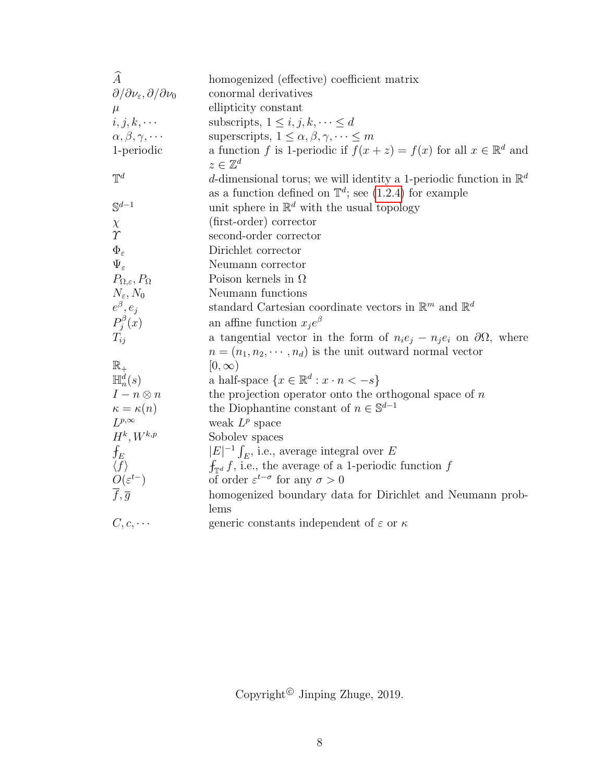| $\widehat{A}$                                                     | homogenized (effective) coefficient matrix                                                             |
|-------------------------------------------------------------------|--------------------------------------------------------------------------------------------------------|
| $\partial/\partial \nu_\varepsilon, \partial/\partial \nu_0$      | conormal derivatives                                                                                   |
| $\mu$                                                             | ellipticity constant                                                                                   |
| $i, j, k, \cdots$                                                 | subscripts, $1 \leq i, j, k, \dots \leq d$                                                             |
| $\alpha, \beta, \gamma, \cdots$                                   | superscripts, $1 \leq \alpha, \beta, \gamma, \dots \leq m$                                             |
| 1-periodic                                                        | a function f is 1-periodic if $f(x + z) = f(x)$ for all $x \in \mathbb{R}^d$ and<br>$z\in\mathbb{Z}^d$ |
| $\mathbb{T}^d$                                                    | d-dimensional torus; we will identity a 1-periodic function in $\mathbb{R}^d$                          |
|                                                                   | as a function defined on $\mathbb{T}^d$ ; see (1.2.4) for example                                      |
| $\mathbb{S}^{d-1}$                                                | unit sphere in $\mathbb{R}^d$ with the usual topology                                                  |
| $\chi$                                                            | (first-order) corrector                                                                                |
| $\gamma$                                                          | second-order corrector                                                                                 |
| $\Phi_{\varepsilon}$                                              | Dirichlet corrector                                                                                    |
| $\Psi_{\varepsilon}$                                              | Neumann corrector                                                                                      |
| $P_{\Omega,\varepsilon}, P_{\Omega}$                              | Poison kernels in $\Omega$                                                                             |
| $N_{\varepsilon}$ , $N_0$                                         | Neumann functions                                                                                      |
| $e^{\beta}, e_j$                                                  | standard Cartesian coordinate vectors in $\mathbb{R}^m$ and $\mathbb{R}^d$                             |
| $P_j^{\beta}(x)$                                                  | an affine function $x_i e^{\beta}$                                                                     |
| $T_{ii}$                                                          | a tangential vector in the form of $n_i e_j - n_j e_i$ on $\partial \Omega$ , where                    |
|                                                                   | $n = (n_1, n_2, \dots, n_d)$ is the unit outward normal vector                                         |
| $\mathbb{R}_+$                                                    | $[0,\infty)$                                                                                           |
| $\mathbb{H}_n^d(s)$                                               | a half-space $\{x \in \mathbb{R}^d : x \cdot n < -s\}$                                                 |
| $I-n\otimes n$                                                    | the projection operator onto the orthogonal space of $n$                                               |
| $\begin{array}{l} \kappa = \kappa(n) \\ L^{p,\infty} \end{array}$ | the Diophantine constant of $n \in \mathbb{S}^{d-1}$                                                   |
|                                                                   | weak $L^p$ space                                                                                       |
| $H^k, W^{k,p}$                                                    | Sobolev spaces                                                                                         |
| $f_E$                                                             | $ E ^{-1} \int_{E}$ , i.e., average integral over E                                                    |
| $\langle f \rangle$<br>$O(\varepsilon^{t-})$                      | $f_{\mathbb{T}^d} f$ , i.e., the average of a 1-periodic function f                                    |
|                                                                   | of order $\varepsilon^{t-\sigma}$ for any $\sigma > 0$                                                 |
| $\overline{f}, \overline{g}$                                      | homogenized boundary data for Dirichlet and Neumann prob-                                              |
|                                                                   | lems                                                                                                   |
| $C, c, \cdots$                                                    | generic constants independent of $\varepsilon$ or $\kappa$                                             |

Copyright<sup>©</sup> Jinping Zhuge, 2019.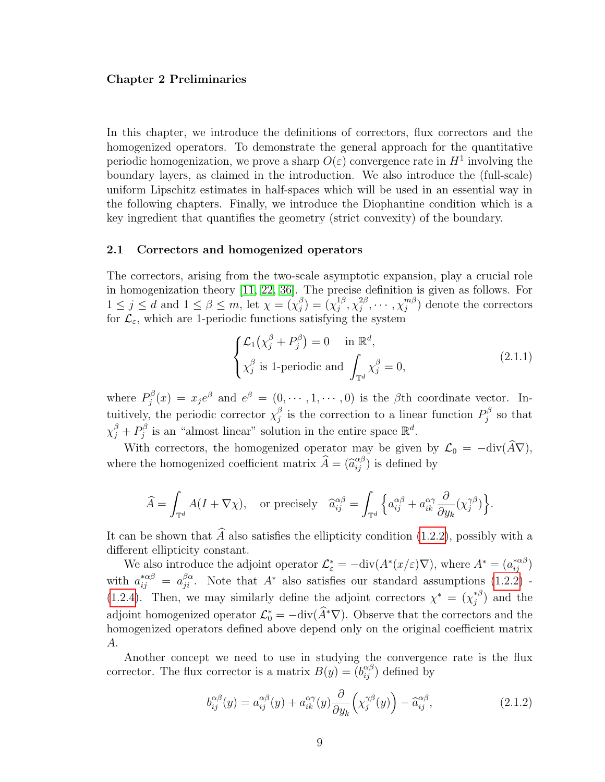#### <span id="page-16-0"></span>Chapter 2 Preliminaries

In this chapter, we introduce the definitions of correctors, flux correctors and the homogenized operators. To demonstrate the general approach for the quantitative periodic homogenization, we prove a sharp  $O(\varepsilon)$  convergence rate in  $H^1$  involving the boundary layers, as claimed in the introduction. We also introduce the (full-scale) uniform Lipschitz estimates in half-spaces which will be used in an essential way in the following chapters. Finally, we introduce the Diophantine condition which is a key ingredient that quantifies the geometry (strict convexity) of the boundary.

#### <span id="page-16-1"></span>2.1 Correctors and homogenized operators

The correctors, arising from the two-scale asymptotic expansion, play a crucial role in homogenization theory [\[11,](#page-108-7) [22,](#page-109-8) [36\]](#page-110-7). The precise definition is given as follows. For  $1 \leq j \leq d$  and  $1 \leq \beta \leq m$ , let  $\chi = (\chi_i^{\beta})$  $\binom{\beta}{j} = \left(\chi_j^{1\beta}\right)$  $j^{\,1\beta}, \chi_j^{2\beta}$  $_{j}^{2\beta },\cdots ,\chi _{j}^{m\beta }$  $j^{m\beta}$ ) denote the correctors for  $\mathcal{L}_{\varepsilon}$ , which are 1-periodic functions satisfying the system

$$
\begin{cases} \mathcal{L}_1(\chi_j^{\beta} + P_j^{\beta}) = 0 & \text{in } \mathbb{R}^d, \\ \chi_j^{\beta} \text{ is 1-periodic and } \int_{\mathbb{T}^d} \chi_j^{\beta} = 0, \end{cases}
$$
 (2.1.1)

where  $P_i^{\beta}$  $j^{\beta}_{j}(x) = x_{j}e^{\beta}$  and  $e^{\beta} = (0, \cdots, 1, \cdots, 0)$  is the  $\beta$ th coordinate vector. Intuitively, the periodic corrector  $\chi_i^{\beta}$  $\frac{\beta}{j}$  is the correction to a linear function  $P_j^{\beta}$  $j^{\beta}$  so that  $\chi_j^\beta+P_j^\beta$  $j^{\beta}$  is an "almost linear" solution in the entire space  $\mathbb{R}^d$ .

With correctors, the homogenized operator may be given by  $\mathcal{L}_0 = -\text{div}(\widehat{A}\nabla)$ , where the homogenized coefficient matrix  $\widehat{A} = (\widehat{a}_{ij}^{\alpha\beta})$  is defined by

$$
\widehat{A} = \int_{\mathbb{T}^d} A(I + \nabla \chi), \quad \text{or precisely} \quad \widehat{a}_{ij}^{\alpha \beta} = \int_{\mathbb{T}^d} \left\{ a_{ij}^{\alpha \beta} + a_{ik}^{\alpha \gamma} \frac{\partial}{\partial y_k} (\chi_j^{\gamma \beta}) \right\}.
$$

It can be shown that  $\widehat{A}$  also satisfies the ellipticity condition [\(1.2.2\)](#page-11-3), possibly with a different ellipticity constant.

We also introduce the adjoint operator  $\mathcal{L}^*_{\varepsilon} = -\text{div}(A^*(x/\varepsilon)\nabla)$ , where  $A^* = (a_{ij}^{*\alpha\beta})$ with  $a_{ij}^{*\alpha\beta} = a_{ji}^{\beta\alpha}$ . Note that  $A^*$  also satisfies our standard assumptions [\(1.2.2\)](#page-11-3) -[\(1.2.4\)](#page-11-4). Then, we may similarly define the adjoint correctors  $\chi^* = (\chi_i^{*\beta})$  $j^{\ast \beta}$  and the adjoint homogenized operator  $\mathcal{L}_0^* = -\text{div}(\widehat{A}^*\nabla)$ . Observe that the correctors and the homogenized operators defined above depend only on the original coefficient matrix A.

Another concept we need to use in studying the convergence rate is the flux corrector. The flux corrector is a matrix  $B(y) = (b_{ij}^{\alpha\beta})$  defined by

$$
b_{ij}^{\alpha\beta}(y) = a_{ij}^{\alpha\beta}(y) + a_{ik}^{\alpha\gamma}(y) \frac{\partial}{\partial y_k} \left(\chi_j^{\gamma\beta}(y)\right) - \widehat{a}_{ij}^{\alpha\beta},\tag{2.1.2}
$$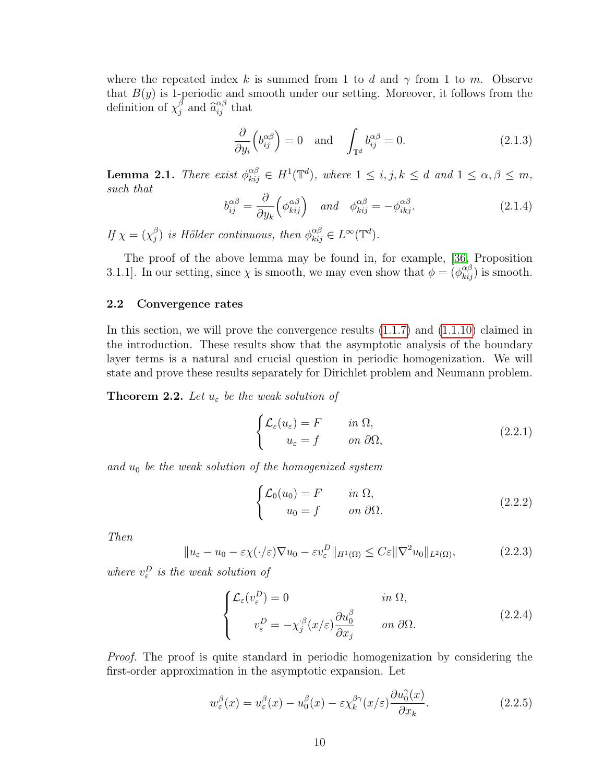where the repeated index k is summed from 1 to d and  $\gamma$  from 1 to m. Observe that  $B(y)$  is 1-periodic and smooth under our setting. Moreover, it follows from the definition of  $\chi_i^{\beta}$  $\int_{j}^{\beta}$  and  $\widehat{a}_{ij}^{\alpha\beta}$  that

$$
\frac{\partial}{\partial y_i} \left( b_{ij}^{\alpha \beta} \right) = 0 \quad \text{and} \quad \int_{\mathbb{T}^d} b_{ij}^{\alpha \beta} = 0. \tag{2.1.3}
$$

<span id="page-17-5"></span><span id="page-17-2"></span>**Lemma 2.1.** There exist  $\phi_{kij}^{\alpha\beta} \in H^1(\mathbb{T}^d)$ , where  $1 \leq i, j, k \leq d$  and  $1 \leq \alpha, \beta \leq m$ , such that

$$
b_{ij}^{\alpha\beta} = \frac{\partial}{\partial y_k} \left( \phi_{kij}^{\alpha\beta} \right) \quad \text{and} \quad \phi_{kij}^{\alpha\beta} = -\phi_{ikj}^{\alpha\beta}.
$$
 (2.1.4)

If  $\chi = (\chi_i^{\beta})$  $\hat{\phi}_j^{\beta}$ ) is Hölder continuous, then  $\phi_{kij}^{\alpha\beta} \in L^{\infty}(\mathbb{T}^d)$ .

The proof of the above lemma may be found in, for example, [\[36,](#page-110-7) Proposition 3.1.1]. In our setting, since  $\chi$  is smooth, we may even show that  $\phi = (\phi_{kij}^{\alpha\beta})$  is smooth.

# <span id="page-17-0"></span>2.2 Convergence rates

In this section, we will prove the convergence results [\(1.1.7\)](#page-10-2) and [\(1.1.10\)](#page-10-3) claimed in the introduction. These results show that the asymptotic analysis of the boundary layer terms is a natural and crucial question in periodic homogenization. We will state and prove these results separately for Dirichlet problem and Neumann problem.

<span id="page-17-1"></span>**Theorem 2.2.** Let  $u_{\varepsilon}$  be the weak solution of

$$
\begin{cases} \mathcal{L}_{\varepsilon}(u_{\varepsilon}) = F & \text{in } \Omega, \\ u_{\varepsilon} = f & \text{on } \partial \Omega, \end{cases}
$$
 (2.2.1)

and  $u_0$  be the weak solution of the homogenized system

$$
\begin{cases}\n\mathcal{L}_0(u_0) = F & \text{in } \Omega, \\
u_0 = f & \text{on } \partial\Omega.\n\end{cases}
$$
\n(2.2.2)

Then

$$
||u_{\varepsilon} - u_0 - \varepsilon \chi(\cdot/\varepsilon) \nabla u_0 - \varepsilon v_{\varepsilon}^D||_{H^1(\Omega)} \le C\varepsilon ||\nabla^2 u_0||_{L^2(\Omega)},
$$
\n(2.2.3)

where  $v_{\varepsilon}^D$  is the weak solution of

<span id="page-17-4"></span><span id="page-17-3"></span>
$$
\begin{cases}\n\mathcal{L}_{\varepsilon}(v_{\varepsilon}^{D}) = 0 & \text{in } \Omega, \\
v_{\varepsilon}^{D} = -\chi_{j}^{\beta}(x/\varepsilon) \frac{\partial u_{0}^{\beta}}{\partial x_{j}} & \text{on } \partial \Omega.\n\end{cases}
$$
\n(2.2.4)

Proof. The proof is quite standard in periodic homogenization by considering the first-order approximation in the asymptotic expansion. Let

$$
w_{\varepsilon}^{\beta}(x) = u_{\varepsilon}^{\beta}(x) - u_0^{\beta}(x) - \varepsilon \chi_k^{\beta \gamma}(x/\varepsilon) \frac{\partial u_0^{\gamma}(x)}{\partial x_k}.
$$
 (2.2.5)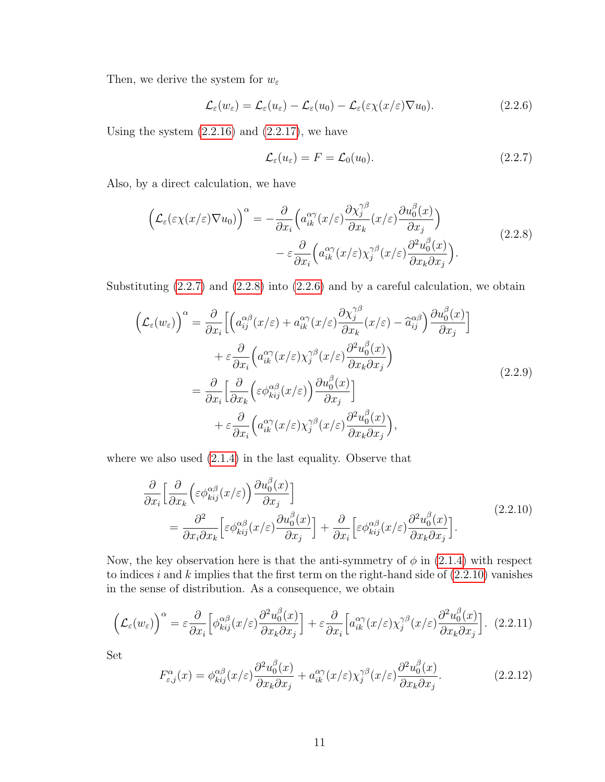Then, we derive the system for  $w_{\varepsilon}$ 

<span id="page-18-2"></span>
$$
\mathcal{L}_{\varepsilon}(w_{\varepsilon}) = \mathcal{L}_{\varepsilon}(u_{\varepsilon}) - \mathcal{L}_{\varepsilon}(u_0) - \mathcal{L}_{\varepsilon}(\varepsilon \chi(x/\varepsilon) \nabla u_0).
$$
\n(2.2.6)

Using the system  $(2.2.16)$  and  $(2.2.17)$ , we have

<span id="page-18-5"></span><span id="page-18-1"></span><span id="page-18-0"></span>
$$
\mathcal{L}_{\varepsilon}(u_{\varepsilon}) = F = \mathcal{L}_{0}(u_{0}). \tag{2.2.7}
$$

Also, by a direct calculation, we have

$$
\left(\mathcal{L}_{\varepsilon}(\varepsilon\chi(x/\varepsilon)\nabla u_{0})\right)^{\alpha} = -\frac{\partial}{\partial x_{i}} \left(a_{ik}^{\alpha\gamma}(x/\varepsilon)\frac{\partial\chi_{j}^{\gamma\beta}}{\partial x_{k}}(x/\varepsilon)\frac{\partial u_{0}^{\beta}(x)}{\partial x_{j}}\right) \n- \varepsilon \frac{\partial}{\partial x_{i}} \left(a_{ik}^{\alpha\gamma}(x/\varepsilon)\chi_{j}^{\gamma\beta}(x/\varepsilon)\frac{\partial^{2}u_{0}^{\beta}(x)}{\partial x_{k}\partial x_{j}}\right).
$$
\n(2.2.8)

Substituting  $(2.2.7)$  and  $(2.2.8)$  into  $(2.2.6)$  and by a careful calculation, we obtain

$$
\left(\mathcal{L}_{\varepsilon}(w_{\varepsilon})\right)^{\alpha} = \frac{\partial}{\partial x_{i}} \left[ \left( a_{ij}^{\alpha\beta}(x/\varepsilon) + a_{ik}^{\alpha\gamma}(x/\varepsilon) \frac{\partial \chi_{j}^{\gamma\beta}}{\partial x_{k}}(x/\varepsilon) - \hat{a}_{ij}^{\alpha\beta} \right) \frac{\partial u_{0}^{\beta}(x)}{\partial x_{j}} \right] \n+ \varepsilon \frac{\partial}{\partial x_{i}} \left( a_{ik}^{\alpha\gamma}(x/\varepsilon) \chi_{j}^{\gamma\beta}(x/\varepsilon) \frac{\partial^{2} u_{0}^{\beta}(x)}{\partial x_{k} \partial x_{j}} \right) \n= \frac{\partial}{\partial x_{i}} \left[ \frac{\partial}{\partial x_{k}} \left( \varepsilon \phi_{kij}^{\alpha\beta}(x/\varepsilon) \right) \frac{\partial u_{0}^{\beta}(x)}{\partial x_{j}} \right] \n+ \varepsilon \frac{\partial}{\partial x_{i}} \left( a_{ik}^{\alpha\gamma}(x/\varepsilon) \chi_{j}^{\gamma\beta}(x/\varepsilon) \frac{\partial^{2} u_{0}^{\beta}(x)}{\partial x_{k} \partial x_{j}} \right),
$$
\n(2.2.9)

where we also used [\(2.1.4\)](#page-17-2) in the last equality. Observe that

<span id="page-18-3"></span>
$$
\frac{\partial}{\partial x_i} \Big[ \frac{\partial}{\partial x_k} \Big( \varepsilon \phi_{kij}^{\alpha \beta}(x/\varepsilon) \Big) \frac{\partial u_0^{\beta}(x)}{\partial x_j} \Big] \n= \frac{\partial^2}{\partial x_i \partial x_k} \Big[ \varepsilon \phi_{kij}^{\alpha \beta}(x/\varepsilon) \frac{\partial u_0^{\beta}(x)}{\partial x_j} \Big] + \frac{\partial}{\partial x_i} \Big[ \varepsilon \phi_{kij}^{\alpha \beta}(x/\varepsilon) \frac{\partial^2 u_0^{\beta}(x)}{\partial x_k \partial x_j} \Big].
$$
\n(2.2.10)

Now, the key observation here is that the anti-symmetry of  $\phi$  in [\(2.1.4\)](#page-17-2) with respect to indices i and k implies that the first term on the right-hand side of  $(2.2.10)$  vanishes in the sense of distribution. As a consequence, we obtain

$$
\left(\mathcal{L}_{\varepsilon}(w_{\varepsilon})\right)^{\alpha} = \varepsilon \frac{\partial}{\partial x_{i}} \left[ \phi_{kij}^{\alpha\beta}(x/\varepsilon) \frac{\partial^{2} u_{0}^{\beta}(x)}{\partial x_{k} \partial x_{j}} \right] + \varepsilon \frac{\partial}{\partial x_{i}} \left[ a_{ik}^{\alpha\gamma}(x/\varepsilon) \chi_{j}^{\gamma\beta}(x/\varepsilon) \frac{\partial^{2} u_{0}^{\beta}(x)}{\partial x_{k} \partial x_{j}} \right].
$$
 (2.2.11)

<span id="page-18-4"></span>Set

$$
F_{\varepsilon,j}^{\alpha}(x) = \phi_{kij}^{\alpha\beta}(x/\varepsilon) \frac{\partial^2 u_0^{\beta}(x)}{\partial x_k \partial x_j} + a_{ik}^{\alpha\gamma}(x/\varepsilon) \chi_j^{\gamma\beta}(x/\varepsilon) \frac{\partial^2 u_0^{\beta}(x)}{\partial x_k \partial x_j}.
$$
 (2.2.12)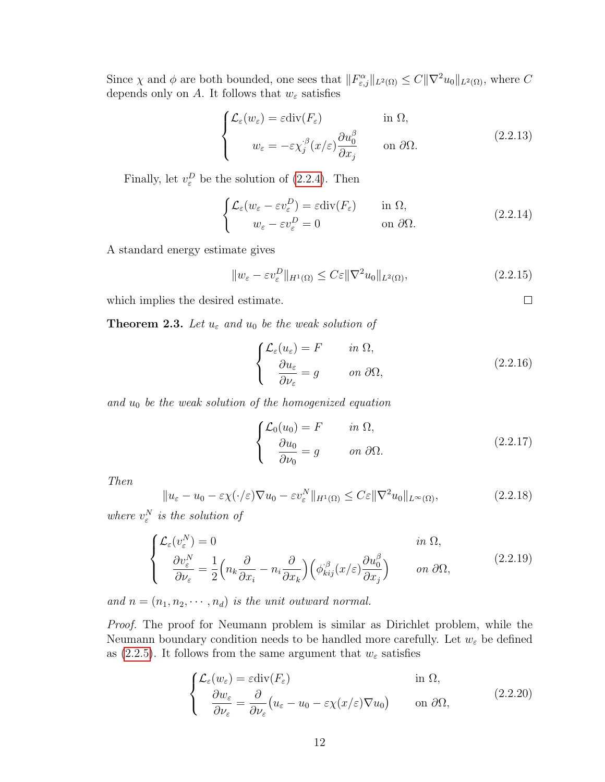Since  $\chi$  and  $\phi$  are both bounded, one sees that  $||F^{\alpha}_{\varepsilon,j}||_{L^2(\Omega)} \leq C||\nabla^2 u_0||_{L^2(\Omega)}$ , where C depends only on A. It follows that  $w_{\varepsilon}$  satisfies

$$
\begin{cases}\n\mathcal{L}_{\varepsilon}(w_{\varepsilon}) = \varepsilon \operatorname{div}(F_{\varepsilon}) & \text{in } \Omega, \\
w_{\varepsilon} = -\varepsilon \chi_j^{\beta}(x/\varepsilon) \frac{\partial u_0^{\beta}}{\partial x_j} & \text{on } \partial \Omega.\n\end{cases}
$$
\n(2.2.13)

Finally, let  $v_{\varepsilon}^D$  be the solution of [\(2.2.4\)](#page-17-3). Then

$$
\begin{cases}\n\mathcal{L}_{\varepsilon}(w_{\varepsilon} - \varepsilon v_{\varepsilon}^D) = \varepsilon \operatorname{div}(F_{\varepsilon}) & \text{in } \Omega, \\
w_{\varepsilon} - \varepsilon v_{\varepsilon}^D = 0 & \text{on } \partial \Omega.\n\end{cases}
$$
\n(2.2.14)

A standard energy estimate gives

$$
||w_{\varepsilon} - \varepsilon v_{\varepsilon}^{D}||_{H^{1}(\Omega)} \le C\varepsilon ||\nabla^{2} u_{0}||_{L^{2}(\Omega)},
$$
\n(2.2.15)

which implies the desired estimate.

<span id="page-19-3"></span>**Theorem 2.3.** Let  $u_{\varepsilon}$  and  $u_0$  be the weak solution of

<span id="page-19-0"></span>
$$
\begin{cases}\n\mathcal{L}_{\varepsilon}(u_{\varepsilon}) = F & \text{in } \Omega, \\
\frac{\partial u_{\varepsilon}}{\partial \nu_{\varepsilon}} = g & \text{on } \partial \Omega,\n\end{cases}
$$
\n(2.2.16)

 $\Box$ 

and  $u_0$  be the weak solution of the homogenized equation

<span id="page-19-2"></span><span id="page-19-1"></span>
$$
\begin{cases}\n\mathcal{L}_0(u_0) = F & \text{in } \Omega, \\
\frac{\partial u_0}{\partial \nu_0} = g & \text{on } \partial \Omega.\n\end{cases}
$$
\n(2.2.17)

Then

$$
||u_{\varepsilon} - u_0 - \varepsilon \chi(\cdot/\varepsilon) \nabla u_0 - \varepsilon v_{\varepsilon}^N ||_{H^1(\Omega)} \le C \varepsilon ||\nabla^2 u_0||_{L^\infty(\Omega)},
$$
\n(2.2.18)

where  $v_{\varepsilon}^N$  is the solution of

$$
\begin{cases}\n\mathcal{L}_{\varepsilon}(v_{\varepsilon}^{N}) = 0 & \text{in } \Omega, \\
\frac{\partial v_{\varepsilon}^{N}}{\partial \nu_{\varepsilon}} = \frac{1}{2} \left( n_{k} \frac{\partial}{\partial x_{i}} - n_{i} \frac{\partial}{\partial x_{k}} \right) \left( \phi_{kij}^{\beta}(x/\varepsilon) \frac{\partial u_{0}^{\beta}}{\partial x_{j}} \right) & \text{on } \partial \Omega,\n\end{cases}
$$
\n(2.2.19)

and  $n = (n_1, n_2, \dots, n_d)$  is the unit outward normal.

Proof. The proof for Neumann problem is similar as Dirichlet problem, while the Neumann boundary condition needs to be handled more carefully. Let  $w_{\varepsilon}$  be defined as [\(2.2.5\)](#page-17-4). It follows from the same argument that  $w_{\varepsilon}$  satisfies

$$
\begin{cases}\n\mathcal{L}_{\varepsilon}(w_{\varepsilon}) = \varepsilon \operatorname{div}(F_{\varepsilon}) & \text{in } \Omega, \\
\frac{\partial w_{\varepsilon}}{\partial \nu_{\varepsilon}} = \frac{\partial}{\partial \nu_{\varepsilon}} \left( u_{\varepsilon} - u_0 - \varepsilon \chi(x/\varepsilon) \nabla u_0 \right) & \text{on } \partial \Omega,\n\end{cases}
$$
\n(2.2.20)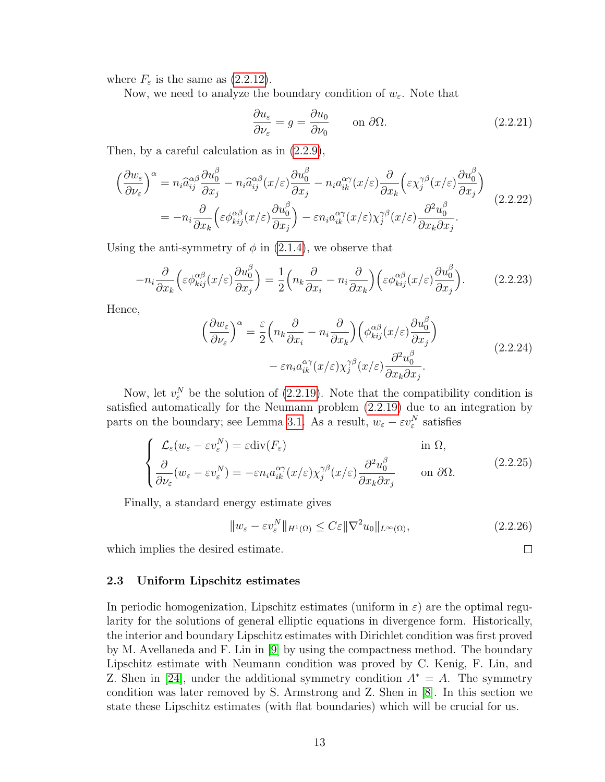where  $F_{\varepsilon}$  is the same as [\(2.2.12\)](#page-18-4).

Now, we need to analyze the boundary condition of  $w_{\varepsilon}$ . Note that

$$
\frac{\partial u_{\varepsilon}}{\partial \nu_{\varepsilon}} = g = \frac{\partial u_0}{\partial \nu_0} \qquad \text{on } \partial \Omega.
$$
 (2.2.21)

Then, by a careful calculation as in [\(2.2.9\)](#page-18-5),

$$
\begin{split}\n\left(\frac{\partial w_{\varepsilon}}{\partial \nu_{\varepsilon}}\right)^{\alpha} &= n_{i}\hat{a}_{ij}^{\alpha\beta}\frac{\partial u_{0}^{\beta}}{\partial x_{j}} - n_{i}\hat{a}_{ij}^{\alpha\beta}(x/\varepsilon)\frac{\partial u_{0}^{\beta}}{\partial x_{j}} - n_{i}a_{ik}^{\alpha\gamma}(x/\varepsilon)\frac{\partial}{\partial x_{k}}\left(\varepsilon\chi_{j}^{\gamma\beta}(x/\varepsilon)\frac{\partial u_{0}^{\beta}}{\partial x_{j}}\right) \\
&= -n_{i}\frac{\partial}{\partial x_{k}}\left(\varepsilon\phi_{kij}^{\alpha\beta}(x/\varepsilon)\frac{\partial u_{0}^{\beta}}{\partial x_{j}}\right) - \varepsilon n_{i}a_{ik}^{\alpha\gamma}(x/\varepsilon)\chi_{j}^{\gamma\beta}(x/\varepsilon)\frac{\partial^{2}u_{0}^{\beta}}{\partial x_{k}\partial x_{j}}.\n\end{split} \tag{2.2.22}
$$

Using the anti-symmetry of  $\phi$  in [\(2.1.4\)](#page-17-2), we observe that

$$
-n_i \frac{\partial}{\partial x_k} \left( \varepsilon \phi_{kij}^{\alpha \beta}(x/\varepsilon) \frac{\partial u_0^{\beta}}{\partial x_j} \right) = \frac{1}{2} \left( n_k \frac{\partial}{\partial x_i} - n_i \frac{\partial}{\partial x_k} \right) \left( \varepsilon \phi_{kij}^{\alpha \beta}(x/\varepsilon) \frac{\partial u_0^{\beta}}{\partial x_j} \right). \tag{2.2.23}
$$

Hence,

$$
\left(\frac{\partial w_{\varepsilon}}{\partial \nu_{\varepsilon}}\right)^{\alpha} = \frac{\varepsilon}{2} \left(n_k \frac{\partial}{\partial x_i} - n_i \frac{\partial}{\partial x_k}\right) \left(\phi_{kij}^{\alpha \beta}(x/\varepsilon) \frac{\partial u_0^{\beta}}{\partial x_j}\right) \n- \varepsilon n_i a_{ik}^{\alpha \gamma}(x/\varepsilon) \chi_j^{\gamma \beta}(x/\varepsilon) \frac{\partial^2 u_0^{\beta}}{\partial x_k \partial x_j}.
$$
\n(2.2.24)

Now, let  $v_{\varepsilon}^N$  be the solution of [\(2.2.19\)](#page-19-2). Note that the compatibility condition is satisfied automatically for the Neumann problem [\(2.2.19\)](#page-19-2) due to an integration by parts on the boundary; see Lemma [3.1.](#page-26-0) As a result,  $w_{\varepsilon} - \varepsilon v_{\varepsilon}^N$  satisfies

$$
\begin{cases}\n\mathcal{L}_{\varepsilon}(w_{\varepsilon} - \varepsilon v_{\varepsilon}^{N}) = \varepsilon \operatorname{div}(F_{\varepsilon}) & \text{in } \Omega, \\
\frac{\partial}{\partial \nu_{\varepsilon}}(w_{\varepsilon} - \varepsilon v_{\varepsilon}^{N}) = -\varepsilon n_{i} a_{ik}^{\alpha \gamma}(x/\varepsilon) \chi_{j}^{\gamma \beta}(x/\varepsilon) \frac{\partial^{2} u_{0}^{\beta}}{\partial x_{k} \partial x_{j}} & \text{on } \partial \Omega.\n\end{cases}
$$
\n(2.2.25)

Finally, a standard energy estimate gives

$$
||w_{\varepsilon} - \varepsilon v_{\varepsilon}^N||_{H^1(\Omega)} \le C\varepsilon ||\nabla^2 u_0||_{L^\infty(\Omega)},
$$
\n(2.2.26)

 $\Box$ 

which implies the desired estimate.

#### <span id="page-20-0"></span>2.3 Uniform Lipschitz estimates

<span id="page-20-1"></span>In periodic homogenization, Lipschitz estimates (uniform in  $\varepsilon$ ) are the optimal regularity for the solutions of general elliptic equations in divergence form. Historically, the interior and boundary Lipschitz estimates with Dirichlet condition was first proved by M. Avellaneda and F. Lin in [\[9\]](#page-108-8) by using the compactness method. The boundary Lipschitz estimate with Neumann condition was proved by C. Kenig, F. Lin, and Z. Shen in [\[24\]](#page-109-9), under the additional symmetry condition  $A^* = A$ . The symmetry condition was later removed by S. Armstrong and Z. Shen in [\[8\]](#page-108-9). In this section we state these Lipschitz estimates (with flat boundaries) which will be crucial for us.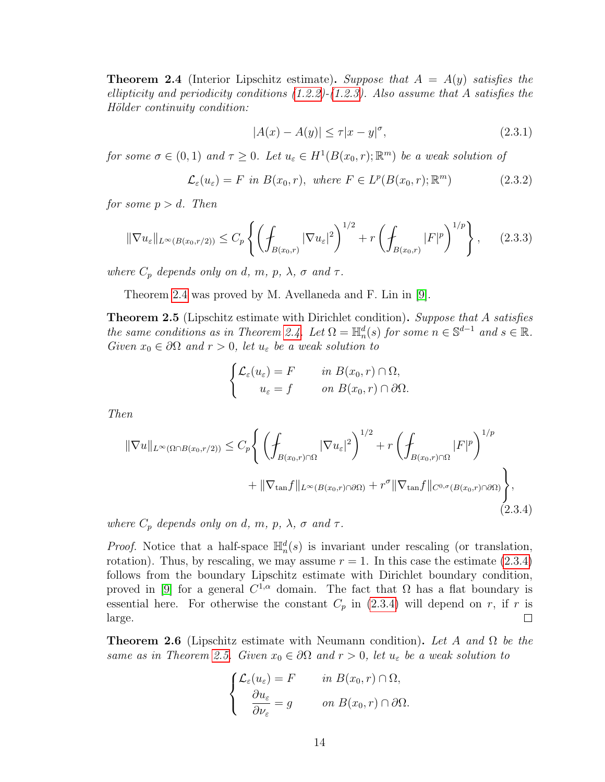**Theorem 2.4** (Interior Lipschitz estimate). Suppose that  $A = A(y)$  satisfies the ellipticity and periodicity conditions  $(1.2.2)-(1.2.3)$  $(1.2.2)-(1.2.3)$  $(1.2.2)-(1.2.3)$ . Also assume that A satisfies the Hölder continuity condition:

$$
|A(x) - A(y)| \le \tau |x - y|^{\sigma}, \tag{2.3.1}
$$

for some  $\sigma \in (0,1)$  and  $\tau \geq 0$ . Let  $u_{\varepsilon} \in H^1(B(x_0, r); \mathbb{R}^m)$  be a weak solution of

$$
\mathcal{L}_{\varepsilon}(u_{\varepsilon}) = F \text{ in } B(x_0, r), \text{ where } F \in L^p(B(x_0, r); \mathbb{R}^m)
$$
\n(2.3.2)

for some  $p > d$ . Then

$$
\|\nabla u_{\varepsilon}\|_{L^{\infty}(B(x_0,r/2))} \le C_p \left\{ \left( \int_{B(x_0,r)} |\nabla u_{\varepsilon}|^2 \right)^{1/2} + r \left( \int_{B(x_0,r)} |F|^p \right)^{1/p} \right\}, \quad (2.3.3)
$$

where  $C_p$  depends only on d, m, p,  $\lambda$ ,  $\sigma$  and  $\tau$ .

Theorem [2.4](#page-20-1) was proved by M. Avellaneda and F. Lin in [\[9\]](#page-108-8).

<span id="page-21-1"></span>**Theorem 2.5** (Lipschitz estimate with Dirichlet condition). Suppose that A satisfies the same conditions as in Theorem [2.4.](#page-20-1) Let  $\Omega = \mathbb{H}_n^d(s)$  for some  $n \in \mathbb{S}^{d-1}$  and  $s \in \mathbb{R}$ . Given  $x_0 \in \partial \Omega$  and  $r > 0$ , let  $u_{\varepsilon}$  be a weak solution to

$$
\begin{cases}\n\mathcal{L}_{\varepsilon}(u_{\varepsilon}) = F & \text{in } B(x_0, r) \cap \Omega, \\
u_{\varepsilon} = f & \text{on } B(x_0, r) \cap \partial \Omega.\n\end{cases}
$$

Then

<span id="page-21-0"></span>
$$
\|\nabla u\|_{L^{\infty}(\Omega \cap B(x_0, r/2))} \leq C_p \Bigg\{ \left( \int_{B(x_0, r) \cap \Omega} |\nabla u_{\varepsilon}|^2 \right)^{1/2} + r \left( \int_{B(x_0, r) \cap \Omega} |F|^p \right)^{1/p} + \|\nabla_{\tan} f\|_{L^{\infty}(B(x_0, r) \cap \partial \Omega)} + r^{\sigma} \|\nabla_{\tan} f\|_{C^{0, \sigma}(B(x_0, r) \cap \partial \Omega)} \Bigg\},\tag{2.3.4}
$$

where  $C_p$  depends only on d, m, p,  $\lambda$ ,  $\sigma$  and  $\tau$ .

*Proof.* Notice that a half-space  $\mathbb{H}_n^d(s)$  is invariant under rescaling (or translation, rotation). Thus, by rescaling, we may assume  $r = 1$ . In this case the estimate  $(2.3.4)$ follows from the boundary Lipschitz estimate with Dirichlet boundary condition, proved in [\[9\]](#page-108-8) for a general  $C^{1,\alpha}$  domain. The fact that  $\Omega$  has a flat boundary is essential here. For otherwise the constant  $C_p$  in [\(2.3.4\)](#page-21-0) will depend on r, if r is large.  $\Box$ 

**Theorem 2.6** (Lipschitz estimate with Neumann condition). Let A and  $\Omega$  be the same as in Theorem [2.5.](#page-21-1) Given  $x_0 \in \partial\Omega$  and  $r > 0$ , let  $u_{\varepsilon}$  be a weak solution to

$$
\begin{cases}\n\mathcal{L}_{\varepsilon}(u_{\varepsilon}) = F & \text{in } B(x_0, r) \cap \Omega, \\
\frac{\partial u_{\varepsilon}}{\partial \nu_{\varepsilon}} = g & \text{on } B(x_0, r) \cap \partial \Omega.\n\end{cases}
$$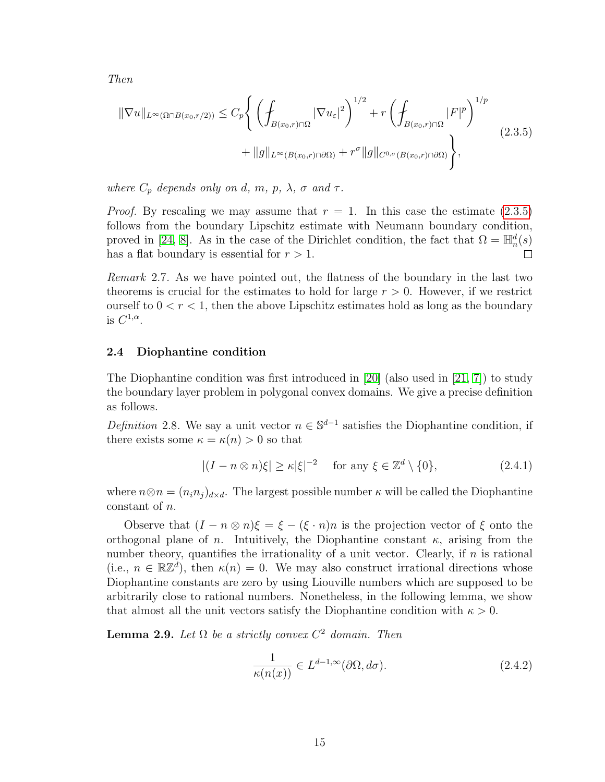<span id="page-22-1"></span>Then

$$
\|\nabla u\|_{L^{\infty}(\Omega \cap B(x_0, r/2))} \leq C_p \Bigg\{ \left( \int_{B(x_0, r) \cap \Omega} |\nabla u_{\varepsilon}|^2 \right)^{1/2} + r \left( \int_{B(x_0, r) \cap \Omega} |F|^p \right)^{1/p} + \|g\|_{L^{\infty}(B(x_0, r) \cap \partial \Omega)} + r^{\sigma} \|g\|_{C^{0, \sigma}(B(x_0, r) \cap \partial \Omega)} \Bigg\},
$$
\n(2.3.5)

where  $C_p$  depends only on d, m, p,  $\lambda$ ,  $\sigma$  and  $\tau$ .

*Proof.* By rescaling we may assume that  $r = 1$ . In this case the estimate  $(2.3.5)$ follows from the boundary Lipschitz estimate with Neumann boundary condition, proved in [\[24,](#page-109-9) [8\]](#page-108-9). As in the case of the Dirichlet condition, the fact that  $\Omega = \mathbb{H}_n^d(s)$ has a flat boundary is essential for  $r > 1$ .  $\Box$ 

Remark 2.7. As we have pointed out, the flatness of the boundary in the last two theorems is crucial for the estimates to hold for large  $r > 0$ . However, if we restrict ourself to  $0 < r < 1$ , then the above Lipschitz estimates hold as long as the boundary is  $C^{1,\alpha}$ .

#### <span id="page-22-0"></span>2.4 Diophantine condition

The Diophantine condition was first introduced in [\[20\]](#page-109-0) (also used in [\[21,](#page-109-1) [7\]](#page-108-5)) to study the boundary layer problem in polygonal convex domains. We give a precise definition as follows.

Definition 2.8. We say a unit vector  $n \in \mathbb{S}^{d-1}$  satisfies the Diophantine condition, if there exists some  $\kappa = \kappa(n) > 0$  so that

<span id="page-22-3"></span>
$$
|(I - n \otimes n)\xi| \ge \kappa |\xi|^{-2} \quad \text{for any } \xi \in \mathbb{Z}^d \setminus \{0\},\tag{2.4.1}
$$

where  $n \otimes n = (n_i n_j)_{d \times d}$ . The largest possible number  $\kappa$  will be called the Diophantine constant of n.

Observe that  $(I - n \otimes n)\xi = \xi - (\xi \cdot n)n$  is the projection vector of  $\xi$  onto the orthogonal plane of *n*. Intuitively, the Diophantine constant  $\kappa$ , arising from the number theory, quantifies the irrationality of a unit vector. Clearly, if  $n$  is rational (i.e.,  $n \in \mathbb{R} \mathbb{Z}^d$ ), then  $\kappa(n) = 0$ . We may also construct irrational directions whose Diophantine constants are zero by using Liouville numbers which are supposed to be arbitrarily close to rational numbers. Nonetheless, in the following lemma, we show that almost all the unit vectors satisfy the Diophantine condition with  $\kappa > 0$ .

**Lemma 2.9.** Let  $\Omega$  be a strictly convex  $C^2$  domain. Then

<span id="page-22-2"></span>
$$
\frac{1}{\kappa(n(x))} \in L^{d-1,\infty}(\partial \Omega, d\sigma). \tag{2.4.2}
$$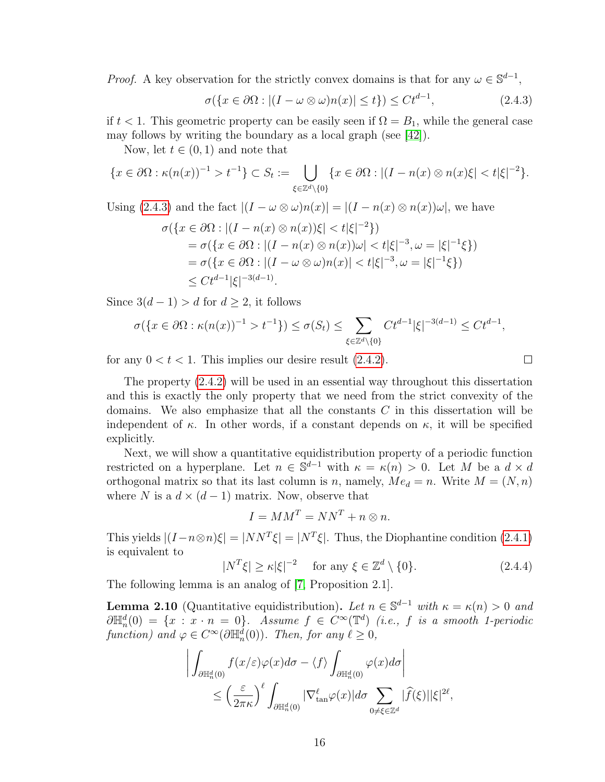*Proof.* A key observation for the strictly convex domains is that for any  $\omega \in \mathbb{S}^{d-1}$ ,

$$
\sigma(\lbrace x \in \partial \Omega : |(I - \omega \otimes \omega)n(x)| \le t \rbrace) \le Ct^{d-1},\tag{2.4.3}
$$

if  $t < 1$ . This geometric property can be easily seen if  $\Omega = B_1$ , while the general case may follows by writing the boundary as a local graph (see [\[42\]](#page-110-2)).

Now, let  $t \in (0,1)$  and note that

$$
\{x \in \partial\Omega : \kappa(n(x))^{-1} > t^{-1}\} \subset S_t := \bigcup_{\xi \in \mathbb{Z}^d \setminus \{0\}} \{x \in \partial\Omega : |(I - n(x) \otimes n(x)\xi| < t|\xi|^{-2}\}.
$$

Using [\(2.4.3\)](#page-23-0) and the fact  $|(I - \omega \otimes \omega)n(x)| = |(I - n(x) \otimes n(x))\omega|$ , we have

$$
\sigma(\lbrace x \in \partial\Omega : |(I - n(x) \otimes n(x))\xi| < t|\xi|^{-2}\rbrace)
$$
\n
$$
= \sigma(\lbrace x \in \partial\Omega : |(I - n(x) \otimes n(x))\omega| < t|\xi|^{-3}, \omega = |\xi|^{-1}\xi\rbrace)
$$
\n
$$
= \sigma(\lbrace x \in \partial\Omega : |(I - \omega \otimes \omega)n(x)| < t|\xi|^{-3}, \omega = |\xi|^{-1}\xi\rbrace)
$$
\n
$$
\leq Ct^{d-1}|\xi|^{-3(d-1)}.
$$

Since  $3(d-1) > d$  for  $d \geq 2$ , it follows

$$
\sigma(\{x \in \partial\Omega : \kappa(n(x))^{-1} > t^{-1}\}) \le \sigma(S_t) \le \sum_{\xi \in \mathbb{Z}^d \setminus \{0\}} Ct^{d-1} |\xi|^{-3(d-1)} \le Ct^{d-1},
$$

for any  $0 < t < 1$ . This implies our desire result  $(2.4.2)$ .

<span id="page-23-0"></span>
$$
\sqcup
$$

The property [\(2.4.2\)](#page-22-2) will be used in an essential way throughout this dissertation and this is exactly the only property that we need from the strict convexity of the domains. We also emphasize that all the constants  $C$  in this dissertation will be independent of  $\kappa$ . In other words, if a constant depends on  $\kappa$ , it will be specified explicitly.

Next, we will show a quantitative equidistribution property of a periodic function restricted on a hyperplane. Let  $n \in \mathbb{S}^{d-1}$  with  $\kappa = \kappa(n) > 0$ . Let M be a  $d \times d$ orthogonal matrix so that its last column is n, namely,  $Me<sub>d</sub> = n$ . Write  $M = (N, n)$ where N is a  $d \times (d-1)$  matrix. Now, observe that

$$
I = MM^T = NN^T + n \otimes n.
$$

This yields  $|(I - n \otimes n)\xi| = |NN^T\xi| = |N^T\xi|$ . Thus, the Diophantine condition [\(2.4.1\)](#page-22-3) is equivalent to

<span id="page-23-1"></span>
$$
|N^T\xi| \ge \kappa |\xi|^{-2} \quad \text{for any } \xi \in \mathbb{Z}^d \setminus \{0\}. \tag{2.4.4}
$$

The following lemma is an analog of [\[7,](#page-108-5) Proposition 2.1].

**Lemma 2.10** (Quantitative equidistribution). Let  $n \in \mathbb{S}^{d-1}$  with  $\kappa = \kappa(n) > 0$  and  $\partial \mathbb{H}_n^d(0) = \{x : x \cdot n = 0\}.$  Assume  $f \in C^{\infty}(\mathbb{T}^d)$  (i.e., f is a smooth 1-periodic function) and  $\varphi \in C^{\infty}(\partial \mathbb{H}_n^d(0))$ . Then, for any  $\ell \geq 0$ ,

$$
\left| \int_{\partial \mathbb{H}_n^d(0)} f(x/\varepsilon) \varphi(x) d\sigma - \langle f \rangle \int_{\partial \mathbb{H}_n^d(0)} \varphi(x) d\sigma \right|
$$
  
 
$$
\leq \left( \frac{\varepsilon}{2\pi \kappa} \right)^{\ell} \int_{\partial \mathbb{H}_n^d(0)} |\nabla_{\tan}^{\ell} \varphi(x)| d\sigma \sum_{0 \neq \xi \in \mathbb{Z}^d} |\widehat{f}(\xi)| |\xi|^{2\ell},
$$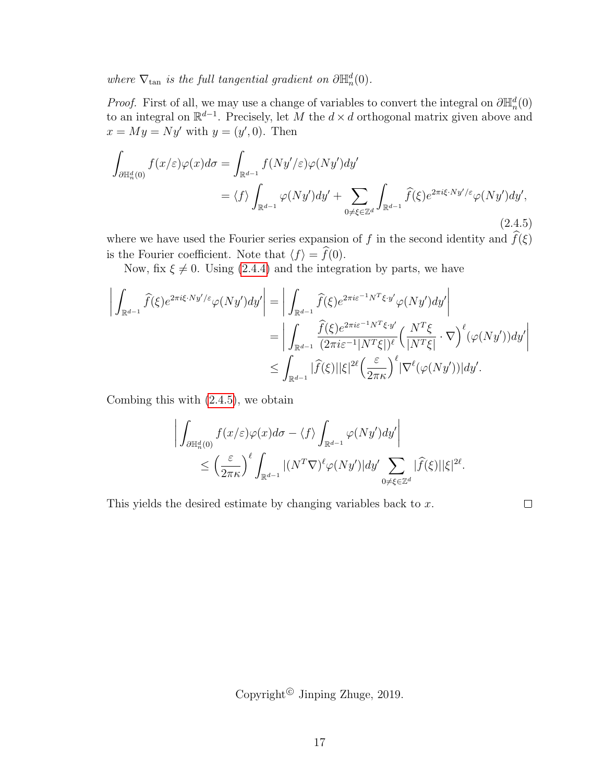where  $\nabla_{\tan}$  is the full tangential gradient on  $\partial \mathbb{H}_n^d(0)$ .

*Proof.* First of all, we may use a change of variables to convert the integral on  $\partial \mathbb{H}_n^d(0)$ to an integral on  $\mathbb{R}^{d-1}$ . Precisely, let M the  $d \times d$  orthogonal matrix given above and  $x = My = Ny'$  with  $y = (y', 0)$ . Then

<span id="page-24-0"></span>
$$
\int_{\partial \mathbb{H}_n^d(0)} f(x/\varepsilon) \varphi(x) d\sigma = \int_{\mathbb{R}^{d-1}} f(Ny'/\varepsilon) \varphi(Ny') dy' \n= \langle f \rangle \int_{\mathbb{R}^{d-1}} \varphi(Ny') dy' + \sum_{0 \neq \xi \in \mathbb{Z}^d} \int_{\mathbb{R}^{d-1}} \widehat{f}(\xi) e^{2\pi i \xi \cdot Ny'/\varepsilon} \varphi(Ny') dy',
$$
\n(2.4.5)

where we have used the Fourier series expansion of f in the second identity and  $f(\xi)$ is the Fourier coefficient. Note that  $\langle f \rangle = \hat{f}(0)$ .

Now, fix  $\xi \neq 0$ . Using [\(2.4.4\)](#page-23-1) and the integration by parts, we have

$$
\left| \int_{\mathbb{R}^{d-1}} \widehat{f}(\xi) e^{2\pi i \xi \cdot Ny'/\varepsilon} \varphi(Ny') dy' \right| = \left| \int_{\mathbb{R}^{d-1}} \widehat{f}(\xi) e^{2\pi i \varepsilon^{-1} N^T \xi \cdot y'} \varphi(Ny') dy' \right|
$$
  
\n
$$
= \left| \int_{\mathbb{R}^{d-1}} \frac{\widehat{f}(\xi) e^{2\pi i \varepsilon^{-1} N^T \xi \cdot y'}}{(2\pi i \varepsilon^{-1} |N^T \xi|)^{\ell}} \left( \frac{N^T \xi}{|N^T \xi|} \cdot \nabla \right)^{\ell} (\varphi(Ny')) dy' \right|
$$
  
\n
$$
\leq \int_{\mathbb{R}^{d-1}} |\widehat{f}(\xi)| |\xi|^{2\ell} \left( \frac{\varepsilon}{2\pi \kappa} \right)^{\ell} |\nabla^{\ell} (\varphi(Ny'))| dy'.
$$

Combing this with [\(2.4.5\)](#page-24-0), we obtain

$$
\left| \int_{\partial \mathbb{H}_n^d(0)} f(x/\varepsilon) \varphi(x) d\sigma - \langle f \rangle \int_{\mathbb{R}^{d-1}} \varphi(Ny') dy' \right|
$$
  
 
$$
\leq \left( \frac{\varepsilon}{2\pi \kappa} \right)^{\ell} \int_{\mathbb{R}^{d-1}} |(N^T \nabla)^{\ell} \varphi(Ny')| dy' \sum_{0 \neq \xi \in \mathbb{Z}^d} |\widehat{f}(\xi)| |\xi|^{2\ell}.
$$

This yields the desired estimate by changing variables back to x.

 $\Box$ 

Copyright<sup>©</sup> Jinping Zhuge, 2019.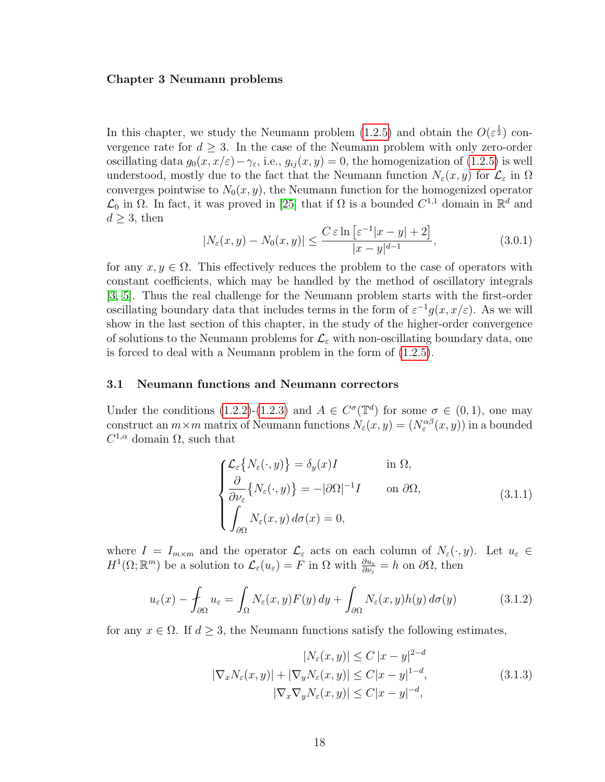#### <span id="page-25-0"></span>Chapter 3 Neumann problems

In this chapter, we study the Neumann problem [\(1.2.5\)](#page-11-1) and obtain the  $O(\varepsilon^{\frac{1}{2}})$  convergence rate for  $d \geq 3$ . In the case of the Neumann problem with only zero-order oscillating data  $g_0(x, x/\varepsilon) - \gamma_{\varepsilon}$ , i.e.,  $g_{ij}(x, y) = 0$ , the homogenization of [\(1.2.5\)](#page-11-1) is well understood, mostly due to the fact that the Neumann function  $N_{\varepsilon}(x, y)$  for  $\mathcal{L}_{\varepsilon}$  in  $\Omega$ converges pointwise to  $N_0(x, y)$ , the Neumann function for the homogenized operator  $\mathcal{L}_0$  in  $\Omega$ . In fact, it was proved in [\[25\]](#page-109-3) that if  $\Omega$  is a bounded  $C^{1,1}$  domain in  $\mathbb{R}^d$  and  $d \geq 3$ , then

$$
|N_{\varepsilon}(x, y) - N_0(x, y)| \le \frac{C \varepsilon \ln \left[ \varepsilon^{-1} |x - y| + 2 \right]}{|x - y|^{d - 1}},
$$
\n(3.0.1)

for any  $x, y \in \Omega$ . This effectively reduces the problem to the case of operators with constant coefficients, which may be handled by the method of oscillatory integrals [\[3,](#page-108-1) [5\]](#page-108-4). Thus the real challenge for the Neumann problem starts with the first-order oscillating boundary data that includes terms in the form of  $\varepsilon^{-1} g(x, x/\varepsilon)$ . As we will show in the last section of this chapter, in the study of the higher-order convergence of solutions to the Neumann problems for  $\mathcal{L}_{\varepsilon}$  with non-oscillating boundary data, one is forced to deal with a Neumann problem in the form of [\(1.2.5\)](#page-11-1).

#### <span id="page-25-1"></span>3.1 Neumann functions and Neumann correctors

Under the conditions [\(1.2.2\)](#page-11-3)-[\(1.2.3\)](#page-11-5) and  $A \in C^{\sigma}(\mathbb{T}^d)$  for some  $\sigma \in (0,1)$ , one may construct an  $m \times m$  matrix of Neumann functions  $N_{\varepsilon}(x, y) = (N_{\varepsilon}^{\alpha \beta}(x, y))$  in a bounded  $C^{1,\alpha}$  domain  $\Omega$ , such that

<span id="page-25-3"></span>
$$
\begin{cases}\n\mathcal{L}_{\varepsilon}\{N_{\varepsilon}(\cdot,y)\} = \delta_{y}(x)I & \text{in } \Omega, \\
\frac{\partial}{\partial \nu_{\varepsilon}}\{N_{\varepsilon}(\cdot,y)\} = -|\partial \Omega|^{-1}I & \text{on } \partial \Omega, \\
\int_{\partial \Omega} N_{\varepsilon}(x,y) d\sigma(x) = 0,\n\end{cases}
$$
\n(3.1.1)

where  $I = I_{m \times m}$  and the operator  $\mathcal{L}_{\varepsilon}$  acts on each column of  $N_{\varepsilon}(\cdot, y)$ . Let  $u_{\varepsilon} \in$  $H^1(\Omega;\mathbb{R}^m)$  be a solution to  $\mathcal{L}_{\varepsilon}(u_{\varepsilon})=F$  in  $\Omega$  with  $\frac{\partial u_{\varepsilon}}{\partial \nu_{\varepsilon}}=h$  on  $\partial\Omega$ , then

$$
u_{\varepsilon}(x) - \int_{\partial\Omega} u_{\varepsilon} = \int_{\Omega} N_{\varepsilon}(x, y) F(y) dy + \int_{\partial\Omega} N_{\varepsilon}(x, y) h(y) d\sigma(y) \tag{3.1.2}
$$

for any  $x \in \Omega$ . If  $d \geq 3$ , the Neumann functions satisfy the following estimates,

<span id="page-25-2"></span>
$$
|N_{\varepsilon}(x,y)| \le C |x-y|^{2-d}
$$
  

$$
|\nabla_x N_{\varepsilon}(x,y)| + |\nabla_y N_{\varepsilon}(x,y)| \le C |x-y|^{1-d},
$$
  

$$
|\nabla_x \nabla_y N_{\varepsilon}(x,y)| \le C |x-y|^{-d},
$$
\n(3.1.3)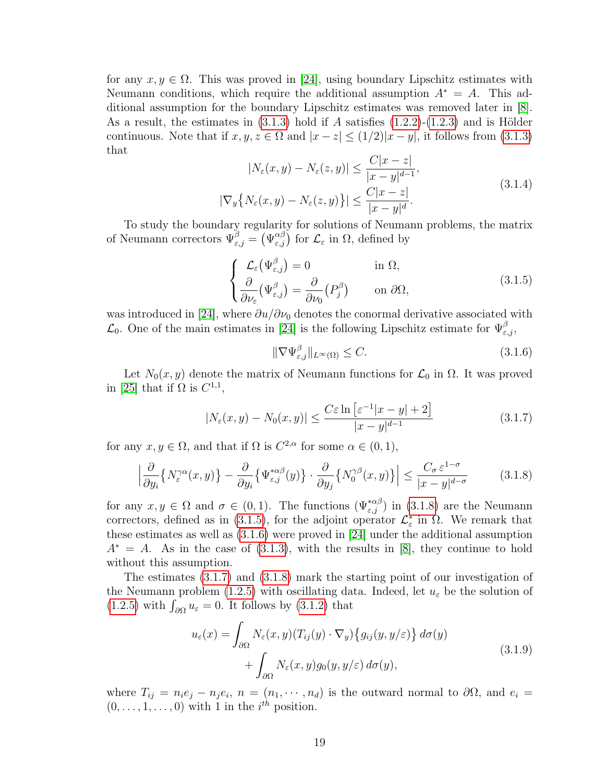for any  $x, y \in \Omega$ . This was proved in [\[24\]](#page-109-9), using boundary Lipschitz estimates with Neumann conditions, which require the additional assumption  $A^* = A$ . This additional assumption for the boundary Lipschitz estimates was removed later in [\[8\]](#page-108-9). As a result, the estimates in  $(3.1.3)$  hold if A satisfies  $(1.2.2)-(1.2.3)$  $(1.2.2)-(1.2.3)$  and is Hölder continuous. Note that if  $x, y, z \in \Omega$  and  $|x - z| \leq (1/2)|x - y|$ , it follows from [\(3.1.3\)](#page-25-2) that

$$
|N_{\varepsilon}(x, y) - N_{\varepsilon}(z, y)| \le \frac{C|x - z|}{|x - y|^{d - 1}},
$$
  

$$
|\nabla_y \{ N_{\varepsilon}(x, y) - N_{\varepsilon}(z, y) \}| \le \frac{C|x - z|}{|x - y|^d}.
$$
 (3.1.4)

<span id="page-26-2"></span>To study the boundary regularity for solutions of Neumann problems, the matrix of Neumann correctors  $\Psi_{\varepsilon,j}^{\beta} = (\Psi_{\varepsilon,j}^{\alpha\beta})$  for  $\mathcal{L}_{\varepsilon}$  in  $\Omega$ , defined by

$$
\begin{cases}\n\mathcal{L}_{\varepsilon}(\Psi_{\varepsilon,j}^{\beta}) = 0 & \text{in } \Omega, \\
\frac{\partial}{\partial \nu_{\varepsilon}}(\Psi_{\varepsilon,j}^{\beta}) = \frac{\partial}{\partial \nu_{0}}(P_{j}^{\beta}) & \text{on } \partial\Omega,\n\end{cases}
$$
\n(3.1.5)

was introduced in [\[24\]](#page-109-9), where  $\partial u/\partial \nu_0$  denotes the conormal derivative associated with  $\mathcal{L}_0$ . One of the main estimates in [\[24\]](#page-109-9) is the following Lipschitz estimate for  $\Psi_{\varepsilon,j}^{\beta}$ ,

<span id="page-26-3"></span><span id="page-26-1"></span>
$$
\|\nabla\Psi_{\varepsilon,j}^{\beta}\|_{L^{\infty}(\Omega)} \leq C. \tag{3.1.6}
$$

Let  $N_0(x, y)$  denote the matrix of Neumann functions for  $\mathcal{L}_0$  in  $\Omega$ . It was proved in [\[25\]](#page-109-3) that if  $\Omega$  is  $C^{1,1}$ ,

<span id="page-26-4"></span>
$$
|N_{\varepsilon}(x,y) - N_0(x,y)| \le \frac{C\varepsilon \ln \left[\varepsilon^{-1}|x-y| + 2\right]}{|x-y|^{d-1}}\tag{3.1.7}
$$

for any  $x, y \in \Omega$ , and that if  $\Omega$  is  $C^{2,\alpha}$  for some  $\alpha \in (0,1)$ ,

$$
\left| \frac{\partial}{\partial y_i} \left\{ N_{\varepsilon}^{\gamma \alpha}(x, y) \right\} - \frac{\partial}{\partial y_i} \left\{ \Psi_{\varepsilon, j}^{* \alpha \beta}(y) \right\} \cdot \frac{\partial}{\partial y_j} \left\{ N_0^{\gamma \beta}(x, y) \right\} \right| \le \frac{C_\sigma \, \varepsilon^{1 - \sigma}}{|x - y|^{d - \sigma}} \tag{3.1.8}
$$

for any  $x, y \in \Omega$  and  $\sigma \in (0, 1)$ . The functions  $(\Psi_{\varepsilon,j}^{*\alpha\beta})$  in  $(3.1.8)$  are the Neumann correctors, defined as in [\(3.1.5\)](#page-26-2), for the adjoint operator  $\mathcal{L}_{\varepsilon}^{*}$  in  $\Omega$ . We remark that these estimates as well as [\(3.1.6\)](#page-26-3) were proved in [\[24\]](#page-109-9) under the additional assumption  $A^* = A$ . As in the case of [\(3.1.3\)](#page-25-2), with the results in [\[8\]](#page-108-9), they continue to hold without this assumption.

The estimates [\(3.1.7\)](#page-26-4) and [\(3.1.8\)](#page-26-1) mark the starting point of our investigation of the Neumann problem [\(1.2.5\)](#page-11-1) with oscillating data. Indeed, let  $u_{\varepsilon}$  be the solution of  $(1.2.5)$  with  $\int_{\partial\Omega} u_{\varepsilon} = 0$ . It follows by  $(3.1.2)$  that

<span id="page-26-5"></span>
$$
u_{\varepsilon}(x) = \int_{\partial\Omega} N_{\varepsilon}(x, y) (T_{ij}(y) \cdot \nabla_y) \{g_{ij}(y, y/\varepsilon)\} d\sigma(y) + \int_{\partial\Omega} N_{\varepsilon}(x, y) g_0(y, y/\varepsilon) d\sigma(y),
$$
\n(3.1.9)

<span id="page-26-0"></span>where  $T_{ij} = n_i e_j - n_j e_i$ ,  $n = (n_1, \dots, n_d)$  is the outward normal to  $\partial \Omega$ , and  $e_i =$  $(0, \ldots, 1, \ldots, 0)$  with 1 in the  $i^{th}$  position.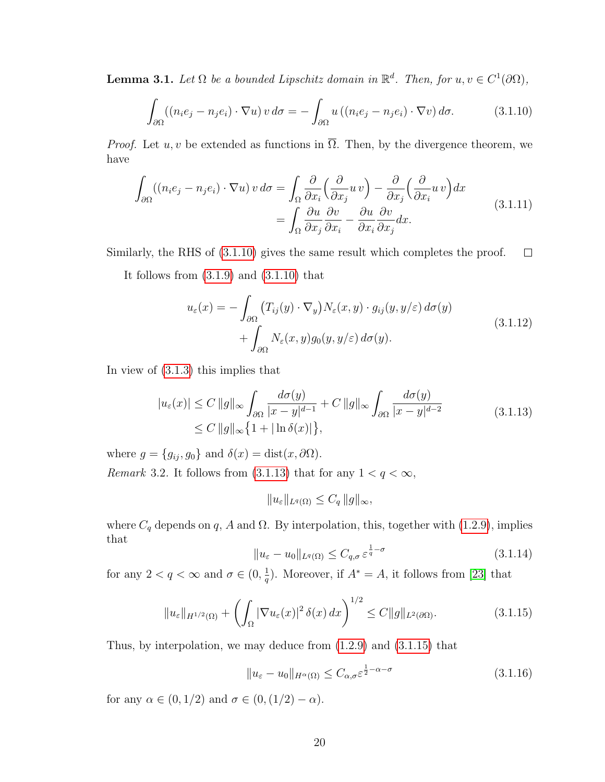**Lemma 3.1.** Let  $\Omega$  be a bounded Lipschitz domain in  $\mathbb{R}^d$ . Then, for  $u, v \in C^1(\partial\Omega)$ ,

<span id="page-27-0"></span>
$$
\int_{\partial\Omega} ((n_i e_j - n_j e_i) \cdot \nabla u) v d\sigma = -\int_{\partial\Omega} u ((n_i e_j - n_j e_i) \cdot \nabla v) d\sigma.
$$
 (3.1.10)

*Proof.* Let  $u, v$  be extended as functions in  $\overline{\Omega}$ . Then, by the divergence theorem, we have

$$
\int_{\partial\Omega} ((n_i e_j - n_j e_i) \cdot \nabla u) v d\sigma = \int_{\Omega} \frac{\partial}{\partial x_i} \left(\frac{\partial}{\partial x_j} u v\right) - \frac{\partial}{\partial x_j} \left(\frac{\partial}{\partial x_i} u v\right) dx
$$
\n
$$
= \int_{\Omega} \frac{\partial u}{\partial x_j} \frac{\partial v}{\partial x_i} - \frac{\partial u}{\partial x_i} \frac{\partial v}{\partial x_j} dx.
$$
\n(3.1.11)

Similarly, the RHS of [\(3.1.10\)](#page-27-0) gives the same result which completes the proof.  $\Box$ 

It follows from  $(3.1.9)$  and  $(3.1.10)$  that

<span id="page-27-1"></span>
$$
u_{\varepsilon}(x) = -\int_{\partial\Omega} \left( T_{ij}(y) \cdot \nabla_{y} \right) N_{\varepsilon}(x, y) \cdot g_{ij}(y, y/\varepsilon) d\sigma(y) + \int_{\partial\Omega} N_{\varepsilon}(x, y) g_{0}(y, y/\varepsilon) d\sigma(y).
$$
\n(3.1.12)

In view of [\(3.1.3\)](#page-25-2) this implies that

$$
|u_{\varepsilon}(x)| \le C \|g\|_{\infty} \int_{\partial\Omega} \frac{d\sigma(y)}{|x - y|^{d-1}} + C \|g\|_{\infty} \int_{\partial\Omega} \frac{d\sigma(y)}{|x - y|^{d-2}} \tag{3.1.13}
$$

$$
\le C \|g\|_{\infty} \{1 + |\ln \delta(x)|\},
$$

where  $g = \{g_{ij}, g_0\}$  and  $\delta(x) = \text{dist}(x, \partial\Omega)$ .

Remark 3.2. It follows from [\(3.1.13\)](#page-27-1) that for any  $1 < q < \infty$ ,

<span id="page-27-2"></span>
$$
||u_{\varepsilon}||_{L^{q}(\Omega)} \leq C_{q} ||g||_{\infty},
$$

where  $C_q$  depends on q, A and  $\Omega$ . By interpolation, this, together with [\(1.2.9\)](#page-12-4), implies that

$$
||u_{\varepsilon} - u_0||_{L^q(\Omega)} \le C_{q,\sigma} \varepsilon^{\frac{1}{q} - \sigma}
$$
\n(3.1.14)

for any  $2 < q < \infty$  and  $\sigma \in (0, \frac{1}{q})$  $\frac{1}{q}$ ). Moreover, if  $A^* = A$ , it follows from [\[23\]](#page-109-10) that

$$
||u_{\varepsilon}||_{H^{1/2}(\Omega)} + \left(\int_{\Omega} |\nabla u_{\varepsilon}(x)|^2 \,\delta(x) \,dx\right)^{1/2} \leq C ||g||_{L^2(\partial \Omega)}.\tag{3.1.15}
$$

Thus, by interpolation, we may deduce from [\(1.2.9\)](#page-12-4) and [\(3.1.15\)](#page-27-2) that

$$
||u_{\varepsilon} - u_0||_{H^{\alpha}(\Omega)} \leq C_{\alpha,\sigma} \varepsilon^{\frac{1}{2} - \alpha - \sigma}
$$
\n(3.1.16)

for any  $\alpha \in (0, 1/2)$  and  $\sigma \in (0, (1/2) - \alpha)$ .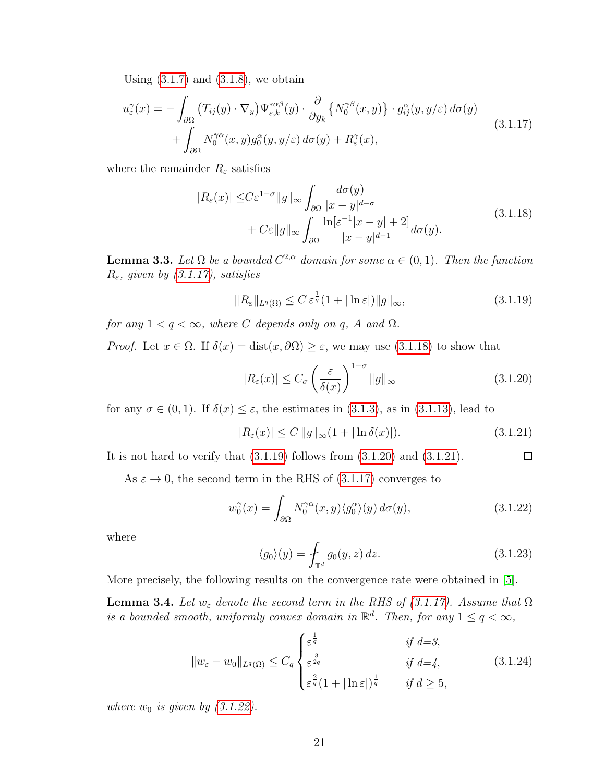Using  $(3.1.7)$  and  $(3.1.8)$ , we obtain

$$
u_{\varepsilon}^{\gamma}(x) = -\int_{\partial\Omega} \left( T_{ij}(y) \cdot \nabla_{y} \right) \Psi_{\varepsilon,k}^{*\alpha\beta}(y) \cdot \frac{\partial}{\partial y_{k}} \left\{ N_{0}^{\gamma\beta}(x,y) \right\} \cdot g_{ij}^{\alpha}(y,y/\varepsilon) d\sigma(y) + \int_{\partial\Omega} N_{0}^{\gamma\alpha}(x,y) g_{0}^{\alpha}(y,y/\varepsilon) d\sigma(y) + R_{\varepsilon}^{\gamma}(x),
$$
(3.1.17)

where the remainder  $R_{\varepsilon}$  satisfies

<span id="page-28-1"></span><span id="page-28-0"></span>
$$
|R_{\varepsilon}(x)| \le C\varepsilon^{1-\sigma} \|g\|_{\infty} \int_{\partial\Omega} \frac{d\sigma(y)}{|x-y|^{d-\sigma}} + C\varepsilon \|g\|_{\infty} \int_{\partial\Omega} \frac{\ln[\varepsilon^{-1}|x-y|+2]}{|x-y|^{d-1}} d\sigma(y).
$$
\n(3.1.18)

**Lemma 3.3.** Let  $\Omega$  be a bounded  $C^{2,\alpha}$  domain for some  $\alpha \in (0,1)$ . Then the function  $R_{\varepsilon}$ , given by [\(3.1.17\)](#page-28-0), satisfies

<span id="page-28-2"></span>
$$
||R_{\varepsilon}||_{L^{q}(\Omega)} \leq C \, \varepsilon^{\frac{1}{q}} (1+|\ln \varepsilon|) ||g||_{\infty}, \tag{3.1.19}
$$

for any  $1 < q < \infty$ , where C depends only on q, A and  $\Omega$ .

*Proof.* Let  $x \in \Omega$ . If  $\delta(x) = \text{dist}(x, \partial \Omega) \geq \varepsilon$ , we may use  $(3.1.18)$  to show that

<span id="page-28-4"></span><span id="page-28-3"></span>
$$
|R_{\varepsilon}(x)| \le C_{\sigma} \left(\frac{\varepsilon}{\delta(x)}\right)^{1-\sigma} \|g\|_{\infty}
$$
\n(3.1.20)

for any  $\sigma \in (0,1)$ . If  $\delta(x) \leq \varepsilon$ , the estimates in  $(3.1.3)$ , as in  $(3.1.13)$ , lead to

$$
|R_{\varepsilon}(x)| \le C \, \|g\|_{\infty} (1 + |\ln \delta(x)|). \tag{3.1.21}
$$

It is not hard to verify that  $(3.1.19)$  follows from  $(3.1.20)$  and  $(3.1.21)$ .  $\Box$ 

As  $\varepsilon \to 0$ , the second term in the RHS of [\(3.1.17\)](#page-28-0) converges to

$$
w_0^{\gamma}(x) = \int_{\partial \Omega} N_0^{\gamma \alpha}(x, y) \langle g_0^{\alpha} \rangle(y) d\sigma(y), \qquad (3.1.22)
$$

where

<span id="page-28-5"></span>
$$
\langle g_0 \rangle(y) = \int_{\mathbb{T}^d} g_0(y, z) dz.
$$
 (3.1.23)

More precisely, the following results on the convergence rate were obtained in [\[5\]](#page-108-4).

**Lemma 3.4.** Let  $w_{\varepsilon}$  denote the second term in the RHS of [\(3.1.17\)](#page-28-0). Assume that  $\Omega$ is a bounded smooth, uniformly convex domain in  $\mathbb{R}^d$ . Then, for any  $1 \leq q < \infty$ ,

$$
||w_{\varepsilon} - w_0||_{L^q(\Omega)} \le C_q \begin{cases} \varepsilon^{\frac{1}{q}} & \text{if } d = 3, \\ \varepsilon^{\frac{3}{2q}} & \text{if } d = 4, \\ \varepsilon^{\frac{2}{q}} (1 + |\ln \varepsilon|)^{\frac{1}{q}} & \text{if } d \ge 5, \end{cases}
$$
(3.1.24)

where  $w_0$  is given by  $(3.1.22)$ .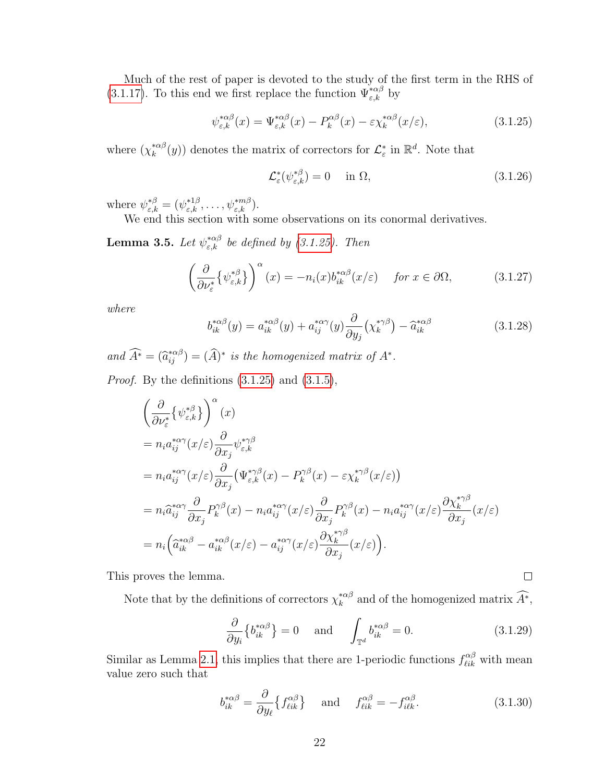Much of the rest of paper is devoted to the study of the first term in the RHS of [\(3.1.17\)](#page-28-0). To this end we first replace the function  $\Psi_{\varepsilon,k}^{*\alpha\beta}$  by

$$
\psi_{\varepsilon,k}^{*\alpha\beta}(x) = \Psi_{\varepsilon,k}^{*\alpha\beta}(x) - P_k^{\alpha\beta}(x) - \varepsilon \chi_k^{*\alpha\beta}(x/\varepsilon),\tag{3.1.25}
$$

where  $(\chi_k^{*\alpha\beta})$  $\chi_k^{*\alpha\beta}(y)$  denotes the matrix of correctors for  $\mathcal{L}^*_{\varepsilon}$  in  $\mathbb{R}^d$ . Note that

<span id="page-29-0"></span>
$$
\mathcal{L}_{\varepsilon}^{*}(\psi_{\varepsilon,k}^{*\beta}) = 0 \quad \text{in } \Omega, \tag{3.1.26}
$$

where  $\psi_{\varepsilon,k}^{*\beta} = (\psi_{\varepsilon,k}^{*1\beta}, \ldots, \psi_{\varepsilon,k}^{*m\beta}).$ 

We end this section with some observations on its conormal derivatives.

**Lemma 3.5.** Let  $\psi_{\varepsilon,k}^{*\alpha\beta}$  be defined by [\(3.1.25\)](#page-29-0). Then

$$
\left(\frac{\partial}{\partial \nu_{\varepsilon}^*} \{ \psi_{\varepsilon,k}^{*\beta} \} \right)^{\alpha}(x) = -n_i(x) b_{ik}^{*\alpha\beta}(x/\varepsilon) \quad \text{for } x \in \partial\Omega,
$$
 (3.1.27)

where

$$
b_{ik}^{*\alpha\beta}(y) = a_{ik}^{*\alpha\beta}(y) + a_{ij}^{*\alpha\gamma}(y)\frac{\partial}{\partial y_j}(\chi_k^{*\gamma\beta}) - \hat{a}_{ik}^{*\alpha\beta}
$$
(3.1.28)

and  $\widehat{A}^* = (\widehat{a}_{ij}^{*\alpha\beta}) = (\widehat{A})^*$  is the homogenized matrix of  $A^*$ .

*Proof.* By the definitions  $(3.1.25)$  and  $(3.1.5)$ ,

$$
\begin{split}\n&\left(\frac{\partial}{\partial \nu_{\varepsilon}^{*}}\{\psi_{\varepsilon,k}^{*\beta}\}\right)^{\alpha}(x) \\
&=n_{i}a_{ij}^{*\alpha\gamma}(x/\varepsilon)\frac{\partial}{\partial x_{j}}\psi_{\varepsilon,k}^{*\gamma\beta} \\
&=n_{i}a_{ij}^{*\alpha\gamma}(x/\varepsilon)\frac{\partial}{\partial x_{j}}\left(\Psi_{\varepsilon,k}^{*\gamma\beta}(x)-P_{k}^{\gamma\beta}(x)-\varepsilon\chi_{k}^{*\gamma\beta}(x/\varepsilon)\right) \\
&=n_{i}\widehat{a}_{ij}^{*\alpha\gamma}\frac{\partial}{\partial x_{j}}P_{k}^{\gamma\beta}(x)-n_{i}a_{ij}^{*\alpha\gamma}(x/\varepsilon)\frac{\partial}{\partial x_{j}}P_{k}^{\gamma\beta}(x)-n_{i}a_{ij}^{*\alpha\gamma}(x/\varepsilon)\frac{\partial\chi_{k}^{*\gamma\beta}}{\partial x_{j}}(x/\varepsilon) \\
&=n_{i}\left(\widehat{a}_{ik}^{*\alpha\beta}-a_{ik}^{*\alpha\beta}(x/\varepsilon)-a_{ij}^{*\alpha\gamma}(x/\varepsilon)\frac{\partial\chi_{k}^{*\gamma\beta}}{\partial x_{j}}(x/\varepsilon)\right).\n\end{split}
$$

This proves the lemma.

Note that by the definitions of correctors  $\chi_k^{*\alpha\beta}$ <sup>\* $\alpha^{\ast}$ </sup> and of the homogenized matrix  $A^*$ ,

$$
\frac{\partial}{\partial y_i} \left\{ b_{ik}^{*\alpha\beta} \right\} = 0 \quad \text{and} \quad \int_{\mathbb{T}^d} b_{ik}^{*\alpha\beta} = 0. \tag{3.1.29}
$$

 $\Box$ 

Similar as Lemma [2.1,](#page-17-5) this implies that there are 1-periodic functions  $f^{\alpha\beta}_{\ell ik}$  with mean value zero such that

$$
b_{ik}^{*\alpha\beta} = \frac{\partial}{\partial y_{\ell}} \{ f_{\ell ik}^{\alpha\beta} \} \quad \text{and} \quad f_{\ell ik}^{\alpha\beta} = -f_{i\ell k}^{\alpha\beta}.
$$
 (3.1.30)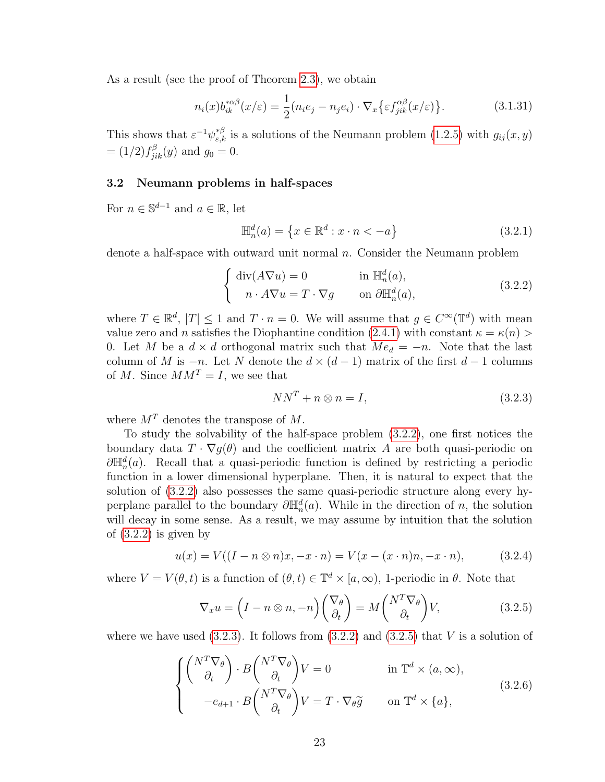As a result (see the proof of Theorem [2.3\)](#page-19-3), we obtain

$$
n_i(x)b_{ik}^{*\alpha\beta}(x/\varepsilon) = \frac{1}{2}(n_i e_j - n_j e_i) \cdot \nabla_x \{ \varepsilon f_{jik}^{\alpha\beta}(x/\varepsilon) \}.
$$
 (3.1.31)

This shows that  $\varepsilon^{-1}\psi_{\varepsilon,k}^{*\beta}$  is a solutions of the Neumann problem [\(1.2.5\)](#page-11-1) with  $g_{ij}(x,y)$  $=(1/2)f_{jik}^{\beta}(y)$  and  $g_0=0$ .

# <span id="page-30-0"></span>3.2 Neumann problems in half-spaces

For  $n \in \mathbb{S}^{d-1}$  and  $a \in \mathbb{R}$ , let

<span id="page-30-1"></span>
$$
\mathbb{H}_n^d(a) = \left\{ x \in \mathbb{R}^d : x \cdot n < -a \right\} \tag{3.2.1}
$$

denote a half-space with outward unit normal  $n$ . Consider the Neumann problem

$$
\begin{cases} \operatorname{div}(A\nabla u) = 0 & \text{in } \mathbb{H}_n^d(a), \\ n \cdot A\nabla u = T \cdot \nabla g & \text{on } \partial \mathbb{H}_n^d(a), \end{cases}
$$
 (3.2.2)

where  $T \in \mathbb{R}^d$ ,  $|T| \leq 1$  and  $T \cdot n = 0$ . We will assume that  $g \in C^\infty(\mathbb{T}^d)$  with mean value zero and n satisfies the Diophantine condition [\(2.4.1\)](#page-22-3) with constant  $\kappa = \kappa(n)$ 0. Let M be a  $d \times d$  orthogonal matrix such that  $Me<sub>d</sub> = -n$ . Note that the last column of M is  $-n$ . Let N denote the  $d \times (d-1)$  matrix of the first  $d-1$  columns of M. Since  $MM^T = I$ , we see that

<span id="page-30-3"></span><span id="page-30-2"></span>
$$
NN^T + n \otimes n = I,\tag{3.2.3}
$$

where  $M<sup>T</sup>$  denotes the transpose of M.

To study the solvability of the half-space problem [\(3.2.2\)](#page-30-1), one first notices the boundary data  $T \cdot \nabla g(\theta)$  and the coefficient matrix A are both quasi-periodic on  $\partial \mathbb{H}_n^d(a)$ . Recall that a quasi-periodic function is defined by restricting a periodic function in a lower dimensional hyperplane. Then, it is natural to expect that the solution of [\(3.2.2\)](#page-30-1) also possesses the same quasi-periodic structure along every hyperplane parallel to the boundary  $\partial \mathbb{H}_n^d(a)$ . While in the direction of n, the solution will decay in some sense. As a result, we may assume by intuition that the solution of [\(3.2.2\)](#page-30-1) is given by

$$
u(x) = V((I - n \otimes n)x, -x \cdot n) = V(x - (x \cdot n)n, -x \cdot n), \tag{3.2.4}
$$

where  $V = V(\theta, t)$  is a function of  $(\theta, t) \in \mathbb{T}^d \times [a, \infty)$ , 1-periodic in  $\theta$ . Note that

$$
\nabla_x u = \left(I - n \otimes n, -n\right) \begin{pmatrix} \nabla_\theta \\ \partial_t \end{pmatrix} = M \begin{pmatrix} N^T \nabla_\theta \\ \partial_t \end{pmatrix} V, \tag{3.2.5}
$$

<span id="page-30-4"></span>where we have used  $(3.2.3)$ . It follows from  $(3.2.2)$  and  $(3.2.5)$  that V is a solution of

$$
\begin{cases}\n\begin{pmatrix}\nN^T \nabla_\theta \\
\partial_t\n\end{pmatrix} \cdot B \begin{pmatrix}\nN^T \nabla_\theta \\
\partial_t\n\end{pmatrix} V = 0 & \text{in } \mathbb{T}^d \times (a, \infty), \\
-e_{d+1} \cdot B \begin{pmatrix}\nN^T \nabla_\theta \\
\partial_t\n\end{pmatrix} V = T \cdot \nabla_\theta \widetilde{g} & \text{on } \mathbb{T}^d \times \{a\},\n\end{cases}
$$
\n(3.2.6)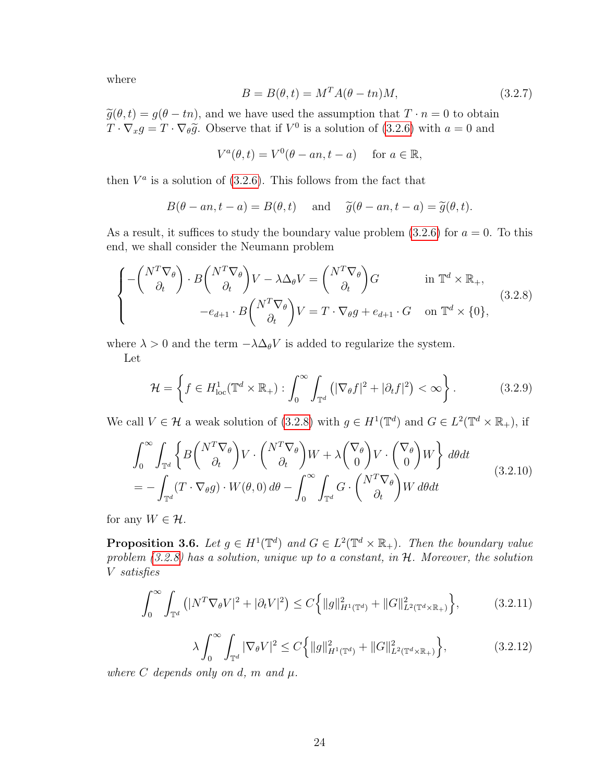where

$$
B = B(\theta, t) = M^T A(\theta - t_n) M,
$$
\n(3.2.7)

 $\widetilde{g}(\theta, t) = g(\theta - t_n)$ , and we have used the assumption that  $T \cdot n = 0$  to obtain  $T \cdot \nabla_x g = T \cdot \nabla_{\theta} \tilde{g}$ . Observe that if  $V^0$  is a solution of [\(3.2.6\)](#page-30-4) with  $a = 0$  and

<span id="page-31-0"></span>
$$
V^{a}(\theta, t) = V^{0}(\theta - an, t - a) \quad \text{for } a \in \mathbb{R},
$$

then  $V^a$  is a solution of [\(3.2.6\)](#page-30-4). This follows from the fact that

$$
B(\theta - an, t - a) = B(\theta, t)
$$
 and  $\tilde{g}(\theta - an, t - a) = \tilde{g}(\theta, t)$ .

As a result, it suffices to study the boundary value problem  $(3.2.6)$  for  $a = 0$ . To this end, we shall consider the Neumann problem

$$
\begin{cases}\n-\begin{pmatrix} N^T \nabla_\theta \\ \partial_t \end{pmatrix} \cdot B \begin{pmatrix} N^T \nabla_\theta \\ \partial_t \end{pmatrix} V - \lambda \Delta_\theta V = \begin{pmatrix} N^T \nabla_\theta \\ \partial_t \end{pmatrix} G & \text{in } \mathbb{T}^d \times \mathbb{R}_+, \\
-e_{d+1} \cdot B \begin{pmatrix} N^T \nabla_\theta \\ \partial_t \end{pmatrix} V = T \cdot \nabla_\theta g + e_{d+1} \cdot G & \text{on } \mathbb{T}^d \times \{0\},\n\end{cases}
$$
\n(3.2.8)

where  $\lambda > 0$  and the term  $-\lambda \Delta_{\theta} V$  is added to regularize the system.

Let

$$
\mathcal{H} = \left\{ f \in H_{\text{loc}}^1(\mathbb{T}^d \times \mathbb{R}_+) : \int_0^\infty \int_{\mathbb{T}^d} \left( |\nabla_\theta f|^2 + |\partial_t f|^2 \right) < \infty \right\}. \tag{3.2.9}
$$

We call  $V \in \mathcal{H}$  a weak solution of [\(3.2.8\)](#page-31-0) with  $g \in H^1(\mathbb{T}^d)$  and  $G \in L^2(\mathbb{T}^d \times \mathbb{R}_+),$  if

$$
\int_0^\infty \int_{\mathbb{T}^d} \left\{ B \begin{pmatrix} N^T \nabla_\theta \\ \partial_t \end{pmatrix} V \cdot \begin{pmatrix} N^T \nabla_\theta \\ \partial_t \end{pmatrix} W + \lambda \begin{pmatrix} \nabla_\theta \\ 0 \end{pmatrix} V \cdot \begin{pmatrix} \nabla_\theta \\ 0 \end{pmatrix} W \right\} d\theta dt
$$
\n
$$
= - \int_{\mathbb{T}^d} (T \cdot \nabla_\theta g) \cdot W(\theta, 0) d\theta - \int_0^\infty \int_{\mathbb{T}^d} G \cdot \begin{pmatrix} N^T \nabla_\theta \\ \partial_t \end{pmatrix} W d\theta dt
$$
\n(3.2.10)

<span id="page-31-1"></span>for any  $W \in \mathcal{H}$ .

**Proposition 3.6.** Let  $g \in H^1(\mathbb{T}^d)$  and  $G \in L^2(\mathbb{T}^d \times \mathbb{R}_+)$ . Then the boundary value problem  $(3.2.8)$  has a solution, unique up to a constant, in  $H$ . Moreover, the solution V satisfies

<span id="page-31-2"></span>
$$
\int_0^\infty \int_{\mathbb{T}^d} \left( |N^T \nabla_\theta V|^2 + |\partial_t V|^2 \right) \le C \left\{ \|g\|_{H^1(\mathbb{T}^d)}^2 + \|G\|_{L^2(\mathbb{T}^d \times \mathbb{R}_+)}^2 \right\},\tag{3.2.11}
$$

$$
\lambda \int_0^\infty \int_{\mathbb{T}^d} |\nabla_\theta V|^2 \le C \Big\{ \|g\|_{H^1(\mathbb{T}^d)}^2 + \|G\|_{L^2(\mathbb{T}^d \times \mathbb{R}_+)}^2 \Big\},\tag{3.2.12}
$$

where C depends only on d, m and  $\mu$ .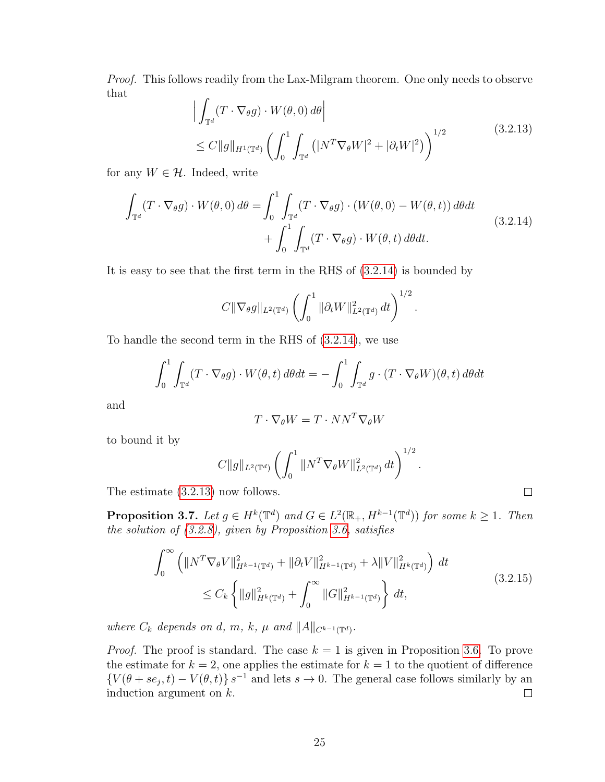<span id="page-32-1"></span>Proof. This follows readily from the Lax-Milgram theorem. One only needs to observe that

<span id="page-32-0"></span>
$$
\left| \int_{\mathbb{T}^d} (T \cdot \nabla_{\theta} g) \cdot W(\theta, 0) d\theta \right|
$$
\n
$$
\leq C \|g\|_{H^1(\mathbb{T}^d)} \left( \int_0^1 \int_{\mathbb{T}^d} \left( |N^T \nabla_{\theta} W|^2 + |\partial_t W|^2 \right) \right)^{1/2} \tag{3.2.13}
$$
\nIndeed, write

for any  $W \in \mathcal{H}$ . Indeed, write

$$
\int_{\mathbb{T}^d} (T \cdot \nabla_{\theta} g) \cdot W(\theta, 0) d\theta = \int_0^1 \int_{\mathbb{T}^d} (T \cdot \nabla_{\theta} g) \cdot (W(\theta, 0) - W(\theta, t)) d\theta dt
$$
\n
$$
+ \int_0^1 \int_{\mathbb{T}^d} (T \cdot \nabla_{\theta} g) \cdot W(\theta, t) d\theta dt.
$$
\n(3.2.14)

It is easy to see that the first term in the RHS of [\(3.2.14\)](#page-32-0) is bounded by

$$
C\|\nabla_{\theta}g\|_{L^{2}(\mathbb{T}^d)}\left(\int_0^1\|\partial_t W\|_{L^{2}(\mathbb{T}^d)}^2 dt\right)^{1/2}.
$$

To handle the second term in the RHS of [\(3.2.14\)](#page-32-0), we use

$$
\int_0^1 \int_{\mathbb{T}^d} (T \cdot \nabla_\theta g) \cdot W(\theta, t) \, d\theta dt = - \int_0^1 \int_{\mathbb{T}^d} g \cdot (T \cdot \nabla_\theta W)(\theta, t) \, d\theta dt
$$

and

$$
T\cdot\nabla_{\theta}W=T\cdot NN^T\nabla_{\theta}W
$$

to bound it by

$$
C\|g\|_{L^2(\mathbb{T}^d)} \left( \int_0^1 \|N^T \nabla_\theta W\|_{L^2(\mathbb{T}^d)}^2 \, dt \right)^{1/2}
$$

The estimate [\(3.2.13\)](#page-32-1) now follows.

<span id="page-32-2"></span>**Proposition 3.7.** Let  $g \in H^k(\mathbb{T}^d)$  and  $G \in L^2(\mathbb{R}_+, H^{k-1}(\mathbb{T}^d))$  for some  $k \geq 1$ . Then the solution of [\(3.2.8\)](#page-31-0), given by Proposition [3.6,](#page-31-1) satisfies

$$
\int_0^\infty \left( \|N^T \nabla_\theta V\|_{H^{k-1}(\mathbb{T}^d)}^2 + \|\partial_t V\|_{H^{k-1}(\mathbb{T}^d)}^2 + \lambda \|V\|_{H^k(\mathbb{T}^d)}^2 \right) dt
$$
\n
$$
\leq C_k \left\{ \|g\|_{H^k(\mathbb{T}^d)}^2 + \int_0^\infty \|G\|_{H^{k-1}(\mathbb{T}^d)}^2 \right\} dt,
$$
\n(3.2.15)

<span id="page-32-3"></span>.

 $\Box$ 

where  $C_k$  depends on d, m, k,  $\mu$  and  $||A||_{C^{k-1}(\mathbb{T}^d)}$ .

<span id="page-32-4"></span>*Proof.* The proof is standard. The case  $k = 1$  is given in Proposition [3.6.](#page-31-1) To prove the estimate for  $k = 2$ , one applies the estimate for  $k = 1$  to the quotient of difference  $\{V(\theta + se_j, t) - V(\theta, t)\}\$  s<sup>-1</sup> and lets s  $\rightarrow$  0. The general case follows similarly by an induction argument on  $k$ .  $\Box$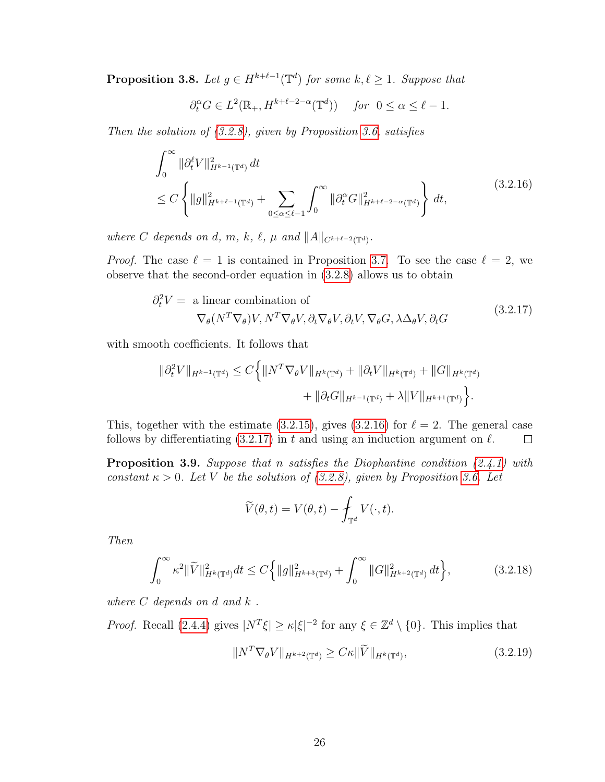**Proposition 3.8.** Let  $g \in H^{k+\ell-1}(\mathbb{T}^d)$  for some  $k, \ell \geq 1$ . Suppose that

<span id="page-33-0"></span>
$$
\partial_t^\alpha G\in L^2(\mathbb{R}_+,H^{k+\ell-2-\alpha}(\mathbb{T}^d))\quad\text{ for }\;0\leq\alpha\leq\ell-1.
$$

Then the solution of  $(3.2.8)$ , given by Proposition [3.6,](#page-31-1) satisfies

$$
\int_0^\infty \|\partial_t^\ell V\|_{H^{k-1}(\mathbb{T}^d)}^2 dt
$$
\n
$$
\leq C \left\{ \|g\|_{H^{k+\ell-1}(\mathbb{T}^d)}^2 + \sum_{0 \leq \alpha \leq \ell-1} \int_0^\infty \|\partial_t^\alpha G\|_{H^{k+\ell-2-\alpha}(\mathbb{T}^d)}^2 \right\} dt,
$$
\n(3.2.16)

where C depends on d, m, k,  $\ell$ ,  $\mu$  and  $||A||_{C^{k+\ell-2}(\mathbb{T}^d)}$ .

*Proof.* The case  $\ell = 1$  is contained in Proposition [3.7.](#page-32-2) To see the case  $\ell = 2$ , we observe that the second-order equation in [\(3.2.8\)](#page-31-0) allows us to obtain

<span id="page-33-1"></span>
$$
\partial_t^2 V = \text{ a linear combination of}
$$
  
\n
$$
\nabla_{\theta}(N^T \nabla_{\theta}) V, N^T \nabla_{\theta} V, \partial_t \nabla_{\theta} V, \partial_t V, \nabla_{\theta} G, \lambda \Delta_{\theta} V, \partial_t G
$$
\n(3.2.17)

with smooth coefficients. It follows that

$$
\|\partial_t^2 V\|_{H^{k-1}(\mathbb{T}^d)} \le C \Big\{ \|N^T \nabla_{\theta} V\|_{H^k(\mathbb{T}^d)} + \|\partial_t V\|_{H^k(\mathbb{T}^d)} + \|G\|_{H^k(\mathbb{T}^d)} + \|\partial_t G\|_{H^{k-1}(\mathbb{T}^d)} + \lambda \|V\|_{H^{k+1}(\mathbb{T}^d)} \Big\}.
$$

This, together with the estimate [\(3.2.15\)](#page-32-3), gives [\(3.2.16\)](#page-33-0) for  $\ell = 2$ . The general case follows by differentiating  $(3.2.17)$  in t and using an induction argument on  $\ell$ .  $\Box$ 

<span id="page-33-4"></span>**Proposition 3.9.** Suppose that n satisfies the Diophantine condition  $(2.4.1)$  with constant  $\kappa > 0$ . Let V be the solution of [\(3.2.8\)](#page-31-0), given by Proposition [3.6.](#page-31-1) Let

$$
\widetilde{V}(\theta, t) = V(\theta, t) - \int_{\mathbb{T}^d} V(\cdot, t).
$$

Then

<span id="page-33-2"></span>
$$
\int_0^\infty \kappa^2 \|\widetilde{V}\|_{H^k(\mathbb{T}^d)}^2 dt \le C \Big\{ \|g\|_{H^{k+3}(\mathbb{T}^d)}^2 + \int_0^\infty \|G\|_{H^{k+2}(\mathbb{T}^d)}^2 dt \Big\},\tag{3.2.18}
$$

where  $C$  depends on d and  $k$ .

*Proof.* Recall [\(2.4.4\)](#page-23-1) gives  $|N^T \xi| \geq \kappa |\xi|^{-2}$  for any  $\xi \in \mathbb{Z}^d \setminus \{0\}$ . This implies that

<span id="page-33-3"></span>
$$
||N^T \nabla_{\theta} V||_{H^{k+2}(\mathbb{T}^d)} \ge C\kappa ||\widetilde{V}||_{H^k(\mathbb{T}^d)},\tag{3.2.19}
$$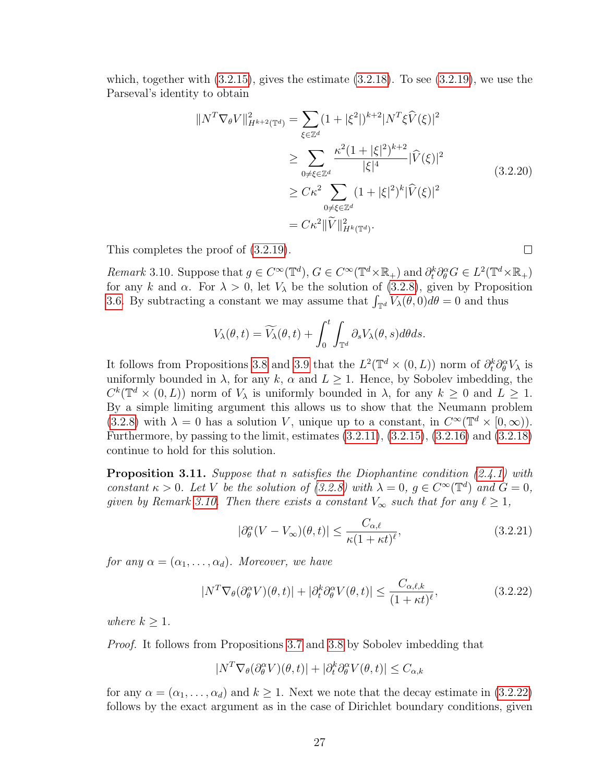which, together with  $(3.2.15)$ , gives the estimate  $(3.2.18)$ . To see  $(3.2.19)$ , we use the Parseval's identity to obtain

$$
||N^T \nabla_{\theta} V||_{H^{k+2}(\mathbb{T}^d)}^2 = \sum_{\xi \in \mathbb{Z}^d} (1 + |\xi^2|)^{k+2} |N^T \xi \widehat{V}(\xi)|^2
$$
  
\n
$$
\geq \sum_{0 \neq \xi \in \mathbb{Z}^d} \frac{\kappa^2 (1 + |\xi|^2)^{k+2}}{|\xi|^4} |\widehat{V}(\xi)|^2
$$
  
\n
$$
\geq C\kappa^2 \sum_{0 \neq \xi \in \mathbb{Z}^d} (1 + |\xi|^2)^k |\widehat{V}(\xi)|^2
$$
  
\n
$$
= C\kappa^2 ||\widetilde{V}||_{H^k(\mathbb{T}^d)}^2.
$$
\n(3.2.20)

 $\Box$ 

This completes the proof of [\(3.2.19\)](#page-33-3).

<span id="page-34-0"></span>Remark 3.10. Suppose that  $g \in C^{\infty}(\mathbb{T}^d)$ ,  $G \in C^{\infty}(\mathbb{T}^d \times \mathbb{R}_+)$  and  $\partial_t^k \partial_{\theta}^{\alpha} G \in L^2(\mathbb{T}^d \times \mathbb{R}_+)$ for any k and  $\alpha$ . For  $\lambda > 0$ , let  $V_{\lambda}$  be the solution of [\(3.2.8\)](#page-31-0), given by Proposition [3.6.](#page-31-1) By subtracting a constant we may assume that  $\int_{\mathbb{T}^d} V_{\lambda}(\theta,0)d\theta = 0$  and thus

$$
V_{\lambda}(\theta, t) = \widetilde{V_{\lambda}}(\theta, t) + \int_0^t \int_{\mathbb{T}^d} \partial_s V_{\lambda}(\theta, s) d\theta ds.
$$

It follows from Propositions [3.8](#page-32-4) and [3.9](#page-33-4) that the  $L^2(\mathbb{T}^d \times (0,L))$  norm of  $\partial_t^k \partial_\theta^\alpha V_\lambda$  is uniformly bounded in  $\lambda$ , for any k,  $\alpha$  and  $L \geq 1$ . Hence, by Sobolev imbedding, the  $C^k(\mathbb{T}^d \times (0,L))$  norm of  $V_\lambda$  is uniformly bounded in  $\lambda$ , for any  $k \geq 0$  and  $L \geq 1$ . By a simple limiting argument this allows us to show that the Neumann problem [\(3.2.8\)](#page-31-0) with  $\lambda = 0$  has a solution V, unique up to a constant, in  $C^{\infty}(\mathbb{T}^d \times [0,\infty)).$ Furthermore, by passing to the limit, estimates [\(3.2.11\)](#page-31-2), [\(3.2.15\)](#page-32-3), [\(3.2.16\)](#page-33-0) and [\(3.2.18\)](#page-33-2) continue to hold for this solution.

**Proposition 3.11.** Suppose that n satisfies the Diophantine condition  $(2.4.1)$  with constant  $\kappa > 0$ . Let V be the solution of [\(3.2.8\)](#page-31-0) with  $\lambda = 0$ ,  $g \in C^{\infty}(\mathbb{T}^d)$  and  $G = 0$ , given by Remark [3.10.](#page-34-0) Then there exists a constant  $V_{\infty}$  such that for any  $\ell \geq 1$ ,

<span id="page-34-1"></span>
$$
|\partial_{\theta}^{\alpha}(V - V_{\infty})(\theta, t)| \le \frac{C_{\alpha,\ell}}{\kappa (1 + \kappa t)^{\ell}},
$$
\n(3.2.21)

for any  $\alpha = (\alpha_1, \ldots, \alpha_d)$ . Moreover, we have

$$
|N^T \nabla_{\theta} (\partial_{\theta}^{\alpha} V)(\theta, t)| + |\partial_t^k \partial_{\theta}^{\alpha} V(\theta, t)| \le \frac{C_{\alpha, \ell, k}}{(1 + \kappa t)^{\ell}},
$$
(3.2.22)

where  $k \geq 1$ .

Proof. It follows from Propositions [3.7](#page-32-2) and [3.8](#page-32-4) by Sobolev imbedding that

$$
|N^T \nabla_{\theta} (\partial_{\theta}^{\alpha} V)(\theta, t)| + |\partial_t^k \partial_{\theta}^{\alpha} V(\theta, t)| \le C_{\alpha, k}
$$

for any  $\alpha = (\alpha_1, \ldots, \alpha_d)$  and  $k \geq 1$ . Next we note that the decay estimate in [\(3.2.22\)](#page-34-1) follows by the exact argument as in the case of Dirichlet boundary conditions, given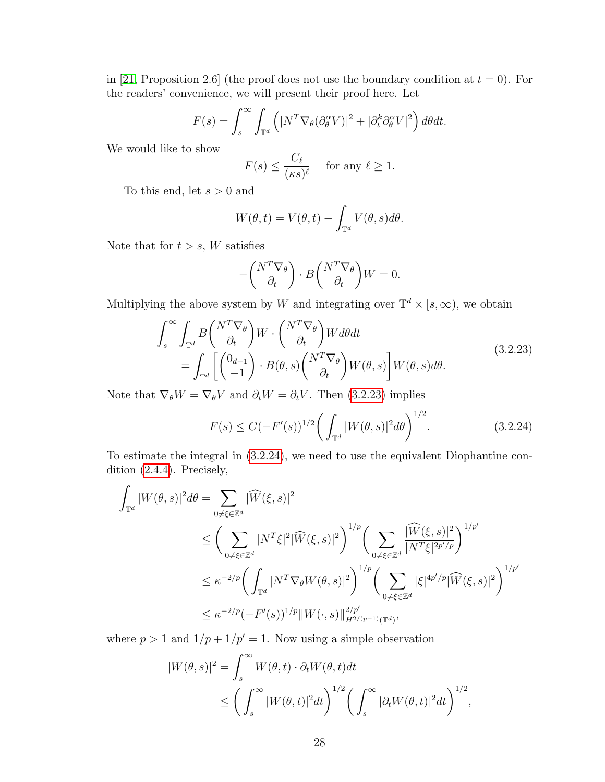in [\[21,](#page-109-1) Proposition 2.6] (the proof does not use the boundary condition at  $t = 0$ ). For the readers' convenience, we will present their proof here. Let

$$
F(s) = \int_s^{\infty} \int_{\mathbb{T}^d} \left( |N^T \nabla_{\theta} (\partial_{\theta}^{\alpha} V)|^2 + |\partial_t^k \partial_{\theta}^{\alpha} V|^2 \right) d\theta dt.
$$

We would like to show

$$
F(s) \le \frac{C_{\ell}}{(\kappa s)^{\ell}} \quad \text{ for any } \ell \ge 1.
$$

To this end, let  $s > 0$  and

$$
W(\theta, t) = V(\theta, t) - \int_{\mathbb{T}^d} V(\theta, s) d\theta.
$$

Note that for  $t > s$ , W satisfies

<span id="page-35-0"></span>
$$
-\binom{N^T \nabla_{\theta}}{\partial_t} \cdot B \binom{N^T \nabla_{\theta}}{\partial_t} W = 0.
$$

Multiplying the above system by W and integrating over  $\mathbb{T}^d \times [s, \infty)$ , we obtain

$$
\int_{s}^{\infty} \int_{\mathbb{T}^{d}} B \begin{pmatrix} N^{T} \nabla_{\theta} \\ \partial_{t} \end{pmatrix} W \cdot \begin{pmatrix} N^{T} \nabla_{\theta} \\ \partial_{t} \end{pmatrix} W d\theta dt
$$
\n
$$
= \int_{\mathbb{T}^{d}} \left[ \begin{pmatrix} 0_{d-1} \\ -1 \end{pmatrix} \cdot B(\theta, s) \begin{pmatrix} N^{T} \nabla_{\theta} \\ \partial_{t} \end{pmatrix} W(\theta, s) \right] W(\theta, s) d\theta.
$$
\n
$$
(3.2.23)
$$

Note that  $\nabla_{\theta} W = \nabla_{\theta} V$  and  $\partial_t W = \partial_t V$ . Then [\(3.2.23\)](#page-35-0) implies

<span id="page-35-1"></span>
$$
F(s) \le C(-F'(s))^{1/2} \bigg( \int_{\mathbb{T}^d} |W(\theta, s)|^2 d\theta \bigg)^{1/2}.
$$
 (3.2.24)

To estimate the integral in [\(3.2.24\)](#page-35-1), we need to use the equivalent Diophantine condition [\(2.4.4\)](#page-23-1). Precisely,

$$
\int_{\mathbb{T}^d} |W(\theta, s)|^2 d\theta = \sum_{0 \neq \xi \in \mathbb{Z}^d} |\widehat{W}(\xi, s)|^2
$$
\n
$$
\leq \left( \sum_{0 \neq \xi \in \mathbb{Z}^d} |N^T \xi|^2 |\widehat{W}(\xi, s)|^2 \right)^{1/p} \left( \sum_{0 \neq \xi \in \mathbb{Z}^d} \frac{|\widehat{W}(\xi, s)|^2}{|N^T \xi|^{2p'/p}} \right)^{1/p'}
$$
\n
$$
\leq \kappa^{-2/p} \left( \int_{\mathbb{T}^d} |N^T \nabla_{\theta} W(\theta, s)|^2 \right)^{1/p} \left( \sum_{0 \neq \xi \in \mathbb{Z}^d} |\xi|^{4p'/p} |\widehat{W}(\xi, s)|^2 \right)^{1/p'}
$$
\n
$$
\leq \kappa^{-2/p} (-F'(s))^{1/p} \|W(\cdot, s)\|_{H^{2/(p-1)}(\mathbb{T}^d)}^{2/p'},
$$

where  $p > 1$  and  $1/p + 1/p' = 1$ . Now using a simple observation

$$
|W(\theta, s)|^2 = \int_s^{\infty} W(\theta, t) \cdot \partial_t W(\theta, t) dt
$$
  
 
$$
\leq \left( \int_s^{\infty} |W(\theta, t)|^2 dt \right)^{1/2} \left( \int_s^{\infty} |\partial_t W(\theta, t)|^2 dt \right)^{1/2},
$$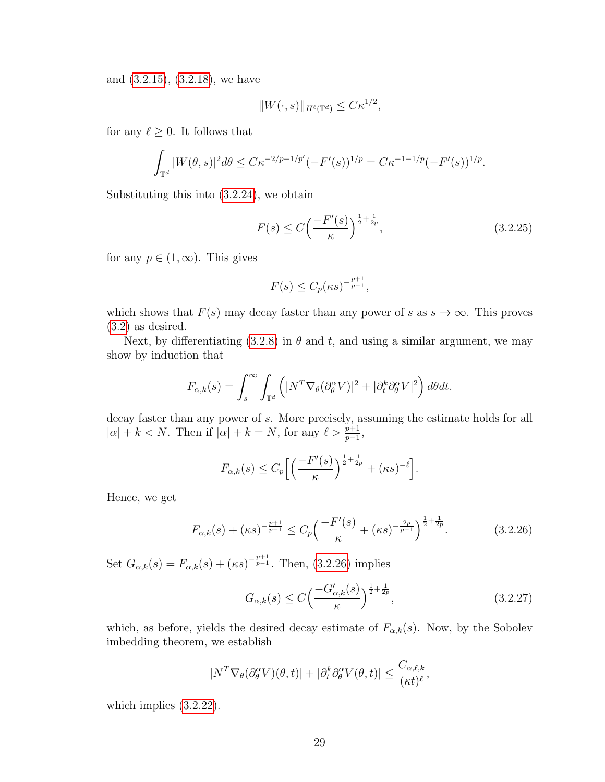and [\(3.2.15\)](#page-32-0), [\(3.2.18\)](#page-33-0), we have

$$
||W(\cdot,s)||_{H^{\ell}(\mathbb{T}^d)} \leq C\kappa^{1/2},
$$

for any  $\ell \geq 0$ . It follows that

$$
\int_{\mathbb{T}^d} |W(\theta, s)|^2 d\theta \leq C\kappa^{-2/p-1/p'} (-F'(s))^{1/p} = C\kappa^{-1-1/p} (-F'(s))^{1/p}.
$$

Substituting this into [\(3.2.24\)](#page-35-0), we obtain

$$
F(s) \le C \left(\frac{-F'(s)}{\kappa}\right)^{\frac{1}{2} + \frac{1}{2p}},\tag{3.2.25}
$$

for any  $p \in (1,\infty)$ . This gives

$$
F(s) \le C_p(\kappa s)^{-\frac{p+1}{p-1}},
$$

which shows that  $F(s)$  may decay faster than any power of s as  $s \to \infty$ . This proves [\(3.2\)](#page-34-0) as desired.

Next, by differentiating [\(3.2.8\)](#page-31-0) in  $\theta$  and t, and using a similar argument, we may show by induction that

$$
F_{\alpha,k}(s) = \int_s^{\infty} \int_{\mathbb{T}^d} \left( |N^T \nabla_{\theta} (\partial_{\theta}^{\alpha} V)|^2 + |\partial_t^k \partial_{\theta}^{\alpha} V|^2 \right) d\theta dt.
$$

decay faster than any power of s. More precisely, assuming the estimate holds for all  $|\alpha| + k < N$ . Then if  $|\alpha| + k = N$ , for any  $\ell > \frac{p+1}{p-1}$ ,

$$
F_{\alpha,k}(s) \le C_p \left[ \left( \frac{-F'(s)}{\kappa} \right)^{\frac{1}{2} + \frac{1}{2p}} + (\kappa s)^{-\ell} \right].
$$

Hence, we get

<span id="page-36-0"></span>
$$
F_{\alpha,k}(s) + (\kappa s)^{-\frac{p+1}{p-1}} \le C_p \left( \frac{-F'(s)}{\kappa} + (\kappa s)^{-\frac{2p}{p-1}} \right)^{\frac{1}{2} + \frac{1}{2p}}.
$$
 (3.2.26)

Set  $G_{\alpha,k}(s) = F_{\alpha,k}(s) + (\kappa s)^{-\frac{p+1}{p-1}}$ . Then, [\(3.2.26\)](#page-36-0) implies

$$
G_{\alpha,k}(s) \le C \left(\frac{-G'_{\alpha,k}(s)}{\kappa}\right)^{\frac{1}{2} + \frac{1}{2p}},\tag{3.2.27}
$$

which, as before, yields the desired decay estimate of  $F_{\alpha,k}(s)$ . Now, by the Sobolev imbedding theorem, we establish

$$
|N^T \nabla_{\theta} (\partial_{\theta}^{\alpha} V)(\theta, t)| + |\partial_t^k \partial_{\theta}^{\alpha} V(\theta, t)| \le \frac{C_{\alpha, \ell, k}}{(\kappa t)^{\ell}},
$$

which implies  $(3.2.22)$ .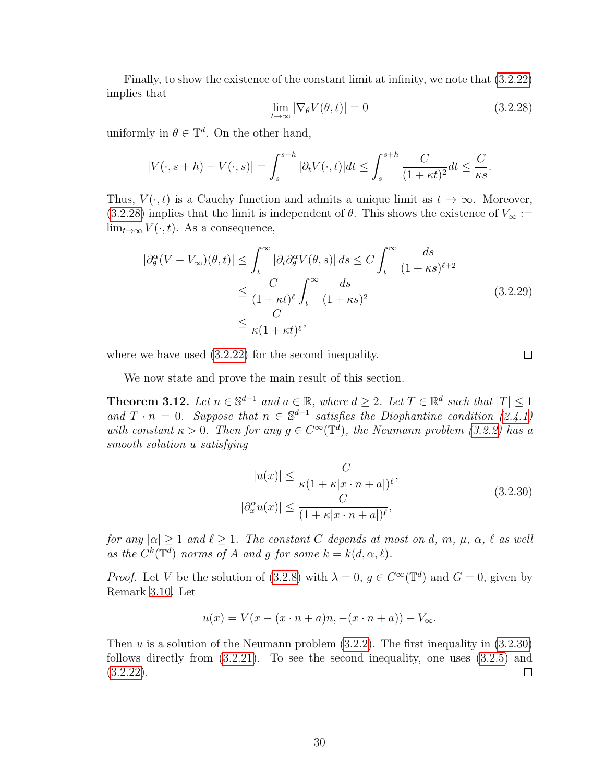<span id="page-37-0"></span>Finally, to show the existence of the constant limit at infinity, we note that [\(3.2.22\)](#page-34-0) implies that

$$
\lim_{t \to \infty} |\nabla_{\theta} V(\theta, t)| = 0 \tag{3.2.28}
$$

uniformly in  $\theta \in \mathbb{T}^d$ . On the other hand,

$$
|V(\cdot, s+h) - V(\cdot, s)| = \int_s^{s+h} |\partial_t V(\cdot, t)| dt \le \int_s^{s+h} \frac{C}{(1+\kappa t)^2} dt \le \frac{C}{\kappa s}.
$$

Thus,  $V(\cdot, t)$  is a Cauchy function and admits a unique limit as  $t \to \infty$ . Moreover, [\(3.2.28\)](#page-37-0) implies that the limit is independent of  $\theta$ . This shows the existence of  $V_{\infty}$  :=  $\lim_{t\to\infty} V(\cdot,t)$ . As a consequence,

$$
\left| \partial_{\theta}^{\alpha} (V - V_{\infty})(\theta, t) \right| \leq \int_{t}^{\infty} \left| \partial_{t} \partial_{\theta}^{\alpha} V(\theta, s) \right| ds \leq C \int_{t}^{\infty} \frac{ds}{(1 + \kappa s)^{\ell + 2}}
$$
  

$$
\leq \frac{C}{(1 + \kappa t)^{\ell}} \int_{t}^{\infty} \frac{ds}{(1 + \kappa s)^{2}}
$$
(3.2.29)  

$$
\leq \frac{C}{\kappa (1 + \kappa t)^{\ell}},
$$

where we have used  $(3.2.22)$  for the second inequality.

 $\Box$ 

We now state and prove the main result of this section.

<span id="page-37-2"></span>**Theorem 3.12.** Let  $n \in \mathbb{S}^{d-1}$  and  $a \in \mathbb{R}$ , where  $d \geq 2$ . Let  $T \in \mathbb{R}^d$  such that  $|T| \leq 1$ and  $T \cdot n = 0$ . Suppose that  $n \in \mathbb{S}^{d-1}$  satisfies the Diophantine condition [\(2.4.1\)](#page-22-0) with constant  $\kappa > 0$ . Then for any  $g \in C^{\infty}(\mathbb{T}^d)$ , the Neumann problem [\(3.2.2\)](#page-30-0) has a smooth solution u satisfying

<span id="page-37-1"></span>
$$
|u(x)| \leq \frac{C}{\kappa(1 + \kappa|x \cdot n + a|)^{\ell}},
$$
  
\n
$$
|\partial_x^{\alpha} u(x)| \leq \frac{C}{(1 + \kappa|x \cdot n + a|)^{\ell}},
$$
\n(3.2.30)

for any  $|\alpha| > 1$  and  $\ell > 1$ . The constant C depends at most on d, m,  $\mu$ ,  $\alpha$ ,  $\ell$  as well as the  $C^k(\mathbb{T}^d)$  norms of A and g for some  $k = k(d, \alpha, \ell)$ .

*Proof.* Let V be the solution of [\(3.2.8\)](#page-31-0) with  $\lambda = 0$ ,  $g \in C^{\infty}(\mathbb{T}^d)$  and  $G = 0$ , given by Remark [3.10.](#page-34-1) Let

$$
u(x) = V(x - (x \cdot n + a)n, -(x \cdot n + a)) - V_{\infty}.
$$

Then u is a solution of the Neumann problem  $(3.2.2)$ . The first inequality in  $(3.2.30)$ follows directly from [\(3.2.21\)](#page-34-2). To see the second inequality, one uses [\(3.2.5\)](#page-30-1) and  $(3.2.22)$ .  $\Box$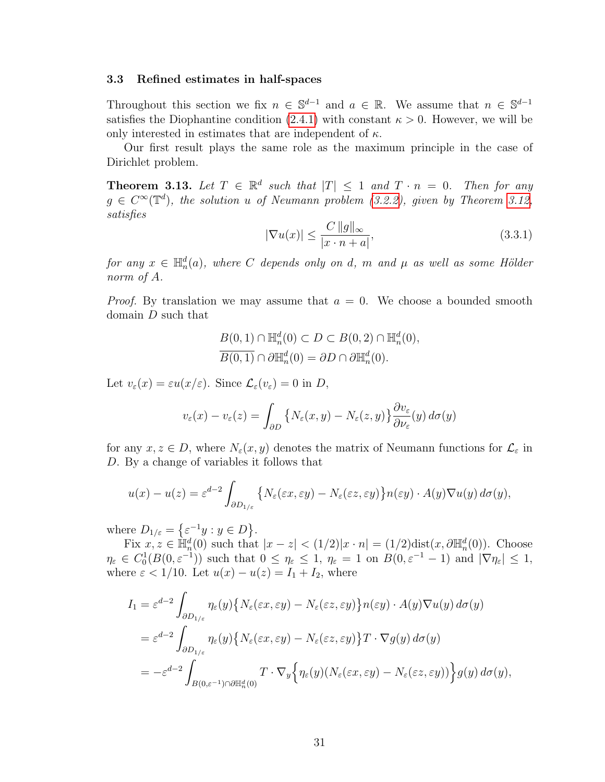## <span id="page-38-1"></span>3.3 Refined estimates in half-spaces

Throughout this section we fix  $n \in \mathbb{S}^{d-1}$  and  $a \in \mathbb{R}$ . We assume that  $n \in \mathbb{S}^{d-1}$ satisfies the Diophantine condition [\(2.4.1\)](#page-22-0) with constant  $\kappa > 0$ . However, we will be only interested in estimates that are independent of  $\kappa$ .

Our first result plays the same role as the maximum principle in the case of Dirichlet problem.

<span id="page-38-0"></span>**Theorem 3.13.** Let  $T \in \mathbb{R}^d$  such that  $|T| \leq 1$  and  $T \cdot n = 0$ . Then for any  $g \in C^{\infty}(\mathbb{T}^d)$ , the solution u of Neumann problem [\(3.2.2\)](#page-30-0), given by Theorem [3.12,](#page-37-2) satisfies

$$
|\nabla u(x)| \le \frac{C \, \|g\|_{\infty}}{|x \cdot n + a|},\tag{3.3.1}
$$

for any  $x \in \mathbb{H}_n^d(a)$ , where C depends only on d, m and  $\mu$  as well as some Hölder norm of A.

*Proof.* By translation we may assume that  $a = 0$ . We choose a bounded smooth domain D such that

$$
B(0,1) \cap \mathbb{H}_n^d(0) \subset D \subset B(0,2) \cap \mathbb{H}_n^d(0),
$$
  

$$
\overline{B(0,1)} \cap \partial \mathbb{H}_n^d(0) = \partial D \cap \partial \mathbb{H}_n^d(0).
$$

Let  $v_{\varepsilon}(x) = \varepsilon u(x/\varepsilon)$ . Since  $\mathcal{L}_{\varepsilon}(v_{\varepsilon}) = 0$  in D,

$$
v_{\varepsilon}(x) - v_{\varepsilon}(z) = \int_{\partial D} \left\{ N_{\varepsilon}(x, y) - N_{\varepsilon}(z, y) \right\} \frac{\partial v_{\varepsilon}}{\partial \nu_{\varepsilon}}(y) d\sigma(y)
$$

for any  $x, z \in D$ , where  $N_{\varepsilon}(x, y)$  denotes the matrix of Neumann functions for  $\mathcal{L}_{\varepsilon}$  in D. By a change of variables it follows that

$$
u(x) - u(z) = \varepsilon^{d-2} \int_{\partial D_{1/\varepsilon}} \left\{ N_{\varepsilon}(\varepsilon x, \varepsilon y) - N_{\varepsilon}(\varepsilon z, \varepsilon y) \right\} n(\varepsilon y) \cdot A(y) \nabla u(y) d\sigma(y),
$$

where  $D_{1/\varepsilon} = \{ \varepsilon^{-1} y : y \in D \}.$ 

Fix  $x, z \in \mathbb{H}_n^d(0)$  such that  $|x - z| < (1/2)|x \cdot n| = (1/2)\text{dist}(x, \partial \mathbb{H}_n^d(0))$ . Choose  $\eta_{\varepsilon} \in C_0^1(B(0,\varepsilon^{-1}))$  such that  $0 \leq \eta_{\varepsilon} \leq 1$ ,  $\eta_{\varepsilon} = 1$  on  $B(0,\varepsilon^{-1} - 1)$  and  $|\nabla \eta_{\varepsilon}| \leq 1$ , where  $\varepsilon < 1/10$ . Let  $u(x) - u(z) = I_1 + I_2$ , where

$$
I_1 = \varepsilon^{d-2} \int_{\partial D_{1/\varepsilon}} \eta_{\varepsilon}(y) \{ N_{\varepsilon}(\varepsilon x, \varepsilon y) - N_{\varepsilon}(\varepsilon z, \varepsilon y) \} n(\varepsilon y) \cdot A(y) \nabla u(y) d\sigma(y)
$$
  
\n
$$
= \varepsilon^{d-2} \int_{\partial D_{1/\varepsilon}} \eta_{\varepsilon}(y) \{ N_{\varepsilon}(\varepsilon x, \varepsilon y) - N_{\varepsilon}(\varepsilon z, \varepsilon y) \} T \cdot \nabla g(y) d\sigma(y)
$$
  
\n
$$
= -\varepsilon^{d-2} \int_{B(0,\varepsilon^{-1}) \cap \partial \mathbb{H}_n^d(0)} T \cdot \nabla_y \{ \eta_{\varepsilon}(y) (N_{\varepsilon}(\varepsilon x, \varepsilon y) - N_{\varepsilon}(\varepsilon z, \varepsilon y)) \} g(y) d\sigma(y),
$$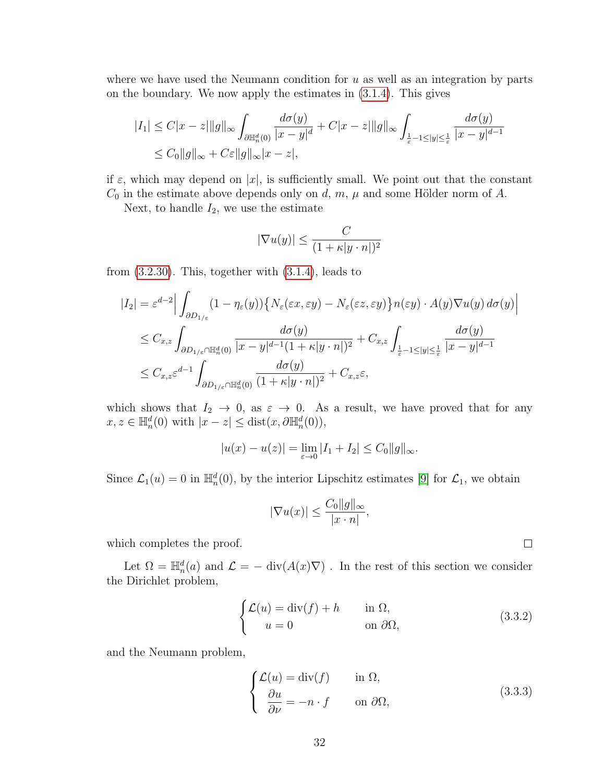where we have used the Neumann condition for  $u$  as well as an integration by parts on the boundary. We now apply the estimates in [\(3.1.4\)](#page-26-0). This gives

$$
|I_1| \le C|x - z| \|g\|_{\infty} \int_{\partial \mathbb{H}_n^d(0)} \frac{d\sigma(y)}{|x - y|^d} + C|x - z| \|g\|_{\infty} \int_{\frac{1}{\varepsilon} - 1 \le |y| \le \frac{1}{\varepsilon}} \frac{d\sigma(y)}{|x - y|^{d - 1}} \le C_0 \|g\|_{\infty} + C\varepsilon \|g\|_{\infty} |x - z|,
$$

if  $\varepsilon$ , which may depend on  $|x|$ , is sufficiently small. We point out that the constant  $C_0$  in the estimate above depends only on d, m,  $\mu$  and some Hölder norm of A.

Next, to handle  $I_2$ , we use the estimate

$$
|\nabla u(y)| \leq \frac{C}{(1 + \kappa |y \cdot n|)^2}
$$

from  $(3.2.30)$ . This, together with  $(3.1.4)$ , leads to

$$
|I_2| = \varepsilon^{d-2} \Big| \int_{\partial D_{1/\varepsilon}} (1 - \eta_{\varepsilon}(y)) \Big\{ N_{\varepsilon}(\varepsilon x, \varepsilon y) - N_{\varepsilon}(\varepsilon z, \varepsilon y) \Big\} n(\varepsilon y) \cdot A(y) \nabla u(y) d\sigma(y) \Big|
$$
  

$$
\leq C_{x,z} \int_{\partial D_{1/\varepsilon} \cap \mathbb{H}_n^d(0)} \frac{d\sigma(y)}{|x - y|^{d-1} (1 + \kappa |y \cdot n|)^2} + C_{x,z} \int_{\frac{1}{\varepsilon} - 1 \leq |y| \leq \frac{1}{\varepsilon}} \frac{d\sigma(y)}{|x - y|^{d-1}}
$$
  

$$
\leq C_{x,z} \varepsilon^{d-1} \int_{\partial D_{1/\varepsilon} \cap \mathbb{H}_n^d(0)} \frac{d\sigma(y)}{(1 + \kappa |y \cdot n|)^2} + C_{x,z} \varepsilon,
$$

which shows that  $I_2 \rightarrow 0$ , as  $\varepsilon \rightarrow 0$ . As a result, we have proved that for any  $x, z \in \mathbb{H}_n^d(0)$  with  $|x - z| \leq \text{dist}(x, \partial \mathbb{H}_n^d(0)),$ 

$$
|u(x) - u(z)| = \lim_{\varepsilon \to 0} |I_1 + I_2| \le C_0 \|g\|_{\infty}.
$$

Since  $\mathcal{L}_1(u) = 0$  in  $\mathbb{H}_n^d(0)$ , by the interior Lipschitz estimates [\[9\]](#page-108-0) for  $\mathcal{L}_1$ , we obtain

$$
|\nabla u(x)| \le \frac{C_0 \|g\|_{\infty}}{|x \cdot n|},
$$

which completes the proof.

Let  $\Omega = \mathbb{H}_n^d(a)$  and  $\mathcal{L} = - \text{ div}(A(x)\nabla)$ . In the rest of this section we consider the Dirichlet problem,

<span id="page-39-0"></span>
$$
\begin{cases}\n\mathcal{L}(u) = \text{div}(f) + h & \text{in } \Omega, \\
u = 0 & \text{on } \partial\Omega,\n\end{cases}
$$
\n(3.3.2)

 $\Box$ 

and the Neumann problem,

<span id="page-39-1"></span>
$$
\begin{cases}\n\mathcal{L}(u) = \text{div}(f) & \text{in } \Omega, \\
\frac{\partial u}{\partial \nu} = -n \cdot f & \text{on } \partial \Omega,\n\end{cases}
$$
\n(3.3.3)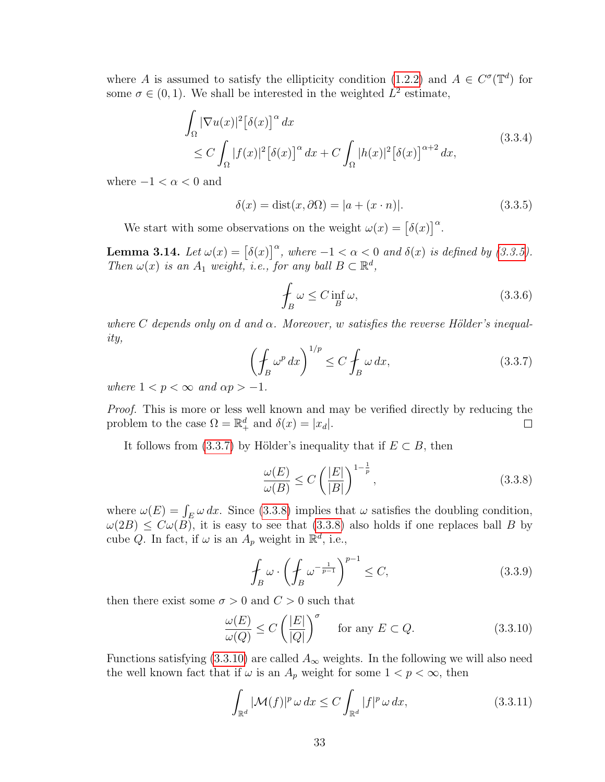where A is assumed to satisfy the ellipticity condition [\(1.2.2\)](#page-11-0) and  $A \in C^{\sigma}(\mathbb{T}^d)$  for some  $\sigma \in (0, 1)$ . We shall be interested in the weighted  $L^2$  estimate,

$$
\int_{\Omega} |\nabla u(x)|^2 [\delta(x)]^{\alpha} dx
$$
\n
$$
\leq C \int_{\Omega} |f(x)|^2 [\delta(x)]^{\alpha} dx + C \int_{\Omega} |h(x)|^2 [\delta(x)]^{\alpha+2} dx,
$$
\n(3.3.4)

where  $-1 < \alpha < 0$  and

<span id="page-40-6"></span><span id="page-40-0"></span>
$$
\delta(x) = \text{dist}(x, \partial \Omega) = |a + (x \cdot n)|. \tag{3.3.5}
$$

We start with some observations on the weight  $\omega(x) = [\delta(x)]^{\alpha}$ .

**Lemma 3.14.** Let  $\omega(x) = [\delta(x)]^{\alpha}$ , where  $-1 < \alpha < 0$  and  $\delta(x)$  is defined by [\(3.3.5\)](#page-40-0). Then  $\omega(x)$  is an  $A_1$  weight, i.e., for any ball  $B \subset \mathbb{R}^d$ ,

<span id="page-40-4"></span>
$$
\oint_{B} \omega \le C \inf_{B} \omega,\tag{3.3.6}
$$

<span id="page-40-1"></span>where C depends only on d and  $\alpha$ . Moreover, w satisfies the reverse Hölder's inequality,

$$
\left(\oint_{B} \omega^p \, dx\right)^{1/p} \le C \oint_{B} \omega \, dx,\tag{3.3.7}
$$

where  $1 < p < \infty$  and  $\alpha p > -1$ .

Proof. This is more or less well known and may be verified directly by reducing the problem to the case  $\Omega = \mathbb{R}^d_+$  and  $\delta(x) = |x_d|$ .  $\Box$ 

It follows from [\(3.3.7\)](#page-40-1) by Hölder's inequality that if  $E \subset B$ , then

<span id="page-40-2"></span>
$$
\frac{\omega(E)}{\omega(B)} \le C \left( \frac{|E|}{|B|} \right)^{1 - \frac{1}{p}},\tag{3.3.8}
$$

where  $\omega(E) = \int_E \omega dx$ . Since [\(3.3.8\)](#page-40-2) implies that  $\omega$  satisfies the doubling condition,  $\omega(2B) \leq C\omega(B)$ , it is easy to see that  $(3.3.8)$  also holds if one replaces ball B by cube Q. In fact, if  $\omega$  is an  $A_p$  weight in  $\mathbb{R}^d$ , i.e.,

<span id="page-40-3"></span>
$$
\oint_{B} \omega \cdot \left( \oint_{B} \omega^{-\frac{1}{p-1}} \right)^{p-1} \le C,\tag{3.3.9}
$$

then there exist some  $\sigma > 0$  and  $C > 0$  such that

$$
\frac{\omega(E)}{\omega(Q)} \le C \left(\frac{|E|}{|Q|}\right)^{\sigma} \quad \text{for any } E \subset Q. \tag{3.3.10}
$$

Functions satisfying [\(3.3.10\)](#page-40-3) are called  $A_{\infty}$  weights. In the following we will also need the well known fact that if  $\omega$  is an  $A_p$  weight for some  $1 < p < \infty$ , then

<span id="page-40-5"></span>
$$
\int_{\mathbb{R}^d} |\mathcal{M}(f)|^p \, \omega \, dx \le C \int_{\mathbb{R}^d} |f|^p \, \omega \, dx,\tag{3.3.11}
$$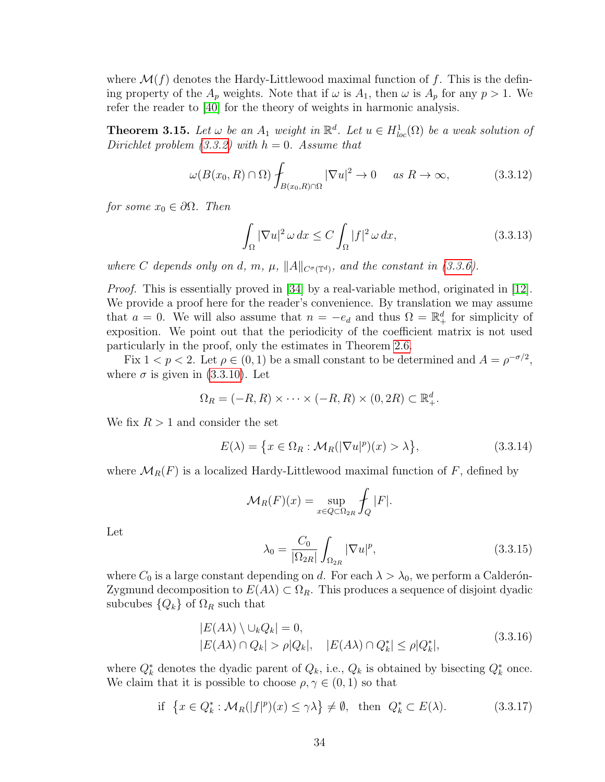where  $\mathcal{M}(f)$  denotes the Hardy-Littlewood maximal function of f. This is the defining property of the  $A_p$  weights. Note that if  $\omega$  is  $A_1$ , then  $\omega$  is  $A_p$  for any  $p > 1$ . We refer the reader to [\[40\]](#page-110-0) for the theory of weights in harmonic analysis.

<span id="page-41-4"></span>**Theorem 3.15.** Let  $\omega$  be an  $A_1$  weight in  $\mathbb{R}^d$ . Let  $u \in H^1_{loc}(\Omega)$  be a weak solution of Dirichlet problem  $(3.3.2)$  with  $h = 0$ . Assume that

$$
\omega(B(x_0, R) \cap \Omega) \int_{B(x_0, R) \cap \Omega} |\nabla u|^2 \to 0 \quad \text{as } R \to \infty,
$$
 (3.3.12)

for some  $x_0 \in \partial \Omega$ . Then

<span id="page-41-3"></span><span id="page-41-2"></span>
$$
\int_{\Omega} |\nabla u|^2 \,\omega \,dx \le C \int_{\Omega} |f|^2 \,\omega \,dx,\tag{3.3.13}
$$

where C depends only on d, m,  $\mu$ ,  $||A||_{C^{\sigma}(\mathbb{T}^d)}$ , and the constant in [\(3.3.6\)](#page-40-4).

*Proof.* This is essentially proved in [\[34\]](#page-110-1) by a real-variable method, originated in [\[12\]](#page-108-1). We provide a proof here for the reader's convenience. By translation we may assume that  $a = 0$ . We will also assume that  $n = -e_d$  and thus  $\Omega = \mathbb{R}^d_+$  for simplicity of exposition. We point out that the periodicity of the coefficient matrix is not used particularly in the proof, only the estimates in Theorem [2.6.](#page-21-0)

Fix  $1 < p < 2$ . Let  $\rho \in (0, 1)$  be a small constant to be determined and  $A = \rho^{-\sigma/2}$ , where  $\sigma$  is given in [\(3.3.10\)](#page-40-3). Let

$$
\Omega_R = (-R, R) \times \cdots \times (-R, R) \times (0, 2R) \subset \mathbb{R}^d_+.
$$

We fix  $R > 1$  and consider the set

$$
E(\lambda) = \left\{ x \in \Omega_R : \mathcal{M}_R(|\nabla u|^p)(x) > \lambda \right\},\tag{3.3.14}
$$

where  $\mathcal{M}_R(F)$  is a localized Hardy-Littlewood maximal function of F, defined by

$$
\mathcal{M}_R(F)(x) = \sup_{x \in Q \subset \Omega_{2R}} \int_Q |F|.
$$

Let

<span id="page-41-1"></span><span id="page-41-0"></span>
$$
\lambda_0 = \frac{C_0}{|\Omega_{2R}|} \int_{\Omega_{2R}} |\nabla u|^p, \tag{3.3.15}
$$

where  $C_0$  is a large constant depending on d. For each  $\lambda > \lambda_0$ , we perform a Calderón-Zygmund decomposition to  $E(A\lambda) \subset \Omega_R$ . This produces a sequence of disjoint dyadic subcubes  $\{Q_k\}$  of  $\Omega_R$  such that

$$
|E(A\lambda) \setminus \bigcup_k Q_k| = 0,
$$
  
\n
$$
|E(A\lambda) \cap Q_k| > \rho |Q_k|, \quad |E(A\lambda) \cap Q_k^*| \le \rho |Q_k^*|,
$$
\n(3.3.16)

where  $Q_k^*$  denotes the dyadic parent of  $Q_k$ , i.e.,  $Q_k$  is obtained by bisecting  $Q_k^*$  once. We claim that it is possible to choose  $\rho, \gamma \in (0, 1)$  so that

if 
$$
\{x \in Q_k^* : \mathcal{M}_R(|f|^p)(x) \le \gamma \lambda\} \neq \emptyset
$$
, then  $Q_k^* \subset E(\lambda)$ . (3.3.17)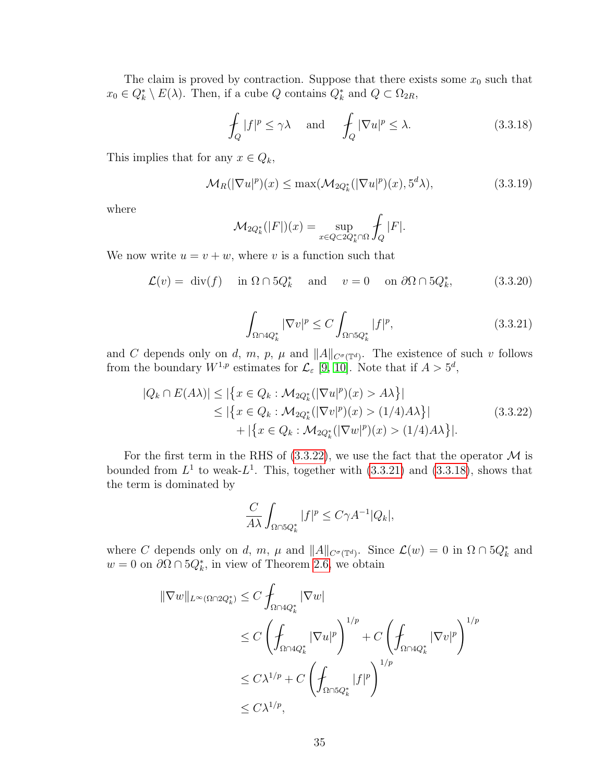The claim is proved by contraction. Suppose that there exists some  $x_0$  such that  $x_0 \in Q_k^* \setminus E(\lambda)$ . Then, if a cube Q contains  $Q_k^*$  and  $Q \subset \Omega_{2R}$ ,

<span id="page-42-2"></span>
$$
\oint_{Q} |f|^{p} \le \gamma \lambda \quad \text{and} \quad \oint_{Q} |\nabla u|^{p} \le \lambda. \tag{3.3.18}
$$

This implies that for any  $x \in Q_k$ ,

$$
\mathcal{M}_R(|\nabla u|^p)(x) \le \max(\mathcal{M}_{2Q_k^*}(|\nabla u|^p)(x), 5^d \lambda),\tag{3.3.19}
$$

where

$$
\mathcal{M}_{2Q_k^*}(|F|)(x) = \sup_{x \in Q \subset 2Q_k^* \cap \Omega} \int_Q |F|.
$$

<span id="page-42-1"></span>We now write  $u = v + w$ , where v is a function such that

$$
\mathcal{L}(v) = \text{div}(f) \quad \text{in } \Omega \cap 5Q_k^* \quad \text{and} \quad v = 0 \quad \text{on } \partial\Omega \cap 5Q_k^*, \tag{3.3.20}
$$

<span id="page-42-3"></span><span id="page-42-0"></span>
$$
\int_{\Omega \cap 4Q_k^*} |\nabla v|^p \le C \int_{\Omega \cap 5Q_k^*} |f|^p,\tag{3.3.21}
$$

and C depends only on d, m, p,  $\mu$  and  $||A||_{C^{\sigma}(\mathbb{T}^d)}$ . The existence of such v follows from the boundary  $W^{1,p}$  estimates for  $\mathcal{L}_{\varepsilon}$  [\[9,](#page-108-0) [10\]](#page-108-2). Note that if  $A > 5^d$ ,

$$
|Q_k \cap E(A\lambda)| \le |\{x \in Q_k : \mathcal{M}_{2Q_k^*}(|\nabla u|^p)(x) > A\lambda\}|
$$
  
\n
$$
\le |\{x \in Q_k : \mathcal{M}_{2Q_k^*}(|\nabla v|^p)(x) > (1/4)A\lambda\}|
$$
  
\n
$$
+ |\{x \in Q_k : \mathcal{M}_{2Q_k^*}(|\nabla w|^p)(x) > (1/4)A\lambda\}|.
$$
\n(3.3.22)

For the first term in the RHS of  $(3.3.22)$ , we use the fact that the operator M is bounded from  $L^1$  to weak- $L^1$ . This, together with  $(3.3.21)$  and  $(3.3.18)$ , shows that the term is dominated by

$$
\frac{C}{A\lambda} \int_{\Omega \cap 5Q_k^*} |f|^p \le C\gamma A^{-1} |Q_k|,
$$

where C depends only on d, m,  $\mu$  and  $||A||_{C^{\sigma}(\mathbb{T}^d)}$ . Since  $\mathcal{L}(w) = 0$  in  $\Omega \cap 5Q_k^*$  and  $w = 0$  on  $\partial\Omega \cap 5Q_k^*$ , in view of Theorem [2.6,](#page-21-0) we obtain

$$
\|\nabla w\|_{L^{\infty}(\Omega \cap 2Q_k^*)} \leq C \int_{\Omega \cap 4Q_k^*} |\nabla w|
$$
  
\n
$$
\leq C \left( \int_{\Omega \cap 4Q_k^*} |\nabla u|^p \right)^{1/p} + C \left( \int_{\Omega \cap 4Q_k^*} |\nabla v|^p \right)^{1/p}
$$
  
\n
$$
\leq C \lambda^{1/p} + C \left( \int_{\Omega \cap 5Q_k^*} |f|^p \right)^{1/p}
$$
  
\n
$$
\leq C \lambda^{1/p},
$$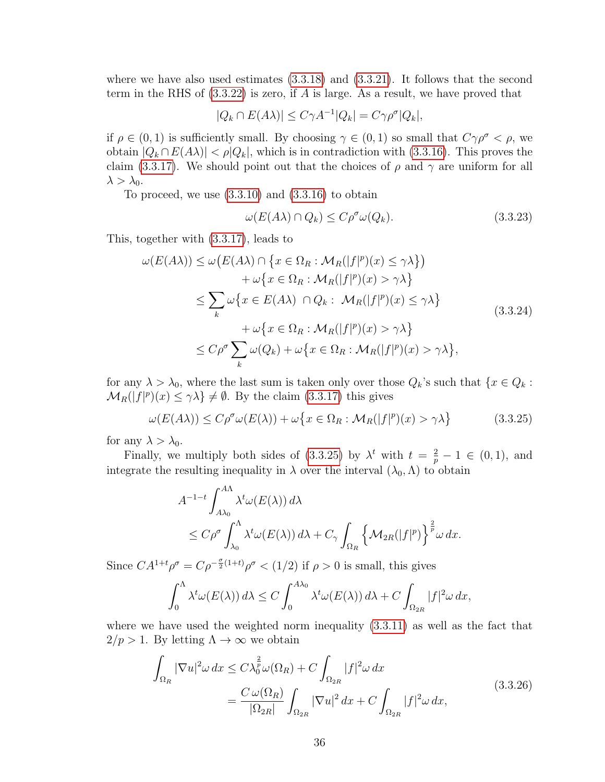where we have also used estimates  $(3.3.18)$  and  $(3.3.21)$ . It follows that the second term in the RHS of  $(3.3.22)$  is zero, if A is large. As a result, we have proved that

$$
|Q_k \cap E(A\lambda)| \le C\gamma A^{-1}|Q_k| = C\gamma \rho^{\sigma}|Q_k|,
$$

if  $\rho \in (0,1)$  is sufficiently small. By choosing  $\gamma \in (0,1)$  so small that  $C\gamma\rho^{\sigma} < \rho$ , we obtain  $|Q_k \cap E(A) | < \rho |Q_k|$ , which is in contradiction with [\(3.3.16\)](#page-41-0). This proves the claim [\(3.3.17\)](#page-41-1). We should point out that the choices of  $\rho$  and  $\gamma$  are uniform for all  $\lambda > \lambda_0$ .

To proceed, we use  $(3.3.10)$  and  $(3.3.16)$  to obtain

<span id="page-43-0"></span>
$$
\omega(E(A\lambda) \cap Q_k) \le C\rho^{\sigma}\omega(Q_k). \tag{3.3.23}
$$

This, together with [\(3.3.17\)](#page-41-1), leads to

$$
\omega(E(A\lambda)) \leq \omega(E(A\lambda) \cap \{x \in \Omega_R : \mathcal{M}_R(|f|^p)(x) \leq \gamma \lambda\})
$$
  
+ 
$$
\omega\{x \in \Omega_R : \mathcal{M}_R(|f|^p)(x) > \gamma \lambda\}
$$
  

$$
\leq \sum_k \omega\{x \in E(A\lambda) \cap Q_k : \mathcal{M}_R(|f|^p)(x) \leq \gamma \lambda\}
$$
  
+ 
$$
\omega\{x \in \Omega_R : \mathcal{M}_R(|f|^p)(x) > \gamma \lambda\}
$$
  

$$
\leq C\rho^{\sigma} \sum_k \omega(Q_k) + \omega\{x \in \Omega_R : \mathcal{M}_R(|f|^p)(x) > \gamma \lambda\},
$$
 (3.3.24)

for any  $\lambda > \lambda_0$ , where the last sum is taken only over those  $Q_k$ 's such that  $\{x \in Q_k :$  $\mathcal{M}_R(|f|^p)(x) \leq \gamma \lambda$   $\neq \emptyset$ . By the claim [\(3.3.17\)](#page-41-1) this gives

$$
\omega(E(A\lambda)) \le C\rho^{\sigma}\omega(E(\lambda)) + \omega\big\{x \in \Omega_R : \mathcal{M}_R(|f|^p)(x) > \gamma\lambda\big\}
$$
(3.3.25)

for any  $\lambda > \lambda_0$ .

Finally, we multiply both sides of [\(3.3.25\)](#page-43-0) by  $\lambda^t$  with  $t = \frac{2}{p} - 1 \in (0, 1)$ , and integrate the resulting inequality in  $\lambda$  over the interval  $(\lambda_0, \Lambda)$  to obtain

$$
A^{-1-t} \int_{A\lambda_0}^{A\Lambda} \lambda^t \omega(E(\lambda)) d\lambda
$$
  
\n
$$
\leq C \rho^{\sigma} \int_{\lambda_0}^{\Lambda} \lambda^t \omega(E(\lambda)) d\lambda + C_{\gamma} \int_{\Omega_R} {\{\mathcal{M}_{2R}(|f|^p)\}}^{\frac{2}{p}} \omega dx.
$$

Since  $CA^{1+t}\rho^{\sigma} = C\rho^{-\frac{\sigma}{2}(1+t)}\rho^{\sigma} < (1/2)$  if  $\rho > 0$  is small, this gives

<span id="page-43-1"></span>
$$
\int_0^{\Lambda} \lambda^t \omega(E(\lambda)) d\lambda \le C \int_0^{A\lambda_0} \lambda^t \omega(E(\lambda)) d\lambda + C \int_{\Omega_{2R}} |f|^2 \omega dx,
$$

where we have used the weighted norm inequality [\(3.3.11\)](#page-40-5) as well as the fact that  $2/p > 1$ . By letting  $\Lambda \to \infty$  we obtain

$$
\int_{\Omega_R} |\nabla u|^2 \omega \, dx \le C \lambda_0^{\frac{2}{p}} \omega(\Omega_R) + C \int_{\Omega_{2R}} |f|^2 \omega \, dx
$$
\n
$$
= \frac{C \omega(\Omega_R)}{|\Omega_{2R}|} \int_{\Omega_{2R}} |\nabla u|^2 \, dx + C \int_{\Omega_{2R}} |f|^2 \omega \, dx,\tag{3.3.26}
$$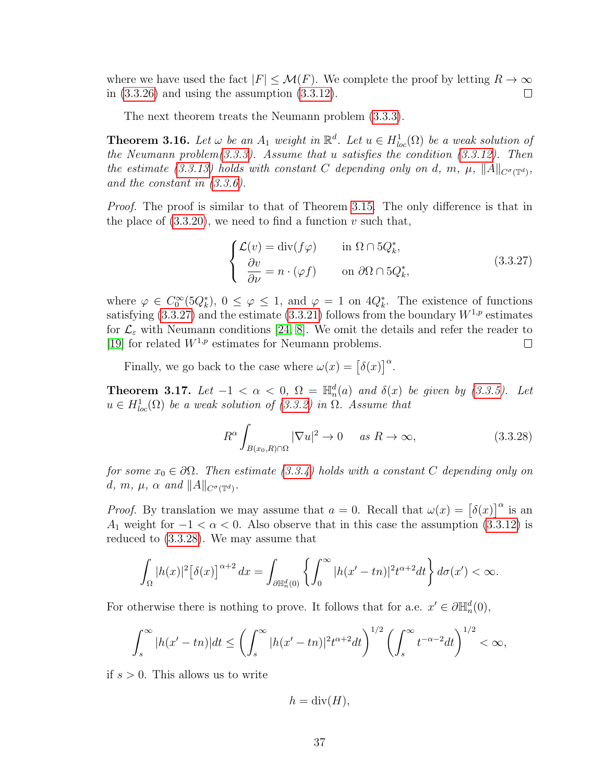where we have used the fact  $|F| \leq \mathcal{M}(F)$ . We complete the proof by letting  $R \to \infty$ in [\(3.3.26\)](#page-43-1) and using the assumption [\(3.3.12\)](#page-41-2).  $\Box$ 

The next theorem treats the Neumann problem [\(3.3.3\)](#page-39-1).

<span id="page-44-2"></span>**Theorem 3.16.** Let  $\omega$  be an  $A_1$  weight in  $\mathbb{R}^d$ . Let  $u \in H^1_{loc}(\Omega)$  be a weak solution of the Neumann problem $(3.3.3)$ . Assume that u satisfies the condition  $(3.3.12)$ . Then the estimate [\(3.3.13\)](#page-41-3) holds with constant C depending only on d, m,  $\mu$ ,  $||A||_{C^{\sigma}(\mathbb{T}^d)}$ , and the constant in [\(3.3.6\)](#page-40-4).

*Proof.* The proof is similar to that of Theorem [3.15.](#page-41-4) The only difference is that in the place of  $(3.3.20)$ , we need to find a function v such that,

<span id="page-44-0"></span>
$$
\begin{cases}\n\mathcal{L}(v) = \text{div}(f\varphi) & \text{in } \Omega \cap 5Q_k^*, \\
\frac{\partial v}{\partial \nu} = n \cdot (\varphi f) & \text{on } \partial \Omega \cap 5Q_k^*,\n\end{cases}
$$
\n(3.3.27)

where  $\varphi \in C_0^{\infty} (5Q_k^*), 0 \le \varphi \le 1$ , and  $\varphi = 1$  on  $4Q_k^*$ . The existence of functions satisfying  $(3.3.27)$  and the estimate  $(3.3.21)$  follows from the boundary  $W^{1,p}$  estimates for  $\mathcal{L}_{\varepsilon}$  with Neumann conditions [\[24,](#page-109-0) [8\]](#page-108-3). We omit the details and refer the reader to [\[19\]](#page-109-1) for related  $W^{1,p}$  estimates for Neumann problems.  $\Box$ 

Finally, we go back to the case where  $\omega(x) = [\delta(x)]^{\alpha}$ .

<span id="page-44-3"></span>**Theorem 3.17.** Let  $-1 < \alpha < 0$ ,  $\Omega = \mathbb{H}_n^d(a)$  and  $\delta(x)$  be given by [\(3.3.5\)](#page-40-0). Let  $u \in H_{loc}^1(\Omega)$  be a weak solution of [\(3.3.2\)](#page-39-0) in  $\Omega$ . Assume that

<span id="page-44-1"></span>
$$
R^{\alpha} \int_{B(x_0, R)\cap\Omega} |\nabla u|^2 \to 0 \quad \text{as } R \to \infty,
$$
 (3.3.28)

for some  $x_0 \in \partial \Omega$ . Then estimate [\(3.3.4\)](#page-40-6) holds with a constant C depending only on d, m,  $\mu$ ,  $\alpha$  and  $||A||_{C^{\sigma}(\mathbb{T}^d)}$ .

*Proof.* By translation we may assume that  $a = 0$ . Recall that  $\omega(x) = [\delta(x)]^{\alpha}$  is an A<sub>1</sub> weight for  $-1 < \alpha < 0$ . Also observe that in this case the assumption [\(3.3.12\)](#page-41-2) is reduced to [\(3.3.28\)](#page-44-1). We may assume that

$$
\int_{\Omega} |h(x)|^2 \left[\delta(x)\right]^{\alpha+2} dx = \int_{\partial \mathbb{H}_n^d(0)} \left\{ \int_0^\infty |h(x'-tn)|^2 t^{\alpha+2} dt \right\} d\sigma(x') < \infty.
$$

For otherwise there is nothing to prove. It follows that for a.e.  $x' \in \partial \mathbb{H}_n^d(0)$ ,

$$
\int_s^{\infty} |h(x'-tn)|dt \le \left(\int_s^{\infty} |h(x'-tn)|^2 t^{\alpha+2} dt\right)^{1/2} \left(\int_s^{\infty} t^{-\alpha-2} dt\right)^{1/2} < \infty,
$$

if  $s > 0$ . This allows us to write

$$
h = \operatorname{div}(H),
$$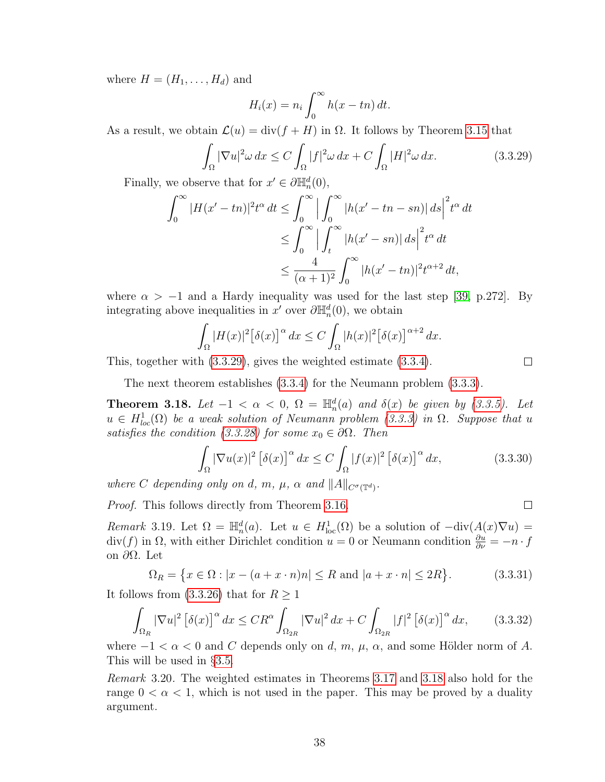where  $H = (H_1, \ldots, H_d)$  and

$$
H_i(x) = n_i \int_0^\infty h(x - tn) dt.
$$

As a result, we obtain  $\mathcal{L}(u) = \text{div}(f + H)$  in  $\Omega$ . It follows by Theorem [3.15](#page-41-4) that

$$
\int_{\Omega} |\nabla u|^2 \omega \, dx \le C \int_{\Omega} |f|^2 \omega \, dx + C \int_{\Omega} |H|^2 \omega \, dx. \tag{3.3.29}
$$

Finally, we observe that for  $x' \in \partial \mathbb{H}_n^d(0)$ ,

$$
\int_0^\infty |H(x'-tn)|^2 t^\alpha dt \le \int_0^\infty \left| \int_0^\infty |h(x'-tn-sn)| ds \right|^2 t^\alpha dt
$$
  
\n
$$
\le \int_0^\infty \left| \int_t^\infty |h(x'-sn)| ds \right|^2 t^\alpha dt
$$
  
\n
$$
\le \frac{4}{(\alpha+1)^2} \int_0^\infty |h(x'-tn)|^2 t^{\alpha+2} dt,
$$

where  $\alpha > -1$  and a Hardy inequality was used for the last step [\[39,](#page-110-2) p.272]. By integrating above inequalities in  $x'$  over  $\partial \mathbb{H}_n^d(0)$ , we obtain

$$
\int_{\Omega} |H(x)|^2 \big[\delta(x)\big]^{\alpha} dx \le C \int_{\Omega} |h(x)|^2 \big[\delta(x)\big]^{\alpha+2} dx.
$$

This, together with [\(3.3.29\)](#page-45-0), gives the weighted estimate [\(3.3.4\)](#page-40-6).

The next theorem establishes [\(3.3.4\)](#page-40-6) for the Neumann problem [\(3.3.3\)](#page-39-1).

<span id="page-45-1"></span>**Theorem 3.18.** Let  $-1 < \alpha < 0$ ,  $\Omega = \mathbb{H}_n^d(a)$  and  $\delta(x)$  be given by [\(3.3.5\)](#page-40-0). Let  $u \in H^1_{loc}(\Omega)$  be a weak solution of Neumann problem [\(3.3.3\)](#page-39-1) in  $\Omega$ . Suppose that u satisfies the condition [\(3.3.28\)](#page-44-1) for some  $x_0 \in \partial\Omega$ . Then

$$
\int_{\Omega} |\nabla u(x)|^2 \left[\delta(x)\right]^{\alpha} dx \le C \int_{\Omega} |f(x)|^2 \left[\delta(x)\right]^{\alpha} dx,\tag{3.3.30}
$$

where C depending only on d, m,  $\mu$ ,  $\alpha$  and  $||A||_{C^{\sigma}(\mathbb{T}^d)}$ .

Proof. This follows directly from Theorem [3.16.](#page-44-2)

Remark 3.19. Let  $\Omega = \mathbb{H}_n^d(a)$ . Let  $u \in H^1_{loc}(\Omega)$  be a solution of  $-\text{div}(A(x)\nabla u) =$ div(f) in  $\Omega$ , with either Dirichlet condition  $u = 0$  or Neumann condition  $\frac{\partial u}{\partial \nu} = -n \cdot f$ on ∂Ω. Let

<span id="page-45-2"></span>
$$
\Omega_R = \{ x \in \Omega : |x - (a + x \cdot n)n| \le R \text{ and } |a + x \cdot n| \le 2R \}. \tag{3.3.31}
$$

It follows from  $(3.3.26)$  that for  $R \ge 1$ 

$$
\int_{\Omega_R} |\nabla u|^2 \left[ \delta(x) \right]^\alpha dx \leq CR^\alpha \int_{\Omega_{2R}} |\nabla u|^2 dx + C \int_{\Omega_{2R}} |f|^2 \left[ \delta(x) \right]^\alpha dx, \tag{3.3.32}
$$

where  $-1 < \alpha < 0$  and C depends only on d, m,  $\mu$ ,  $\alpha$ , and some Hölder norm of A. This will be used in §[3.5.](#page-52-0)

Remark 3.20. The weighted estimates in Theorems [3.17](#page-44-3) and [3.18](#page-45-1) also hold for the range  $0 < \alpha < 1$ , which is not used in the paper. This may be proved by a duality argument.

<span id="page-45-0"></span> $\Box$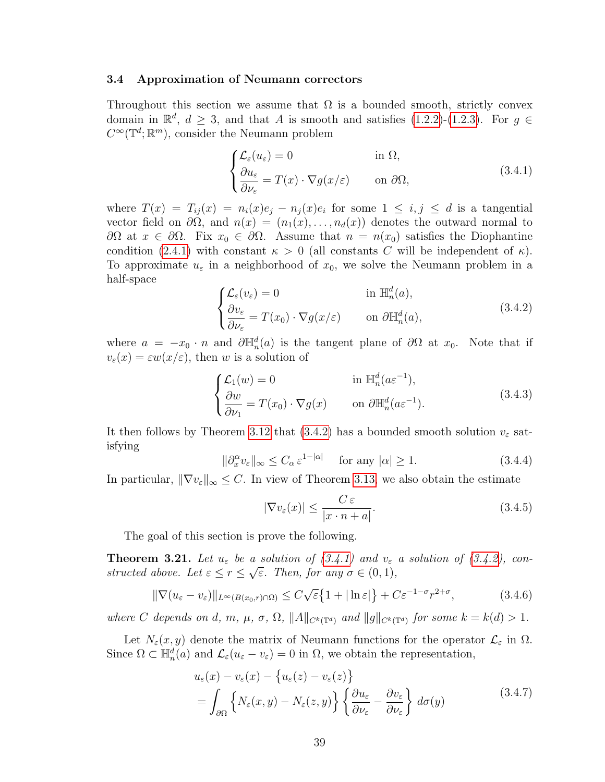## <span id="page-46-6"></span>3.4 Approximation of Neumann correctors

Throughout this section we assume that  $\Omega$  is a bounded smooth, strictly convex domain in  $\mathbb{R}^d$ ,  $d \geq 3$ , and that A is smooth and satisfies [\(1.2.2\)](#page-11-0)-[\(1.2.3\)](#page-11-1). For  $g \in$  $C^{\infty}(\mathbb{T}^d;\mathbb{R}^m)$ , consider the Neumann problem

<span id="page-46-1"></span>
$$
\begin{cases} \mathcal{L}_{\varepsilon}(u_{\varepsilon}) = 0 & \text{in } \Omega, \\ \frac{\partial u_{\varepsilon}}{\partial \nu_{\varepsilon}} = T(x) \cdot \nabla g(x/\varepsilon) & \text{on } \partial \Omega, \end{cases}
$$
 (3.4.1)

where  $T(x) = T_{ij}(x) = n_i(x)e_j - n_j(x)e_i$  for some  $1 \leq i, j \leq d$  is a tangential vector field on  $\partial\Omega$ , and  $n(x) = (n_1(x), \ldots, n_d(x))$  denotes the outward normal to  $\partial\Omega$  at  $x \in \partial\Omega$ . Fix  $x_0 \in \partial\Omega$ . Assume that  $n = n(x_0)$  satisfies the Diophantine condition [\(2.4.1\)](#page-22-0) with constant  $\kappa > 0$  (all constants C will be independent of  $\kappa$ ). To approximate  $u_{\varepsilon}$  in a neighborhood of  $x_0$ , we solve the Neumann problem in a half-space

<span id="page-46-0"></span>
$$
\begin{cases}\n\mathcal{L}_{\varepsilon}(v_{\varepsilon}) = 0 & \text{in } \mathbb{H}_n^d(a), \\
\frac{\partial v_{\varepsilon}}{\partial \nu_{\varepsilon}} = T(x_0) \cdot \nabla g(x/\varepsilon) & \text{on } \partial \mathbb{H}_n^d(a),\n\end{cases}
$$
\n(3.4.2)

where  $a = -x_0 \cdot n$  and  $\partial \mathbb{H}_n^d(a)$  is the tangent plane of  $\partial \Omega$  at  $x_0$ . Note that if  $v_{\varepsilon}(x) = \varepsilon w(x/\varepsilon)$ , then w is a solution of

<span id="page-46-5"></span>
$$
\begin{cases} \mathcal{L}_1(w) = 0 & \text{in } \mathbb{H}_n^d(a\varepsilon^{-1}), \\ \frac{\partial w}{\partial \nu_1} = T(x_0) \cdot \nabla g(x) & \text{on } \partial \mathbb{H}_n^d(a\varepsilon^{-1}). \end{cases}
$$
 (3.4.3)

<span id="page-46-2"></span>It then follows by Theorem [3.12](#page-37-2) that [\(3.4.2\)](#page-46-0) has a bounded smooth solution  $v_{\varepsilon}$  satisfying

$$
\|\partial_x^{\alpha} v_{\varepsilon}\|_{\infty} \le C_{\alpha} \varepsilon^{1-|\alpha|} \quad \text{for any } |\alpha| \ge 1.
$$
 (3.4.4)

In particular,  $\|\nabla v_{\varepsilon}\|_{\infty} \leq C$ . In view of Theorem [3.13,](#page-38-0) we also obtain the estimate

<span id="page-46-3"></span>
$$
|\nabla v_{\varepsilon}(x)| \le \frac{C \, \varepsilon}{|x \cdot n + a|}.\tag{3.4.5}
$$

The goal of this section is prove the following.

<span id="page-46-4"></span>**Theorem 3.21.** Let  $u_{\varepsilon}$  be a solution of  $(3.4.1)$  and  $v_{\varepsilon}$  a solution of  $(3.4.2)$ , constructed above. Let  $\varepsilon \leq r \leq \sqrt{\varepsilon}$ . Then, for any  $\sigma \in (0,1)$ ,

$$
\|\nabla(u_{\varepsilon}-v_{\varepsilon})\|_{L^{\infty}(B(x_0,r)\cap\Omega)} \leq C\sqrt{\varepsilon}\left\{1+|\ln \varepsilon|\right\} + C\varepsilon^{-1-\sigma}r^{2+\sigma},\tag{3.4.6}
$$

where C depends on d, m,  $\mu$ ,  $\sigma$ ,  $\Omega$ ,  $||A||_{C^k(\mathbb{T}^d)}$  and  $||g||_{C^k(\mathbb{T}^d)}$  for some  $k = k(d) > 1$ .

Let  $N_{\varepsilon}(x, y)$  denote the matrix of Neumann functions for the operator  $\mathcal{L}_{\varepsilon}$  in  $\Omega$ . Since  $\Omega \subset \mathbb{H}_n^d(a)$  and  $\mathcal{L}_{\varepsilon}(u_{\varepsilon}-v_{\varepsilon})=0$  in  $\Omega$ , we obtain the representation,

$$
u_{\varepsilon}(x) - v_{\varepsilon}(x) - \{u_{\varepsilon}(z) - v_{\varepsilon}(z)\}
$$
  
= 
$$
\int_{\partial\Omega} \left\{ N_{\varepsilon}(x, y) - N_{\varepsilon}(z, y) \right\} \left\{ \frac{\partial u_{\varepsilon}}{\partial \nu_{\varepsilon}} - \frac{\partial v_{\varepsilon}}{\partial \nu_{\varepsilon}} \right\} d\sigma(y)
$$
(3.4.7)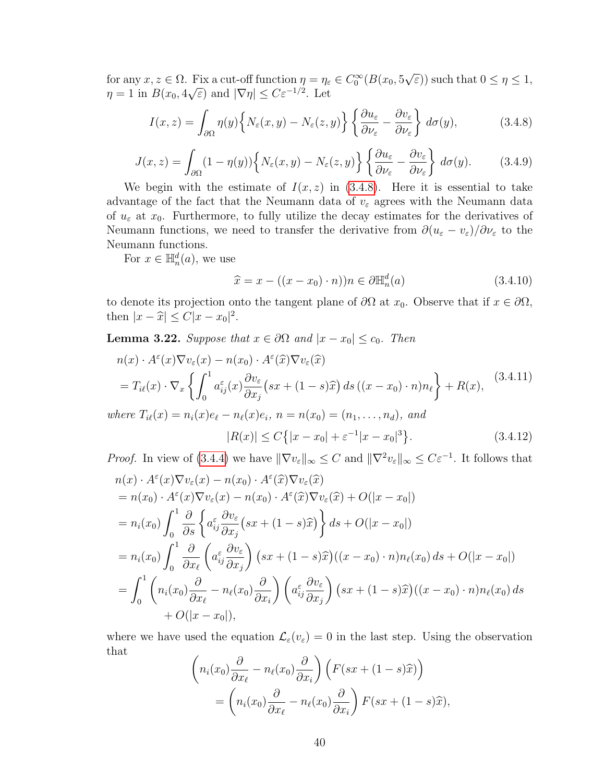for any  $x, z \in \Omega$ . Fix a cut-off function  $\eta = \eta_{\varepsilon} \in C_0^{\infty}(B(x_0, 5))$ √  $\overline{\varepsilon}$ ) such that  $0 \leq \eta \leq 1$ ,  $\eta = 1$  in  $B(x_0, 4)$  $\sqrt{\varepsilon}$ ) and  $|\nabla \eta|$  ≤  $C \varepsilon^{-1/2}$ . Let

<span id="page-47-0"></span>
$$
I(x,z) = \int_{\partial\Omega} \eta(y) \left\{ N_{\varepsilon}(x,y) - N_{\varepsilon}(z,y) \right\} \left\{ \frac{\partial u_{\varepsilon}}{\partial \nu_{\varepsilon}} - \frac{\partial v_{\varepsilon}}{\partial \nu_{\varepsilon}} \right\} d\sigma(y), \tag{3.4.8}
$$

<span id="page-47-2"></span>
$$
J(x,z) = \int_{\partial\Omega} (1 - \eta(y)) \left\{ N_{\varepsilon}(x,y) - N_{\varepsilon}(z,y) \right\} \left\{ \frac{\partial u_{\varepsilon}}{\partial \nu_{\varepsilon}} - \frac{\partial v_{\varepsilon}}{\partial \nu_{\varepsilon}} \right\} d\sigma(y). \tag{3.4.9}
$$

We begin with the estimate of  $I(x, z)$  in [\(3.4.8\)](#page-47-0). Here it is essential to take advantage of the fact that the Neumann data of  $v_{\varepsilon}$  agrees with the Neumann data of  $u_{\varepsilon}$  at  $x_0$ . Furthermore, to fully utilize the decay estimates for the derivatives of Neumann functions, we need to transfer the derivative from  $\partial(u_{\varepsilon}-v_{\varepsilon})/\partial v_{\varepsilon}$  to the Neumann functions.

For  $x \in \mathbb{H}_n^d(a)$ , we use

$$
\widehat{x} = x - ((x - x_0) \cdot n))n \in \partial \mathbb{H}_n^d(a)
$$
\n(3.4.10)

to denote its projection onto the tangent plane of  $\partial\Omega$  at  $x_0$ . Observe that if  $x \in \partial\Omega$ , then  $|x - \hat{x}| \leq C|x - x_0|^2$ .

<span id="page-47-1"></span>**Lemma 3.22.** Suppose that  $x \in \partial\Omega$  and  $|x - x_0| \leq c_0$ . Then

$$
n(x) \cdot A^{\varepsilon}(x)\nabla v_{\varepsilon}(x) - n(x_0) \cdot A^{\varepsilon}(\widehat{x})\nabla v_{\varepsilon}(\widehat{x})
$$
  
\n
$$
= T_{i\ell}(x) \cdot \nabla_x \left\{ \int_0^1 a_{ij}^{\varepsilon}(x) \frac{\partial v_{\varepsilon}}{\partial x_j} (sx + (1 - s)\widehat{x}) ds ((x - x_0) \cdot n) n_{\ell} \right\} + R(x),
$$
  
\nwhere  $T_{i\ell}(x) = n_i(x)e_{\ell} - n_{\ell}(x)e_i$ ,  $n = n(x_0) = (n_1, ..., n_d)$ , and  
\n
$$
|R(x)| \le C \left\{ |x - x_0| + \varepsilon^{-1} |x - x_0|^3 \right\}.
$$
 (3.4.12)

*Proof.* In view of [\(3.4.4\)](#page-46-2) we have  $\|\nabla v_{\varepsilon}\|_{\infty} \leq C$  and  $\|\nabla^2 v_{\varepsilon}\|_{\infty} \leq C\varepsilon^{-1}$ . It follows that

$$
n(x) \cdot A^{\varepsilon}(x)\nabla v_{\varepsilon}(x) - n(x_0) \cdot A^{\varepsilon}(\widehat{x})\nabla v_{\varepsilon}(\widehat{x})
$$
  
\n=  $n(x_0) \cdot A^{\varepsilon}(x)\nabla v_{\varepsilon}(x) - n(x_0) \cdot A^{\varepsilon}(\widehat{x})\nabla v_{\varepsilon}(\widehat{x}) + O(|x - x_0|)$   
\n=  $n_i(x_0) \int_0^1 \frac{\partial}{\partial s} \left\{ a_{ij}^{\varepsilon} \frac{\partial v_{\varepsilon}}{\partial x_j} (sx + (1 - s)\widehat{x}) \right\} ds + O(|x - x_0|)$   
\n=  $n_i(x_0) \int_0^1 \frac{\partial}{\partial x_\ell} \left( a_{ij}^{\varepsilon} \frac{\partial v_{\varepsilon}}{\partial x_j} \right) (sx + (1 - s)\widehat{x})((x - x_0) \cdot n) n_\ell(x_0) ds + O(|x - x_0|)$   
\n=  $\int_0^1 \left( n_i(x_0) \frac{\partial}{\partial x_\ell} - n_\ell(x_0) \frac{\partial}{\partial x_i} \right) \left( a_{ij}^{\varepsilon} \frac{\partial v_{\varepsilon}}{\partial x_j} \right) (sx + (1 - s)\widehat{x})((x - x_0) \cdot n) n_\ell(x_0) ds$   
\n+  $O(|x - x_0|),$ 

where we have used the equation  $\mathcal{L}_{\varepsilon}(v_{\varepsilon}) = 0$  in the last step. Using the observation that

$$
\left(n_i(x_0)\frac{\partial}{\partial x_\ell} - n_\ell(x_0)\frac{\partial}{\partial x_i}\right)\left(F(sx + (1-s)\hat{x})\right)
$$

$$
= \left(n_i(x_0)\frac{\partial}{\partial x_\ell} - n_\ell(x_0)\frac{\partial}{\partial x_i}\right)F(sx + (1-s)\hat{x}),
$$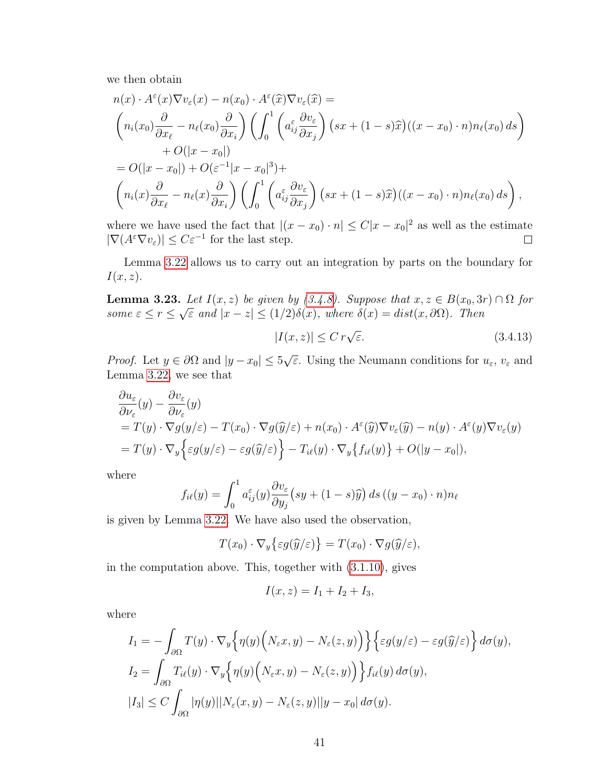we then obtain

$$
n(x) \cdot A^{\varepsilon}(x)\nabla v_{\varepsilon}(x) - n(x_0) \cdot A^{\varepsilon}(\widehat{x})\nabla v_{\varepsilon}(\widehat{x}) =
$$
  
\n
$$
\left(n_i(x_0)\frac{\partial}{\partial x_\ell} - n_\ell(x_0)\frac{\partial}{\partial x_i}\right)\left(\int_0^1 \left(a_{ij}^{\varepsilon}\frac{\partial v_{\varepsilon}}{\partial x_j}\right)(sx + (1-s)\widehat{x})((x-x_0)\cdot n)n_\ell(x_0) ds\right)
$$
  
\n
$$
+ O(|x-x_0|)
$$
  
\n
$$
= O(|x-x_0|) + O(\varepsilon^{-1}|x-x_0|^3) +
$$
  
\n
$$
\left(n_i(x)\frac{\partial}{\partial x_\ell} - n_\ell(x)\frac{\partial}{\partial x_i}\right)\left(\int_0^1 \left(a_{ij}^{\varepsilon}\frac{\partial v_{\varepsilon}}{\partial x_j}\right)(sx + (1-s)\widehat{x})((x-x_0)\cdot n)n_\ell(x_0) ds\right),
$$

where we have used the fact that  $|(x-x_0)\cdot n| \leq C|x-x_0|^2$  as well as the estimate  $|\nabla (A^{\varepsilon} \nabla v_{\varepsilon})| \leq C \varepsilon^{-1}$  for the last step.

Lemma [3.22](#page-47-1) allows us to carry out an integration by parts on the boundary for  $I(x, z)$ .

<span id="page-48-0"></span>**Lemma 3.23.** Let  $I(x, z)$  be given by [\(3.4.8\)](#page-47-0). Suppose that  $x, z \in B(x_0, 3r) \cap \Omega$  for some  $\varepsilon \leq r \leq$ √  $\overline{\varepsilon}$  and  $|x-z| \leq (1/2)\delta(x)$ , where  $\delta(x) = dist(x, \partial\Omega)$ . Then

$$
|I(x,z)| \le C r \sqrt{\varepsilon}.
$$
\n(3.4.13)

*Proof.* Let  $y \in \partial \Omega$  and  $|y - x_0| \leq 5$ √  $\overline{\varepsilon}$ . Using the Neumann conditions for  $u_{\varepsilon}$ ,  $v_{\varepsilon}$  and Lemma [3.22,](#page-47-1) we see that

$$
\frac{\partial u_{\varepsilon}}{\partial \nu_{\varepsilon}}(y) - \frac{\partial v_{\varepsilon}}{\partial \nu_{\varepsilon}}(y) \n= T(y) \cdot \nabla g(y/\varepsilon) - T(x_0) \cdot \nabla g(\widehat{y}/\varepsilon) + n(x_0) \cdot A^{\varepsilon}(\widehat{y}) \nabla v_{\varepsilon}(\widehat{y}) - n(y) \cdot A^{\varepsilon}(y) \nabla v_{\varepsilon}(y) \n= T(y) \cdot \nabla_y \Big\{ \varepsilon g(y/\varepsilon) - \varepsilon g(\widehat{y}/\varepsilon) \Big\} - T_{i\ell}(y) \cdot \nabla_y \big\{ f_{i\ell}(y) \big\} + O(|y - x_0|),
$$

where

$$
f_{i\ell}(y) = \int_0^1 a_{ij}^{\varepsilon}(y) \frac{\partial v_{\varepsilon}}{\partial y_j} (sy + (1-s)\widehat{y}) ds ((y - x_0) \cdot n) n_{\ell}
$$

is given by Lemma [3.22.](#page-47-1) We have also used the observation,

$$
T(x_0)\cdot\nabla_y\big\{\varepsilon g(\widehat{y}/\varepsilon)\big\}=T(x_0)\cdot\nabla g(\widehat{y}/\varepsilon),
$$

in the computation above. This, together with [\(3.1.10\)](#page-27-0), gives

$$
I(x, z) = I_1 + I_2 + I_3,
$$

where

$$
I_1 = -\int_{\partial\Omega} T(y) \cdot \nabla_y \Big\{ \eta(y) \Big( N_\varepsilon x, y) - N_\varepsilon(z, y) \Big) \Big\} \Big\{ \varepsilon g(y/\varepsilon) - \varepsilon g(\widehat{y}/\varepsilon) \Big\} d\sigma(y),
$$
  
\n
$$
I_2 = \int_{\partial\Omega} T_{i\ell}(y) \cdot \nabla_y \Big\{ \eta(y) \Big( N_\varepsilon x, y) - N_\varepsilon(z, y) \Big) \Big\} f_{i\ell}(y) d\sigma(y),
$$
  
\n
$$
|I_3| \le C \int_{\partial\Omega} |\eta(y)| |N_\varepsilon(x, y) - N_\varepsilon(z, y)| |y - x_0| d\sigma(y).
$$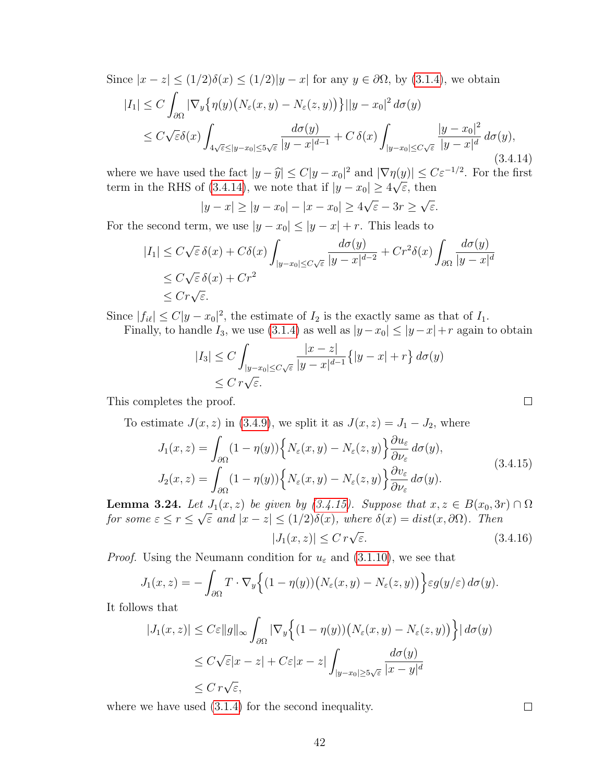Since  $|x-z| \le (1/2)\delta(x) \le (1/2)|y-x|$  for any  $y \in \partial\Omega$ , by [\(3.1.4\)](#page-26-0), we obtain  $|I_1| \leq C$ ∂Ω  $|\nabla_y\{\eta(y)\big(N_\varepsilon(x,y)-N_\varepsilon(z,y)\big)\}\| |y-x_0|^2\,d\sigma(y)$  $\leq C$ √  $\bar{\epsilon}\delta(x)$  $4\sqrt{\varepsilon}$  $\leq$ |y $-x_0$ | $\leq$ 5 $\sqrt{\varepsilon}$  $d\sigma(y)$  $\frac{d\sigma(y)}{|y-x|^{d-1}}+C\,\delta(x)\int$  $|y-x_0|\leq C\sqrt{\varepsilon}$  $|y - x_0|^2$  $\frac{y-x_0}{|y-x|^d} d\sigma(y),$ (3.4.14)

where we have used the fact  $|y - \hat{y}| \le C|y - x_0|^2$  and  $|\nabla \eta(y)| \le C\varepsilon^{-1/2}$ . For the first term in the PHS of (2.4.14), we note that if  $|y - x_0| \ge 4$  ( $\overline{\epsilon}$  then term in the RHS of [\(3.4.14\)](#page-49-0), we note that if  $|y - x_0| \ge 4\sqrt{\varepsilon}$ , then

<span id="page-49-0"></span>
$$
|y-x| \ge |y-x_0| - |x-x_0| \ge 4\sqrt{\varepsilon} - 3r \ge \sqrt{\varepsilon}.
$$

For the second term, we use  $|y - x_0| \le |y - x| + r$ . This leads to

$$
|I_1| \le C\sqrt{\varepsilon} \,\delta(x) + C\delta(x) \int_{|y-x_0| \le C\sqrt{\varepsilon}} \frac{d\sigma(y)}{|y-x|^{d-2}} + C r^2 \delta(x) \int_{\partial\Omega} \frac{d\sigma(y)}{|y-x|^d} \le C\sqrt{\varepsilon} \,\delta(x) + C r^2 \le C r \sqrt{\varepsilon}.
$$

Since  $|f_{i\ell}| \leq C |y - x_0|^2$ , the estimate of  $I_2$  is the exactly same as that of  $I_1$ . Finally, to handle  $I_3$ , we use [\(3.1.4\)](#page-26-0) as well as  $|y-x_0| \le |y-x| + r$  again to obtain

$$
|I_3| \le C \int_{|y-x_0| \le C\sqrt{\varepsilon}} \frac{|x-z|}{|y-x|^{d-1}} \{ |y-x| + r \} d\sigma(y)
$$
  

$$
\le C r \sqrt{\varepsilon}.
$$

This completes the proof.

To estimate  $J(x, z)$  in [\(3.4.9\)](#page-47-2), we split it as  $J(x, z) = J_1 - J_2$ , where

$$
J_1(x, z) = \int_{\partial \Omega} (1 - \eta(y)) \left\{ N_{\varepsilon}(x, y) - N_{\varepsilon}(z, y) \right\} \frac{\partial u_{\varepsilon}}{\partial \nu_{\varepsilon}} d\sigma(y),
$$
  
\n
$$
J_2(x, z) = \int_{\partial \Omega} (1 - \eta(y)) \left\{ N_{\varepsilon}(x, y) - N_{\varepsilon}(z, y) \right\} \frac{\partial v_{\varepsilon}}{\partial \nu_{\varepsilon}} d\sigma(y).
$$
\n(3.4.15)

<span id="page-49-2"></span>**Lemma 3.24.** Let  $J_1(x, z)$  be given by  $(3.4.15)$ . Suppose that  $x, z \in B(x_0, 3r) \cap \Omega$ for some  $\varepsilon \le r \le \sqrt{\varepsilon}$  and  $|x-z| \le (1/2)\delta(x)$ , where  $\delta(x) = dist(x, \partial\Omega)$ . Then

<span id="page-49-1"></span>
$$
|J_1(x,z)| \le C r \sqrt{\varepsilon}.
$$
\n(3.4.16)

*Proof.* Using the Neumann condition for  $u_{\varepsilon}$  and [\(3.1.10\)](#page-27-0), we see that

$$
J_1(x,z) = -\int_{\partial\Omega} T \cdot \nabla_y \Big\{ (1 - \eta(y)) \big( N_{\varepsilon}(x,y) - N_{\varepsilon}(z,y) \big) \Big\} \varepsilon g(y/\varepsilon) d\sigma(y).
$$

It follows that

$$
|J_1(x, z)| \le C \varepsilon ||g||_{\infty} \int_{\partial \Omega} |\nabla_y \left\{ (1 - \eta(y)) \left( N_{\varepsilon}(x, y) - N_{\varepsilon}(z, y) \right) \right\} | d\sigma(y)
$$
  
\n
$$
\le C \sqrt{\varepsilon} |x - z| + C \varepsilon |x - z| \int_{|y - x_0| \ge 5\sqrt{\varepsilon}} \frac{d\sigma(y)}{|x - y|^d}
$$
  
\n
$$
\le C \, r \sqrt{\varepsilon},
$$

where we have used [\(3.1.4\)](#page-26-0) for the second inequality.

 $\Box$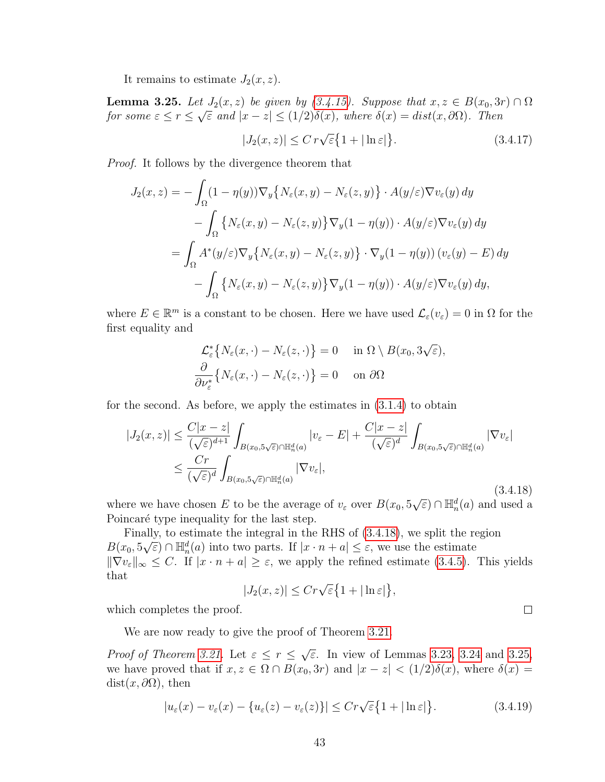It remains to estimate  $J_2(x, z)$ .

<span id="page-50-1"></span>**Lemma 3.25.** Let  $J_2(x, z)$  be given by  $(3.4.15)$ . Suppose that  $x, z \in B(x_0, 3r) \cap \Omega$ for some  $\varepsilon \le r \le \sqrt{\varepsilon}$  and  $|x-z| \le (1/2)\delta(x)$ , where  $\delta(x) = dist(x, \partial\Omega)$ . Then

$$
|J_2(x,z)| \le C r \sqrt{\varepsilon} \{ 1 + |\ln \varepsilon| \}.
$$
 (3.4.17)

Proof. It follows by the divergence theorem that

$$
J_2(x, z) = -\int_{\Omega} (1 - \eta(y)) \nabla_y \{ N_{\varepsilon}(x, y) - N_{\varepsilon}(z, y) \} \cdot A(y/\varepsilon) \nabla v_{\varepsilon}(y) dy
$$
  

$$
- \int_{\Omega} \{ N_{\varepsilon}(x, y) - N_{\varepsilon}(z, y) \} \nabla_y (1 - \eta(y)) \cdot A(y/\varepsilon) \nabla v_{\varepsilon}(y) dy
$$
  

$$
= \int_{\Omega} A^*(y/\varepsilon) \nabla_y \{ N_{\varepsilon}(x, y) - N_{\varepsilon}(z, y) \} \cdot \nabla_y (1 - \eta(y)) (v_{\varepsilon}(y) - E) dy
$$
  

$$
- \int_{\Omega} \{ N_{\varepsilon}(x, y) - N_{\varepsilon}(z, y) \} \nabla_y (1 - \eta(y)) \cdot A(y/\varepsilon) \nabla v_{\varepsilon}(y) dy,
$$

where  $E \in \mathbb{R}^m$  is a constant to be chosen. Here we have used  $\mathcal{L}_{\varepsilon}(v_{\varepsilon}) = 0$  in  $\Omega$  for the first equality and

<span id="page-50-0"></span>
$$
\mathcal{L}_{\varepsilon}^{*}\big\{N_{\varepsilon}(x,\cdot)-N_{\varepsilon}(z,\cdot)\big\}=0 \quad \text{ in } \Omega\setminus B(x_0,3\sqrt{\varepsilon}),\frac{\partial}{\partial \nu_{\varepsilon}^{*}}\big\{N_{\varepsilon}(x,\cdot)-N_{\varepsilon}(z,\cdot)\big\}=0 \quad \text{ on } \partial\Omega
$$

for the second. As before, we apply the estimates in [\(3.1.4\)](#page-26-0) to obtain

$$
|J_2(x,z)| \leq \frac{C|x-z|}{(\sqrt{\varepsilon})^{d+1}} \int_{B(x_0,5\sqrt{\varepsilon}) \cap \mathbb{H}_n^d(a)} |v_{\varepsilon} - E| + \frac{C|x-z|}{(\sqrt{\varepsilon})^d} \int_{B(x_0,5\sqrt{\varepsilon}) \cap \mathbb{H}_n^d(a)} |\nabla v_{\varepsilon}|
$$
  

$$
\leq \frac{Cr}{(\sqrt{\varepsilon})^d} \int_{B(x_0,5\sqrt{\varepsilon}) \cap \mathbb{H}_n^d(a)} |\nabla v_{\varepsilon}|,
$$
(3.4.18)

where we have chosen E to be the average of  $v_{\varepsilon}$  over  $B(x_0, 5)$ (3.4.18)<br> $\sqrt{\varepsilon}$ )  $\cap$   $\mathbb{H}_n^d(a)$  and used a Poincaré type inequality for the last step.

Finally, to estimate the integral in the RHS of  $(3.4.18)$ , we split the region  $B(x_0, 5\sqrt{\varepsilon}) \cap \mathbb{H}_n^d(a)$  into two parts. If  $|x \cdot n + a| \leq \varepsilon$ , we use the estimate  $\|\nabla v_{\varepsilon}\|_{\infty} \leq C$ . If  $|x \cdot n + a| \geq \varepsilon$ , we apply the refined estimate [\(3.4.5\)](#page-46-3). This yields that

$$
|J_2(x,z)| \le Cr\sqrt{\varepsilon} \big\{1+|\ln \varepsilon|\big\},\,
$$

which completes the proof.

We are now ready to give the proof of Theorem [3.21.](#page-46-4)

*Proof of Theorem [3.21.](#page-46-4)* Let  $\varepsilon \leq r \leq$ √  $\overline{\epsilon}$ . In view of Lemmas [3.23,](#page-48-0) [3.24](#page-49-2) and [3.25,](#page-50-1) we have proved that if  $x, z \in \Omega \cap B(x_0, 3r)$  and  $|x - z| < (1/2)\delta(x)$ , where  $\delta(x) =$  $dist(x, \partial\Omega)$ , then

$$
|u_{\varepsilon}(x) - v_{\varepsilon}(x) - \{u_{\varepsilon}(z) - v_{\varepsilon}(z)\}| \le Cr\sqrt{\varepsilon} \{1 + |\ln \varepsilon|\}.
$$
 (3.4.19)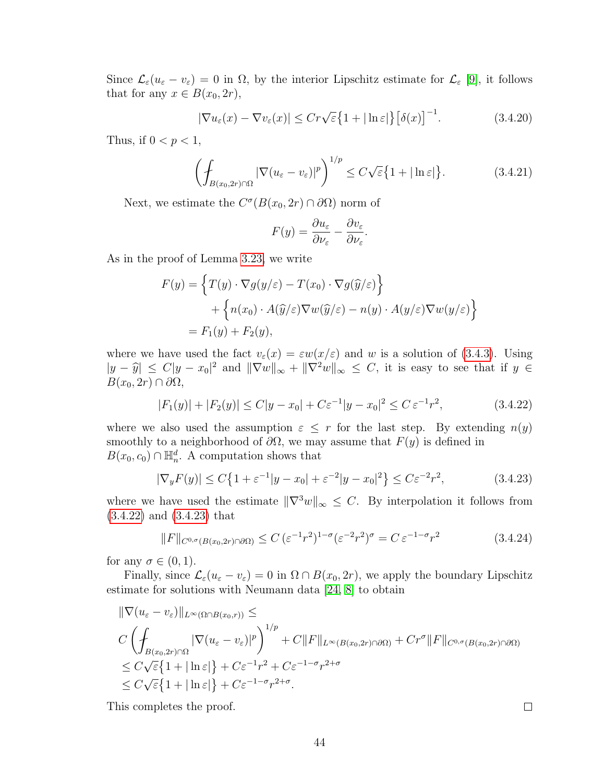Since  $\mathcal{L}_{\varepsilon}(u_{\varepsilon}-v_{\varepsilon})=0$  in  $\Omega$ , by the interior Lipschitz estimate for  $\mathcal{L}_{\varepsilon}$  [\[9\]](#page-108-0), it follows that for any  $x \in B(x_0, 2r)$ ,

$$
|\nabla u_{\varepsilon}(x) - \nabla v_{\varepsilon}(x)| \le Cr\sqrt{\varepsilon} \{1 + |\ln \varepsilon|\} \left[\delta(x)\right]^{-1}.
$$
 (3.4.20)

Thus, if  $0 < p < 1$ ,

$$
\left(\int_{B(x_0,2r)\cap\Omega} |\nabla(u_{\varepsilon}-v_{\varepsilon})|^p\right)^{1/p} \le C\sqrt{\varepsilon}\left\{1+|\ln \varepsilon|\right\}.
$$
 (3.4.21)

Next, we estimate the  $C^{\sigma}(B(x_0, 2r) \cap \partial \Omega)$  norm of

$$
F(y) = \frac{\partial u_{\varepsilon}}{\partial \nu_{\varepsilon}} - \frac{\partial v_{\varepsilon}}{\partial \nu_{\varepsilon}}.
$$

As in the proof of Lemma [3.23,](#page-48-0) we write

$$
F(y) = \left\{ T(y) \cdot \nabla g(y/\varepsilon) - T(x_0) \cdot \nabla g(\widehat{y}/\varepsilon) \right\}
$$
  
+ 
$$
\left\{ n(x_0) \cdot A(\widehat{y}/\varepsilon) \nabla w(\widehat{y}/\varepsilon) - n(y) \cdot A(y/\varepsilon) \nabla w(y/\varepsilon) \right\}
$$
  
=  $F_1(y) + F_2(y)$ ,

where we have used the fact  $v_{\varepsilon}(x) = \varepsilon w(x/\varepsilon)$  and w is a solution of [\(3.4.3\)](#page-46-5). Using  $|y - \hat{y}| \le C |y - x_0|^2$  and  $||\nabla w||_{\infty} + ||\nabla^2 w||_{\infty} \le C$ , it is easy to see that if  $y \in B(x_0, 2r) \cap \partial\Omega$  $B(x_0, 2r) \cap \partial \Omega,$ 

<span id="page-51-0"></span>
$$
|F_1(y)| + |F_2(y)| \le C|y - x_0| + C\varepsilon^{-1}|y - x_0|^2 \le C\varepsilon^{-1}r^2,
$$
\n(3.4.22)

where we also used the assumption  $\varepsilon \leq r$  for the last step. By extending  $n(y)$ smoothly to a neighborhood of  $\partial\Omega$ , we may assume that  $F(y)$  is defined in  $B(x_0, c_0) \cap \mathbb{H}_n^d$ . A computation shows that

<span id="page-51-1"></span>
$$
|\nabla_y F(y)| \le C \left\{ 1 + \varepsilon^{-1} |y - x_0| + \varepsilon^{-2} |y - x_0|^2 \right\} \le C \varepsilon^{-2} r^2,
$$
\n(3.4.23)

where we have used the estimate  $\|\nabla^3 w\|_{\infty} \leq C$ . By interpolation it follows from [\(3.4.22\)](#page-51-0) and [\(3.4.23\)](#page-51-1) that

$$
||F||_{C^{0,\sigma}(B(x_0,2r)\cap\partial\Omega)} \leq C \left(\varepsilon^{-1}r^2\right)^{1-\sigma} \left(\varepsilon^{-2}r^2\right)^{\sigma} = C \varepsilon^{-1-\sigma}r^2 \tag{3.4.24}
$$

for any  $\sigma \in (0,1)$ .

Finally, since  $\mathcal{L}_{\varepsilon}(u_{\varepsilon}-v_{\varepsilon})=0$  in  $\Omega \cap B(x_0, 2r)$ , we apply the boundary Lipschitz estimate for solutions with Neumann data [\[24,](#page-109-0) [8\]](#page-108-3) to obtain

$$
\|\nabla(u_{\varepsilon}-v_{\varepsilon})\|_{L^{\infty}(\Omega\cap B(x_0,r))} \le
$$
  
\n
$$
C\left(\int_{B(x_0,2r)\cap\Omega} |\nabla(u_{\varepsilon}-v_{\varepsilon})|^p\right)^{1/p} + C\|F\|_{L^{\infty}(B(x_0,2r)\cap\partial\Omega)} + Cr^{\sigma}\|F\|_{C^{0,\sigma}(B(x_0,2r)\cap\partial\Omega)}
$$
  
\n
$$
\leq C\sqrt{\varepsilon}\left\{1+|\ln \varepsilon|\right\} + C\varepsilon^{-1}r^2 + C\varepsilon^{-1-\sigma}r^{2+\sigma}
$$
  
\n
$$
\leq C\sqrt{\varepsilon}\left\{1+|\ln \varepsilon|\right\} + C\varepsilon^{-1-\sigma}r^{2+\sigma}.
$$

This completes the proof.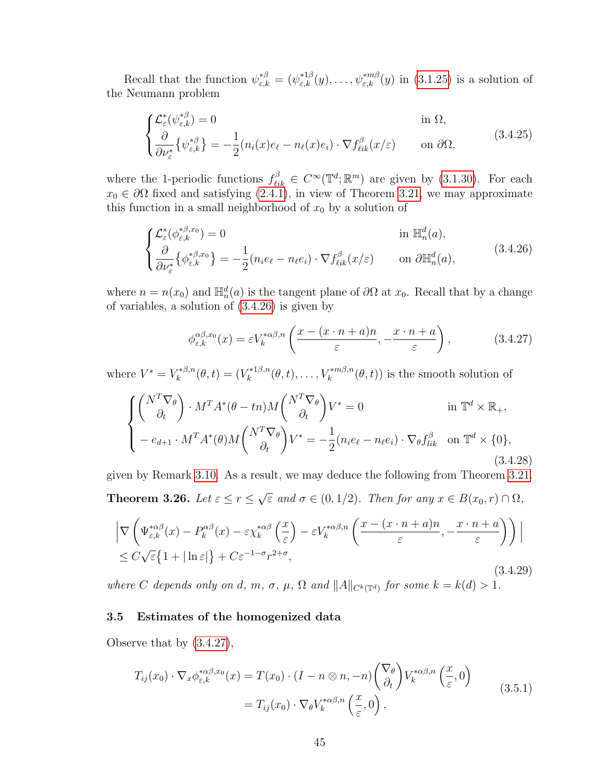Recall that the function  $\psi_{\varepsilon,k}^{*\beta} = (\psi_{\varepsilon,k}^{*1\beta}(y), \ldots, \psi_{\varepsilon,k}^{*m\beta}(y)$  in [\(3.1.25\)](#page-29-0) is a solution of the Neumann problem

$$
\begin{cases} \mathcal{L}_{\varepsilon}^{*}(\psi_{\varepsilon,k}^{*\beta}) = 0 & \text{in } \Omega, \\ \frac{\partial}{\partial \nu_{\varepsilon}^{*}} \{ \psi_{\varepsilon,k}^{*\beta} \} = -\frac{1}{2} (n_{i}(x)e_{\ell} - n_{\ell}(x)e_{i}) \cdot \nabla f_{\ell ik}^{\beta}(x/\varepsilon) & \text{on } \partial \Omega, \end{cases}
$$
(3.4.25)

where the 1-periodic functions  $f_{\ell i k}^{\beta} \in C^{\infty}(\mathbb{T}^d; \mathbb{R}^m)$  are given by [\(3.1.30\)](#page-29-1). For each  $x_0 \in \partial\Omega$  fixed and satisfying [\(2.4.1\)](#page-22-0), in view of Theorem [3.21,](#page-46-4) we may approximate this function in a small neighborhood of  $x_0$  by a solution of

$$
\begin{cases}\n\mathcal{L}_{\varepsilon}^{*}(\phi_{\varepsilon,k}^{*\beta,x_{0}}) = 0 & \text{in } \mathbb{H}_{n}^{d}(a), \\
\frac{\partial}{\partial \nu_{\varepsilon}^{*}}\{\phi_{\varepsilon,k}^{*\beta,x_{0}}\} = -\frac{1}{2}(n_{i}e_{\ell} - n_{\ell}e_{i}) \cdot \nabla f_{\ell i k}^{\beta}(x/\varepsilon) & \text{on } \partial \mathbb{H}_{n}^{d}(a),\n\end{cases}
$$
\n(3.4.26)

where  $n = n(x_0)$  and  $\mathbb{H}_n^d(a)$  is the tangent plane of  $\partial\Omega$  at  $x_0$ . Recall that by a change of variables, a solution of [\(3.4.26\)](#page-52-1) is given by

<span id="page-52-3"></span><span id="page-52-2"></span><span id="page-52-1"></span>
$$
\phi_{\varepsilon,k}^{\alpha\beta,x_0}(x) = \varepsilon V_k^{*\alpha\beta,n} \left( \frac{x - (x \cdot n + a)n}{\varepsilon}, -\frac{x \cdot n + a}{\varepsilon} \right),\tag{3.4.27}
$$

where  $V^* = V_k^{*\beta,n}$  $k^{*,\beta,n}(\theta, t) = (V_k^{*,1\beta,n})$  $k_k^{*1\beta,n}(\theta,t),\ldots,V_k^{*m\beta,n}(\theta,t))$  is the smooth solution of

$$
\begin{cases}\n\begin{pmatrix}\nN^T \nabla_\theta \\
\partial_t\n\end{pmatrix} \cdot M^T A^* (\theta - t n) M \begin{pmatrix}\nN^T \nabla_\theta \\
\partial_t\n\end{pmatrix} V^* = 0 & \text{in } \mathbb{T}^d \times \mathbb{R}_+, \\
-\,e_{d+1} \cdot M^T A^* (\theta) M \begin{pmatrix}\nN^T \nabla_\theta \\
\partial_t\n\end{pmatrix} V^* = -\frac{1}{2} (n_i e_\ell - n_\ell e_i) \cdot \nabla_\theta f_{lik}^\beta \quad \text{on } \mathbb{T}^d \times \{0\},\n\end{cases} \tag{3.4.28}
$$

<span id="page-52-4"></span>given by Remark [3.10.](#page-34-1) As a result, we may deduce the following from Theorem [3.21.](#page-46-4) Theorem 3.26. Let  $\varepsilon \leq r \leq$ √  $\overline{\varepsilon}$  and  $\sigma \in (0, 1/2)$ . Then for any  $x \in B(x_0, r) \cap \Omega$ ,

$$
\left| \nabla \left( \Psi_{\varepsilon,k}^{*\alpha\beta}(x) - P_k^{\alpha\beta}(x) - \varepsilon \chi_k^{*\alpha\beta} \left( \frac{x}{\varepsilon} \right) - \varepsilon V_k^{*\alpha\beta,n} \left( \frac{x - (x \cdot n + a)n}{\varepsilon}, -\frac{x \cdot n + a}{\varepsilon} \right) \right) \right|
$$
  
\n
$$
\leq C \sqrt{\varepsilon} \{ 1 + |\ln \varepsilon| \} + C \varepsilon^{-1-\sigma} r^{2+\sigma},
$$
\n(3.4.29)

where C depends only on d, m,  $\sigma$ ,  $\mu$ ,  $\Omega$  and  $||A||_{C^{k}(\mathbb{T}^{d})}$  for some  $k = k(d) > 1$ .

## <span id="page-52-0"></span>3.5 Estimates of the homogenized data

Observe that by [\(3.4.27\)](#page-52-2),

$$
T_{ij}(x_0) \cdot \nabla_x \phi_{\varepsilon,k}^{*\alpha\beta,x_0}(x) = T(x_0) \cdot (I - n \otimes n, -n) \begin{pmatrix} \nabla_\theta \\ \partial_t \end{pmatrix} V_k^{*\alpha\beta,n} \begin{pmatrix} x \\ \overline{\varepsilon}, 0 \end{pmatrix}
$$
  
=  $T_{ij}(x_0) \cdot \nabla_\theta V_k^{*\alpha\beta,n} \begin{pmatrix} x \\ \overline{\varepsilon}, 0 \end{pmatrix},$  (3.5.1)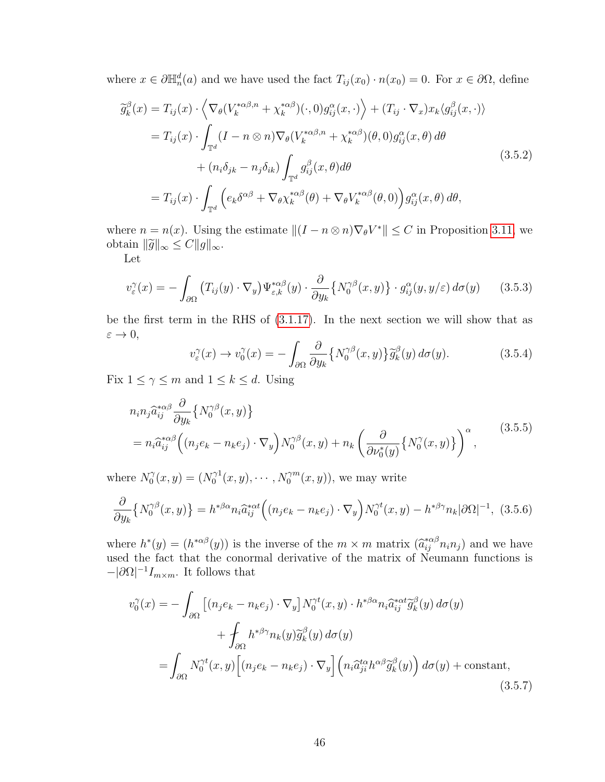where  $x \in \partial \mathbb{H}_n^d(a)$  and we have used the fact  $T_{ij}(x_0) \cdot n(x_0) = 0$ . For  $x \in \partial \Omega$ , define

<span id="page-53-0"></span>
$$
\widetilde{g}_k^{\beta}(x) = T_{ij}(x) \cdot \left\langle \nabla_{\theta} (V_k^{*\alpha\beta,n} + \chi_k^{*\alpha\beta})(\cdot,0) g_{ij}^{\alpha}(x,\cdot) \right\rangle + (T_{ij} \cdot \nabla_x) x_k \langle g_{ij}^{\beta}(x,\cdot) \rangle \n= T_{ij}(x) \cdot \int_{\mathbb{T}^d} (I - n \otimes n) \nabla_{\theta} (V_k^{*\alpha\beta,n} + \chi_k^{*\alpha\beta})(\theta,0) g_{ij}^{\alpha}(x,\theta) d\theta \n+ (n_i \delta_{jk} - n_j \delta_{ik}) \int_{\mathbb{T}^d} g_{ij}^{\beta}(x,\theta) d\theta \n= T_{ij}(x) \cdot \int_{\mathbb{T}^d} \left( e_k \delta^{\alpha\beta} + \nabla_{\theta} \chi_k^{*\alpha\beta}(\theta) + \nabla_{\theta} V_k^{*\alpha\beta}(\theta,0) \right) g_{ij}^{\alpha}(x,\theta) d\theta,
$$
\n(3.5.2)

where  $n = n(x)$ . Using the estimate  $||(I - n \otimes n)\nabla_{\theta}V^*|| \leq C$  in Proposition [3.11,](#page-34-3) we obtain  $\|\widetilde{g}\|_{\infty} \leq C \|g\|_{\infty}$ .

Let

$$
v_{\varepsilon}^{\gamma}(x) = -\int_{\partial\Omega} \left( T_{ij}(y) \cdot \nabla_y \right) \Psi_{\varepsilon,k}^{*\alpha\beta}(y) \cdot \frac{\partial}{\partial y_k} \left\{ N_0^{\gamma\beta}(x,y) \right\} \cdot g_{ij}^{\alpha}(y,y/\varepsilon) \, d\sigma(y) \tag{3.5.3}
$$

be the first term in the RHS of [\(3.1.17\)](#page-28-0). In the next section we will show that as  $\varepsilon \to 0$ ,

$$
v_{\varepsilon}^{\gamma}(x) \to v_0^{\gamma}(x) = -\int_{\partial \Omega} \frac{\partial}{\partial y_k} \{ N_0^{\gamma \beta}(x, y) \} \widetilde{g}_k^{\beta}(y) d\sigma(y). \tag{3.5.4}
$$

Fix  $1 \leq \gamma \leq m$  and  $1 \leq k \leq d$ . Using

$$
n_i n_j \hat{a}_{ij}^{*\alpha\beta} \frac{\partial}{\partial y_k} \{ N_0^{\gamma\beta}(x, y) \}
$$
  
= 
$$
n_i \hat{a}_{ij}^{*\alpha\beta} \left( (n_j e_k - n_k e_j) \cdot \nabla_y \right) N_0^{\gamma\beta}(x, y) + n_k \left( \frac{\partial}{\partial \nu_0^*(y)} \{ N_0^{\gamma}(x, y) \} \right)^{\alpha},
$$
 (3.5.5)

where  $N_0^{\gamma}$  $\tilde{C}_0^{\gamma}(x, y) = (N_0^{\gamma 1})$  $\gamma_0^{\gamma 1}(x, y), \cdots, N_0^{\gamma m}(x, y)$ , we may write

$$
\frac{\partial}{\partial y_k} \left\{ N_0^{\gamma\beta}(x,y) \right\} = h^{*\beta\alpha} n_i \hat{a}_{ij}^{*\alpha t} \Big( (n_j e_k - n_k e_j) \cdot \nabla_y \Big) N_0^{\gamma t}(x,y) - h^{*\beta\gamma} n_k |\partial \Omega|^{-1}, \tag{3.5.6}
$$

where  $h^*(y) = (h^{*\alpha\beta}(y))$  is the inverse of the  $m \times m$  matrix  $(\hat{a}_{ij}^{*\alpha\beta} n_i n_j)$  and we have<br>used the feet that the conormal derivative of the matrix of Neumann functions is used the fact that the conormal derivative of the matrix of Neumann functions is  $-|\partial\Omega|^{-1}I_{m\times m}$ . It follows that

$$
v_0^{\gamma}(x) = -\int_{\partial\Omega} \left[ (n_j e_k - n_k e_j) \cdot \nabla_y \right] N_0^{\gamma t}(x, y) \cdot h^{*\beta \alpha} n_i \hat{a}_{ij}^{*\alpha t} \tilde{g}_k^{\beta}(y) d\sigma(y) + \int_{\partial\Omega} h^{*\beta \gamma} n_k(y) \tilde{g}_k^{\beta}(y) d\sigma(y) = \int_{\partial\Omega} N_0^{\gamma t}(x, y) \left[ (n_j e_k - n_k e_j) \cdot \nabla_y \right] \left( n_i \hat{a}_{ji}^{t\alpha} h^{\alpha \beta} \tilde{g}_k^{\beta}(y) \right) d\sigma(y) + \text{constant},
$$
\n(3.5.7)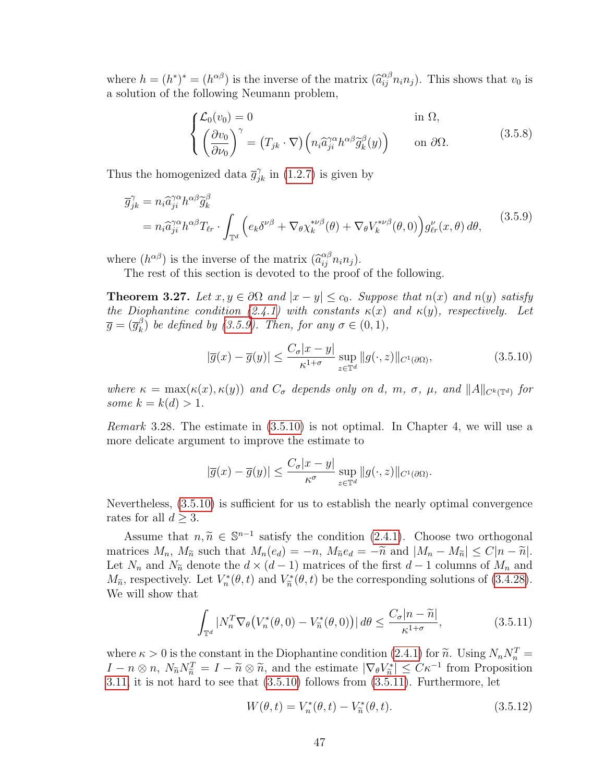where  $h = (h^*)^* = (h^{\alpha\beta})$  is the inverse of the matrix  $(\hat{a}_{ij}^{\alpha\beta} n_i n_j)$ . This shows that  $v_0$  is a solution of the following Neumann problem,

<span id="page-54-0"></span>
$$
\begin{cases}\n\mathcal{L}_0(v_0) = 0 & \text{in } \Omega, \\
\left(\frac{\partial v_0}{\partial \nu_0}\right)^\gamma = (T_{jk} \cdot \nabla) \left(n_i \hat{a}_{ji}^{\gamma \alpha} h^{\alpha \beta} \tilde{g}_k^\beta(y)\right) & \text{on } \partial \Omega.\n\end{cases}
$$
\n(3.5.8)

Thus the homogenized data  $\bar{g}_{jk}^{\gamma}$  in [\(1.2.7\)](#page-12-0) is given by

$$
\overline{g}_{jk}^{\gamma} = n_i \widehat{a}_{ji}^{\gamma \alpha} h^{\alpha \beta} \widetilde{g}_k^{\beta}
$$
\n
$$
= n_i \widehat{a}_{ji}^{\gamma \alpha} h^{\alpha \beta} T_{\ell r} \cdot \int_{\mathbb{T}^d} \left( e_k \delta^{\nu \beta} + \nabla_{\theta} \chi_k^{*\nu \beta}(\theta) + \nabla_{\theta} V_k^{*\nu \beta}(\theta, 0) \right) g_{\ell r}^{\nu}(x, \theta) d\theta, \tag{3.5.9}
$$

where  $(h^{\alpha\beta})$  is the inverse of the matrix  $(\hat{a}_{ij}^{\alpha\beta} n_i n_j)$ .<br>The rest of this section is devoted to the proof.

The rest of this section is devoted to the proof of the following.

<span id="page-54-3"></span>**Theorem 3.27.** Let  $x, y \in \partial\Omega$  and  $|x - y| \le c_0$ . Suppose that  $n(x)$  and  $n(y)$  satisfy the Diophantine condition [\(2.4.1\)](#page-22-0) with constants  $\kappa(x)$  and  $\kappa(y)$ , respectively. Let  $\overline{g}=(\overline{g}_{k}^{\beta}% )^{2}+(\overline{g}_{k}^{\beta})^{2}$  $\binom{\beta}{k}$  be defined by [\(3.5.9\)](#page-54-0). Then, for any  $\sigma \in (0,1)$ ,

<span id="page-54-1"></span>
$$
|\overline{g}(x) - \overline{g}(y)| \le \frac{C_{\sigma}|x - y|}{\kappa^{1 + \sigma}} \sup_{z \in \mathbb{T}^d} ||g(\cdot, z)||_{C^1(\partial \Omega)},
$$
\n(3.5.10)

where  $\kappa = \max(\kappa(x), \kappa(y))$  and  $C_{\sigma}$  depends only on d, m,  $\sigma$ ,  $\mu$ , and  $||A||_{C^{k}(\mathbb{T}^d)}$  for some  $k = k(d) > 1$ .

Remark 3.28. The estimate in [\(3.5.10\)](#page-54-1) is not optimal. In Chapter 4, we will use a more delicate argument to improve the estimate to

$$
|\overline{g}(x) - \overline{g}(y)| \le \frac{C_{\sigma}|x - y|}{\kappa^{\sigma}} \sup_{z \in \mathbb{T}^d} ||g(\cdot, z)||_{C^1(\partial \Omega)}.
$$

Nevertheless, [\(3.5.10\)](#page-54-1) is sufficient for us to establish the nearly optimal convergence rates for all  $d > 3$ .

Assume that  $n, \tilde{n} \in \mathbb{S}^{n-1}$  satisfy the condition [\(2.4.1\)](#page-22-0). Choose two orthogonal<br>trices  $M$ ,  $M_n$  such that  $M_n(x) = n M_n(x) = \tilde{x}$  and  $|M - M_n| \le C |n - \tilde{n}|$ matrices  $M_n$ ,  $M_{\tilde{n}}$  such that  $M_n(e_d) = -n$ ,  $M_{\tilde{n}}e_d = -\tilde{n}$  and  $|M_n - M_{\tilde{n}}| \leq C|n - \tilde{n}|$ . Let  $N_n$  and  $N_{\tilde{n}}$  denote the  $d \times (d-1)$  matrices of the first  $d-1$  columns of  $M_n$  and  $M_{\tilde{n}}$ , respectively. Let  $V_n^*(\theta, t)$  and  $V_{\tilde{n}}^*(\theta, t)$  be the corresponding solutions of [\(3.4.28\)](#page-52-3). We will show that

<span id="page-54-2"></span>
$$
\int_{\mathbb{T}^d} |N_n^T \nabla_{\theta} \left( V_n^*(\theta, 0) - V_n^*(\theta, 0) \right) | d\theta \le \frac{C_\sigma |n - \widetilde{n}|}{\kappa^{1 + \sigma}}, \tag{3.5.11}
$$

where  $\kappa > 0$  is the constant in the Diophantine condition  $(2.4.1)$  for  $\widetilde{n}$ . Using  $N_n N_n^T =$ <br> $I_n \otimes n_{n-1} N_n N^T = I_n \otimes \widetilde{n}$  and the estimate  $|\nabla_l V^*| < C \kappa^{-1}$  from Proposition  $I - n \otimes n$ ,  $N_{\widetilde{n}} N_{\widetilde{n}}^T = I - \widetilde{n} \otimes \widetilde{n}$ , and the estimate  $|\nabla_{\theta} V_{\widetilde{n}}^*| \leq C \kappa^{-1}$  from Proposition<br>3.11 it is not hard to see that (3.5.10) follows from (3.5.11). Furthermore, let [3.11,](#page-34-3) it is not hard to see that [\(3.5.10\)](#page-54-1) follows from [\(3.5.11\)](#page-54-2). Furthermore, let

<span id="page-54-4"></span>
$$
W(\theta, t) = V_n^*(\theta, t) - V_{\tilde{n}}^*(\theta, t).
$$
 (3.5.12)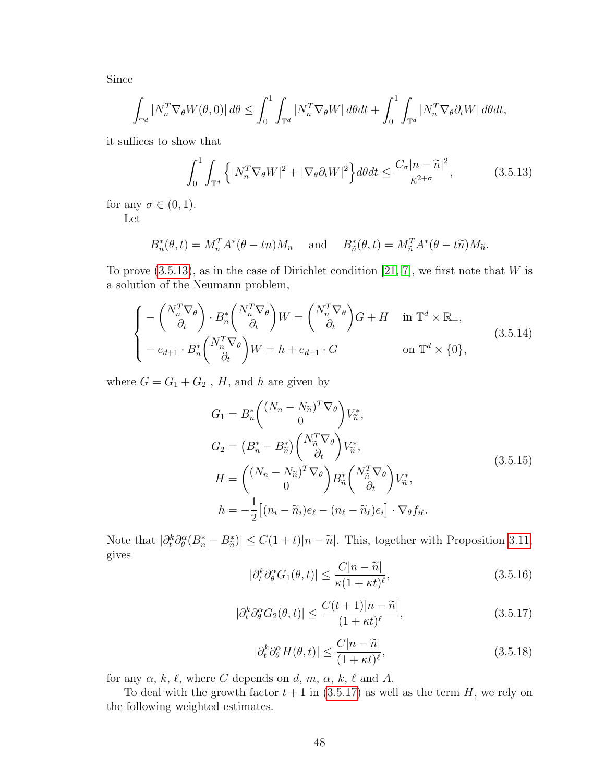Since

$$
\int_{\mathbb{T}^d} |N_n^T \nabla_{\theta} W(\theta, 0)| d\theta \le \int_0^1 \int_{\mathbb{T}^d} |N_n^T \nabla_{\theta} W| d\theta dt + \int_0^1 \int_{\mathbb{T}^d} |N_n^T \nabla_{\theta} \partial_t W| d\theta dt,
$$

it suffices to show that

<span id="page-55-0"></span>
$$
\int_0^1 \int_{\mathbb{T}^d} \left\{ |N_n^T \nabla_{\theta} W|^2 + |\nabla_{\theta} \partial_t W|^2 \right\} d\theta dt \le \frac{C_\sigma |n - \widetilde{n}|^2}{\kappa^{2+\sigma}},\tag{3.5.13}
$$

for any  $\sigma \in (0,1)$ . Let

<span id="page-55-3"></span>
$$
B_n^*(\theta, t) = M_n^T A^*(\theta - t_n) M_n \quad \text{and} \quad B_{\widetilde{n}}^*(\theta, t) = M_{\widetilde{n}}^T A^*(\theta - t\widetilde{n}) M_{\widetilde{n}}.
$$

To prove  $(3.5.13)$ , as in the case of Dirichlet condition [\[21,](#page-109-2) [7\]](#page-108-4), we first note that W is a solution of the Neumann problem,

$$
\begin{cases}\n-\begin{pmatrix}N_n^T \nabla_\theta\\ \partial_t\end{pmatrix} \cdot B_n^* \begin{pmatrix}N_n^T \nabla_\theta\\ \partial_t\end{pmatrix} W = \begin{pmatrix}N_n^T \nabla_\theta\\ \partial_t\end{pmatrix} G + H & \text{in } \mathbb{T}^d \times \mathbb{R}_+, \\
-e_{d+1} \cdot B_n^* \begin{pmatrix}N_n^T \nabla_\theta\\ \partial_t\end{pmatrix} W = h + e_{d+1} \cdot G & \text{on } \mathbb{T}^d \times \{0\},\n\end{cases} (3.5.14)
$$

where  $G=G_1+G_2$  ,  $H,$  and  $h$  are given by

$$
G_1 = B_n^* \begin{pmatrix} (N_n - N_{\widetilde{n}})^T \nabla_{\theta} \\ 0 \end{pmatrix} V_{\widetilde{n}}^*,
$$
  
\n
$$
G_2 = \left( B_n^* - B_{\widetilde{n}}^* \right) \begin{pmatrix} N_{\widetilde{n}}^T \nabla_{\theta} \\ \partial_t \end{pmatrix} V_{\widetilde{n}}^*,
$$
  
\n
$$
H = \begin{pmatrix} (N_n - N_{\widetilde{n}})^T \nabla_{\theta} \\ 0 \end{pmatrix} B_{\widetilde{n}}^* \begin{pmatrix} N_{\widetilde{n}}^T \nabla_{\theta} \\ \partial_t \end{pmatrix} V_{\widetilde{n}}^*,
$$
  
\n
$$
h = -\frac{1}{2} \big[ (n_i - \widetilde{n}_i) e_\ell - (n_\ell - \widetilde{n}_\ell) e_i \big] \cdot \nabla_{\theta} f_{i\ell}.
$$
\n(3.5.15)

<span id="page-55-4"></span><span id="page-55-1"></span>Note that  $|\partial_t^k \partial_{\theta}^{\alpha} (B_n^* - B_{\tilde{n}}^*)| \leq C(1+t)|n - \tilde{n}|$ . This, together with Proposition [3.11,](#page-34-3) gives

$$
|\partial_t^k \partial_\theta^\alpha G_1(\theta, t)| \le \frac{C|n - \widetilde{n}|}{\kappa (1 + \kappa t)^\ell},\tag{3.5.16}
$$

$$
|\partial_t^k \partial_\theta^\alpha G_2(\theta, t)| \le \frac{C(t+1)|n-\widetilde{n}|}{(1+\kappa t)^\ell},\tag{3.5.17}
$$

$$
|\partial_t^k \partial_\theta^\alpha H(\theta, t)| \le \frac{C|n - \widetilde{n}|}{(1 + \kappa t)^\ell},\tag{3.5.18}
$$

<span id="page-55-5"></span>for any  $\alpha, k, \ell$ , where C depends on d, m,  $\alpha, k, \ell$  and A.

<span id="page-55-2"></span>To deal with the growth factor  $t + 1$  in [\(3.5.17\)](#page-55-1) as well as the term H, we rely on the following weighted estimates.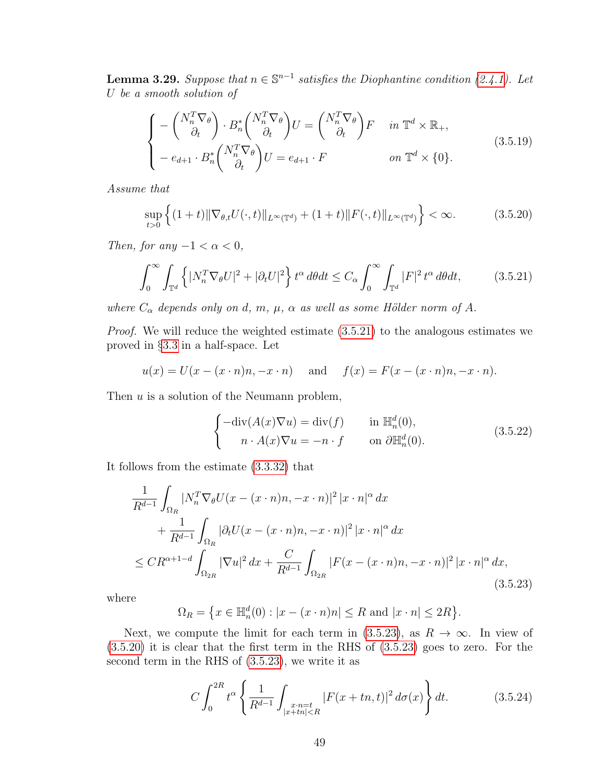**Lemma 3.29.** Suppose that  $n \in \mathbb{S}^{n-1}$  satisfies the Diophantine condition [\(2.4.1\)](#page-22-0). Let U be a smooth solution of

$$
\begin{cases}\n-\begin{pmatrix}N_n^T \nabla_\theta\\ \partial_t\end{pmatrix} \cdot B_n^* \begin{pmatrix}N_n^T \nabla_\theta\\ \partial_t\end{pmatrix} U = \begin{pmatrix}N_n^T \nabla_\theta\\ \partial_t\end{pmatrix} F & \text{in } \mathbb{T}^d \times \mathbb{R}_+, \\
-e_{d+1} \cdot B_n^* \begin{pmatrix}N_n^T \nabla_\theta\\ \partial_t\end{pmatrix} U = e_{d+1} \cdot F & \text{on } \mathbb{T}^d \times \{0\}.\n\end{cases}
$$
\n(3.5.19)

Assume that

<span id="page-56-2"></span><span id="page-56-0"></span>
$$
\sup_{t>0} \left\{ (1+t) \|\nabla_{\theta,t} U(\cdot,t)\|_{L^{\infty}(\mathbb{T}^d)} + (1+t) \|F(\cdot,t)\|_{L^{\infty}(\mathbb{T}^d)} \right\} < \infty.
$$
 (3.5.20)

Then, for any  $-1 < \alpha < 0$ ,

$$
\int_0^\infty \int_{\mathbb{T}^d} \left\{ |N_n^T \nabla_{\theta} U|^2 + |\partial_t U|^2 \right\} t^\alpha \, d\theta dt \le C_\alpha \int_0^\infty \int_{\mathbb{T}^d} |F|^2 \, t^\alpha \, d\theta dt, \tag{3.5.21}
$$

where  $C_{\alpha}$  depends only on d, m,  $\mu$ ,  $\alpha$  as well as some Hölder norm of A.

Proof. We will reduce the weighted estimate [\(3.5.21\)](#page-56-0) to the analogous estimates we proved in §[3.3](#page-38-1) in a half-space. Let

$$
u(x) = U(x - (x \cdot n)n, -x \cdot n)
$$
 and  $f(x) = F(x - (x \cdot n)n, -x \cdot n)$ .

Then  $u$  is a solution of the Neumann problem,

<span id="page-56-1"></span>
$$
\begin{cases}\n-\text{div}(A(x)\nabla u) = \text{div}(f) & \text{in } \mathbb{H}_n^d(0), \\
n \cdot A(x)\nabla u = -n \cdot f & \text{on } \partial \mathbb{H}_n^d(0).\n\end{cases}
$$
\n(3.5.22)

It follows from the estimate [\(3.3.32\)](#page-45-2) that

$$
\frac{1}{R^{d-1}} \int_{\Omega_R} |N_n^T \nabla_{\theta} U(x - (x \cdot n)n, -x \cdot n)|^2 |x \cdot n|^{\alpha} dx \n+ \frac{1}{R^{d-1}} \int_{\Omega_R} |\partial_t U(x - (x \cdot n)n, -x \cdot n)|^2 |x \cdot n|^{\alpha} dx \n\leq CR^{\alpha+1-d} \int_{\Omega_{2R}} |\nabla u|^2 dx + \frac{C}{R^{d-1}} \int_{\Omega_{2R}} |F(x - (x \cdot n)n, -x \cdot n)|^2 |x \cdot n|^{\alpha} dx,
$$
\n(3.5.23)

where

$$
\Omega_R = \{ x \in \mathbb{H}_n^d(0) : |x - (x \cdot n)n| \le R \text{ and } |x \cdot n| \le 2R \}.
$$

Next, we compute the limit for each term in [\(3.5.23\)](#page-56-1), as  $R \to \infty$ . In view of [\(3.5.20\)](#page-56-2) it is clear that the first term in the RHS of [\(3.5.23\)](#page-56-1) goes to zero. For the second term in the RHS of [\(3.5.23\)](#page-56-1), we write it as

$$
C \int_0^{2R} t^{\alpha} \left\{ \frac{1}{R^{d-1}} \int_{\substack{x \cdot n = t \\ |x+tn| < R}} |F(x+tn, t)|^2 \, d\sigma(x) \right\} dt. \tag{3.5.24}
$$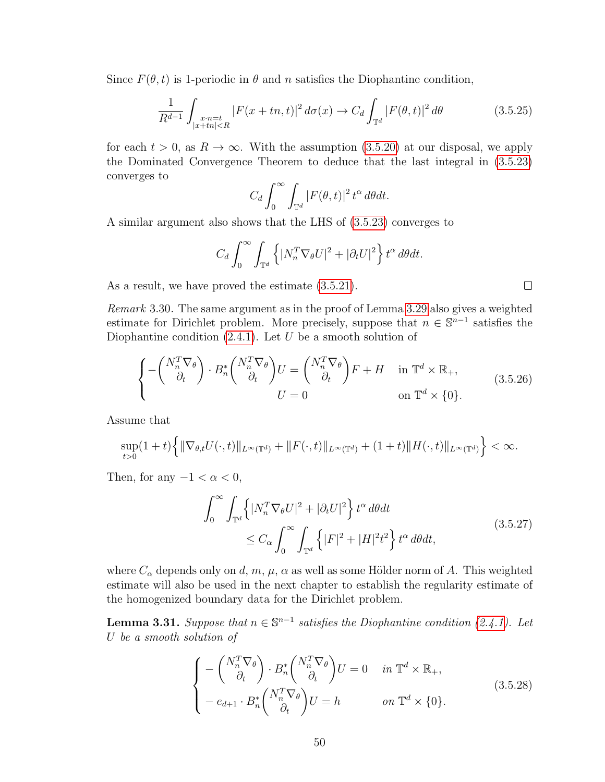Since  $F(\theta, t)$  is 1-periodic in  $\theta$  and n satisfies the Diophantine condition,

$$
\frac{1}{R^{d-1}} \int_{\substack{x \cdot n = t \\ |x+tn| < R}} |F(x+tn, t)|^2 \, d\sigma(x) \to C_d \int_{\mathbb{T}^d} |F(\theta, t)|^2 \, d\theta \tag{3.5.25}
$$

for each  $t > 0$ , as  $R \to \infty$ . With the assumption [\(3.5.20\)](#page-56-2) at our disposal, we apply the Dominated Convergence Theorem to deduce that the last integral in [\(3.5.23\)](#page-56-1) converges to

$$
C_d \int_0^\infty \int_{\mathbb{T}^d} |F(\theta, t)|^2 t^\alpha d\theta dt.
$$

A similar argument also shows that the LHS of [\(3.5.23\)](#page-56-1) converges to

$$
C_d \int_0^\infty \int_{\mathbb{T}^d} \left\{ |N_n^T \nabla_{\theta} U|^2 + |\partial_t U|^2 \right\} t^\alpha \, d\theta dt.
$$

As a result, we have proved the estimate [\(3.5.21\)](#page-56-0).

Remark 3.30. The same argument as in the proof of Lemma [3.29](#page-55-2) also gives a weighted estimate for Dirichlet problem. More precisely, suppose that  $n \in \mathbb{S}^{n-1}$  satisfies the Diophantine condition  $(2.4.1)$ . Let U be a smooth solution of

$$
\begin{cases}\n-\begin{pmatrix}N_n^T \nabla_\theta\\ \partial_t\end{pmatrix} \cdot B_n^* \begin{pmatrix}N_n^T \nabla_\theta\\ \partial_t\end{pmatrix} U = \begin{pmatrix}N_n^T \nabla_\theta\\ \partial_t\end{pmatrix} F + H & \text{in } \mathbb{T}^d \times \mathbb{R}_+, \\
U = 0 & \text{on } \mathbb{T}^d \times \{0\}.\n\end{cases} (3.5.26)
$$

Assume that

$$
\sup_{t>0}(1+t)\Big\{\|\nabla_{\theta,t}U(\cdot,t)\|_{L^{\infty}(\mathbb{T}^d)}+\|F(\cdot,t)\|_{L^{\infty}(\mathbb{T}^d)}+(1+t)\|H(\cdot,t)\|_{L^{\infty}(\mathbb{T}^d)}\Big\}<\infty.
$$

Then, for any  $-1 < \alpha < 0$ ,

$$
\int_0^\infty \int_{\mathbb{T}^d} \left\{ |N_n^T \nabla_{\theta} U|^2 + |\partial_t U|^2 \right\} t^\alpha \, d\theta dt
$$
\n
$$
\leq C_\alpha \int_0^\infty \int_{\mathbb{T}^d} \left\{ |F|^2 + |H|^2 t^2 \right\} t^\alpha \, d\theta dt,\tag{3.5.27}
$$

where  $C_{\alpha}$  depends only on d, m,  $\mu$ ,  $\alpha$  as well as some Hölder norm of A. This weighted estimate will also be used in the next chapter to establish the regularity estimate of the homogenized boundary data for the Dirichlet problem.

<span id="page-57-0"></span>**Lemma 3.31.** Suppose that  $n \in \mathbb{S}^{n-1}$  satisfies the Diophantine condition [\(2.4.1\)](#page-22-0). Let U be a smooth solution of

$$
\begin{cases}\n-\begin{pmatrix}N_n^T \nabla_\theta\\ \partial_t\end{pmatrix} \cdot B_n^* \begin{pmatrix}N_n^T \nabla_\theta\\ \partial_t\end{pmatrix} U = 0 & \text{in } \mathbb{T}^d \times \mathbb{R}_+, \\
-\ e_{d+1} \cdot B_n^* \begin{pmatrix}N_n^T \nabla_\theta\\ \partial_t\end{pmatrix} U = h & \text{on } \mathbb{T}^d \times \{0\}.\n\end{cases}
$$
\n(3.5.28)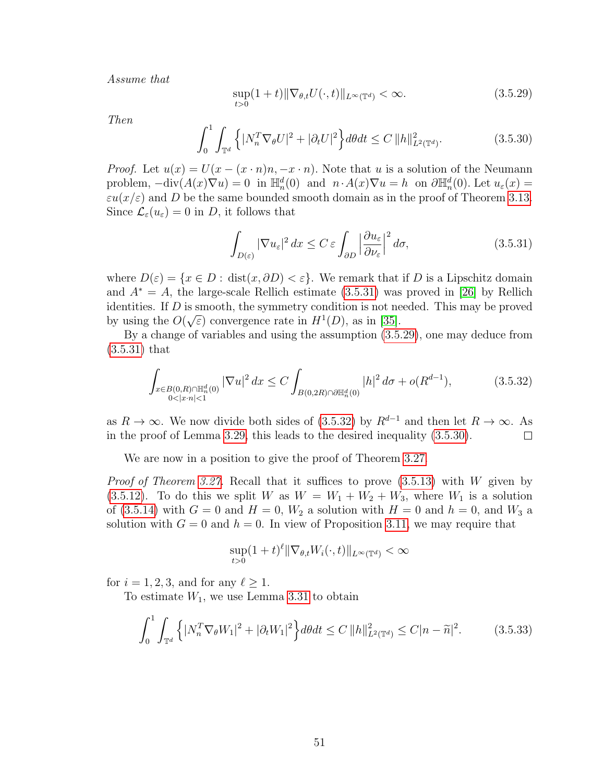Assume that

$$
\sup_{t>0}(1+t)\|\nabla_{\theta,t}U(\cdot,t)\|_{L^{\infty}(\mathbb{T}^d)} < \infty.
$$
\n(3.5.29)

<span id="page-58-3"></span>Then

<span id="page-58-1"></span>
$$
\int_0^1 \int_{\mathbb{T}^d} \left\{ |N_n^T \nabla_{\theta} U|^2 + |\partial_t U|^2 \right\} d\theta dt \le C \|h\|_{L^2(\mathbb{T}^d)}^2.
$$
 (3.5.30)

*Proof.* Let  $u(x) = U(x - (x \cdot n)n, -x \cdot n)$ . Note that u is a solution of the Neumann problem,  $-\text{div}(A(x)\nabla u) = 0$  in  $\mathbb{H}_n^d(0)$  and  $n \cdot A(x)\nabla u = h$  on  $\partial \mathbb{H}_n^d(0)$ . Let  $u_\varepsilon(x) =$  $\varepsilon u(x/\varepsilon)$  and D be the same bounded smooth domain as in the proof of Theorem [3.13.](#page-38-0) Since  $\mathcal{L}_{\varepsilon}(u_{\varepsilon})=0$  in D, it follows that

<span id="page-58-0"></span>
$$
\int_{D(\varepsilon)} |\nabla u_{\varepsilon}|^2 dx \le C \varepsilon \int_{\partial D} \left| \frac{\partial u_{\varepsilon}}{\partial \nu_{\varepsilon}} \right|^2 d\sigma, \tag{3.5.31}
$$

where  $D(\varepsilon) = \{x \in D : \text{dist}(x, \partial D) < \varepsilon\}$ . We remark that if D is a Lipschitz domain and  $A^* = A$ , the large-scale Rellich estimate [\(3.5.31\)](#page-58-0) was proved in [\[26\]](#page-109-3) by Rellich identities. If D is smooth, the symmetry condition is not needed. This may be proved by using the  $O(\sqrt{\varepsilon})$  convergence rate in  $H^1(D)$ , as in [\[35\]](#page-110-3).

By a change of variables and using the assumption [\(3.5.29\)](#page-58-1), one may deduce from [\(3.5.31\)](#page-58-0) that

<span id="page-58-2"></span>
$$
\int_{\substack{x \in B(0,R)\cap \mathbb{H}_n^d(0) \\ 0 < |x \cdot n| < 1}} |\nabla u|^2 \, dx \le C \int_{B(0,2R)\cap \partial \mathbb{H}_n^d(0)} |h|^2 \, d\sigma + o(R^{d-1}),\tag{3.5.32}
$$

as  $R \to \infty$ . We now divide both sides of [\(3.5.32\)](#page-58-2) by  $R^{d-1}$  and then let  $R \to \infty$ . As in the proof of Lemma [3.29,](#page-55-2) this leads to the desired inequality [\(3.5.30\)](#page-58-3).  $\Box$ 

We are now in a position to give the proof of Theorem [3.27.](#page-54-3)

*Proof of Theorem [3.27.](#page-54-3)* Recall that it suffices to prove  $(3.5.13)$  with W given by [\(3.5.12\)](#page-54-4). To do this we split W as  $W = W_1 + W_2 + W_3$ , where  $W_1$  is a solution of [\(3.5.14\)](#page-55-3) with  $G = 0$  and  $H = 0$ ,  $W_2$  a solution with  $H = 0$  and  $h = 0$ , and  $W_3$  a solution with  $G = 0$  and  $h = 0$ . In view of Proposition [3.11,](#page-34-3) we may require that

$$
\sup_{t>0}(1+t)^{\ell} \|\nabla_{\theta,t}W_i(\cdot,t)\|_{L^{\infty}(\mathbb{T}^d)} < \infty
$$

for  $i = 1, 2, 3$ , and for any  $\ell \geq 1$ .

To estimate  $W_1$ , we use Lemma [3.31](#page-57-0) to obtain

$$
\int_0^1 \int_{\mathbb{T}^d} \left\{ |N_n^T \nabla_{\theta} W_1|^2 + |\partial_t W_1|^2 \right\} d\theta dt \le C \|h\|_{L^2(\mathbb{T}^d)}^2 \le C |n - \widetilde{n}|^2. \tag{3.5.33}
$$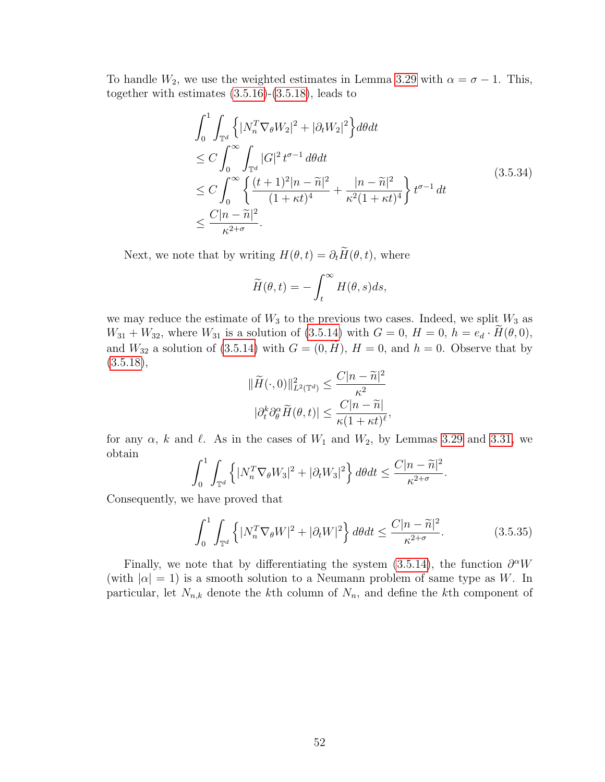To handle  $W_2$ , we use the weighted estimates in Lemma [3.29](#page-55-2) with  $\alpha = \sigma - 1$ . This, together with estimates  $(3.5.16)-(3.5.18)$  $(3.5.16)-(3.5.18)$ , leads to

$$
\int_0^1 \int_{\mathbb{T}^d} \left\{ |N_n^T \nabla_{\theta} W_2|^2 + |\partial_t W_2|^2 \right\} d\theta dt
$$
\n
$$
\leq C \int_0^\infty \int_{\mathbb{T}^d} |G|^2 t^{\sigma - 1} d\theta dt
$$
\n
$$
\leq C \int_0^\infty \left\{ \frac{(t+1)^2 |n-\tilde{n}|^2}{(1+\kappa t)^4} + \frac{|n-\tilde{n}|^2}{\kappa^2 (1+\kappa t)^4} \right\} t^{\sigma - 1} dt
$$
\n
$$
\leq \frac{C |n-\tilde{n}|^2}{\kappa^{2+\sigma}}.
$$
\n(3.5.34)

Next, we note that by writing  $H(\theta, t) = \partial_t \widetilde{H}(\theta, t)$ , where

$$
\widetilde{H}(\theta, t) = -\int_t^\infty H(\theta, s)ds,
$$

we may reduce the estimate of  $W_3$  to the previous two cases. Indeed, we split  $W_3$  as  $W_{31} + W_{32}$ , where  $W_{31}$  is a solution of [\(3.5.14\)](#page-55-3) with  $G = 0$ ,  $H = 0$ ,  $h = e_d \cdot H(\theta, 0)$ , and  $W_{32}$  a solution of [\(3.5.14\)](#page-55-3) with  $G = (0, \tilde{H}), H = 0$ , and  $h = 0$ . Observe that by  $(3.5.18),$  $(3.5.18),$ 

$$
\|\widetilde{H}(\cdot,0)\|_{L^2(\mathbb{T}^d)}^2 \le \frac{C|n-\widetilde{n}|^2}{\kappa^2}
$$

$$
|\partial_t^k \partial_\theta^\alpha \widetilde{H}(\theta,t)| \le \frac{C|n-\widetilde{n}|}{\kappa(1+\kappa t)^\ell},
$$

for any  $\alpha$ , k and  $\ell$ . As in the cases of  $W_1$  and  $W_2$ , by Lemmas [3.29](#page-55-2) and [3.31,](#page-57-0) we obtain

$$
\int_0^1 \int_{\mathbb{T}^d} \left\{ |N_n^T \nabla_{\theta} W_3|^2 + |\partial_t W_3|^2 \right\} d\theta dt \le \frac{C|n - \widetilde{n}|^2}{\kappa^{2+\sigma}}
$$

Consequently, we have proved that

$$
\int_0^1 \int_{\mathbb{T}^d} \left\{ |N_n^T \nabla_{\theta} W|^2 + |\partial_t W|^2 \right\} d\theta dt \le \frac{C |n - \widetilde{n}|^2}{\kappa^{2+\sigma}}.
$$
 (3.5.35)

.

Finally, we note that by differentiating the system [\(3.5.14\)](#page-55-3), the function  $\partial^{\alpha}W$ (with  $|\alpha|=1$ ) is a smooth solution to a Neumann problem of same type as W. In particular, let  $N_{n,k}$  denote the kth column of  $N_n$ , and define the kth component of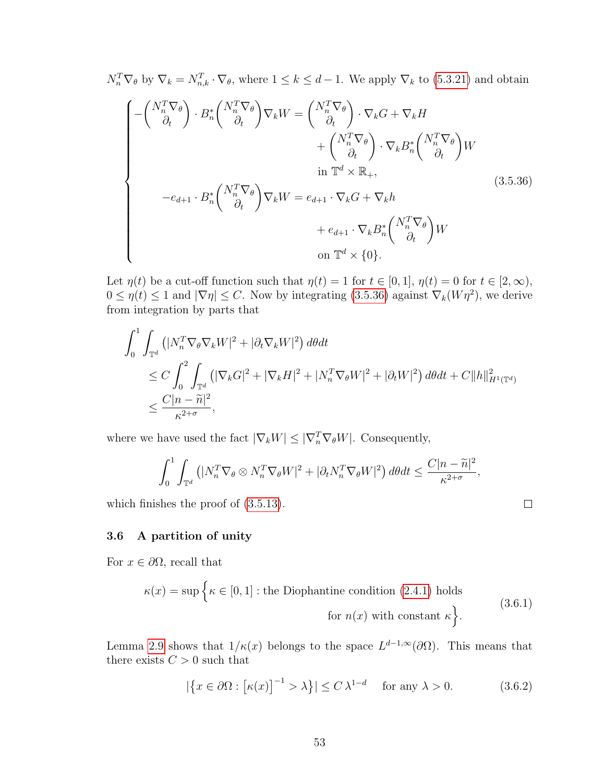<span id="page-60-0"></span>
$$
N_n^T \nabla_{\theta} \text{ by } \nabla_k = N_{n,k}^T \cdot \nabla_{\theta}, \text{ where } 1 \le k \le d - 1. \text{ We apply } \nabla_k \text{ to (5.3.21) and obtain}
$$
\n
$$
\begin{aligned}\n&\left(-\begin{pmatrix} N_n^T \nabla_{\theta} \\ \partial_t \end{pmatrix} \cdot B_n^* \begin{pmatrix} N_n^T \nabla_{\theta} \\ \partial_t \end{pmatrix} \nabla_k W = \begin{pmatrix} N_n^T \nabla_{\theta} \\ \partial_t \end{pmatrix} \cdot \nabla_k G + \nabla_k H \\
&+ \begin{pmatrix} N_n^T \nabla_{\theta} \\ \partial_t \end{pmatrix} \cdot \nabla_k B_n^* \begin{pmatrix} N_n^T \nabla_{\theta} \\ \partial_t \end{pmatrix} W \\
&\text{in } \mathbb{T}^d \times \mathbb{R}_+, \\
&-e_{d+1} \cdot B_n^* \begin{pmatrix} N_n^T \nabla_{\theta} \\ \partial_t \end{pmatrix} \nabla_k W = e_{d+1} \cdot \nabla_k G + \nabla_k h \\
&+ e_{d+1} \cdot \nabla_k B_n^* \begin{pmatrix} N_n^T \nabla_{\theta} \\ \partial_t \end{pmatrix} W \\
&\text{on } \mathbb{T}^d \times \{0\}.\n\end{aligned}
$$
\n(3.5.36)

Let  $\eta(t)$  be a cut-off function such that  $\eta(t) = 1$  for  $t \in [0, 1]$ ,  $\eta(t) = 0$  for  $t \in [2, \infty)$ ,  $0 \leq \eta(t) \leq 1$  and  $|\nabla \eta| \leq C$ . Now by integrating [\(3.5.36\)](#page-60-0) against  $\nabla_k(W\eta^2)$ , we derive from integration by parts that

$$
\int_0^1 \int_{\mathbb{T}^d} \left( |N_n^T \nabla_{\theta} \nabla_k W|^2 + |\partial_t \nabla_k W|^2 \right) d\theta dt
$$
  
\n
$$
\leq C \int_0^2 \int_{\mathbb{T}^d} \left( |\nabla_k G|^2 + |\nabla_k H|^2 + |N_n^T \nabla_{\theta} W|^2 + |\partial_t W|^2 \right) d\theta dt + C ||h||_{H^1(\mathbb{T}^d)}^2
$$
  
\n
$$
\leq \frac{C |n - \tilde{n}|^2}{\kappa^{2+\sigma}},
$$

where we have used the fact  $|\nabla_k W| \leq |\nabla_n^T \nabla_{\theta} W|$ . Consequently,

$$
\int_0^1 \int_{\mathbb{T}^d} \left( |N_n^T \nabla_{\theta} \otimes N_n^T \nabla_{\theta} W|^2 + |\partial_t N_n^T \nabla_{\theta} W|^2 \right) d\theta dt \le \frac{C|n - \widetilde{n}|^2}{\kappa^{2+\sigma}},
$$

which finishes the proof of [\(3.5.13\)](#page-55-0).

<span id="page-60-3"></span>3.6 A partition of unity

For  $x \in \partial\Omega$ , recall that

$$
\kappa(x) = \sup \left\{ \kappa \in [0, 1] : \text{the Diophantine condition (2.4.1) holds} \right\}
$$
\n
$$
\text{for } n(x) \text{ with constant } \kappa \left\}.
$$
\n(3.6.1)

<span id="page-60-2"></span>Lemma [2.9](#page-22-1) shows that  $1/\kappa(x)$  belongs to the space  $L^{d-1,\infty}(\partial\Omega)$ . This means that there exists  $C > 0$  such that

<span id="page-60-1"></span>
$$
|\{x \in \partial\Omega : [\kappa(x)]^{-1} > \lambda\}| \le C\,\lambda^{1-d} \quad \text{for any } \lambda > 0. \tag{3.6.2}
$$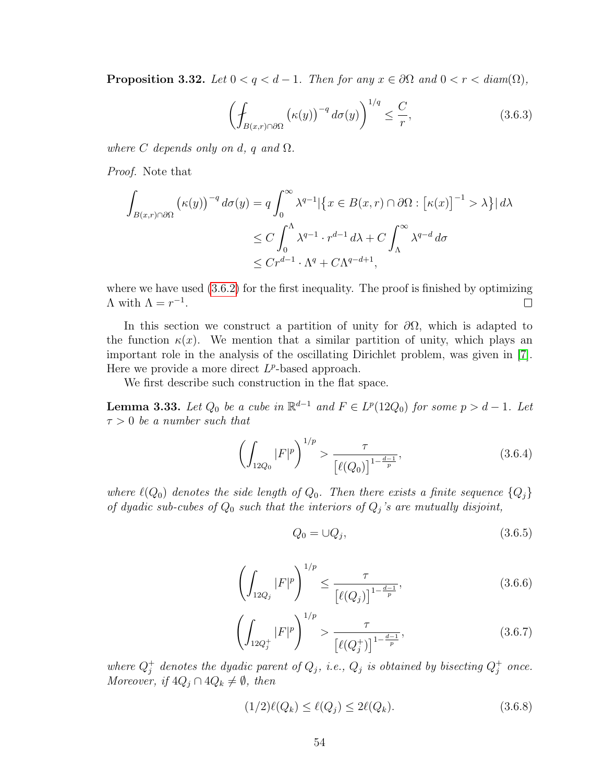**Proposition 3.32.** Let  $0 < q < d-1$ . Then for any  $x \in \partial\Omega$  and  $0 < r < diam(\Omega)$ ,

$$
\left(\oint_{B(x,r)\cap\partial\Omega} \left(\kappa(y)\right)^{-q} d\sigma(y)\right)^{1/q} \leq \frac{C}{r},\tag{3.6.3}
$$

where C depends only on d, q and  $\Omega$ .

Proof. Note that

$$
\int_{B(x,r)\cap\partial\Omega} (\kappa(y))^{-q} d\sigma(y) = q \int_0^\infty \lambda^{q-1} |\{x \in B(x,r) \cap \partial\Omega : [\kappa(x)]^{-1} > \lambda\}| d\lambda
$$
  
\n
$$
\leq C \int_0^\Lambda \lambda^{q-1} \cdot r^{d-1} d\lambda + C \int_\Lambda^\infty \lambda^{q-d} d\sigma
$$
  
\n
$$
\leq C r^{d-1} \cdot \Lambda^q + C\Lambda^{q-d+1},
$$

where we have used  $(3.6.2)$  for the first inequality. The proof is finished by optimizing  $\Lambda$  with  $\Lambda = r^{-1}$ .  $\Box$ 

In this section we construct a partition of unity for  $\partial\Omega$ , which is adapted to the function  $\kappa(x)$ . We mention that a similar partition of unity, which plays an important role in the analysis of the oscillating Dirichlet problem, was given in [\[7\]](#page-108-4). Here we provide a more direct  $L^p$ -based approach.

We first describe such construction in the flat space.

<span id="page-61-3"></span>**Lemma 3.33.** Let  $Q_0$  be a cube in  $\mathbb{R}^{d-1}$  and  $F \in L^p(12Q_0)$  for some  $p > d - 1$ . Let  $\tau > 0$  be a number such that

$$
\left(\int_{12Q_0} |F|^p\right)^{1/p} > \frac{\tau}{\left[\ell(Q_0)\right]^{1-\frac{d-1}{p}}},\tag{3.6.4}
$$

where  $\ell(Q_0)$  denotes the side length of  $Q_0$ . Then there exists a finite sequence  $\{Q_j\}$ of dyadic sub-cubes of  $Q_0$  such that the interiors of  $Q_j$ 's are mutually disjoint,

<span id="page-61-0"></span>
$$
Q_0 = \cup Q_j,\tag{3.6.5}
$$

$$
\left(\int_{12Q_j} |F|^p\right)^{1/p} \le \frac{\tau}{\left[\ell(Q_j)\right]^{1-\frac{d-1}{p}}},\tag{3.6.6}
$$

$$
\left(\int_{12Q_j^+} |F|^p\right)^{1/p} > \frac{\tau}{\left[\ell(Q_j^+)\right]^{1-\frac{d-1}{p}}},\tag{3.6.7}
$$

<span id="page-61-1"></span>where  $Q_i^+$  $j^+$  denotes the dyadic parent of  $Q_j$ , i.e.,  $Q_j$  is obtained by bisecting  $Q_j^+$  $j^+$  once. Moreover, if  $4Q_j \cap 4Q_k \neq \emptyset$ , then

<span id="page-61-2"></span>
$$
(1/2)\ell(Q_k) \le \ell(Q_j) \le 2\ell(Q_k). \tag{3.6.8}
$$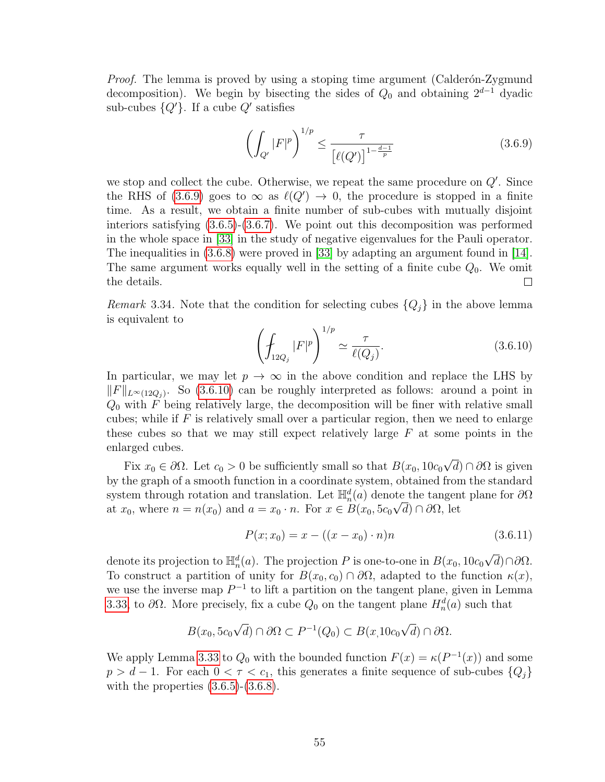*Proof.* The lemma is proved by using a stoping time argument (Calderón-Zygmund decomposition). We begin by bisecting the sides of  $Q_0$  and obtaining  $2^{d-1}$  dyadic sub-cubes  ${Q'}.$  If a cube  $Q'$  satisfies

<span id="page-62-0"></span>
$$
\left(\int_{Q'} |F|^p\right)^{1/p} \le \frac{\tau}{\left[\ell(Q')\right]^{1-\frac{d-1}{p}}}
$$
\n(3.6.9)

we stop and collect the cube. Otherwise, we repeat the same procedure on  $Q'$ . Since the RHS of [\(3.6.9\)](#page-62-0) goes to  $\infty$  as  $\ell(Q') \to 0$ , the procedure is stopped in a finite time. As a result, we obtain a finite number of sub-cubes with mutually disjoint interiors satisfying [\(3.6.5\)](#page-61-0)-[\(3.6.7\)](#page-61-1). We point out this decomposition was performed in the whole space in [\[33\]](#page-110-4) in the study of negative eigenvalues for the Pauli operator. The inequalities in [\(3.6.8\)](#page-61-2) were proved in [\[33\]](#page-110-4) by adapting an argument found in [\[14\]](#page-109-4). The same argument works equally well in the setting of a finite cube  $Q_0$ . We omit the details.  $\perp$ 

*Remark* 3.34. Note that the condition for selecting cubes  $\{Q_j\}$  in the above lemma is equivalent to

<span id="page-62-1"></span>
$$
\left(\oint_{12Q_j} |F|^p\right)^{1/p} \simeq \frac{\tau}{\ell(Q_j)}.\tag{3.6.10}
$$

In particular, we may let  $p \to \infty$  in the above condition and replace the LHS by  $||F||_{L^{\infty}(12Q_j)}$ . So [\(3.6.10\)](#page-62-1) can be roughly interpreted as follows: around a point in  $Q_0$  with F being relatively large, the decomposition will be finer with relative small cubes; while if  $F$  is relatively small over a particular region, then we need to enlarge these cubes so that we may still expect relatively large  $F$  at some points in the enlarged cubes. √

Fix  $x_0 \in \partial\Omega$ . Let  $c_0 > 0$  be sufficiently small so that  $B(x_0, 10c_0)$  $(d) \cap \partial \Omega$  is given by the graph of a smooth function in a coordinate system, obtained from the standard system through rotation and translation. Let  $\mathbb{H}_n^d(a)$  denote the tangent plane for  $\partial\Omega$ at  $x_0$ , where  $n = n(x_0)$  and  $a = x_0 \cdot n$ . For  $x \in B(x_0, 5c_0 \sqrt{d}) \cap \partial \Omega$ , let

$$
P(x; x_0) = x - ((x - x_0) \cdot n)n \tag{3.6.11}
$$

denote its projection to  $\mathbb{H}_n^d(a)$ . The projection P is one-to-one in  $B(x_0, 10c_0)$ √  $d) \cap \partial \Omega$ . To construct a partition of unity for  $B(x_0, c_0) \cap \partial\Omega$ , adapted to the function  $\kappa(x)$ , we use the inverse map  $P^{-1}$  to lift a partition on the tangent plane, given in Lemma [3.33,](#page-61-3) to  $\partial\Omega$ . More precisely, fix a cube  $Q_0$  on the tangent plane  $H_n^d(a)$  such that

$$
B(x_0, 5c_0\sqrt{d}) \cap \partial\Omega \subset P^{-1}(Q_0) \subset B(x, 10c_0\sqrt{d}) \cap \partial\Omega.
$$

We apply Lemma [3.33](#page-61-3) to  $Q_0$  with the bounded function  $F(x) = \kappa(P^{-1}(x))$  and some  $p > d - 1$ . For each  $0 < \tau < c_1$ , this generates a finite sequence of sub-cubes  $\{Q_j\}$ with the properties  $(3.6.5)-(3.6.8)$  $(3.6.5)-(3.6.8)$ .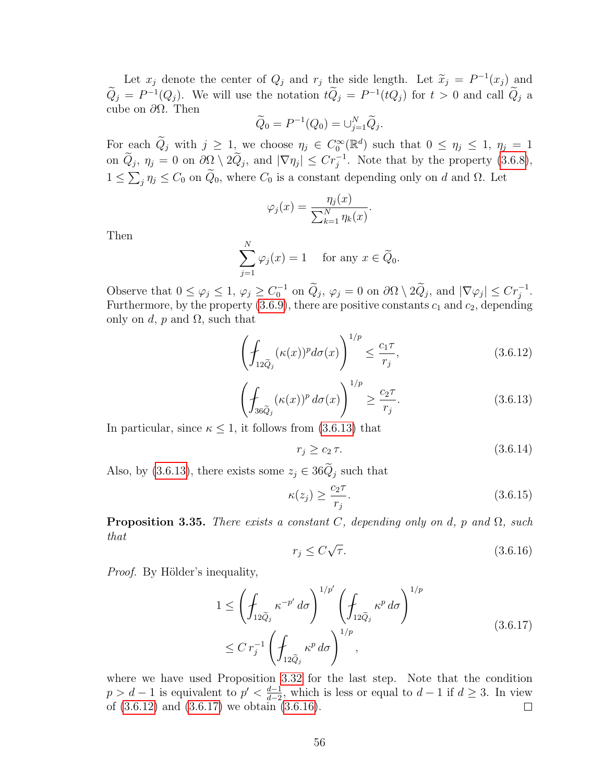Let  $x_j$  denote the center of  $Q_j$  and  $r_j$  the side length. Let  $\widetilde{x}_j = P^{-1}(x_j)$  and  $P^{-1}(Q)$ ,  $W_{i,j}$  ill go the static  $\widetilde{Q} = P^{-1}(Q)$ ,  $\widetilde{Q} = Q^{-1}(Q)$  $\hat{Q}_j = P^{-1}(Q_j)$ . We will use the notation  $t\hat{Q}_j = P^{-1}(tQ_j)$  for  $t > 0$  and call  $\hat{Q}_j$  a cube on  $\partial\Omega$ . Then

$$
\widetilde{Q}_0 = P^{-1}(Q_0) = \bigcup_{j=1}^N \widetilde{Q}_j.
$$

For each  $\widetilde{Q}_j$  with  $j \geq 1$ , we choose  $\eta_j \in C_0^{\infty}(\mathbb{R}^d)$  such that  $0 \leq \eta_j \leq 1$ ,  $\eta_j = 1$ on  $\widetilde{Q}_j$ ,  $\eta_j = 0$  on  $\partial \Omega \setminus 2\widetilde{Q}_j$ , and  $|\nabla \eta_j| \leq Cr_j^{-1}$ . Note that by the property  $(3.6.8)$ ,  $1 \le \sum_j \eta_j \le C_0$  on  $Q_0$ , where  $C_0$  is a constant depending only on d and  $\Omega$ . Let

$$
\varphi_j(x) = \frac{\eta_j(x)}{\sum_{k=1}^N \eta_k(x)}.
$$

Then

$$
\sum_{j=1}^{N} \varphi_j(x) = 1 \quad \text{for any } x \in \widetilde{Q}_0.
$$

Observe that  $0 \le \varphi_j \le 1$ ,  $\varphi_j \ge C_0^{-1}$  on  $\widetilde{Q}_j$ ,  $\varphi_j = 0$  on  $\partial \Omega \setminus 2\widetilde{Q}_j$ , and  $|\nabla \varphi_j| \le Cr_j^{-1}$ . Furthermore, by the property  $(3.6.9)$ , there are positive constants  $c_1$  and  $c_2$ , depending only on d, p and  $\Omega$ , such that

<span id="page-63-1"></span>
$$
\left(\oint_{12\tilde{Q}_j} (\kappa(x))^p d\sigma(x)\right)^{1/p} \le \frac{c_1\tau}{r_j},\tag{3.6.12}
$$

$$
\left(\oint_{36\tilde{Q}_j} (\kappa(x))^p \, d\sigma(x)\right)^{1/p} \ge \frac{c_2 \tau}{r_j}.\tag{3.6.13}
$$

<span id="page-63-0"></span>In particular, since  $\kappa \leq 1$ , it follows from [\(3.6.13\)](#page-63-0) that

<span id="page-63-6"></span>
$$
r_j \ge c_2 \tau. \tag{3.6.14}
$$

Also, by [\(3.6.13\)](#page-63-0), there exists some  $z_j \in 36\tilde{Q}_j$  such that

$$
\kappa(z_j) \ge \frac{c_2 \tau}{r_j}.\tag{3.6.15}
$$

<span id="page-63-4"></span><span id="page-63-3"></span>**Proposition 3.35.** There exists a constant C, depending only on d, p and  $\Omega$ , such that √

<span id="page-63-2"></span>
$$
r_j \le C\sqrt{\tau}.\tag{3.6.16}
$$

*Proof.* By Hölder's inequality,

$$
1 \leq \left( \oint_{12\tilde{Q}_j} \kappa^{-p'} d\sigma \right)^{1/p'} \left( \oint_{12\tilde{Q}_j} \kappa^p d\sigma \right)^{1/p} \n\leq C r_j^{-1} \left( \oint_{12\tilde{Q}_j} \kappa^p d\sigma \right)^{1/p},
$$
\n(3.6.17)

<span id="page-63-5"></span>where we have used Proposition [3.32](#page-60-2) for the last step. Note that the condition  $p > d - 1$  is equivalent to  $p' < \frac{d-1}{d-2}$  $\frac{d-1}{d-2}$ , which is less or equal to  $d-1$  if  $d \geq 3$ . In view of [\(3.6.12\)](#page-63-1) and [\(3.6.17\)](#page-63-2) we obtain [\(3.6.16\)](#page-63-3).  $\Box$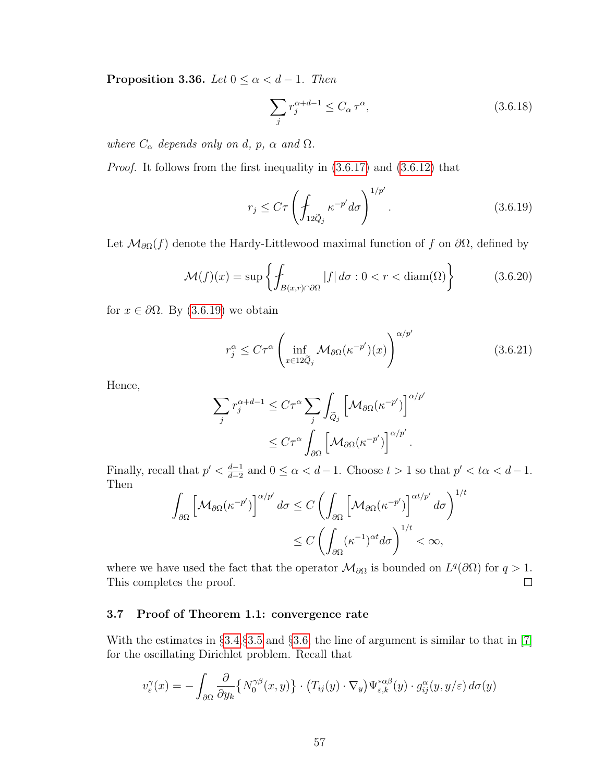**Proposition 3.36.** Let  $0 \le \alpha < d-1$ . Then

<span id="page-64-0"></span>
$$
\sum_{j} r_j^{\alpha + d - 1} \le C_\alpha \tau^\alpha,\tag{3.6.18}
$$

where  $C_{\alpha}$  depends only on d, p,  $\alpha$  and  $\Omega$ .

Proof. It follows from the first inequality in [\(3.6.17\)](#page-63-2) and [\(3.6.12\)](#page-63-1) that

$$
r_j \le C\tau \left(\int_{12\tilde{Q}_j} \kappa^{-p'} d\sigma\right)^{1/p'}.\tag{3.6.19}
$$

Let  $\mathcal{M}_{\partial\Omega}(f)$  denote the Hardy-Littlewood maximal function of f on  $\partial\Omega$ , defined by

$$
\mathcal{M}(f)(x) = \sup \left\{ \int_{B(x,r) \cap \partial \Omega} |f| \, d\sigma : 0 < r < \text{diam}(\Omega) \right\} \tag{3.6.20}
$$

for  $x \in \partial \Omega$ . By [\(3.6.19\)](#page-64-0) we obtain

$$
r_j^{\alpha} \le C\tau^{\alpha} \left( \inf_{x \in 12\tilde{Q}_j} \mathcal{M}_{\partial\Omega}(\kappa^{-p'})(x) \right)^{\alpha/p'} \tag{3.6.21}
$$

Hence,

$$
\sum_{j} r_j^{\alpha+d-1} \leq C\tau^{\alpha} \sum_{j} \int_{\widetilde{Q}_j} \left[ \mathcal{M}_{\partial\Omega}(\kappa^{-p'}) \right]^{\alpha/p'}
$$

$$
\leq C\tau^{\alpha} \int_{\partial\Omega} \left[ \mathcal{M}_{\partial\Omega}(\kappa^{-p'}) \right]^{\alpha/p'}.
$$

Finally, recall that  $p' < \frac{d-1}{d-2}$  $\frac{d-1}{d-2}$  and  $0 \le \alpha < d-1$ . Choose  $t > 1$  so that  $p' < t\alpha < d-1$ . Then  $/t$ 

$$
\int_{\partial\Omega} \left[ \mathcal{M}_{\partial\Omega}(\kappa^{-p'}) \right]^{\alpha/p'} d\sigma \le C \left( \int_{\partial\Omega} \left[ \mathcal{M}_{\partial\Omega}(\kappa^{-p'}) \right]^{\alpha t/p'} d\sigma \right)^{1}
$$
  

$$
\le C \left( \int_{\partial\Omega} (\kappa^{-1})^{\alpha t} d\sigma \right)^{1/t} < \infty,
$$

where we have used the fact that the operator  $\mathcal{M}_{\partial\Omega}$  is bounded on  $L^{q}(\partial\Omega)$  for  $q>1$ . This completes the proof.  $\Box$ 

# 3.7 Proof of Theorem 1.1: convergence rate

With the estimates in §[3.4,](#page-46-6)§[3.5](#page-52-0) and §[3.6,](#page-60-3) the line of argument is similar to that in [\[7\]](#page-108-4) for the oscillating Dirichlet problem. Recall that

$$
v_{\varepsilon}^{\gamma}(x) = -\int_{\partial\Omega} \frac{\partial}{\partial y_k} \{ N_0^{\gamma\beta}(x, y) \} \cdot (T_{ij}(y) \cdot \nabla_y) \Psi_{\varepsilon,k}^{*\alpha\beta}(y) \cdot g_{ij}^{\alpha}(y, y/\varepsilon) d\sigma(y)
$$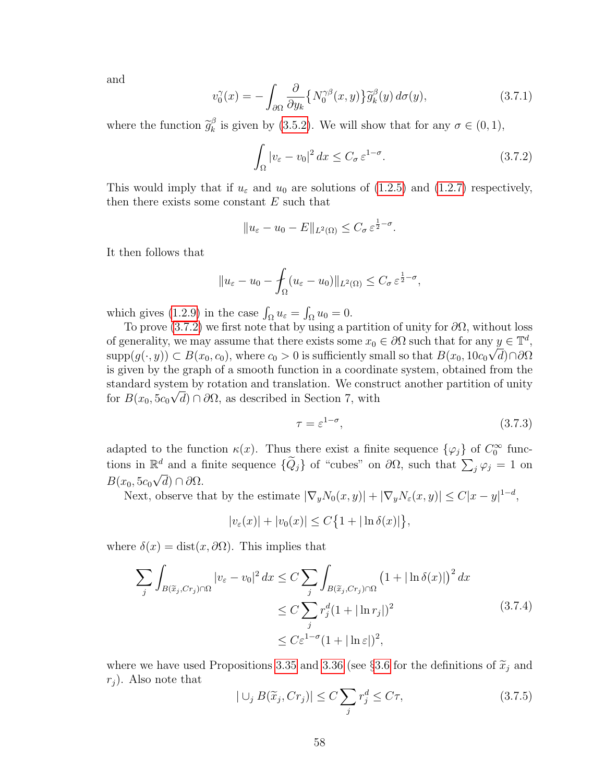and

$$
v_0^{\gamma}(x) = -\int_{\partial\Omega} \frac{\partial}{\partial y_k} \{ N_0^{\gamma\beta}(x, y) \} \tilde{g}_k^{\beta}(y) d\sigma(y), \qquad (3.7.1)
$$

where the function  $\widetilde{g}_k^{\beta}$  $\frac{\beta}{k}$  is given by [\(3.5.2\)](#page-53-0). We will show that for any  $\sigma \in (0,1)$ ,

<span id="page-65-0"></span>
$$
\int_{\Omega} |v_{\varepsilon} - v_0|^2 \, dx \le C_{\sigma} \, \varepsilon^{1 - \sigma}.
$$
\n(3.7.2)

This would imply that if  $u_{\varepsilon}$  and  $u_0$  are solutions of [\(1.2.5\)](#page-11-2) and [\(1.2.7\)](#page-12-0) respectively, then there exists some constant  $E$  such that

$$
||u_{\varepsilon}-u_0-E||_{L^2(\Omega)}\leq C_{\sigma}\,\varepsilon^{\frac{1}{2}-\sigma}.
$$

It then follows that

$$
||u_{\varepsilon}-u_0-\int_{\Omega}(u_{\varepsilon}-u_0)||_{L^2(\Omega)}\leq C_{\sigma}\,\varepsilon^{\frac{1}{2}-\sigma},
$$

which gives [\(1.2.9\)](#page-12-1) in the case  $\int_{\Omega} u_{\varepsilon} = \int_{\Omega} u_0 = 0.$ 

To prove [\(3.7.2\)](#page-65-0) we first note that by using a partition of unity for  $\partial\Omega$ , without loss of generality, we may assume that there exists some  $x_0 \in \partial\Omega$  such that for any  $y \in \mathbb{T}^d$ ,  $\text{supp}(g(\cdot,y)) \subset B(x_0,c_0)$ , where  $c_0 > 0$  is sufficiently small so that  $B(x_0,10c_0\sqrt{d})\cap\partial\Omega$ is given by the graph of a smooth function in a coordinate system, obtained from the standard system by rotation and translation. We construct another partition of unity for  $B(x_0, 5c_0\sqrt{d}) \cap \partial\Omega$ , as described in Section 7, with

$$
\tau = \varepsilon^{1-\sigma},\tag{3.7.3}
$$

adapted to the function  $\kappa(x)$ . Thus there exist a finite sequence  $\{\varphi_j\}$  of  $C_0^{\infty}$  functions in  $\mathbb{R}^d$  and a finite sequence  $\{\widetilde{Q}_j\}$  of "cubes" on  $\partial\Omega$ , such that  $\sum_j \varphi_j = 1$  on  $B(x_0, 5c_0\sqrt{d})\cap\partial\Omega.$ 

Next, observe that by the estimate  $|\nabla_y N_0(x,y)| + |\nabla_y N_\varepsilon(x,y)| \leq C |x-y|^{1-d}$ ,

<span id="page-65-1"></span> $|v_{\varepsilon}(x)| + |v_0(x)| \le C \{ 1 + |\ln \delta(x)| \},\,$ 

where  $\delta(x) = \text{dist}(x, \partial \Omega)$ . This implies that

$$
\sum_{j} \int_{B(\tilde{x}_j, Cr_j)\cap\Omega} |v_{\varepsilon} - v_0|^2 dx \le C \sum_{j} \int_{B(\tilde{x}_j, Cr_j)\cap\Omega} \left(1 + |\ln \delta(x)|\right)^2 dx
$$
  
\n
$$
\le C \sum_{j} r_j^d (1 + |\ln r_j|)^2
$$
  
\n
$$
\le C \varepsilon^{1-\sigma} (1 + |\ln \varepsilon|)^2,
$$
\n(3.7.4)

where we have used Propositions [3.35](#page-63-4) and [3.36](#page-63-5) (see §[3.6](#page-60-3) for the definitions of  $\tilde{x}_j$  and  $r_i$ ). Also note that

$$
|\bigcup_{j} B(\widetilde{x}_j, Cr_j)| \le C \sum_{j} r_j^d \le C\tau,
$$
\n(3.7.5)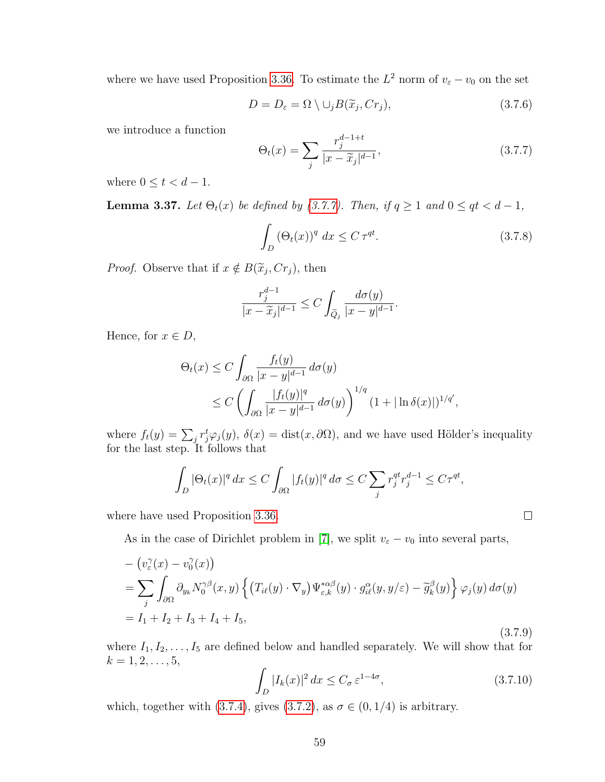where we have used Proposition [3.36.](#page-63-5) To estimate the  $L^2$  norm of  $v_{\varepsilon} - v_0$  on the set

<span id="page-66-0"></span>
$$
D = D_{\varepsilon} = \Omega \setminus \cup_{j} B(\widetilde{x}_{j}, Cr_{j}), \qquad (3.7.6)
$$

we introduce a function

$$
\Theta_t(x) = \sum_j \frac{r_j^{d-1+t}}{|x - \widetilde{x}_j|^{d-1}},\tag{3.7.7}
$$

<span id="page-66-1"></span>where  $0 \le t < d-1$ .

**Lemma 3.37.** Let  $\Theta_t(x)$  be defined by [\(3.7.7\)](#page-66-0). Then, if  $q \ge 1$  and  $0 \le qt < d-1$ ,

$$
\int_{D} \left(\Theta_t(x)\right)^q dx \le C \,\tau^{qt}.\tag{3.7.8}
$$

*Proof.* Observe that if  $x \notin B(\tilde{x}_j, Cr_j)$ , then

$$
\frac{r_j^{d-1}}{|x-\widetilde{x}_j|^{d-1}}\leq C\int_{\widetilde{Q}_j}\frac{d\sigma(y)}{|x-y|^{d-1}}.
$$

Hence, for  $x \in D$ ,

$$
\Theta_t(x) \le C \int_{\partial \Omega} \frac{f_t(y)}{|x - y|^{d-1}} d\sigma(y)
$$
  
 
$$
\le C \left( \int_{\partial \Omega} \frac{|f_t(y)|^q}{|x - y|^{d-1}} d\sigma(y) \right)^{1/q} (1 + |\ln \delta(x)|)^{1/q'},
$$

where  $f_t(y) = \sum_j r_j^t \varphi_j(y)$ ,  $\delta(x) = \text{dist}(x, \partial \Omega)$ , and we have used Hölder's inequality for the last step. It follows that

$$
\int_D |\Theta_t(x)|^q dx \le C \int_{\partial\Omega} |f_t(y)|^q d\sigma \le C \sum_j r_j^{qt} r_j^{d-1} \le C\tau^{qt},
$$

where have used Proposition [3.36.](#page-63-5)

As in the case of Dirichlet problem in [\[7\]](#page-108-4), we split  $v_{\varepsilon} - v_0$  into several parts,

$$
- \left(v_{\varepsilon}^{\gamma}(x) - v_{0}^{\gamma}(x)\right)
$$
  
=  $\sum_{j} \int_{\partial \Omega} \partial_{y_{k}} N_{0}^{\gamma\beta}(x, y) \left\{ \left(T_{i\ell}(y) \cdot \nabla_{y}\right) \Psi_{\varepsilon,k}^{*\alpha\beta}(y) \cdot g_{i\ell}^{\alpha}(y, y/\varepsilon) - \widetilde{g}_{k}^{\beta}(y) \right\} \varphi_{j}(y) d\sigma(y)$   
=  $I_{1} + I_{2} + I_{3} + I_{4} + I_{5},$  (3.7.9)

where  $I_1, I_2, \ldots, I_5$  are defined below and handled separately. We will show that for  $k = 1, 2, \ldots, 5,$ 

<span id="page-66-2"></span>
$$
\int_{D} |I_k(x)|^2 dx \le C_{\sigma} \varepsilon^{1-4\sigma},\tag{3.7.10}
$$

 $\Box$ 

which, together with [\(3.7.4\)](#page-65-1), gives [\(3.7.2\)](#page-65-0), as  $\sigma \in (0, 1/4)$  is arbitrary.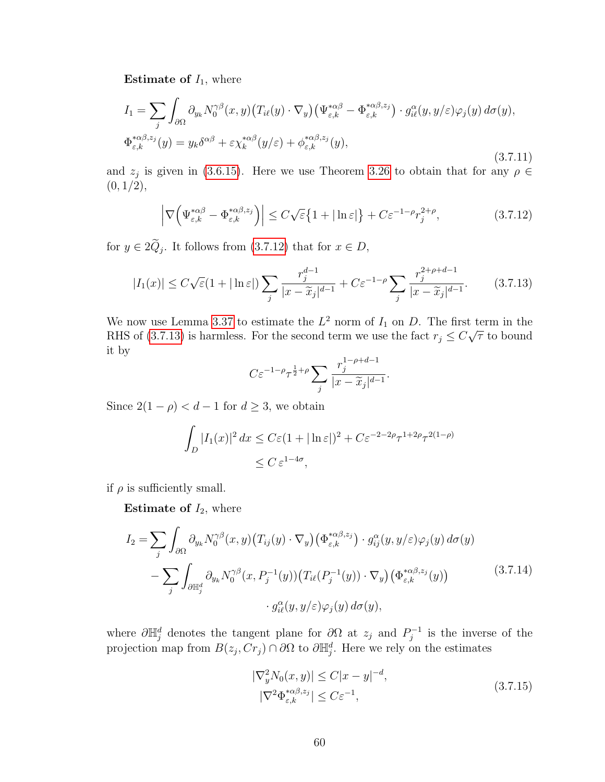**Estimate of**  $I_1$ , where

$$
I_{1} = \sum_{j} \int_{\partial \Omega} \partial_{y_{k}} N_{0}^{\gamma \beta}(x, y) \left( T_{i\ell}(y) \cdot \nabla_{y} \right) \left( \Psi_{\varepsilon, k}^{* \alpha \beta} - \Phi_{\varepsilon, k}^{* \alpha \beta, z_{j}} \right) \cdot g_{i\ell}^{\alpha}(y, y/\varepsilon) \varphi_{j}(y) d\sigma(y),
$$
  

$$
\Phi_{\varepsilon, k}^{* \alpha \beta, z_{j}}(y) = y_{k} \delta^{\alpha \beta} + \varepsilon \chi_{k}^{* \alpha \beta}(y/\varepsilon) + \phi_{\varepsilon, k}^{* \alpha \beta, z_{j}}(y),
$$
\n(3.7.11)

and  $z_j$  is given in [\(3.6.15\)](#page-63-6). Here we use Theorem [3.26](#page-52-4) to obtain that for any  $\rho \in$  $(0, 1/2),$ 

<span id="page-67-0"></span>
$$
\left|\nabla\Big(\Psi_{\varepsilon,k}^{*\alpha\beta} - \Phi_{\varepsilon,k}^{*\alpha\beta,z_j}\Big)\right| \le C\sqrt{\varepsilon}\left\{1 + |\ln \varepsilon|\right\} + C\varepsilon^{-1-\rho}r_j^{2+\rho},\tag{3.7.12}
$$

for  $y \in 2Q_j$ . It follows from [\(3.7.12\)](#page-67-0) that for  $x \in D$ ,

$$
|I_1(x)| \le C\sqrt{\varepsilon}(1+|\ln \varepsilon|) \sum_j \frac{r_j^{d-1}}{|x-\widetilde{x}_j|^{d-1}} + C\varepsilon^{-1-\rho} \sum_j \frac{r_j^{2+\rho+d-1}}{|x-\widetilde{x}_j|^{d-1}}.\tag{3.7.13}
$$

We now use Lemma [3.37](#page-66-1) to estimate the  $L^2$  norm of  $I_1$  on  $D$ . The first term in the RHS of [\(3.7.13\)](#page-67-1) is harmless. For the second term we use the fact  $r_j \leq C\sqrt{\tau}$  to bound it by

<span id="page-67-1"></span>
$$
C\varepsilon^{-1-\rho}\tau^{\frac{1}{2}+\rho}\sum_{j}\frac{r_j^{1-\rho+d-1}}{|x-\widetilde{x}_j|^{d-1}}.
$$

Since  $2(1 - \rho) < d - 1$  for  $d \geq 3$ , we obtain

$$
\int_{D} |I_1(x)|^2 dx \le C\varepsilon (1 + |\ln \varepsilon|)^2 + C\varepsilon^{-2-2\rho} \tau^{1+2\rho} \tau^{2(1-\rho)}
$$
  
  $\le C \varepsilon^{1-4\sigma},$ 

if  $\rho$  is sufficiently small.

**Estimate of**  $I_2$ , where

$$
I_2 = \sum_j \int_{\partial \Omega} \partial_{y_k} N_0^{\gamma \beta}(x, y) \left( T_{ij}(y) \cdot \nabla_y \right) \left( \Phi_{\varepsilon, k}^{* \alpha \beta, z_j} \right) \cdot g_{ij}^{\alpha}(y, y/\varepsilon) \varphi_j(y) \, d\sigma(y)
$$

$$
- \sum_j \int_{\partial \mathbb{H}_j^d} \partial_{y_k} N_0^{\gamma \beta}(x, P_j^{-1}(y)) \left( T_{i\ell}(P_j^{-1}(y)) \cdot \nabla_y \right) \left( \Phi_{\varepsilon, k}^{* \alpha \beta, z_j}(y) \right)
$$

$$
\cdot g_{i\ell}^{\alpha}(y, y/\varepsilon) \varphi_j(y) \, d\sigma(y), \tag{3.7.14}
$$

where  $\partial \mathbb{H}_{j}^{d}$  denotes the tangent plane for  $\partial \Omega$  at  $z_j$  and  $P_j^{-1}$  $j^{-1}$  is the inverse of the projection map from  $B(z_j, Cr_j) \cap \partial\Omega$  to  $\partial \mathbb{H}_{j}^d$ . Here we rely on the estimates

$$
\begin{aligned} |\nabla_y^2 N_0(x, y)| &\le C|x - y|^{-d}, \\ |\nabla^2 \Phi_{\varepsilon, k}^{*\alpha \beta, z_j}| &\le C\varepsilon^{-1}, \end{aligned} \tag{3.7.15}
$$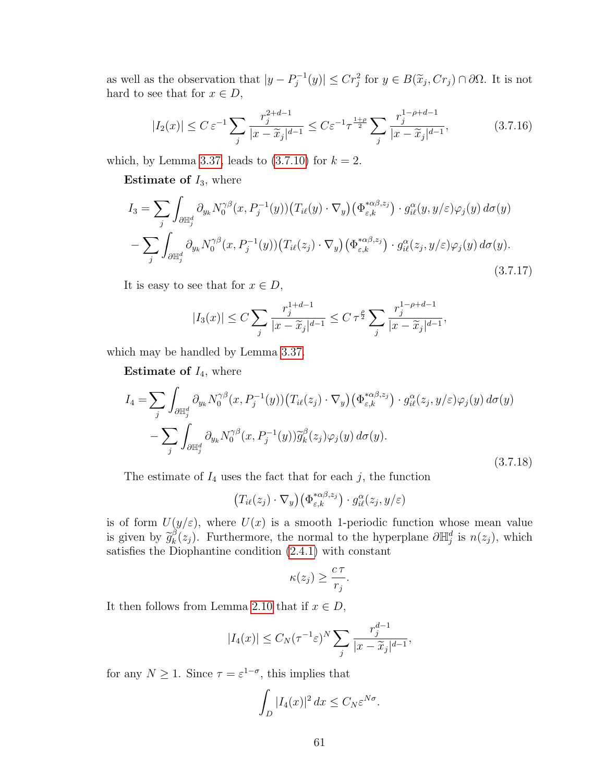as well as the observation that  $|y - P_i^{-1}|$  $|G_j^{-1}(y)| \leq Cr_j^2$  for  $y \in B(\widetilde{x}_j, Cr_j) \cap \partial\Omega$ . It is not hard to see that for  $x \in D$ ,

$$
|I_2(x)| \le C \varepsilon^{-1} \sum_j \frac{r_j^{2+d-1}}{|x - \widetilde{x}_j|^{d-1}} \le C \varepsilon^{-1} \tau^{\frac{1+\rho}{2}} \sum_j \frac{r_j^{1-\rho+d-1}}{|x - \widetilde{x}_j|^{d-1}},
$$
(3.7.16)

which, by Lemma [3.37,](#page-66-1) leads to  $(3.7.10)$  for  $k = 2$ .

**Estimate of**  $I_3$ , where

$$
I_3 = \sum_{j} \int_{\partial \mathbb{H}_j^d} \partial_{y_k} N_0^{\gamma \beta}(x, P_j^{-1}(y)) \left( T_{i\ell}(y) \cdot \nabla_y \right) \left( \Phi_{\varepsilon,k}^{*\alpha \beta, z_j} \right) \cdot g_{i\ell}^{\alpha}(y, y/\varepsilon) \varphi_j(y) d\sigma(y)
$$

$$
- \sum_{j} \int_{\partial \mathbb{H}_j^d} \partial_{y_k} N_0^{\gamma \beta}(x, P_j^{-1}(y)) \left( T_{i\ell}(z_j) \cdot \nabla_y \right) \left( \Phi_{\varepsilon,k}^{*\alpha \beta, z_j} \right) \cdot g_{i\ell}^{\alpha}(z_j, y/\varepsilon) \varphi_j(y) d\sigma(y).
$$
(3.7.17)

It is easy to see that for  $x \in D$ ,

$$
|I_3(x)| \le C \sum_j \frac{r_j^{1+d-1}}{|x - \widetilde{x}_j|^{d-1}} \le C \tau^{\frac{\rho}{2}} \sum_j \frac{r_j^{1-\rho+d-1}}{|x - \widetilde{x}_j|^{d-1}},
$$

which may be handled by Lemma [3.37.](#page-66-1)

**Estimate of**  $I_4$ , where

$$
I_4 = \sum_j \int_{\partial \mathbb{H}_j^d} \partial_{y_k} N_0^{\gamma \beta}(x, P_j^{-1}(y)) \left( T_{i\ell}(z_j) \cdot \nabla_y \right) \left( \Phi_{\varepsilon,k}^{*\alpha \beta, z_j} \right) \cdot g_{i\ell}^{\alpha}(z_j, y/\varepsilon) \varphi_j(y) d\sigma(y)
$$

$$
- \sum_j \int_{\partial \mathbb{H}_j^d} \partial_{y_k} N_0^{\gamma \beta}(x, P_j^{-1}(y)) \widetilde{g}_k^{\beta}(z_j) \varphi_j(y) d\sigma(y).
$$
(3.7.18)

The estimate of  $I_4$  uses the fact that for each j, the function

$$
(T_{i\ell}(z_j)\cdot\nabla_y)(\Phi_{\varepsilon,k}^{*\alpha\beta,z_j})\cdot g_{i\ell}^{\alpha}(z_j,y/\varepsilon)
$$

is of form  $U(y/\varepsilon)$ , where  $U(x)$  is a smooth 1-periodic function whose mean value is given by  $\widetilde{g}_k^{\beta}$ <br>satisfies the D  $\hat{k}(z_j)$ . Furthermore, the normal to the hyperplane  $\partial \mathbb{H}^d_j$  is  $n(z_j)$ , which satisfies the Diophantine condition [\(2.4.1\)](#page-22-0) with constant

$$
\kappa(z_j) \geq \frac{c\,\tau}{r_j}.
$$

It then follows from Lemma [2.10](#page-23-0) that if  $x \in D$ ,

$$
|I_4(x)| \le C_N (\tau^{-1} \varepsilon)^N \sum_j \frac{r_j^{d-1}}{|x - \widetilde{x}_j|^{d-1}},
$$

for any  $N \geq 1$ . Since  $\tau = \varepsilon^{1-\sigma}$ , this implies that

$$
\int_D |I_4(x)|^2 dx \le C_N \varepsilon^{N\sigma}.
$$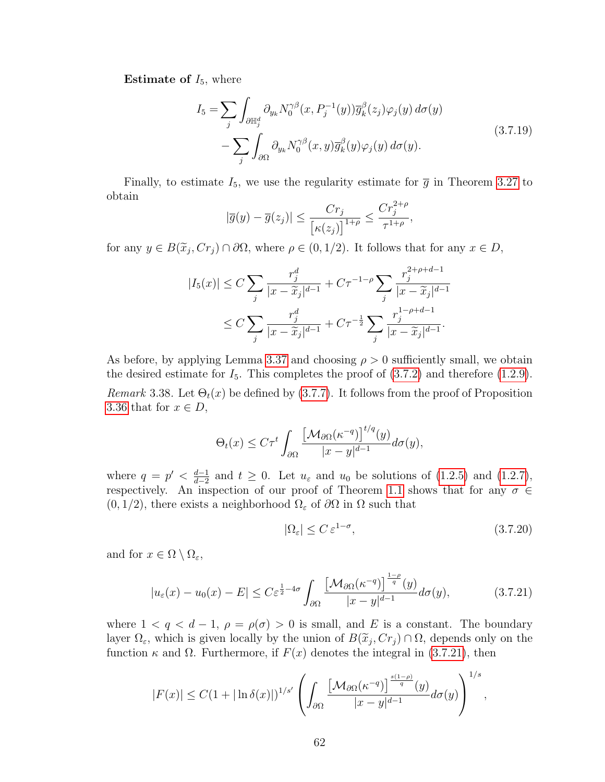**Estimate of**  $I_5$ , where

$$
I_5 = \sum_j \int_{\partial \mathbb{H}_j^d} \partial_{y_k} N_0^{\gamma \beta}(x, P_j^{-1}(y)) \overline{g}_k^{\beta}(z_j) \varphi_j(y) d\sigma(y)
$$
  
 
$$
- \sum_j \int_{\partial \Omega} \partial_{y_k} N_0^{\gamma \beta}(x, y) \overline{g}_k^{\beta}(y) \varphi_j(y) d\sigma(y).
$$
 (3.7.19)

Finally, to estimate  $I_5$ , we use the regularity estimate for  $\bar{g}$  in Theorem [3.27](#page-54-3) to obtain  $2 + 0$ 

$$
|\overline{g}(y) - \overline{g}(z_j)| \le \frac{Cr_j}{\left[\kappa(z_j)\right]^{1+\rho}} \le \frac{Cr_j^{2+\rho}}{\tau^{1+\rho}},
$$

for any  $y \in B(\tilde{x}_j, Cr_j) \cap \partial\Omega$ , where  $\rho \in (0, 1/2)$ . It follows that for any  $x \in D$ ,

$$
|I_5(x)| \leq C \sum_{j} \frac{r_j^d}{|x - \widetilde{x}_j|^{d-1}} + C\tau^{-1-\rho} \sum_{j} \frac{r_j^{2+\rho+d-1}}{|x - \widetilde{x}_j|^{d-1}} \leq C \sum_{j} \frac{r_j^d}{|x - \widetilde{x}_j|^{d-1}} + C\tau^{-\frac{1}{2}} \sum_{j} \frac{r_j^{1-\rho+d-1}}{|x - \widetilde{x}_j|^{d-1}}.
$$

As before, by applying Lemma [3.37](#page-66-1) and choosing  $\rho > 0$  sufficiently small, we obtain the desired estimate for  $I_5$ . This completes the proof of  $(3.7.2)$  and therefore  $(1.2.9)$ . Remark 3.38. Let  $\Theta_t(x)$  be defined by [\(3.7.7\)](#page-66-0). It follows from the proof of Proposition [3.36](#page-63-5) that for  $x \in D$ ,

$$
\Theta_t(x) \le C\tau^t \int_{\partial\Omega} \frac{\left[\mathcal{M}_{\partial\Omega}(\kappa^{-q})\right]^{t/q}(y)}{|x - y|^{d-1}} d\sigma(y),
$$

where  $q = p' < \frac{d-1}{d-2}$  $\frac{d-1}{d-2}$  and  $t \geq 0$ . Let  $u_{\varepsilon}$  and  $u_0$  be solutions of [\(1.2.5\)](#page-11-2) and [\(1.2.7\)](#page-12-0), respectively. An inspection of our proof of Theorem [1.1](#page-12-2) shows that for any  $\sigma \in$  $(0, 1/2)$ , there exists a neighborhood  $\Omega_{\varepsilon}$  of  $\partial\Omega$  in  $\Omega$  such that

$$
|\Omega_{\varepsilon}| \le C \, \varepsilon^{1-\sigma},\tag{3.7.20}
$$

and for  $x \in \Omega \setminus \Omega_{\varepsilon}$ ,

<span id="page-69-0"></span>
$$
|u_{\varepsilon}(x) - u_0(x) - E| \le C\varepsilon^{\frac{1}{2} - 4\sigma} \int_{\partial\Omega} \frac{\left[\mathcal{M}_{\partial\Omega}(\kappa^{-q})\right]^{\frac{1-\rho}{q}}(y)}{|x - y|^{d-1}} d\sigma(y),\tag{3.7.21}
$$

where  $1 < q < d-1$ ,  $\rho = \rho(\sigma) > 0$  is small, and E is a constant. The boundary layer  $\Omega_{\varepsilon}$ , which is given locally by the union of  $B(\tilde{x}_j, Cr_j) \cap \Omega$ , depends only on the function  $\kappa$  and  $\Omega$ . Eurthermore, if  $F(x)$  depends the integral in (3.7.21), then function  $\kappa$  and  $\Omega$ . Furthermore, if  $F(x)$  denotes the integral in [\(3.7.21\)](#page-69-0), then

$$
|F(x)| \leq C(1+|\ln \delta(x)|)^{1/s'} \left(\int_{\partial\Omega} \frac{\left[\mathcal{M}_{\partial\Omega}(\kappa^{-q})\right]^{\frac{s(1-\rho)}{q}}(y)}{|x-y|^{d-1}} d\sigma(y)\right)^{1/s},
$$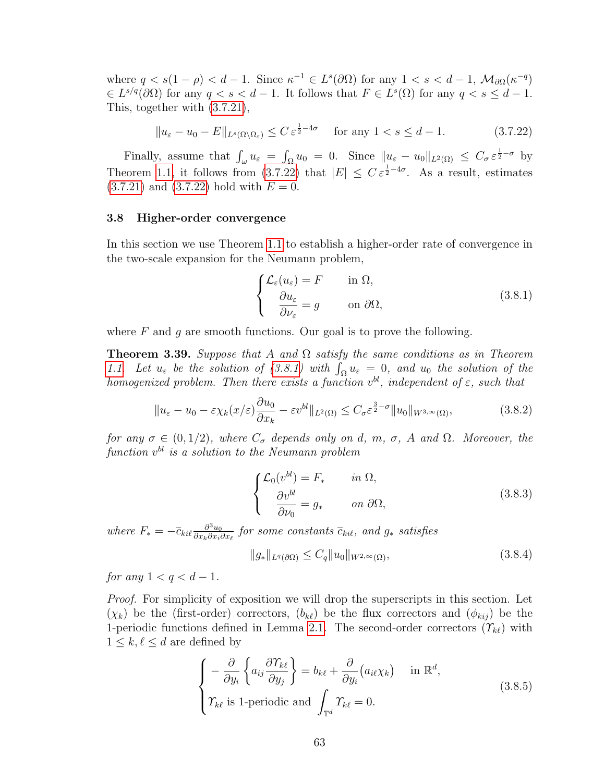where  $q < s(1 - \rho) < d - 1$ . Since  $\kappa^{-1} \in L^s(\partial\Omega)$  for any  $1 < s < d - 1$ ,  $\mathcal{M}_{\partial\Omega}(\kappa^{-q})$  $\in L^{s/q}(\partial\Omega)$  for any  $q < s < d-1$ . It follows that  $F \in L^{s}(\Omega)$  for any  $q < s \leq d-1$ . This, together with [\(3.7.21\)](#page-69-0),

<span id="page-70-0"></span>
$$
||u_{\varepsilon} - u_0 - E||_{L^s(\Omega \setminus \Omega_{\varepsilon})} \le C \, \varepsilon^{\frac{1}{2} - 4\sigma} \quad \text{for any } 1 < s \le d - 1. \tag{3.7.22}
$$

Finally, assume that  $\int_{\omega} u_{\epsilon} = \int_{\Omega} u_0 = 0$ . Since  $||u_{\epsilon} - u_0||_{L^2(\Omega)} \leq C_{\sigma} \epsilon^{\frac{1}{2} - \sigma}$  by Theorem [1.1,](#page-12-2) it follows from [\(3.7.22\)](#page-70-0) that  $|E| \leq C \varepsilon^{\frac{1}{2}-4\sigma}$ . As a result, estimates  $(3.7.21)$  and  $(3.7.22)$  hold with  $E = 0$ .

## 3.8 Higher-order convergence

In this section we use Theorem [1.1](#page-12-2) to establish a higher-order rate of convergence in the two-scale expansion for the Neumann problem,

<span id="page-70-1"></span>
$$
\begin{cases}\n\mathcal{L}_{\varepsilon}(u_{\varepsilon}) = F & \text{in } \Omega, \\
\frac{\partial u_{\varepsilon}}{\partial \nu_{\varepsilon}} = g & \text{on } \partial \Omega,\n\end{cases}
$$
\n(3.8.1)

where  $F$  and  $q$  are smooth functions. Our goal is to prove the following.

**Theorem 3.39.** Suppose that A and  $\Omega$  satisfy the same conditions as in Theorem [1.1.](#page-12-2) Let  $u_{\varepsilon}$  be the solution of [\(3.8.1\)](#page-70-1) with  $\int_{\Omega} u_{\varepsilon} = 0$ , and  $u_0$  the solution of the homogenized problem. Then there exists a function  $v^{bl}$ , independent of  $\varepsilon$ , such that

$$
||u_{\varepsilon} - u_0 - \varepsilon \chi_k(x/\varepsilon) \frac{\partial u_0}{\partial x_k} - \varepsilon v^{bl} ||_{L^2(\Omega)} \le C_{\sigma} \varepsilon^{\frac{3}{2} - \sigma} ||u_0||_{W^{3,\infty}(\Omega)},
$$
\n(3.8.2)

for any  $\sigma \in (0, 1/2)$ , where  $C_{\sigma}$  depends only on d, m,  $\sigma$ , A and  $\Omega$ . Moreover, the function  $v^{bl}$  is a solution to the Neumann problem

$$
\begin{cases}\n\mathcal{L}_0(v^{bl}) = F_* & \text{in } \Omega, \\
\frac{\partial v^{bl}}{\partial \nu_0} = g_* & \text{on } \partial \Omega,\n\end{cases}
$$
\n(3.8.3)

where  $F_* = -\bar{c}_{kil} \frac{\partial^3 u_0}{\partial x_i \partial x_i}$  $\frac{\partial^3 u_0}{\partial x_k \partial x_i \partial x_\ell}$  for some constants  $\overline{c}_{ki\ell}$ , and  $g_*$  satisfies

$$
||g_*||_{L^q(\partial\Omega)} \le C_q ||u_0||_{W^{2,\infty}(\Omega)},
$$
\n(3.8.4)

for any  $1 < q < d-1$ .

*Proof.* For simplicity of exposition we will drop the superscripts in this section. Let  $(\chi_k)$  be the (first-order) correctors,  $(b_{k\ell})$  be the flux correctors and  $(\phi_{kij})$  be the 1-periodic functions defined in Lemma [2.1.](#page-17-0) The second-order correctors  $(\Upsilon_{k\ell})$  with  $1 \leq k, \ell \leq d$  are defined by

$$
\begin{cases}\n-\frac{\partial}{\partial y_i} \left\{ a_{ij} \frac{\partial \Upsilon_{k\ell}}{\partial y_j} \right\} = b_{k\ell} + \frac{\partial}{\partial y_i} (a_{i\ell} \chi_k) & \text{in } \mathbb{R}^d, \\
\Upsilon_{k\ell} \text{ is 1-periodic and } \int_{\mathbb{T}^d} \Upsilon_{k\ell} = 0.\n\end{cases}
$$
\n(3.8.5)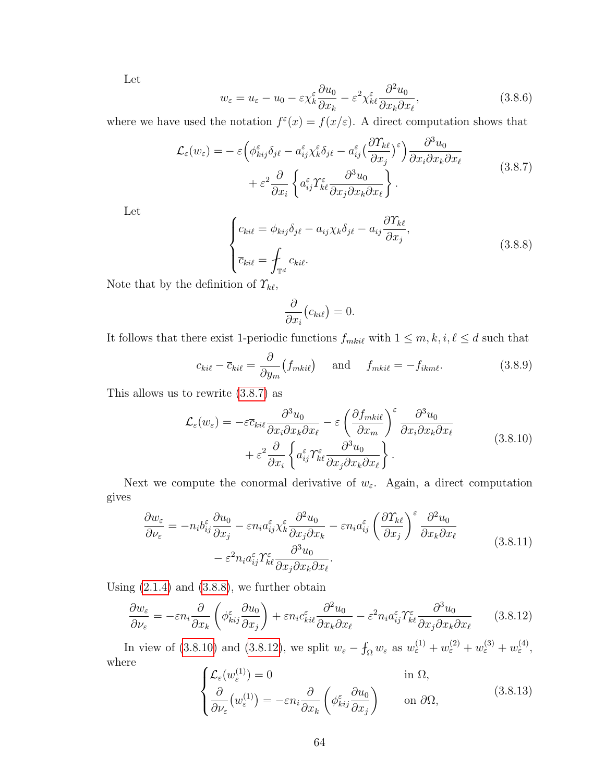Let

$$
w_{\varepsilon} = u_{\varepsilon} - u_0 - \varepsilon \chi_k^{\varepsilon} \frac{\partial u_0}{\partial x_k} - \varepsilon^2 \chi_k^{\varepsilon} \frac{\partial^2 u_0}{\partial x_k \partial x_\ell},\tag{3.8.6}
$$

where we have used the notation  $f^{\varepsilon}(x) = f(x/\varepsilon)$ . A direct computation shows that

$$
\mathcal{L}_{\varepsilon}(w_{\varepsilon}) = -\varepsilon \left( \phi_{kij}^{\varepsilon} \delta_{j\ell} - a_{ij}^{\varepsilon} \chi_{k}^{\varepsilon} \delta_{j\ell} - a_{ij}^{\varepsilon} \left( \frac{\partial \Upsilon_{k\ell}}{\partial x_j} \right)^{\varepsilon} \right) \frac{\partial^3 u_0}{\partial x_i \partial x_k \partial x_\ell} + \varepsilon^2 \frac{\partial}{\partial x_i} \left\{ a_{ij}^{\varepsilon} \Upsilon_{k\ell}^{\varepsilon} \frac{\partial^3 u_0}{\partial x_j \partial x_k \partial x_\ell} \right\}.
$$
\n(3.8.7)

<span id="page-71-1"></span>Let

$$
\begin{cases}\nc_{ki\ell} = \phi_{kij}\delta_{j\ell} - a_{ij}\chi_k\delta_{j\ell} - a_{ij}\frac{\partial \Upsilon_{k\ell}}{\partial x_j},\\
\bar{c}_{ki\ell} = \int_{\mathbb{T}^d} c_{ki\ell}.\n\end{cases}
$$
\n(3.8.8)

Note that by the definition of  $\Upsilon_{k\ell}$ ,

<span id="page-71-2"></span><span id="page-71-0"></span>
$$
\frac{\partial}{\partial x_i}(c_{ki\ell})=0.
$$

It follows that there exist 1-periodic functions  $f_{mki\ell}$  with  $1 \leq m, k, i, \ell \leq d$  such that

$$
c_{ki\ell} - \overline{c}_{ki\ell} = \frac{\partial}{\partial y_m} (f_{mki\ell}) \quad \text{and} \quad f_{mki\ell} = -f_{ikm\ell}.
$$
 (3.8.9)

This allows us to rewrite [\(3.8.7\)](#page-71-0) as

$$
\mathcal{L}_{\varepsilon}(w_{\varepsilon}) = -\varepsilon \bar{c}_{ki\ell} \frac{\partial^3 u_0}{\partial x_i \partial x_k \partial x_\ell} - \varepsilon \left( \frac{\partial f_{mki\ell}}{\partial x_m} \right)^{\varepsilon} \frac{\partial^3 u_0}{\partial x_i \partial x_k \partial x_\ell} + \varepsilon^2 \frac{\partial}{\partial x_i} \left\{ a_{ij}^{\varepsilon} \mathcal{Y}_{k\ell}^{\varepsilon} \frac{\partial^3 u_0}{\partial x_j \partial x_k \partial x_\ell} \right\}.
$$
\n(3.8.10)

Next we compute the conormal derivative of  $w_{\varepsilon}$ . Again, a direct computation gives

$$
\frac{\partial w_{\varepsilon}}{\partial \nu_{\varepsilon}} = -n_i b_{ij}^{\varepsilon} \frac{\partial u_0}{\partial x_j} - \varepsilon n_i a_{ij}^{\varepsilon} \chi_k^{\varepsilon} \frac{\partial^2 u_0}{\partial x_j \partial x_k} - \varepsilon n_i a_{ij}^{\varepsilon} \left(\frac{\partial \Upsilon_{k\ell}}{\partial x_j}\right)^{\varepsilon} \frac{\partial^2 u_0}{\partial x_k \partial x_\ell} - \varepsilon^2 n_i a_{ij}^{\varepsilon} \Upsilon_{k\ell}^{\varepsilon} \frac{\partial^3 u_0}{\partial x_j \partial x_k \partial x_\ell}.
$$
\n(3.8.11)

Using  $(2.1.4)$  and  $(3.8.8)$ , we further obtain

$$
\frac{\partial w_{\varepsilon}}{\partial \nu_{\varepsilon}} = -\varepsilon n_{i} \frac{\partial}{\partial x_{k}} \left( \phi_{kij}^{\varepsilon} \frac{\partial u_{0}}{\partial x_{j}} \right) + \varepsilon n_{i} c_{kil}^{\varepsilon} \frac{\partial^{2} u_{0}}{\partial x_{k} \partial x_{\ell}} - \varepsilon^{2} n_{i} a_{ij}^{\varepsilon} \gamma_{k\ell}^{\varepsilon} \frac{\partial^{3} u_{0}}{\partial x_{j} \partial x_{k} \partial x_{\ell}} \tag{3.8.12}
$$

In view of [\(3.8.10\)](#page-71-2) and [\(3.8.12\)](#page-71-3), we split  $w_{\varepsilon} - \int_{\Omega} w_{\varepsilon}$  as  $w_{\varepsilon}^{(1)} + w_{\varepsilon}^{(2)} + w_{\varepsilon}^{(3)} + w_{\varepsilon}^{(4)}$ , where

<span id="page-71-3"></span>
$$
\begin{cases}\n\mathcal{L}_{\varepsilon}(w_{\varepsilon}^{(1)}) = 0 & \text{in } \Omega, \\
\frac{\partial}{\partial \nu_{\varepsilon}}(w_{\varepsilon}^{(1)}) = -\varepsilon n_{i} \frac{\partial}{\partial x_{k}} \left( \phi_{kij}^{\varepsilon} \frac{\partial u_{0}}{\partial x_{j}} \right) & \text{on } \partial \Omega,\n\end{cases}
$$
\n(3.8.13)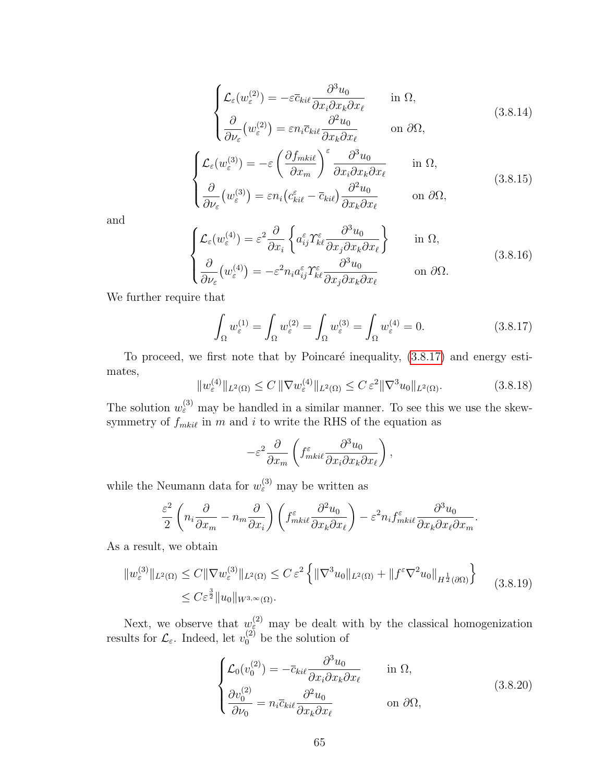$$
\begin{cases}\n\mathcal{L}_{\varepsilon}(w_{\varepsilon}^{(2)}) = -\varepsilon \bar{c}_{ki\ell} \frac{\partial^3 u_0}{\partial x_i \partial x_k \partial x_\ell} & \text{in } \Omega, \\
\frac{\partial}{\partial \nu_{\varepsilon}}(w_{\varepsilon}^{(2)}) = \varepsilon n_i \bar{c}_{ki\ell} \frac{\partial^2 u_0}{\partial x_k \partial x_\ell} & \text{on } \partial \Omega,\n\end{cases}
$$
\n(3.8.14)

$$
\begin{cases}\n\mathcal{L}_{\varepsilon}(w_{\varepsilon}^{(3)}) = -\varepsilon \left( \frac{\partial f_{mki\ell}}{\partial x_m} \right)^{\varepsilon} \frac{\partial^3 u_0}{\partial x_i \partial x_k \partial x_\ell} & \text{in } \Omega, \\
\frac{\partial}{\partial \nu_{\varepsilon}}(w_{\varepsilon}^{(3)}) = \varepsilon n_i \left( c_{ki\ell}^{\varepsilon} - \overline{c}_{ki\ell} \right) \frac{\partial^2 u_0}{\partial x_k \partial x_\ell} & \text{on } \partial \Omega,\n\end{cases}
$$
\n(3.8.15)

and

$$
\begin{cases}\n\mathcal{L}_{\varepsilon}(w_{\varepsilon}^{(4)}) = \varepsilon^{2} \frac{\partial}{\partial x_{i}} \left\{ a_{ij}^{\varepsilon} \mathcal{T}_{k\ell}^{\varepsilon} \frac{\partial^{3} u_{0}}{\partial x_{j} \partial x_{k} \partial x_{\ell}} \right\} & \text{in } \Omega, \\
\frac{\partial}{\partial \nu_{\varepsilon}}(w_{\varepsilon}^{(4)}) = -\varepsilon^{2} n_{i} a_{ij}^{\varepsilon} \mathcal{T}_{k\ell}^{\varepsilon} \frac{\partial^{3} u_{0}}{\partial x_{j} \partial x_{k} \partial x_{\ell}} & \text{on } \partial \Omega.\n\end{cases}
$$
\n(3.8.16)

We further require that

<span id="page-72-0"></span>
$$
\int_{\Omega} w_{\varepsilon}^{(1)} = \int_{\Omega} w_{\varepsilon}^{(2)} = \int_{\Omega} w_{\varepsilon}^{(3)} = \int_{\Omega} w_{\varepsilon}^{(4)} = 0.
$$
\n(3.8.17)

<span id="page-72-1"></span>To proceed, we first note that by Poincaré inequality,  $(3.8.17)$  and energy estimates,

$$
||w_{\varepsilon}^{(4)}||_{L^{2}(\Omega)} \le C ||\nabla w_{\varepsilon}^{(4)}||_{L^{2}(\Omega)} \le C \varepsilon^{2} ||\nabla^{3} u_{0}||_{L^{2}(\Omega)}.
$$
\n(3.8.18)

The solution  $w_{\varepsilon}^{(3)}$  may be handled in a similar manner. To see this we use the skewsymmetry of  $f_{mki\ell}$  in m and i to write the RHS of the equation as

$$
-\varepsilon^2 \frac{\partial}{\partial x_m} \left( f_{mki\ell}^{\varepsilon} \frac{\partial^3 u_0}{\partial x_i \partial x_k \partial x_\ell} \right),
$$

while the Neumann data for  $w_{\varepsilon}^{(3)}$  may be written as

<span id="page-72-2"></span>
$$
\frac{\varepsilon^2}{2} \left( n_i \frac{\partial}{\partial x_m} - n_m \frac{\partial}{\partial x_i} \right) \left( f_{mki\ell}^{\varepsilon} \frac{\partial^2 u_0}{\partial x_k \partial x_\ell} \right) - \varepsilon^2 n_i f_{mki\ell}^{\varepsilon} \frac{\partial^3 u_0}{\partial x_k \partial x_\ell \partial x_m}.
$$

As a result, we obtain

$$
||w_{\varepsilon}^{(3)}||_{L^{2}(\Omega)} \leq C||\nabla w_{\varepsilon}^{(3)}||_{L^{2}(\Omega)} \leq C \varepsilon^{2} \left\{ ||\nabla^{3} u_{0}||_{L^{2}(\Omega)} + ||f^{\varepsilon} \nabla^{2} u_{0}||_{H^{\frac{1}{2}}(\partial \Omega)} \right\}
$$
(3.8.19)  

$$
\leq C \varepsilon^{\frac{3}{2}} ||u_{0}||_{W^{3,\infty}(\Omega)}.
$$

Next, we observe that  $w_{\varepsilon}^{(2)}$  may be dealt with by the classical homogenization results for  $\mathcal{L}_{\varepsilon}$ . Indeed, let  $v_0^{(2)}$  be the solution of

$$
\begin{cases}\n\mathcal{L}_0(v_0^{(2)}) = -\overline{c}_{ki\ell} \frac{\partial^3 u_0}{\partial x_i \partial x_k \partial x_\ell} & \text{in } \Omega, \\
\frac{\partial v_0^{(2)}}{\partial \nu_0} = n_i \overline{c}_{ki\ell} \frac{\partial^2 u_0}{\partial x_k \partial x_\ell} & \text{on } \partial \Omega,\n\end{cases}
$$
\n(3.8.20)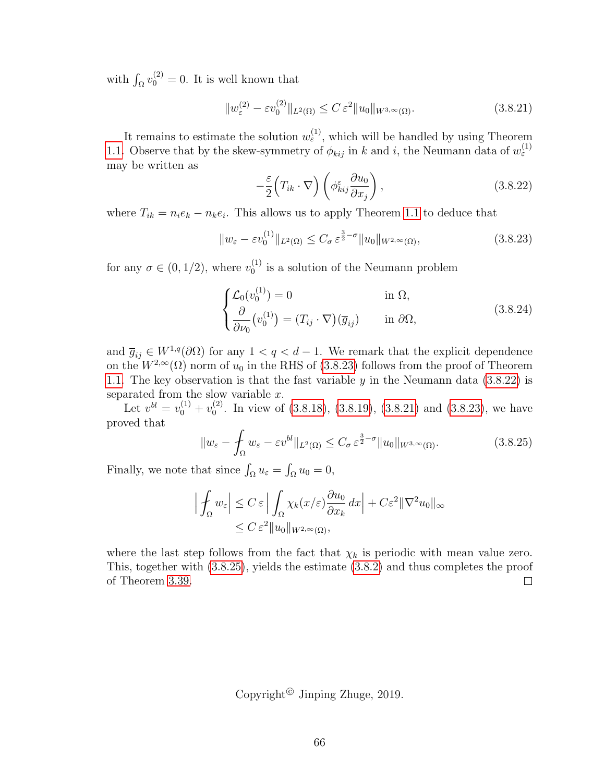with  $\int_{\Omega} v_0^{(2)} = 0$ . It is well known that

<span id="page-73-2"></span>
$$
||w_{\varepsilon}^{(2)} - \varepsilon v_0^{(2)}||_{L^2(\Omega)} \le C \, \varepsilon^2 ||u_0||_{W^{3,\infty}(\Omega)}.
$$
\n(3.8.21)

It remains to estimate the solution  $w_{\varepsilon}^{(1)}$ , which will be handled by using Theorem [1.1.](#page-12-0) Observe that by the skew-symmetry of  $\phi_{kij}$  in k and i, the Neumann data of  $w_{\varepsilon}^{(1)}$ may be written as

<span id="page-73-1"></span><span id="page-73-0"></span>
$$
-\frac{\varepsilon}{2}\Big(T_{ik}\cdot\nabla\Big)\left(\phi_{kij}^{\varepsilon}\frac{\partial u_0}{\partial x_j}\right),\tag{3.8.22}
$$

where  $T_{ik} = n_i e_k - n_k e_i$ . This allows us to apply Theorem [1.1](#page-12-0) to deduce that

$$
||w_{\varepsilon} - \varepsilon v_0^{(1)}||_{L^2(\Omega)} \le C_{\sigma} \varepsilon^{\frac{3}{2}-\sigma} ||u_0||_{W^{2,\infty}(\Omega)},
$$
\n(3.8.23)

for any  $\sigma \in (0, 1/2)$ , where  $v_0^{(1)}$  $_0^{(1)}$  is a solution of the Neumann problem

$$
\begin{cases}\n\mathcal{L}_0(v_0^{(1)}) = 0 & \text{in } \Omega, \\
\frac{\partial}{\partial \nu_0}(v_0^{(1)}) = (T_{ij} \cdot \nabla)(\overline{g}_{ij}) & \text{in } \partial\Omega,\n\end{cases}
$$
\n(3.8.24)

and  $\overline{g}_{ij} \in W^{1,q}(\partial\Omega)$  for any  $1 < q < d-1$ . We remark that the explicit dependence on the  $W^{2,\infty}(\Omega)$  norm of  $u_0$  in the RHS of [\(3.8.23\)](#page-73-0) follows from the proof of Theorem [1.1.](#page-12-0) The key observation is that the fast variable  $y$  in the Neumann data [\(3.8.22\)](#page-73-1) is separated from the slow variable  $x$ .

Let  $v^{bl} = v_0^{(1)} + v_0^{(2)}$  $_{0}^{(2)}$ . In view of [\(3.8.18\)](#page-72-1), [\(3.8.19\)](#page-72-2), [\(3.8.21\)](#page-73-2) and [\(3.8.23\)](#page-73-0), we have proved that

<span id="page-73-3"></span>
$$
||w_{\varepsilon} - \int_{\Omega} w_{\varepsilon} - \varepsilon v^{bl} ||_{L^{2}(\Omega)} \leq C_{\sigma} \varepsilon^{\frac{3}{2} - \sigma} ||u_{0}||_{W^{3,\infty}(\Omega)}.
$$
 (3.8.25)

Finally, we note that since  $\int_{\Omega} u_{\varepsilon} = \int_{\Omega} u_0 = 0$ ,

$$
\left| \int_{\Omega} w_{\varepsilon} \right| \leq C \, \varepsilon \left| \int_{\Omega} \chi_k(x/\varepsilon) \frac{\partial u_0}{\partial x_k} \, dx \right| + C \varepsilon^2 \| \nabla^2 u_0 \|_{\infty}
$$
  

$$
\leq C \, \varepsilon^2 \| u_0 \|_{W^{2,\infty}(\Omega)},
$$

where the last step follows from the fact that  $\chi_k$  is periodic with mean value zero. This, together with [\(3.8.25\)](#page-73-3), yields the estimate [\(3.8.2\)](#page-70-0) and thus completes the proof of Theorem [3.39.](#page-70-1)  $\Box$ 

Copyright<sup>©</sup> Jinping Zhuge, 2019.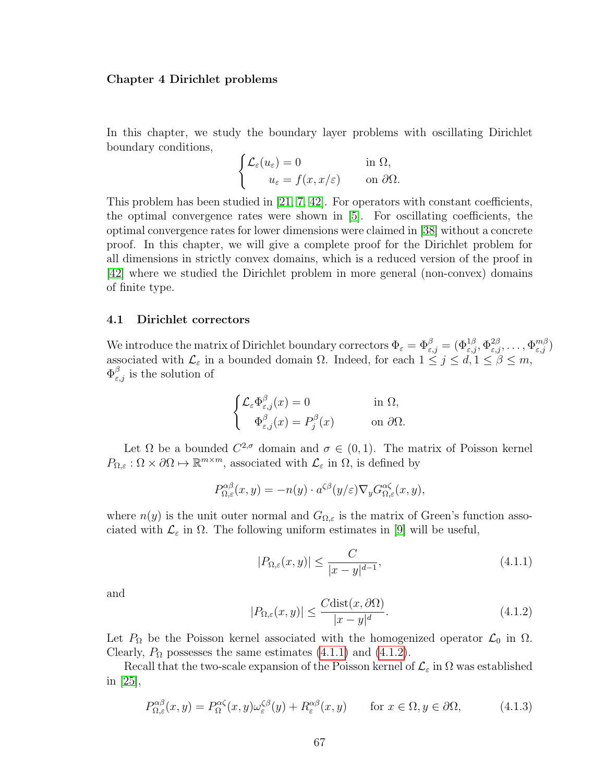## Chapter 4 Dirichlet problems

In this chapter, we study the boundary layer problems with oscillating Dirichlet boundary conditions,

$$
\begin{cases} \mathcal{L}_{\varepsilon}(u_{\varepsilon}) = 0 & \text{in } \Omega, \\ u_{\varepsilon} = f(x, x/\varepsilon) & \text{on } \partial \Omega. \end{cases}
$$

This problem has been studied in [\[21,](#page-109-0) [7,](#page-108-0) [42\]](#page-110-0). For operators with constant coefficients, the optimal convergence rates were shown in [\[5\]](#page-108-1). For oscillating coefficients, the optimal convergence rates for lower dimensions were claimed in [\[38\]](#page-110-1) without a concrete proof. In this chapter, we will give a complete proof for the Dirichlet problem for all dimensions in strictly convex domains, which is a reduced version of the proof in [\[42\]](#page-110-0) where we studied the Dirichlet problem in more general (non-convex) domains of finite type.

## 4.1 Dirichlet correctors

We introduce the matrix of Dirichlet boundary correctors  $\Phi_{\varepsilon} = \Phi_{\varepsilon,j}^{\beta} = (\Phi_{\varepsilon,j}^{1\beta}, \Phi_{\varepsilon,j}^{2\beta}, \ldots, \Phi_{\varepsilon,j}^{m\beta})$ associated with  $\mathcal{L}_{\varepsilon}$  in a bounded domain  $\Omega$ . Indeed, for each  $1 \leq j \leq d, 1 \leq \beta \leq m$ ,  $\Phi_{\varepsilon,j}^{\beta}$  is the solution of

$$
\begin{cases} \mathcal{L}_{\varepsilon} \Phi_{\varepsilon,j}^{\beta}(x) = 0 & \text{in } \Omega, \\ \Phi_{\varepsilon,j}^{\beta}(x) = P_j^{\beta}(x) & \text{on } \partial \Omega. \end{cases}
$$

Let  $\Omega$  be a bounded  $C^{2,\sigma}$  domain and  $\sigma \in (0,1)$ . The matrix of Poisson kernel  $P_{\Omega,\varepsilon} : \Omega \times \partial \Omega \mapsto \mathbb{R}^{m \times m}$ , associated with  $\mathcal{L}_{\varepsilon}$  in  $\Omega$ , is defined by

$$
P_{\Omega,\varepsilon}^{\alpha\beta}(x,y) = -n(y) \cdot a^{\zeta\beta}(y/\varepsilon) \nabla_y G_{\Omega,\varepsilon}^{\alpha\zeta}(x,y),
$$

where  $n(y)$  is the unit outer normal and  $G_{\Omega,\varepsilon}$  is the matrix of Green's function associated with  $\mathcal{L}_{\varepsilon}$  in  $\Omega$ . The following uniform estimates in [\[9\]](#page-108-2) will be useful,

<span id="page-74-0"></span>
$$
|P_{\Omega,\varepsilon}(x,y)| \le \frac{C}{|x-y|^{d-1}},\tag{4.1.1}
$$

<span id="page-74-1"></span>and

$$
|P_{\Omega,\varepsilon}(x,y)| \le \frac{C \text{dist}(x,\partial \Omega)}{|x-y|^d}.\tag{4.1.2}
$$

Let  $P_{\Omega}$  be the Poisson kernel associated with the homogenized operator  $\mathcal{L}_0$  in  $\Omega$ . Clearly,  $P_{\Omega}$  possesses the same estimates [\(4.1.1\)](#page-74-0) and [\(4.1.2\)](#page-74-1).

Recall that the two-scale expansion of the Poisson kernel of  $\mathcal{L}_{\varepsilon}$  in  $\Omega$  was established in [\[25\]](#page-109-1),

<span id="page-74-2"></span>
$$
P_{\Omega,\varepsilon}^{\alpha\beta}(x,y) = P_{\Omega}^{\alpha\zeta}(x,y)\omega_{\varepsilon}^{\zeta\beta}(y) + R_{\varepsilon}^{\alpha\beta}(x,y) \qquad \text{for } x \in \Omega, y \in \partial\Omega,
$$
 (4.1.3)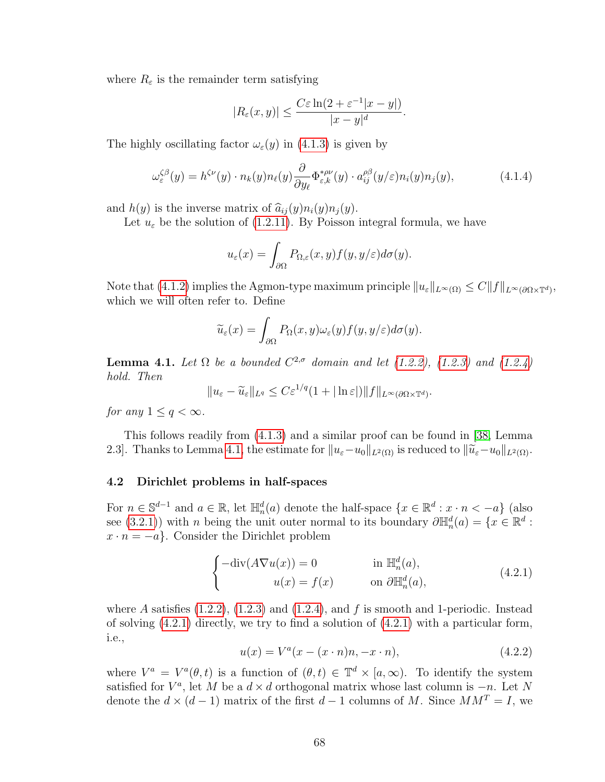where  $R_{\varepsilon}$  is the remainder term satisfying

<span id="page-75-3"></span>
$$
|R_{\varepsilon}(x,y)| \leq \frac{C\varepsilon \ln(2 + \varepsilon^{-1}|x-y|)}{|x-y|^{d}}.
$$

The highly oscillating factor  $\omega_{\varepsilon}(y)$  in [\(4.1.3\)](#page-74-2) is given by

$$
\omega_{\varepsilon}^{\zeta\beta}(y) = h^{\zeta\nu}(y) \cdot n_k(y) n_{\ell}(y) \frac{\partial}{\partial y_{\ell}} \Phi_{\varepsilon,k}^{*\rho\nu}(y) \cdot a_{ij}^{\rho\beta}(y/\varepsilon) n_i(y) n_j(y), \tag{4.1.4}
$$

and  $h(y)$  is the inverse matrix of  $\widehat{a}_{ij}(y)n_i(y)n_j(y)$ .

Let  $u_{\varepsilon}$  be the solution of [\(1.2.11\)](#page-13-0). By Poisson integral formula, we have

$$
u_{\varepsilon}(x) = \int_{\partial\Omega} P_{\Omega,\varepsilon}(x,y) f(y,y/\varepsilon) d\sigma(y).
$$

Note that [\(4.1.2\)](#page-74-1) implies the Agmon-type maximum principle  $||u_{\varepsilon}||_{L^{\infty}(\Omega)} \leq C||f||_{L^{\infty}(\partial \Omega \times \mathbb{T}^d)}$ which we will often refer to. Define

$$
\widetilde{u}_{\varepsilon}(x) = \int_{\partial\Omega} P_{\Omega}(x, y)\omega_{\varepsilon}(y)f(y, y/\varepsilon)d\sigma(y).
$$

<span id="page-75-0"></span>**Lemma 4.1.** Let  $\Omega$  be a bounded  $C^{2,\sigma}$  domain and let [\(1.2.2\)](#page-11-0), [\(1.2.3\)](#page-11-1) and [\(1.2.4\)](#page-11-2) hold. Then

 $||u_{\varepsilon}-\widetilde{u}_{\varepsilon}||_{L^q}\leq C\varepsilon^{1/q}(1+|\ln \varepsilon|)||f||_{L^{\infty}(\partial\Omega\times\mathbb{T}^d)}.$ 

for any  $1 \leq q < \infty$ .

This follows readily from [\(4.1.3\)](#page-74-2) and a similar proof can be found in [\[38,](#page-110-1) Lemma 2.3]. Thanks to Lemma [4.1,](#page-75-0) the estimate for  $||u_{\varepsilon}-u_0||_{L^2(\Omega)}$  is reduced to  $||\widetilde{u}_{\varepsilon}-u_0||_{L^2(\Omega)}$ .

## 4.2 Dirichlet problems in half-spaces

For  $n \in \mathbb{S}^{d-1}$  and  $a \in \mathbb{R}$ , let  $\mathbb{H}_n^d(a)$  denote the half-space  $\{x \in \mathbb{R}^d : x \cdot n < -a\}$  (also see [\(3.2.1\)](#page-30-0)) with n being the unit outer normal to its boundary  $\partial \mathbb{H}_n^d(a) = \{x \in \mathbb{R}^d :$  $x \cdot n = -a$ . Consider the Dirichlet problem

<span id="page-75-1"></span>
$$
\begin{cases}\n-\text{div}(A\nabla u(x)) = 0 & \text{in } \mathbb{H}_n^d(a), \\
u(x) = f(x) & \text{on } \partial \mathbb{H}_n^d(a),\n\end{cases}
$$
\n(4.2.1)

<span id="page-75-2"></span>where A satisfies  $(1.2.2)$ ,  $(1.2.3)$  and  $(1.2.4)$ , and f is smooth and 1-periodic. Instead of solving [\(4.2.1\)](#page-75-1) directly, we try to find a solution of [\(4.2.1\)](#page-75-1) with a particular form, i.e.,

$$
u(x) = V^{a}(x - (x \cdot n)n, -x \cdot n), \qquad (4.2.2)
$$

where  $V^a = V^a(\theta, t)$  is a function of  $(\theta, t) \in \mathbb{T}^d \times [a, \infty)$ . To identify the system satisfied for  $V^a$ , let M be a  $d \times d$  orthogonal matrix whose last column is  $-n$ . Let N denote the  $d \times (d-1)$  matrix of the first  $d-1$  columns of M. Since  $MM^T = I$ , we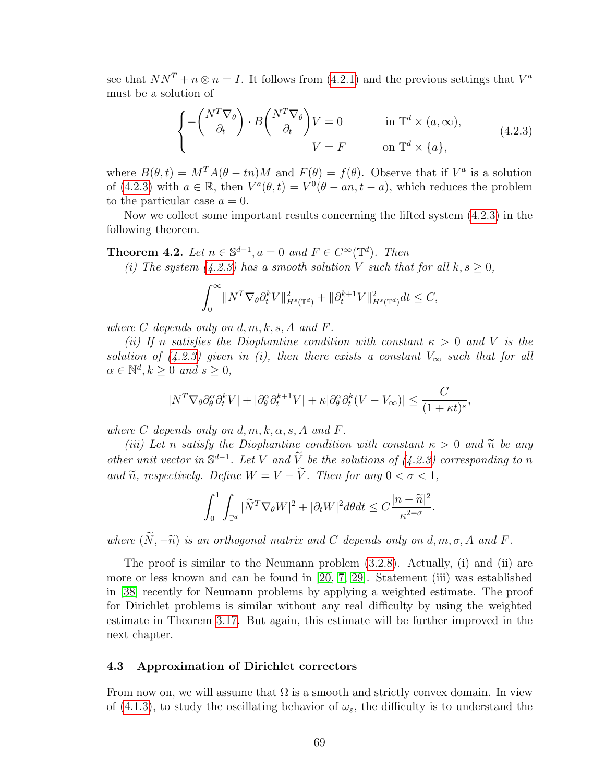see that  $NN^T + n \otimes n = I$ . It follows from [\(4.2.1\)](#page-75-1) and the previous settings that  $V^a$ must be a solution of

<span id="page-76-0"></span>
$$
\begin{cases}\n-\left(\begin{array}{c} N^T \nabla_\theta \\ \partial_t \end{array}\right) \cdot B \begin{pmatrix} N^T \nabla_\theta \\ \partial_t \end{pmatrix} V = 0 & \text{in } \mathbb{T}^d \times (a, \infty), \\
V = F & \text{on } \mathbb{T}^d \times \{a\},\n\end{cases} (4.2.3)
$$

where  $B(\theta, t) = M^T A(\theta - t n) M$  and  $F(\theta) = f(\theta)$ . Observe that if  $V^a$  is a solution of [\(4.2.3\)](#page-76-0) with  $a \in \mathbb{R}$ , then  $V^a(\theta, t) = V^0(\theta - an, t - a)$ , which reduces the problem to the particular case  $a = 0$ .

Now we collect some important results concerning the lifted system [\(4.2.3\)](#page-76-0) in the following theorem.

<span id="page-76-1"></span>**Theorem 4.2.** Let  $n \in \mathbb{S}^{d-1}$ ,  $a = 0$  and  $F \in C^{\infty}(\mathbb{T}^d)$ . Then

(i) The system  $(4.2.3)$  has a smooth solution V such that for all  $k, s \geq 0$ ,

$$
\int_0^\infty \|N^T \nabla_\theta \partial_t^k V\|_{H^s(\mathbb{T}^d)}^2 + \|\partial_t^{k+1} V\|_{H^s(\mathbb{T}^d)}^2 dt \le C,
$$

where  $C$  depends only on  $d, m, k, s, A$  and  $F$ .

(ii) If n satisfies the Diophantine condition with constant  $\kappa > 0$  and V is the solution of [\(4.2.3\)](#page-76-0) given in (i), then there exists a constant  $V_{\infty}$  such that for all  $\alpha \in \mathbb{N}^d, k \geq 0$  and  $s \geq 0$ ,

$$
|N^T \nabla_{\theta} \partial_{\theta}^{\alpha} \partial_{t}^{k} V| + |\partial_{\theta}^{\alpha} \partial_{t}^{k+1} V| + \kappa |\partial_{\theta}^{\alpha} \partial_{t}^{k} (V - V_{\infty})| \leq \frac{C}{(1 + \kappa t)^{s}},
$$

where C depends only on  $d, m, k, \alpha, s, A$  and F.

(iii) Let n satisfy the Diophantine condition with constant  $\kappa > 0$  and  $\tilde{n}$  be any other unit vector in  $\mathbb{S}^{d-1}$ . Let V and  $\widetilde{V}$  be the solutions of [\(4.2.3\)](#page-76-0) corresponding to n and  $\widetilde{n}$ , respectively. Define  $W = V - \widetilde{V}$ . Then for any  $0 < \sigma < 1$ ,

$$
\int_0^1 \int_{\mathbb{T}^d} |\widetilde{N}^T \nabla_{\theta} W|^2 + |\partial_t W|^2 d\theta dt \le C \frac{|n - \widetilde{n}|^2}{\kappa^{2+\sigma}}.
$$

where  $(\widetilde{N}, -\widetilde{n})$  is an orthogonal matrix and C depends only on d, m,  $\sigma$ , A and F.

The proof is similar to the Neumann problem [\(3.2.8\)](#page-31-0). Actually, (i) and (ii) are more or less known and can be found in [\[20,](#page-109-2) [7,](#page-108-0) [29\]](#page-109-3). Statement (iii) was established in [\[38\]](#page-110-1) recently for Neumann problems by applying a weighted estimate. The proof for Dirichlet problems is similar without any real difficulty by using the weighted estimate in Theorem [3.17.](#page-44-0) But again, this estimate will be further improved in the next chapter.

## 4.3 Approximation of Dirichlet correctors

From now on, we will assume that  $\Omega$  is a smooth and strictly convex domain. In view of [\(4.1.3\)](#page-74-2), to study the oscillating behavior of  $\omega_{\varepsilon}$ , the difficulty is to understand the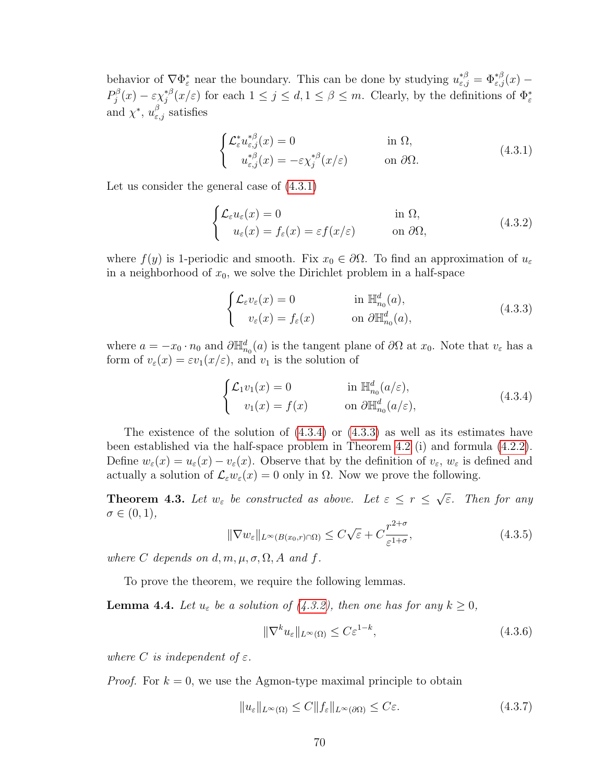behavior of  $\nabla \Phi_{\varepsilon}^*$  near the boundary. This can be done by studying  $u_{\varepsilon,j}^{*\beta} = \Phi_{\varepsilon,j}^{*\beta}(x)$  $P_i^{\beta}$  $\delta_j^\beta(x)-\varepsilon \chi_j^{*\beta}$ <sup>\*β</sup>(x/ε) for each  $1 \leq j \leq d, 1 \leq \beta \leq m$ . Clearly, by the definitions of  $\Phi_{\varepsilon}^*$ and  $\chi^*, u_{\varepsilon,j}^{\beta}$  satisfies

<span id="page-77-3"></span><span id="page-77-0"></span>
$$
\begin{cases}\n\mathcal{L}_{\varepsilon}^{*} u_{\varepsilon,j}^{*\beta}(x) = 0 & \text{in } \Omega, \\
u_{\varepsilon,j}^{*\beta}(x) = -\varepsilon \chi_{j}^{*\beta}(x/\varepsilon) & \text{on } \partial\Omega.\n\end{cases}
$$
\n(4.3.1)

Let us consider the general case of [\(4.3.1\)](#page-77-0)

$$
\begin{cases} \mathcal{L}_{\varepsilon} u_{\varepsilon}(x) = 0 & \text{in } \Omega, \\ u_{\varepsilon}(x) = f_{\varepsilon}(x) = \varepsilon f(x/\varepsilon) & \text{on } \partial\Omega, \end{cases}
$$
 (4.3.2)

where  $f(y)$  is 1-periodic and smooth. Fix  $x_0 \in \partial \Omega$ . To find an approximation of  $u_{\varepsilon}$ in a neighborhood of  $x_0$ , we solve the Dirichlet problem in a half-space

<span id="page-77-2"></span>
$$
\begin{cases}\n\mathcal{L}_{\varepsilon}v_{\varepsilon}(x) = 0 & \text{in } \mathbb{H}_{n_0}^d(a), \\
v_{\varepsilon}(x) = f_{\varepsilon}(x) & \text{on } \partial \mathbb{H}_{n_0}^d(a),\n\end{cases}
$$
\n(4.3.3)

where  $a = -x_0 \cdot n_0$  and  $\partial \mathbb{H}_{n_0}^d(a)$  is the tangent plane of  $\partial \Omega$  at  $x_0$ . Note that  $v_{\varepsilon}$  has a form of  $v_{\varepsilon}(x) = \varepsilon v_1(x/\varepsilon)$ , and  $v_1$  is the solution of

<span id="page-77-1"></span>
$$
\begin{cases}\n\mathcal{L}_1 v_1(x) = 0 & \text{in } \mathbb{H}_{n_0}^d(a/\varepsilon), \\
v_1(x) = f(x) & \text{on } \partial \mathbb{H}_{n_0}^d(a/\varepsilon),\n\end{cases}
$$
\n(4.3.4)

The existence of the solution of [\(4.3.4\)](#page-77-1) or [\(4.3.3\)](#page-77-2) as well as its estimates have been established via the half-space problem in Theorem [4.2](#page-76-1) (i) and formula [\(4.2.2\)](#page-75-2). Define  $w_{\varepsilon}(x) = u_{\varepsilon}(x) - v_{\varepsilon}(x)$ . Observe that by the definition of  $v_{\varepsilon}, w_{\varepsilon}$  is defined and actually a solution of  $\mathcal{L}_{\varepsilon}w_{\varepsilon}(x) = 0$  only in  $\Omega$ . Now we prove the following.

<span id="page-77-8"></span><span id="page-77-7"></span>**Theorem 4.3.** Let  $w_{\varepsilon}$  be constructed as above. Let  $\varepsilon \leq r \leq$ √ ε. Then for any  $\sigma \in (0,1),$ 

$$
\|\nabla w_{\varepsilon}\|_{L^{\infty}(B(x_0,r)\cap\Omega)} \leq C\sqrt{\varepsilon} + C\frac{r^{2+\sigma}}{\varepsilon^{1+\sigma}},
$$
\n(4.3.5)

where C depends on d, m,  $\mu$ ,  $\sigma$ ,  $\Omega$ , A and f.

To prove the theorem, we require the following lemmas.

<span id="page-77-6"></span>**Lemma 4.4.** Let  $u_{\varepsilon}$  be a solution of [\(4.3.2\)](#page-77-3), then one has for any  $k \geq 0$ ,

<span id="page-77-5"></span><span id="page-77-4"></span>
$$
\|\nabla^k u_{\varepsilon}\|_{L^{\infty}(\Omega)} \le C\varepsilon^{1-k},\tag{4.3.6}
$$

where C is independent of  $\varepsilon$ .

*Proof.* For  $k = 0$ , we use the Agmon-type maximal principle to obtain

$$
||u_{\varepsilon}||_{L^{\infty}(\Omega)} \le C||f_{\varepsilon}||_{L^{\infty}(\partial\Omega)} \le C\varepsilon.
$$
\n(4.3.7)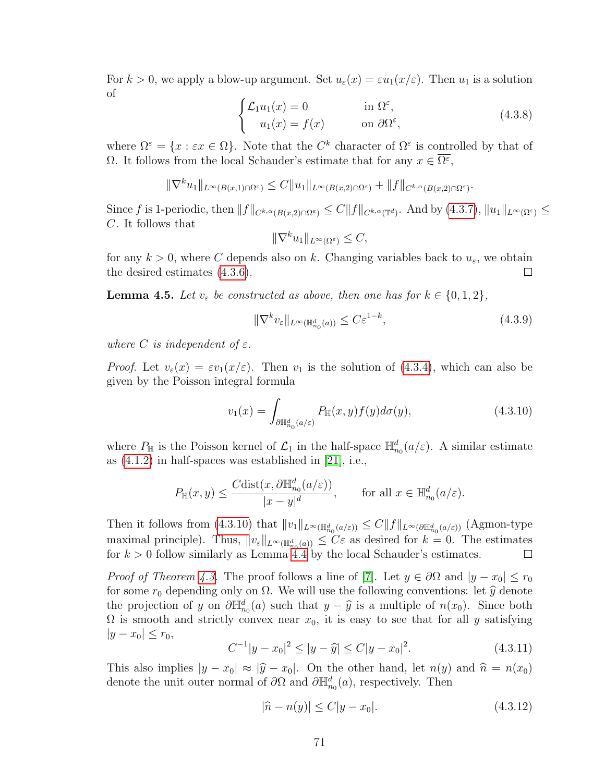For  $k > 0$ , we apply a blow-up argument. Set  $u_{\varepsilon}(x) = \varepsilon u_1(x/\varepsilon)$ . Then  $u_1$  is a solution of

$$
\begin{cases} \mathcal{L}_1 u_1(x) = 0 & \text{in } \Omega^\varepsilon, \\ u_1(x) = f(x) & \text{on } \partial \Omega^\varepsilon, \end{cases}
$$
 (4.3.8)

where  $\Omega^{\varepsilon} = \{x : \varepsilon x \in \Omega\}$ . Note that the  $C^{k}$  character of  $\Omega^{\varepsilon}$  is controlled by that of Ω. It follows from the local Schauder's estimate that for any  $x \in \overline{\Omega^{\varepsilon}}$ ,

$$
\|\nabla^k u_1\|_{L^{\infty}(B(x,1)\cap\Omega^{\varepsilon})} \leq C \|u_1\|_{L^{\infty}(B(x,2)\cap\Omega^{\varepsilon})} + \|f\|_{C^{k,\alpha}(B(x,2)\cap\Omega^{\varepsilon})}.
$$

Since f is 1-periodic, then  $||f||_{C^{k,\alpha}(B(x,2)\cap\Omega^{\varepsilon})} \leq C||f||_{C^{k,\alpha}(\mathbb{T}^d)}$ . And by  $(4.3.7), ||u_1||_{L^{\infty}(\Omega^{\varepsilon})} \leq$ C. It follows that

<span id="page-78-4"></span>
$$
\|\nabla^k u_1\|_{L^\infty(\Omega^\varepsilon)} \leq C,
$$

for any  $k > 0$ , where C depends also on k. Changing variables back to  $u_{\varepsilon}$ , we obtain the desired estimates [\(4.3.6\)](#page-77-5).  $\Box$ 

<span id="page-78-1"></span>**Lemma 4.5.** Let  $v_{\varepsilon}$  be constructed as above, then one has for  $k \in \{0, 1, 2\}$ ,

<span id="page-78-0"></span>
$$
\|\nabla^k v_\varepsilon\|_{L^\infty(\mathbb{H}_{n_0}^d(a))} \le C\varepsilon^{1-k},\tag{4.3.9}
$$

where C is independent of  $\varepsilon$ .

*Proof.* Let  $v_{\varepsilon}(x) = \varepsilon v_1(x/\varepsilon)$ . Then  $v_1$  is the solution of [\(4.3.4\)](#page-77-1), which can also be given by the Poisson integral formula

$$
v_1(x) = \int_{\partial \mathbb{H}_{n_0}^d(a/\varepsilon)} P_{\mathbb{H}}(x, y) f(y) d\sigma(y), \qquad (4.3.10)
$$

where  $P_{\mathbb{H}}$  is the Poisson kernel of  $\mathcal{L}_1$  in the half-space  $\mathbb{H}^d_{n_0}(a/\varepsilon)$ . A similar estimate as [\(4.1.2\)](#page-74-1) in half-spaces was established in [\[21\]](#page-109-0), i.e.,

$$
P_{\mathbb{H}}(x,y) \le \frac{C \text{dist}(x,\partial \mathbb{H}_{n_0}^d(a/\varepsilon))}{|x-y|^d}, \quad \text{for all } x \in \mathbb{H}_{n_0}^d(a/\varepsilon).
$$

Then it follows from [\(4.3.10\)](#page-78-0) that  $||v_1||_{L^{\infty}(\mathbb{H}^d_{n_0}(a/\varepsilon))} \leq C ||f||_{L^{\infty}(\partial \mathbb{H}^d_{n_0}(a/\varepsilon))}$  (Agmon-type maximal principle). Thus,  $||v_{\varepsilon}||_{L^{\infty}(\mathbb{H}_{n_0}^d(a))} \leq C\varepsilon$  as desired for  $k = 0$ . The estimates for  $k > 0$  follow similarly as Lemma [4.4](#page-77-6) by the local Schauder's estimates.  $\Box$ 

*Proof of Theorem [4.3.](#page-77-7)* The proof follows a line of [\[7\]](#page-108-0). Let  $y \in \partial\Omega$  and  $|y - x_0| \le r_0$ for some  $r_0$  depending only on  $\Omega$ . We will use the following conventions: let  $\hat{y}$  denote the projection of y on  $\partial \mathbb{H}_{n_0}^d(a)$  such that  $y - \hat{y}$  is a multiple of  $n(x_0)$ . Since both  $\Omega$  is smooth and strictly convex part  $x_0$ , it is easy to see that for all u satisfying  $\Omega$  is smooth and strictly convex near  $x_0$ , it is easy to see that for all y satisfying  $|y - x_0| \leq r_0,$ 

<span id="page-78-2"></span>
$$
C^{-1}|y - x_0|^2 \le |y - \widehat{y}| \le C|y - x_0|^2. \tag{4.3.11}
$$

This also implies  $|y - x_0| \approx |\hat{y} - x_0|$ . On the other hand, let  $n(y)$  and  $\hat{n} = n(x_0)$ denote the unit outer normal of  $\partial\Omega$  and  $\partial\mathbb{H}_{n_0}^d(a)$ , respectively. Then

<span id="page-78-3"></span>
$$
|\hat{n} - n(y)| \le C|y - x_0|.\tag{4.3.12}
$$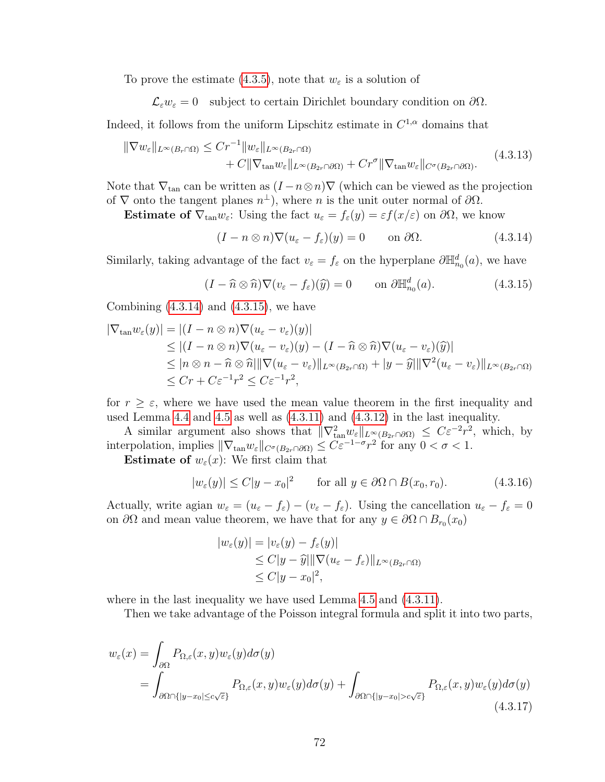To prove the estimate [\(4.3.5\)](#page-77-8), note that  $w_{\varepsilon}$  is a solution of

 $\mathcal{L}_{\varepsilon} w_{\varepsilon} = 0$  subject to certain Dirichlet boundary condition on  $\partial \Omega$ .

Indeed, it follows from the uniform Lipschitz estimate in  $C^{1,\alpha}$  domains that

$$
\|\nabla w_{\varepsilon}\|_{L^{\infty}(B_{r}\cap\Omega)} \leq C r^{-1} \|w_{\varepsilon}\|_{L^{\infty}(B_{2r}\cap\Omega)} + C \|\nabla_{\tan} w_{\varepsilon}\|_{L^{\infty}(B_{2r}\cap\partial\Omega)} + C r^{\sigma} \|\nabla_{\tan} w_{\varepsilon}\|_{C^{\sigma}(B_{2r}\cap\partial\Omega)}.
$$
\n(4.3.13)

Note that  $\nabla_{\tan}$  can be written as  $(I - n \otimes n) \nabla$  (which can be viewed as the projection of  $\nabla$  onto the tangent planes  $n^{\perp}$ ), where n is the unit outer normal of  $\partial\Omega$ .

Estimate of  $\nabla_{\tan} w_{\varepsilon}$ : Using the fact  $u_{\varepsilon} = f_{\varepsilon}(y) = \varepsilon f(x/\varepsilon)$  on  $\partial \Omega$ , we know

<span id="page-79-4"></span><span id="page-79-1"></span><span id="page-79-0"></span>
$$
(I - n \otimes n)\nabla (u_{\varepsilon} - f_{\varepsilon})(y) = 0 \qquad \text{on } \partial \Omega.
$$
 (4.3.14)

Similarly, taking advantage of the fact  $v_{\varepsilon} = f_{\varepsilon}$  on the hyperplane  $\partial \mathbb{H}_{n_0}^d(a)$ , we have

$$
(I - \widehat{n} \otimes \widehat{n}) \nabla (v_{\varepsilon} - f_{\varepsilon}) (\widehat{y}) = 0 \qquad \text{on } \partial \mathbb{H}_{n_0}^d(a). \tag{4.3.15}
$$

Combining  $(4.3.14)$  and  $(4.3.15)$ , we have

$$
|\nabla_{\tan} w_{\varepsilon}(y)| = |(I - n \otimes n) \nabla (u_{\varepsilon} - v_{\varepsilon})(y)|
$$
  
\n
$$
\leq |(I - n \otimes n) \nabla (u_{\varepsilon} - v_{\varepsilon})(y) - (I - \hat{n} \otimes \hat{n}) \nabla (u_{\varepsilon} - v_{\varepsilon})(\hat{y})|
$$
  
\n
$$
\leq |n \otimes n - \hat{n} \otimes \hat{n}| ||\nabla (u_{\varepsilon} - v_{\varepsilon})||_{L^{\infty}(B_{2r} \cap \Omega)} + |y - \hat{y}|| |\nabla^{2} (u_{\varepsilon} - v_{\varepsilon})||_{L^{\infty}(B_{2r} \cap \Omega)}
$$
  
\n
$$
\leq Cr + C \varepsilon^{-1} r^{2} \leq C \varepsilon^{-1} r^{2},
$$

for  $r \geq \varepsilon$ , where we have used the mean value theorem in the first inequality and used Lemma [4.4](#page-77-6) and [4.5](#page-78-1) as well as [\(4.3.11\)](#page-78-2) and [\(4.3.12\)](#page-78-3) in the last inequality.

A similar argument also shows that  $\|\nabla_{\tan}^2 w_{\varepsilon}\|_{L^{\infty}(B_{2r}\cap\partial\Omega)} \leq C\varepsilon^{-2}r^2$ , which, by interpolation, implies  $\|\nabla_{\tan} w_{\varepsilon}\|_{C^{\sigma}(B_{2r} \cap \partial \Omega)} \leq C \varepsilon^{-1-\sigma} r^2$  for any  $0 < \sigma < 1$ .

**Estimate of**  $w_{\varepsilon}(x)$ : We first claim that

<span id="page-79-3"></span>
$$
|w_{\varepsilon}(y)| \le C|y - x_0|^2 \qquad \text{for all } y \in \partial\Omega \cap B(x_0, r_0). \tag{4.3.16}
$$

Actually, write agian  $w_{\varepsilon} = (u_{\varepsilon} - f_{\varepsilon}) - (v_{\varepsilon} - f_{\varepsilon})$ . Using the cancellation  $u_{\varepsilon} - f_{\varepsilon} = 0$ on  $\partial\Omega$  and mean value theorem, we have that for any  $y \in \partial\Omega \cap B_{r_0}(x_0)$ 

$$
|w_{\varepsilon}(y)| = |v_{\varepsilon}(y) - f_{\varepsilon}(y)|
$$
  
\n
$$
\leq C|y - \hat{y}||\nabla(u_{\varepsilon} - f_{\varepsilon})||_{L^{\infty}(B_{2r} \cap \Omega)}
$$
  
\n
$$
\leq C|y - x_0|^2,
$$

where in the last inequality we have used Lemma [4.5](#page-78-1) and  $(4.3.11)$ .

<span id="page-79-2"></span>Then we take advantage of the Poisson integral formula and split it into two parts,

$$
w_{\varepsilon}(x) = \int_{\partial\Omega} P_{\Omega,\varepsilon}(x,y)w_{\varepsilon}(y)d\sigma(y)
$$
  
= 
$$
\int_{\partial\Omega \cap \{|y-x_0| \le c\sqrt{\varepsilon}\}} P_{\Omega,\varepsilon}(x,y)w_{\varepsilon}(y)d\sigma(y) + \int_{\partial\Omega \cap \{|y-x_0| > c\sqrt{\varepsilon}\}} P_{\Omega,\varepsilon}(x,y)w_{\varepsilon}(y)d\sigma(y)
$$
(4.3.17)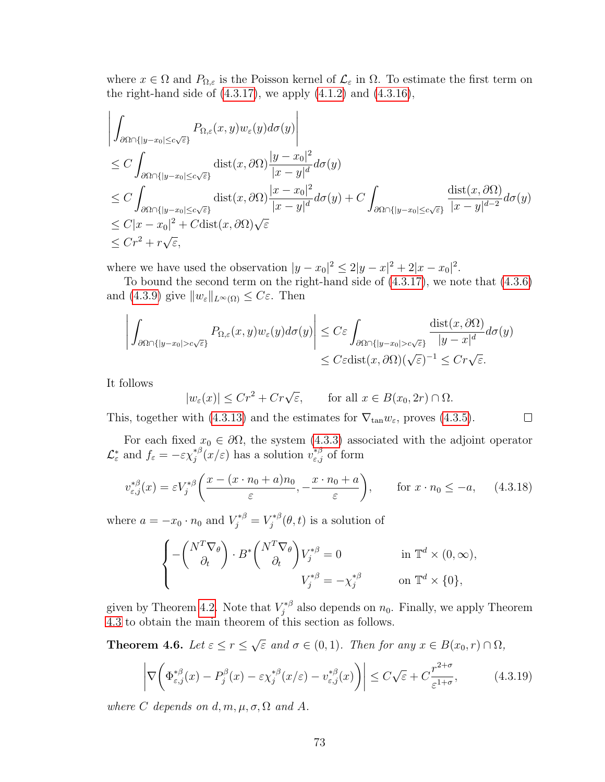where  $x \in \Omega$  and  $P_{\Omega,\varepsilon}$  is the Poisson kernel of  $\mathcal{L}_{\varepsilon}$  in  $\Omega$ . To estimate the first term on the right-hand side of  $(4.3.17)$ , we apply  $(4.1.2)$  and  $(4.3.16)$ ,

$$
\left| \int_{\partial\Omega \cap \{|y-x_0| \le c\sqrt{\varepsilon}\}} P_{\Omega,\varepsilon}(x,y) w_{\varepsilon}(y) d\sigma(y) \right|
$$
\n
$$
\le C \int_{\partial\Omega \cap \{|y-x_0| \le c\sqrt{\varepsilon}\}} \text{dist}(x,\partial\Omega) \frac{|y-x_0|^2}{|x-y|^d} d\sigma(y)
$$
\n
$$
\le C \int_{\partial\Omega \cap \{|y-x_0| \le c\sqrt{\varepsilon}\}} \text{dist}(x,\partial\Omega) \frac{|x-x_0|^2}{|x-y|^d} d\sigma(y) + C \int_{\partial\Omega \cap \{|y-x_0| \le c\sqrt{\varepsilon}\}} \frac{\text{dist}(x,\partial\Omega)}{|x-y|^{d-2}} d\sigma(y)
$$
\n
$$
\le C |x-x_0|^2 + C \text{dist}(x,\partial\Omega) \sqrt{\varepsilon}
$$
\n
$$
\le Cr^2 + r\sqrt{\varepsilon},
$$

where we have used the observation  $|y - x_0|^2 \leq 2|y - x|^2 + 2|x - x_0|^2$ .

To bound the second term on the right-hand side of [\(4.3.17\)](#page-79-2), we note that [\(4.3.6\)](#page-77-5) and [\(4.3.9\)](#page-78-4) give  $||w_{\varepsilon}||_{L^{\infty}(\Omega)} \leq C_{\varepsilon}$ . Then

$$
\left| \int_{\partial\Omega \cap \{|y-x_0| > c\sqrt{\varepsilon}\}} P_{\Omega,\varepsilon}(x,y) w_{\varepsilon}(y) d\sigma(y) \right| \leq C\varepsilon \int_{\partial\Omega \cap \{|y-x_0| > c\sqrt{\varepsilon}\}} \frac{\text{dist}(x,\partial\Omega)}{|y-x|^d} d\sigma(y) \leq C\varepsilon \text{dist}(x,\partial\Omega) (\sqrt{\varepsilon})^{-1} \leq Cr\sqrt{\varepsilon}.
$$

It follows

$$
|w_{\varepsilon}(x)| \le Cr^2 + Cr\sqrt{\varepsilon}
$$
, for all  $x \in B(x_0, 2r) \cap \Omega$ .

<span id="page-80-1"></span><span id="page-80-0"></span> $\Box$ 

For each fixed  $x_0 \in \partial\Omega$ , the system [\(4.3.3\)](#page-77-2) associated with the adjoint operator

This, together with [\(4.3.13\)](#page-79-4) and the estimates for  $\nabla_{\tan} w_{\varepsilon}$ , proves [\(4.3.5\)](#page-77-8).

 $\mathcal{L}_{\varepsilon}^*$  and  $f_{\varepsilon} = -\varepsilon \chi_j^{*\beta}$  $j^{\ast \beta}(x/\varepsilon)$  has a solution  $v^{\ast \beta}_{\varepsilon,j}$  of form

$$
v_{\varepsilon,j}^{*\beta}(x) = \varepsilon V_j^{*\beta} \bigg( \frac{x - (x \cdot n_0 + a)n_0}{\varepsilon}, -\frac{x \cdot n_0 + a}{\varepsilon} \bigg), \qquad \text{for } x \cdot n_0 \le -a,\tag{4.3.18}
$$

where  $a = -x_0 \cdot n_0$  and  $V_j^{*\beta} = V_j^{*\beta}$  $j^{*\beta}(\theta, t)$  is a solution of

$$
\begin{cases}\n-\left(\begin{array}{c}N^T \nabla_\theta\\ \partial_t\end{array}\right) \cdot B^* \left(\begin{array}{c}N^T \nabla_\theta\\ \partial_t\end{array}\right) V_j^{*\beta} = 0 & \text{in } \mathbb{T}^d \times (0, \infty), \\
V_j^{*\beta} = -\chi_j^{*\beta} & \text{on } \mathbb{T}^d \times \{0\},\n\end{cases}
$$

given by Theorem [4.2.](#page-76-1) Note that  $V_i^{*\beta}$  $j_j^{*,\beta}$  also depends on  $n_0$ . Finally, we apply Theorem [4.3](#page-77-7) to obtain the main theorem of this section as follows.

Theorem 4.6. Let  $\varepsilon \leq r \leq$ √  $\overline{\varepsilon}$  and  $\sigma \in (0,1)$ . Then for any  $x \in B(x_0,r) \cap \Omega$ ,

$$
\left| \nabla \left( \Phi_{\varepsilon,j}^{*\beta}(x) - P_j^{\beta}(x) - \varepsilon \chi_j^{*\beta}(x/\varepsilon) - v_{\varepsilon,j}^{*\beta}(x) \right) \right| \le C \sqrt{\varepsilon} + C \frac{r^{2+\sigma}}{\varepsilon^{1+\sigma}},\tag{4.3.19}
$$

where C depends on d, m,  $\mu$ ,  $\sigma$ ,  $\Omega$  and A.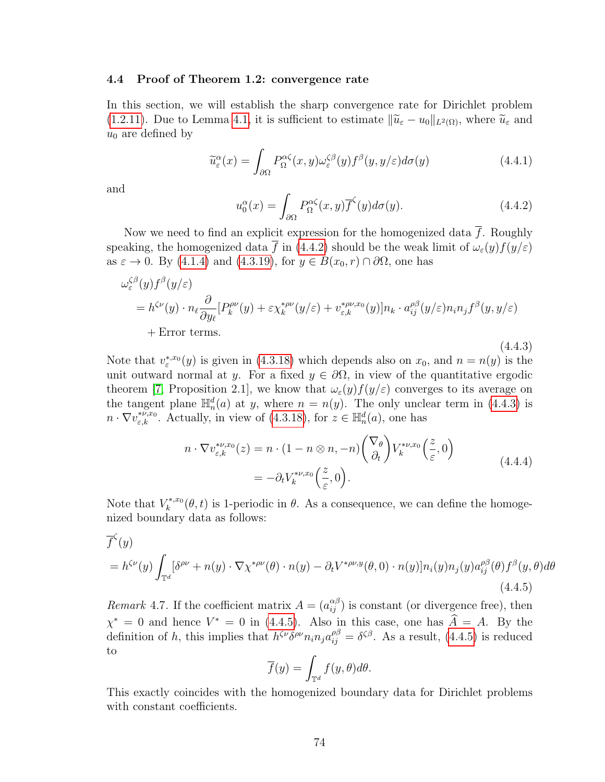## 4.4 Proof of Theorem 1.2: convergence rate

In this section, we will establish the sharp convergence rate for Dirichlet problem [\(1.2.11\)](#page-13-0). Due to Lemma [4.1,](#page-75-0) it is sufficient to estimate  $\|\widetilde{u}_{\varepsilon} - u_0\|_{L^2(\Omega)}$ , where  $\widetilde{u}_{\varepsilon}$  and  $u_0$  are defined by

$$
\widetilde{u}_{\varepsilon}^{\alpha}(x) = \int_{\partial\Omega} P_{\Omega}^{\alpha\zeta}(x, y)\omega_{\varepsilon}^{\zeta\beta}(y) f^{\beta}(y, y/\varepsilon)d\sigma(y) \tag{4.4.1}
$$

<span id="page-81-0"></span>and

<span id="page-81-1"></span>
$$
u_0^{\alpha}(x) = \int_{\partial \Omega} P_{\Omega}^{\alpha \zeta}(x, y) \overline{f}^{\zeta}(y) d\sigma(y).
$$
 (4.4.2)

Now we need to find an explicit expression for the homogenized data  $\overline{f}$ . Roughly speaking, the homogenized data  $\bar{f}$  in [\(4.4.2\)](#page-81-0) should be the weak limit of  $\omega_{\varepsilon}(y)f(y/\varepsilon)$ as  $\varepsilon \to 0$ . By [\(4.1.4\)](#page-75-3) and [\(4.3.19\)](#page-80-0), for  $y \in B(x_0, r) \cap \partial \Omega$ , one has

$$
\omega_{\varepsilon}^{\zeta\beta}(y)f^{\beta}(y/\varepsilon)
$$
\n
$$
= h^{\zeta\nu}(y) \cdot n_{\ell} \frac{\partial}{\partial y_{\ell}} [P_k^{\rho\nu}(y) + \varepsilon \chi_k^{* \rho\nu}(y/\varepsilon) + v_{\varepsilon,k}^{* \rho\nu,x_0}(y)] n_k \cdot a_{ij}^{\rho\beta}(y/\varepsilon) n_i n_j f^{\beta}(y,y/\varepsilon)
$$
\n
$$
+ \text{Error terms.}
$$
\n(4.4.3)

Note that  $v_*^{*,x_0}(y)$  is given in [\(4.3.18\)](#page-80-1) which depends also on  $x_0$ , and  $n = n(y)$  is the unit outward normal at y. For a fixed  $y \in \partial\Omega$ , in view of the quantitative ergodic theorem [\[7,](#page-108-0) Proposition 2.1], we know that  $\omega_{\varepsilon}(y) f(y/\varepsilon)$  converges to its average on the tangent plane  $\mathbb{H}_n^d(a)$  at y, where  $n = n(y)$ . The only unclear term in [\(4.4.3\)](#page-81-1) is  $n \cdot \nabla v_{\varepsilon,k}^{*\nu,x_0}$ . Actually, in view of [\(4.3.18\)](#page-80-1), for  $z \in \mathbb{H}_n^d(a)$ , one has

<span id="page-81-3"></span><span id="page-81-2"></span>
$$
n \cdot \nabla v_{\varepsilon,k}^{*\nu,x_0}(z) = n \cdot (1 - n \otimes n, -n) \begin{pmatrix} \nabla_{\theta} \\ \partial_t \end{pmatrix} V_k^{*\nu,x_0} \begin{pmatrix} z \\ \overline{\varepsilon}, 0 \end{pmatrix}
$$
  
=  $-\partial_t V_k^{*\nu,x_0} \begin{pmatrix} z \\ \overline{\varepsilon}, 0 \end{pmatrix}.$  (4.4.4)

Note that  $V_k^{*,x_0}$  $\mathcal{L}_{k}^{*,x_0}(\theta, t)$  is 1-periodic in  $\theta$ . As a consequence, we can define the homogenized boundary data as follows:

$$
\overline{f}^{\zeta}(y)
$$
\n
$$
= h^{\zeta \nu}(y) \int_{\mathbb{T}^d} [\delta^{\rho \nu} + n(y) \cdot \nabla \chi^{*\rho \nu}(\theta) \cdot n(y) - \partial_t V^{*\rho \nu, y}(\theta, 0) \cdot n(y)] n_i(y) n_j(y) a_{ij}^{\rho \beta}(\theta) f^{\beta}(y, \theta) d\theta
$$
\n(4.4.5)

*Remark* 4.7. If the coefficient matrix  $A = (a_{ij}^{\alpha\beta})$  is constant (or divergence free), then  $\chi^* = 0$  and hence  $V^* = 0$  in [\(4.4.5\)](#page-81-2). Also in this case, one has  $\hat{A} = A$ . By the definition of h, this implies that  $h^{\zeta\nu}\delta^{\rho\nu}n_i n_j a_{ij}^{\rho\beta} = \delta^{\zeta\beta}$ . As a result, [\(4.4.5\)](#page-81-2) is reduced to

$$
\overline{f}(y) = \int_{\mathbb{T}^d} f(y, \theta) d\theta.
$$

<span id="page-81-4"></span>This exactly coincides with the homogenized boundary data for Dirichlet problems with constant coefficients.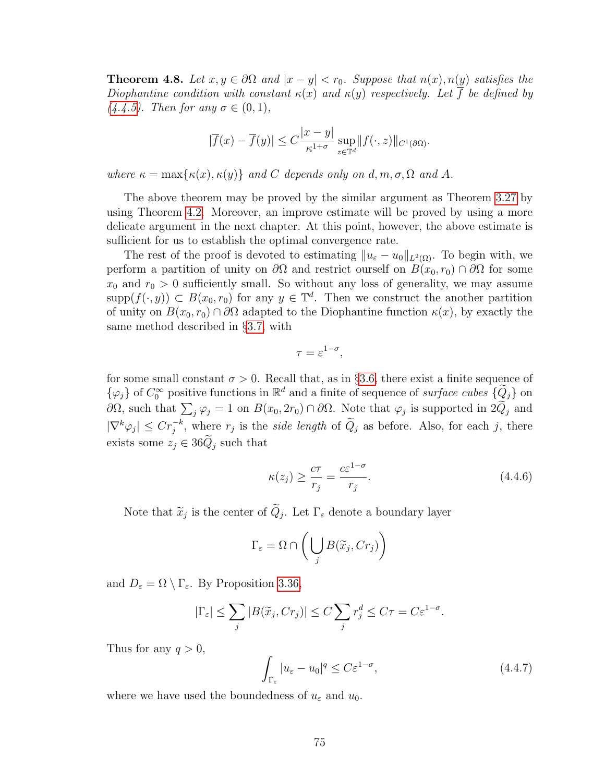**Theorem 4.8.** Let  $x, y \in \partial\Omega$  and  $|x - y| < r_0$ . Suppose that  $n(x), n(y)$  satisfies the Diophantine condition with constant  $\kappa(x)$  and  $\kappa(y)$  respectively. Let  $\overline{f}$  be defined by [\(4.4.5\)](#page-81-2). Then for any  $\sigma \in (0,1)$ ,

$$
|\overline{f}(x) - \overline{f}(y)| \le C \frac{|x - y|}{\kappa^{1 + \sigma}} \sup_{z \in \mathbb{T}^d} ||f(\cdot, z)||_{C^1(\partial \Omega)}.
$$

where  $\kappa = \max{\kappa(x), \kappa(y)}$  and C depends only on d, m,  $\sigma$ ,  $\Omega$  and A.

The above theorem may be proved by the similar argument as Theorem [3.27](#page-54-0) by using Theorem [4.2.](#page-76-1) Moreover, an improve estimate will be proved by using a more delicate argument in the next chapter. At this point, however, the above estimate is sufficient for us to establish the optimal convergence rate.

The rest of the proof is devoted to estimating  $||u_{\varepsilon} - u_0||_{L^2(\Omega)}$ . To begin with, we perform a partition of unity on  $\partial\Omega$  and restrict ourself on  $B(x_0, r_0) \cap \partial\Omega$  for some  $x_0$  and  $r_0 > 0$  sufficiently small. So without any loss of generality, we may assume  $\text{supp}(f(\cdot,y)) \subset B(x_0,r_0)$  for any  $y \in \mathbb{T}^d$ . Then we construct the another partition of unity on  $B(x_0, r_0) \cap \partial\Omega$  adapted to the Diophantine function  $\kappa(x)$ , by exactly the same method described in §[3.7,](#page-64-0) with

$$
\tau = \varepsilon^{1-\sigma},
$$

for some small constant  $\sigma > 0$ . Recall that, as in §[3.6,](#page-60-0) there exist a finite sequence of  $\{\varphi_j\}$  of  $C_0^{\infty}$  positive functions in  $\mathbb{R}^d$  and a finite of sequence of *surface cubes*  $\{\widetilde{Q}_j\}$  on  $\partial\Omega$ , such that  $\sum_j \varphi_j = 1$  on  $B(x_0, 2r_0) \cap \partial\Omega$ . Note that  $\varphi_j$  is supported in 2 $Q_j$  and  $|\nabla^k \varphi_j| \leq C r_j^{-k}$ , where  $r_j$  is the *side length* of  $\widetilde{Q}_j$  as before. Also, for each j, there exists some  $z_j \in 36\tilde{Q}_j$  such that

<span id="page-82-0"></span>
$$
\kappa(z_j) \ge \frac{c\tau}{r_j} = \frac{c\varepsilon^{1-\sigma}}{r_j}.\tag{4.4.6}
$$

Note that  $\widetilde{x}_j$  is the center of  $Q_j$ . Let  $\Gamma_{\varepsilon}$  denote a boundary layer

$$
\Gamma_{\varepsilon} = \Omega \cap \left( \bigcup_{j} B(\widetilde{x}_j, Cr_j) \right)
$$

and  $D_{\varepsilon} = \Omega \setminus \Gamma_{\varepsilon}$ . By Proposition [3.36,](#page-63-0)

<span id="page-82-1"></span>
$$
|\Gamma_{\varepsilon}| \leq \sum_{j} |B(\widetilde{x}_j, Cr_j)| \leq C \sum_{j} r_j^d \leq C\tau = C\varepsilon^{1-\sigma}.
$$

Thus for any  $q > 0$ ,

$$
\int_{\Gamma_{\varepsilon}} |u_{\varepsilon} - u_0|^q \le C \varepsilon^{1-\sigma},\tag{4.4.7}
$$

where we have used the boundedness of  $u_{\varepsilon}$  and  $u_0$ .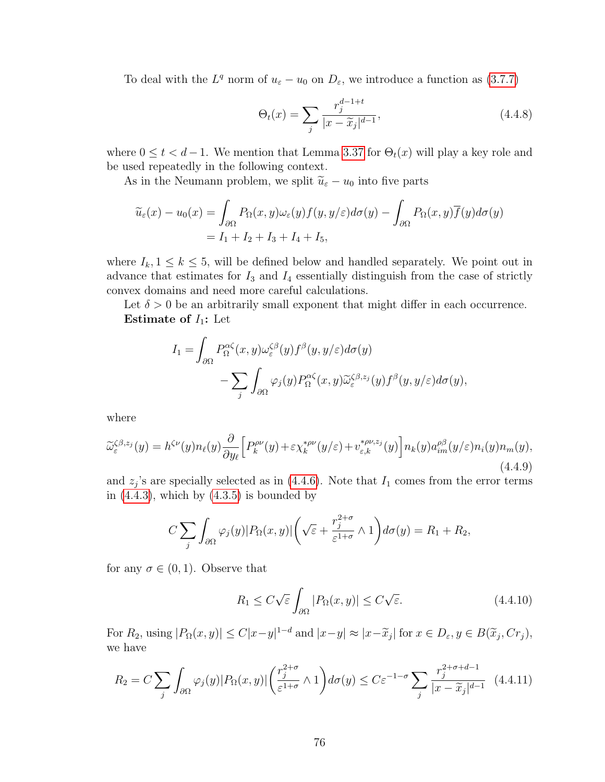To deal with the  $L^q$  norm of  $u_{\varepsilon} - u_0$  on  $D_{\varepsilon}$ , we introduce a function as [\(3.7.7\)](#page-66-0)

$$
\Theta_t(x) = \sum_j \frac{r_j^{d-1+t}}{|x - \widetilde{x}_j|^{d-1}},\tag{4.4.8}
$$

where  $0 \le t < d-1$ . We mention that Lemma [3.37](#page-66-1) for  $\Theta_t(x)$  will play a key role and be used repeatedly in the following context.

As in the Neumann problem, we split  $\tilde{u}_{\varepsilon} - u_0$  into five parts

$$
\widetilde{u}_{\varepsilon}(x) - u_0(x) = \int_{\partial \Omega} P_{\Omega}(x, y) \omega_{\varepsilon}(y) f(y, y/\varepsilon) d\sigma(y) - \int_{\partial \Omega} P_{\Omega}(x, y) \overline{f}(y) d\sigma(y)
$$

$$
= I_1 + I_2 + I_3 + I_4 + I_5,
$$

where  $I_k$ ,  $1 \leq k \leq 5$ , will be defined below and handled separately. We point out in advance that estimates for  $I_3$  and  $I_4$  essentially distinguish from the case of strictly convex domains and need more careful calculations.

Let  $\delta > 0$  be an arbitrarily small exponent that might differ in each occurrence. Estimate of  $I_1$ : Let

$$
I_1 = \int_{\partial\Omega} P_{\Omega}^{\alpha\zeta}(x, y)\omega_{\varepsilon}^{\zeta\beta}(y)f^{\beta}(y, y/\varepsilon)d\sigma(y) - \sum_{j} \int_{\partial\Omega} \varphi_j(y)P_{\Omega}^{\alpha\zeta}(x, y)\widetilde{\omega}_{\varepsilon}^{\zeta\beta, z_j}(y)f^{\beta}(y, y/\varepsilon)d\sigma(y),
$$

<span id="page-83-2"></span>where

$$
\widetilde{\omega}_{\varepsilon}^{\zeta\beta,z_j}(y) = h^{\zeta\nu}(y)n_{\ell}(y)\frac{\partial}{\partial y_{\ell}}\Big[P_k^{\rho\nu}(y) + \varepsilon \chi_k^{*\rho\nu}(y/\varepsilon) + v_{\varepsilon,k}^{*\rho\nu,z_j}(y)\Big]n_k(y)a_{im}^{\rho\beta}(y/\varepsilon)n_i(y)n_m(y),\tag{4.4.9}
$$

and  $z_j$ 's are specially selected as in [\(4.4.6\)](#page-82-0). Note that  $I_1$  comes from the error terms in  $(4.4.3)$ , which by  $(4.3.5)$  is bounded by

$$
C\sum_{j}\int_{\partial\Omega}\varphi_{j}(y)|P_{\Omega}(x,y)|\left(\sqrt{\varepsilon}+\frac{r_{j}^{2+\sigma}}{\varepsilon^{1+\sigma}}\wedge 1\right)d\sigma(y)=R_{1}+R_{2},
$$

for any  $\sigma \in (0,1)$ . Observe that

<span id="page-83-1"></span>
$$
R_1 \le C\sqrt{\varepsilon} \int_{\partial\Omega} |P_{\Omega}(x,y)| \le C\sqrt{\varepsilon}.\tag{4.4.10}
$$

For  $R_2$ , using  $|P_{\Omega}(x,y)| \le C|x-y|^{1-d}$  and  $|x-y| \approx |x-\tilde{x}_j|$  for  $x \in D_{\varepsilon}, y \in B(\tilde{x}_j, Cr_j)$ , we have

<span id="page-83-0"></span>
$$
R_2 = C \sum_j \int_{\partial \Omega} \varphi_j(y) |P_{\Omega}(x, y)| \left( \frac{r_j^{2+\sigma}}{\varepsilon^{1+\sigma}} \wedge 1 \right) d\sigma(y) \le C \varepsilon^{-1-\sigma} \sum_j \frac{r_j^{2+\sigma+d-1}}{|x - \widetilde{x}_j|^{d-1}} \tag{4.4.11}
$$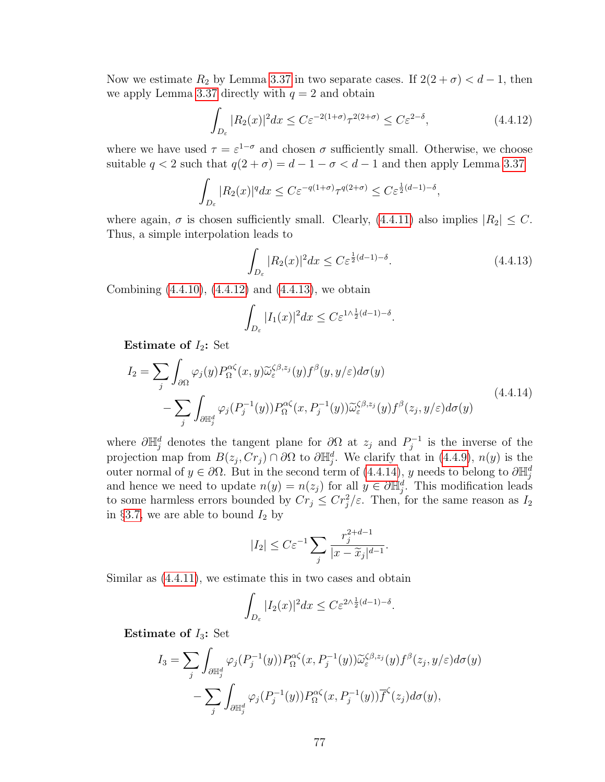Now we estimate  $R_2$  by Lemma [3.37](#page-66-1) in two separate cases. If  $2(2 + \sigma) < d - 1$ , then we apply Lemma [3.37](#page-66-1) directly with  $q = 2$  and obtain

<span id="page-84-0"></span>
$$
\int_{D_{\varepsilon}} |R_2(x)|^2 dx \le C\varepsilon^{-2(1+\sigma)} \tau^{2(2+\sigma)} \le C\varepsilon^{2-\delta},\tag{4.4.12}
$$

where we have used  $\tau = \varepsilon^{1-\sigma}$  and chosen  $\sigma$  sufficiently small. Otherwise, we choose suitable  $q < 2$  such that  $q(2 + \sigma) = d - 1 - \sigma < d - 1$  and then apply Lemma [3.37](#page-66-1)

$$
\int_{D_{\varepsilon}} |R_2(x)|^q dx \le C\varepsilon^{-q(1+\sigma)} \tau^{q(2+\sigma)} \le C\varepsilon^{\frac{1}{2}(d-1)-\delta},
$$

where again,  $\sigma$  is chosen sufficiently small. Clearly, [\(4.4.11\)](#page-83-0) also implies  $|R_2| \leq C$ . Thus, a simple interpolation leads to

<span id="page-84-1"></span>
$$
\int_{D_{\varepsilon}} |R_2(x)|^2 dx \le C\varepsilon^{\frac{1}{2}(d-1)-\delta}.
$$
\n(4.4.13)

Combining [\(4.4.10\)](#page-83-1), [\(4.4.12\)](#page-84-0) and [\(4.4.13\)](#page-84-1), we obtain

<span id="page-84-2"></span>
$$
\int_{D_{\varepsilon}} |I_1(x)|^2 dx \le C \varepsilon^{1/\frac{1}{2}(d-1)-\delta}.
$$

Estimate of  $I_2$ : Set

$$
I_2 = \sum_{j} \int_{\partial \Omega} \varphi_j(y) P_{\Omega}^{\alpha \zeta}(x, y) \widetilde{\omega}_{\varepsilon}^{\zeta \beta, z_j}(y) f^{\beta}(y, y/\varepsilon) d\sigma(y)
$$
  
 
$$
- \sum_{j} \int_{\partial \mathbb{H}_j^d} \varphi_j(P_j^{-1}(y)) P_{\Omega}^{\alpha \zeta}(x, P_j^{-1}(y)) \widetilde{\omega}_{\varepsilon}^{\zeta \beta, z_j}(y) f^{\beta}(z_j, y/\varepsilon) d\sigma(y)
$$
(4.4.14)

where  $\partial \mathbb{H}_{j}^{d}$  denotes the tangent plane for  $\partial \Omega$  at  $z_j$  and  $P_j^{-1}$  $j^{-1}$  is the inverse of the projection map from  $B(z_j, Cr_j) \cap \partial\Omega$  to  $\partial \mathbb{H}_{j}^d$ . We clarify that in [\(4.4.9\)](#page-83-2),  $n(y)$  is the outer normal of  $y \in \partial \Omega$ . But in the second term of [\(4.4.14\)](#page-84-2), y needs to belong to  $\partial \mathbb{H}_j^d$ and hence we need to update  $n(y) = n(z_j)$  for all  $y \in \partial \mathbb{H}_{j}^d$ . This modification leads to some harmless errors bounded by  $Cr_j \leq Cr_j^2/\varepsilon$ . Then, for the same reason as  $I_2$ in §[3.7,](#page-64-0) we are able to bound  $I_2$  by

$$
|I_2| \leq C\varepsilon^{-1} \sum_j \frac{r_j^{2+d-1}}{|x - \widetilde{x}_j|^{d-1}}.
$$

Similar as [\(4.4.11\)](#page-83-0), we estimate this in two cases and obtain

$$
\int_{D_{\varepsilon}} |I_2(x)|^2 dx \le C\varepsilon^{2\wedge \frac{1}{2}(d-1) - \delta}.
$$

Estimate of  $I_3$ : Set

$$
I_3 = \sum_j \int_{\partial \mathbb{H}_j^d} \varphi_j(P_j^{-1}(y)) P_{\Omega}^{\alpha \zeta}(x, P_j^{-1}(y)) \widetilde{\omega}_{\varepsilon}^{\zeta \beta, z_j}(y) f^{\beta}(z_j, y/\varepsilon) d\sigma(y)
$$

$$
- \sum_j \int_{\partial \mathbb{H}_j^d} \varphi_j(P_j^{-1}(y)) P_{\Omega}^{\alpha \zeta}(x, P_j^{-1}(y)) \overline{f}^{\zeta}(z_j) d\sigma(y),
$$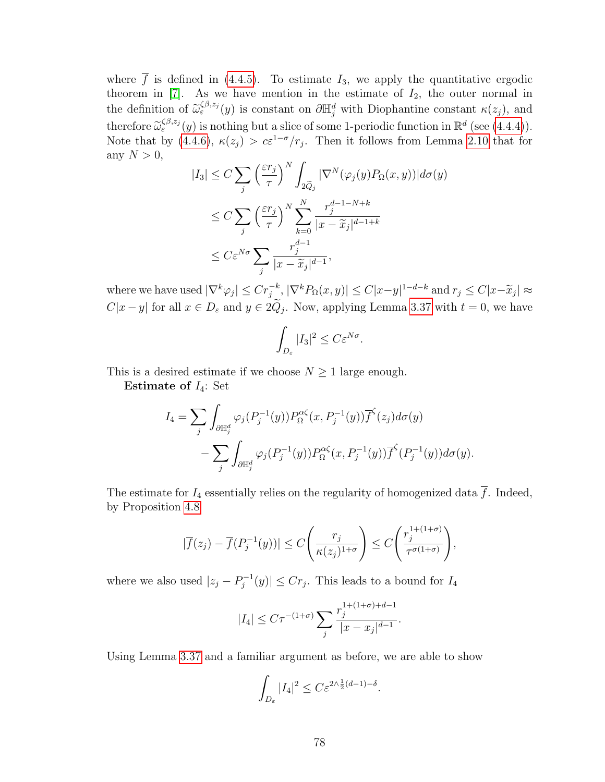where  $\overline{f}$  is defined in [\(4.4.5\)](#page-81-2). To estimate  $I_3$ , we apply the quantitative ergodic theorem in  $[7]$ . As we have mention in the estimate of  $I_2$ , the outer normal in the definition of  $\widetilde{\omega}_{\varepsilon}^{\zeta\beta,z_j}(y)$  is constant on  $\partial \mathbb{H}_j^d$  with Diophantine constant  $\kappa(z_j)$ , and therefore  $\widetilde{\omega}_{\varepsilon}^{\beta,\varepsilon_j}(y)$  is nothing but a slice of some 1-periodic function in  $\mathbb{R}^d$  (see [\(4.4.4\)](#page-81-3)).<br>Note that by  $(4.4.6)$ ,  $\kappa(z) > \varepsilon^{-1-\sigma}/x$ . Then it follows from Lemma 2.10 that for Note that by [\(4.4.6\)](#page-82-0),  $\kappa(z_j) > c \varepsilon^{1-\sigma}/r_j$ . Then it follows from Lemma [2.10](#page-23-0) that for any  $N > 0$ ,

$$
|I_3| \leq C \sum_{j} \left(\frac{\varepsilon r_j}{\tau}\right)^N \int_{2\tilde{Q}_j} |\nabla^N(\varphi_j(y) P_\Omega(x, y))| d\sigma(y)
$$
  

$$
\leq C \sum_{j} \left(\frac{\varepsilon r_j}{\tau}\right)^N \sum_{k=0}^N \frac{r_j^{d-1-N+k}}{|x - \tilde{x}_j|^{d-1+k}}
$$
  

$$
\leq C \varepsilon^{N\sigma} \sum_{j} \frac{r_j^{d-1}}{|x - \tilde{x}_j|^{d-1}},
$$

where we have used  $|\nabla^k \varphi_j| \leq Cr_j^{-k}, |\nabla^k P_\Omega(x, y)| \leq C|x-y|^{1-d-k}$  and  $r_j \leq C|x-\tilde{x}_j| \approx$  $C|x-y|$  for all  $x \in D_{\varepsilon}$  and  $y \in 2Q_j$ . Now, applying Lemma [3.37](#page-66-1) with  $t = 0$ , we have

$$
\int_{D_{\varepsilon}} |I_3|^2 \le C \varepsilon^{N\sigma}.
$$

This is a desired estimate if we choose  $N \geq 1$  large enough.

Estimate of  $I_4$ : Set

$$
I_4 = \sum_j \int_{\partial \mathbb{H}_j^d} \varphi_j(P_j^{-1}(y)) P_{\Omega}^{\alpha \zeta}(x, P_j^{-1}(y)) \overline{f}^{\zeta}(z_j) d\sigma(y)
$$

$$
- \sum_j \int_{\partial \mathbb{H}_j^d} \varphi_j(P_j^{-1}(y)) P_{\Omega}^{\alpha \zeta}(x, P_j^{-1}(y)) \overline{f}^{\zeta}(P_j^{-1}(y)) d\sigma(y).
$$

The estimate for  $I_4$  essentially relies on the regularity of homogenized data  $\overline{f}$ . Indeed, by Proposition [4.8](#page-81-4)

$$
|\overline{f}(z_j)-\overline{f}(P_j^{-1}(y))|\leq C\Bigg(\frac{r_j}{\kappa(z_j)^{1+\sigma}}\Bigg)\leq C\Bigg(\frac{r_j^{1+(1+\sigma)}}{\tau^{\sigma(1+\sigma)}}\Bigg),
$$

where we also used  $|z_j - P_i^{-1}|$  $|O_j^{-1}(y)| \leq Cr_j$ . This leads to a bound for  $I_4$ 

$$
|I_4| \le C\tau^{-(1+\sigma)} \sum_{j} \frac{r_j^{1+(1+\sigma)+d-1}}{|x - x_j|^{d-1}}.
$$

Using Lemma [3.37](#page-66-1) and a familiar argument as before, we are able to show

$$
\int_{D_{\varepsilon}} |I_4|^2 \le C \varepsilon^{2\wedge \frac{1}{2}(d-1) - \delta}.
$$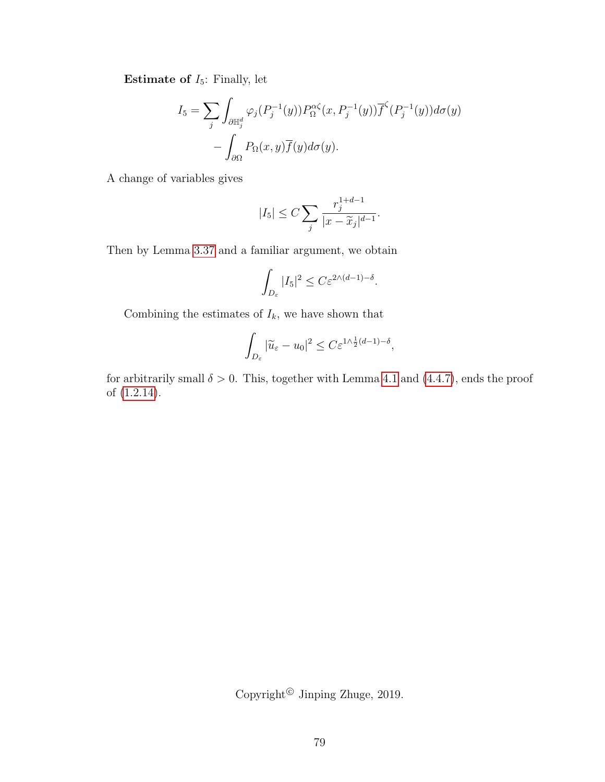**Estimate of**  $I_5$ : Finally, let

$$
I_5 = \sum_j \int_{\partial \mathbb{H}_j^d} \varphi_j(P_j^{-1}(y)) P_{\Omega}^{\alpha \zeta}(x, P_j^{-1}(y)) \overline{f}^{\zeta}(P_j^{-1}(y)) d\sigma(y)
$$

$$
- \int_{\partial \Omega} P_{\Omega}(x, y) \overline{f}(y) d\sigma(y).
$$

A change of variables gives

$$
|I_5| \le C \sum_{j} \frac{r_j^{1+d-1}}{|x - \widetilde{x}_j|^{d-1}}.
$$

Then by Lemma [3.37](#page-66-1) and a familiar argument, we obtain

$$
\int_{D_{\varepsilon}} |I_5|^2 \le C\varepsilon^{2\wedge (d-1)-\delta}.
$$

Combining the estimates of  $\mathcal{I}_k,$  we have shown that

$$
\int_{D_{\varepsilon}} |\widetilde{u}_{\varepsilon} - u_0|^2 \le C \varepsilon^{1/\frac{1}{2}(d-1) - \delta},
$$

for arbitrarily small  $\delta > 0$ . This, together with Lemma [4.1](#page-75-0) and [\(4.4.7\)](#page-82-1), ends the proof of [\(1.2.14\)](#page-14-0).

Copyright<sup>©</sup> Jinping Zhuge, 2019.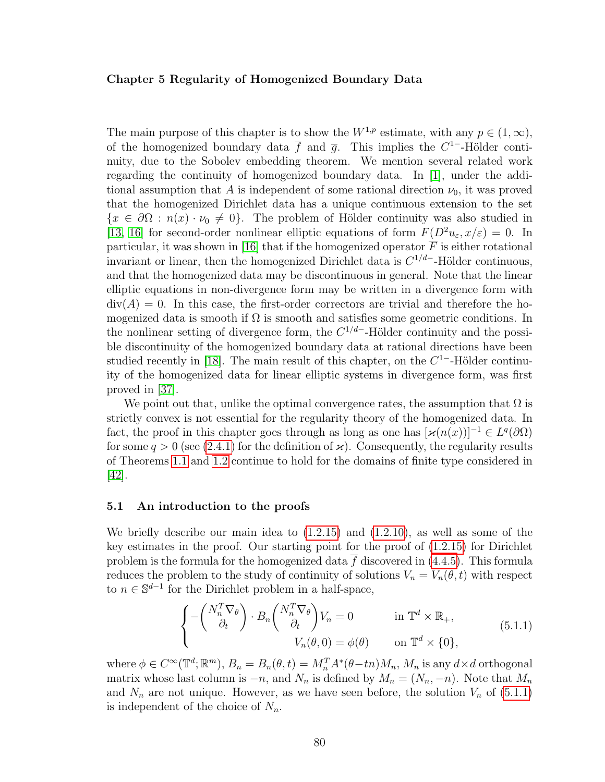## Chapter 5 Regularity of Homogenized Boundary Data

The main purpose of this chapter is to show the  $W^{1,p}$  estimate, with any  $p \in (1,\infty)$ , of the homogenized boundary data  $\bar{f}$  and  $\bar{g}$ . This implies the C<sup>1-</sup>-Hölder continuity, due to the Sobolev embedding theorem. We mention several related work regarding the continuity of homogenized boundary data. In [\[1\]](#page-108-3), under the additional assumption that A is independent of some rational direction  $\nu_0$ , it was proved that the homogenized Dirichlet data has a unique continuous extension to the set  ${x \in \partial\Omega : n(x) \cdot \nu_0 \neq 0}$ . The problem of Hölder continuity was also studied in [\[13,](#page-108-4) [16\]](#page-109-4) for second-order nonlinear elliptic equations of form  $F(D^2u_{\varepsilon}, x/\varepsilon) = 0$ . In particular, it was shown in [\[16\]](#page-109-4) that if the homogenized operator  $\overline{F}$  is either rotational invariant or linear, then the homogenized Dirichlet data is  $C^{1/d}$ -Hölder continuous, and that the homogenized data may be discontinuous in general. Note that the linear elliptic equations in non-divergence form may be written in a divergence form with  $div(A) = 0$ . In this case, the first-order correctors are trivial and therefore the homogenized data is smooth if  $\Omega$  is smooth and satisfies some geometric conditions. In the nonlinear setting of divergence form, the  $C^{1/d}$ -Hölder continuity and the possible discontinuity of the homogenized boundary data at rational directions have been studied recently in [\[18\]](#page-109-5). The main result of this chapter, on the  $C<sup>1</sup>$ -Hölder continuity of the homogenized data for linear elliptic systems in divergence form, was first proved in [\[37\]](#page-110-2).

We point out that, unlike the optimal convergence rates, the assumption that  $\Omega$  is strictly convex is not essential for the regularity theory of the homogenized data. In fact, the proof in this chapter goes through as long as one has  $[\varkappa(n(x))]^{-1} \in L^q(\partial\Omega)$ for some  $q > 0$  (see [\(2.4.1\)](#page-22-0) for the definition of  $\varkappa$ ). Consequently, the regularity results of Theorems [1.1](#page-12-0) and [1.2](#page-13-1) continue to hold for the domains of finite type considered in [\[42\]](#page-110-0).

## 5.1 An introduction to the proofs

We briefly describe our main idea to  $(1.2.15)$  and  $(1.2.10)$ , as well as some of the key estimates in the proof. Our starting point for the proof of [\(1.2.15\)](#page-14-1) for Dirichlet problem is the formula for the homogenized data  $\overline{f}$  discovered in [\(4.4.5\)](#page-81-2). This formula reduces the problem to the study of continuity of solutions  $V_n = V_n(\theta, t)$  with respect to  $n \in \mathbb{S}^{d-1}$  for the Dirichlet problem in a half-space,

<span id="page-87-0"></span>
$$
\begin{cases}\n-\begin{pmatrix}N_n^T \nabla_\theta\\ \partial_t\end{pmatrix} \cdot B_n \begin{pmatrix}N_n^T \nabla_\theta\\ \partial_t\end{pmatrix} V_n = 0 & \text{in } \mathbb{T}^d \times \mathbb{R}_+, \\
V_n(\theta, 0) = \phi(\theta) & \text{on } \mathbb{T}^d \times \{0\},\n\end{cases} (5.1.1)
$$

where  $\phi \in C^{\infty}(\mathbb{T}^d; \mathbb{R}^m)$ ,  $B_n = B_n(\theta, t) = M_n^T A^*(\theta - t_n) M_n$ ,  $M_n$  is any  $d \times d$  orthogonal matrix whose last column is  $-n$ , and  $N_n$  is defined by  $M_n = (N_n, -n)$ . Note that  $M_n$ and  $N_n$  are not unique. However, as we have seen before, the solution  $V_n$  of  $(5.1.1)$ is independent of the choice of  $N_n$ .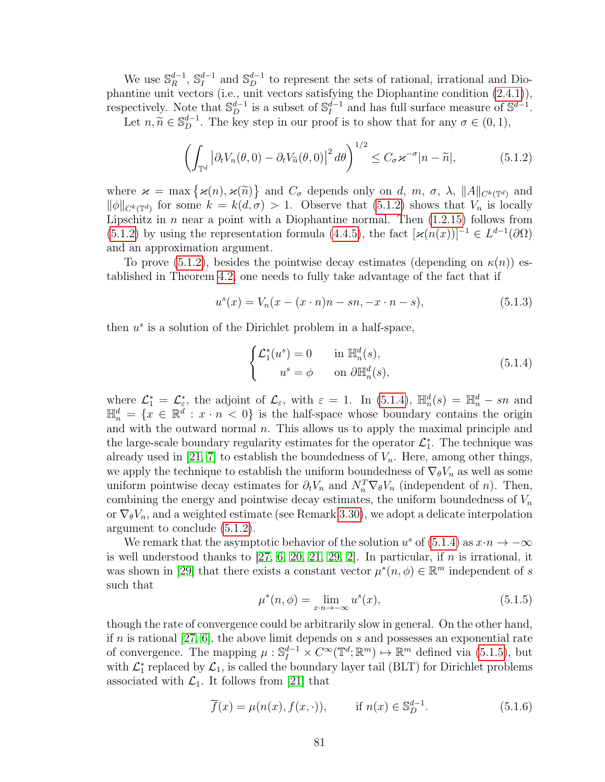We use  $\mathbb{S}_R^{d-1}$  $\mathfrak{g}^{d-1}_R$ ,  $\mathbb{S}^{d-1}_I$  $I_I^{d-1}$  and  $\mathbb{S}_D^{d-1}$  to represent the sets of rational, irrational and Diophantine unit vectors (i.e., unit vectors satisfying the Diophantine condition [\(2.4.1\)](#page-22-0)), respectively. Note that  $\mathbb{S}_{D}^{d-1}$  is a subset of  $\mathbb{S}_{I}^{d-1}$  $I_I^{d-1}$  and has full surface measure of  $\mathbb{S}^{d-1}$ .

Let  $n, \tilde{n} \in \mathbb{S}_{D}^{d-1}$ . The key step in our proof is to show that for any  $\sigma \in (0, 1)$ ,

<span id="page-88-0"></span>
$$
\left(\int_{\mathbb{T}^d} \left|\partial_t V_n(\theta,0) - \partial_t V_{\widetilde{n}}(\theta,0)\right|^2 d\theta\right)^{1/2} \le C_\sigma \varkappa^{-\sigma} |n - \widetilde{n}|,\tag{5.1.2}
$$

where  $\varkappa = \max \{ \varkappa(n), \varkappa(\tilde{n}) \}$  and  $C_{\sigma}$  depends only on d, m,  $\sigma$ ,  $\lambda$ ,  $||A||_{C^{k}(\mathbb{T}^{d})}$  and  $||A||_{\infty}$ , for some  $k = k(d, \sigma) > 1$ . Observe that (5.1.2) shows that  $V$  is locally  $\|\phi\|_{C^k(\mathbb{T}^d)}$  for some  $k = k(d, \sigma) > 1$ . Observe that  $(5.1.2)$  shows that  $V_n$  is locally Lipschitz in  $n$  near a point with a Diophantine normal. Then  $(1.2.15)$  follows from [\(5.1.2\)](#page-88-0) by using the representation formula [\(4.4.5\)](#page-81-2), the fact  $[\varkappa(n(x))]^{-1} \in L^{d-1}(\partial\Omega)$ and an approximation argument.

To prove [\(5.1.2\)](#page-88-0), besides the pointwise decay estimates (depending on  $\kappa(n)$ ) established in Theorem [4.2,](#page-76-1) one needs to fully take advantage of the fact that if

$$
u^{s}(x) = V_{n}(x - (x \cdot n)n - sn, -x \cdot n - s), \qquad (5.1.3)
$$

then  $u^s$  is a solution of the Dirichlet problem in a half-space,

<span id="page-88-1"></span>
$$
\begin{cases}\n\mathcal{L}_1^*(u^s) = 0 & \text{in } \mathbb{H}_n^d(s), \\
u^s = \phi & \text{on } \partial \mathbb{H}_n^d(s),\n\end{cases}
$$
\n(5.1.4)

where  $\mathcal{L}_1^* = \mathcal{L}_\varepsilon^*$ , the adjoint of  $\mathcal{L}_\varepsilon$ , with  $\varepsilon = 1$ . In [\(5.1.4\)](#page-88-1),  $\mathbb{H}_n^d(s) = \mathbb{H}_n^d - sn$  and  $\mathbb{H}_n^d = \{x \in \mathbb{R}^d : x \cdot n \leq 0\}$  is the half-space whose boundary contains the origin and with the outward normal  $n$ . This allows us to apply the maximal principle and the large-scale boundary regularity estimates for the operator  $\mathcal{L}_1^*$ . The technique was already used in [\[21,](#page-109-0) [7\]](#page-108-0) to establish the boundedness of  $V_n$ . Here, among other things, we apply the technique to establish the uniform boundedness of  $\nabla_{\theta}V_n$  as well as some uniform pointwise decay estimates for  $\partial_t V_n$  and  $N_n^T \nabla_{\theta} V_n$  (independent of n). Then, combining the energy and pointwise decay estimates, the uniform boundedness of  $V_n$ or  $\nabla_{\theta} V_n$ , and a weighted estimate (see Remark [3.30\)](#page-57-0), we adopt a delicate interpolation argument to conclude [\(5.1.2\)](#page-88-0).

<span id="page-88-2"></span>We remark that the asymptotic behavior of the solution  $u^s$  of [\(5.1.4\)](#page-88-1) as  $x \cdot n \to -\infty$ is well understood thanks to  $[27, 6, 20, 21, 29, 2]$  $[27, 6, 20, 21, 29, 2]$  $[27, 6, 20, 21, 29, 2]$  $[27, 6, 20, 21, 29, 2]$  $[27, 6, 20, 21, 29, 2]$  $[27, 6, 20, 21, 29, 2]$ . In particular, if n is irrational, it was shown in [\[29\]](#page-109-3) that there exists a constant vector  $\mu^*(n, \phi) \in \mathbb{R}^m$  independent of s such that

$$
\mu^*(n,\phi) = \lim_{x \to -\infty} u^s(x),\tag{5.1.5}
$$

though the rate of convergence could be arbitrarily slow in general. On the other hand, if n is rational [\[27,](#page-109-6) [6\]](#page-108-5), the above limit depends on s and possesses an exponential rate of convergence. The mapping  $\mu: \mathbb{S}_I^{d-1} \times C^{\infty}(\mathbb{T}^d; \mathbb{R}^m) \mapsto \mathbb{R}^m$  defined via [\(5.1.5\)](#page-88-2), but with  $\mathcal{L}_1^*$  replaced by  $\mathcal{L}_1$ , is called the boundary layer tail (BLT) for Dirichlet problems associated with  $\mathcal{L}_1$ . It follows from [\[21\]](#page-109-0) that

$$
\overline{f}(x) = \mu(n(x), f(x, \cdot)), \quad \text{if } n(x) \in \mathbb{S}_D^{d-1}.
$$
 (5.1.6)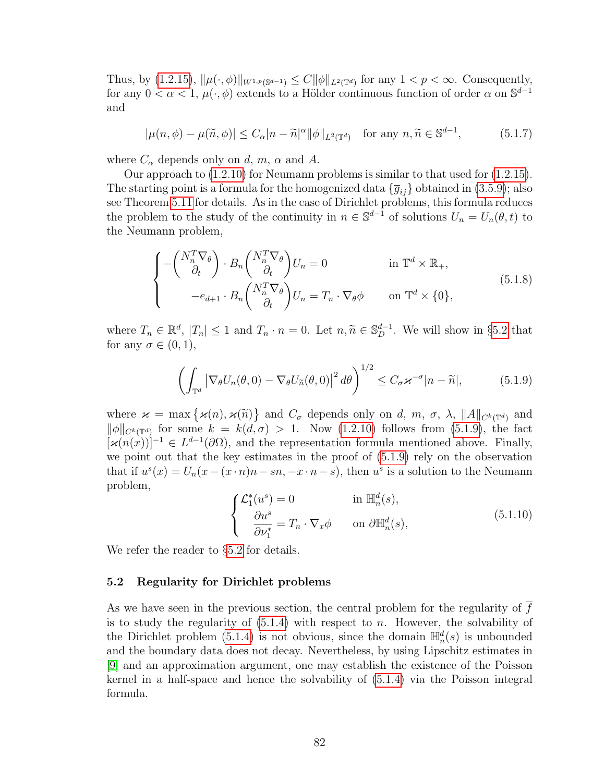Thus, by  $(1.2.15)$ ,  $\|\mu(\cdot,\phi)\|_{W^{1,p}(\mathbb{S}^{d-1})} \leq C \|\phi\|_{L^2(\mathbb{T}^d)}$  for any  $1 < p < \infty$ . Consequently, for any  $0 < \alpha < 1$ ,  $\mu(\cdot, \phi)$  extends to a Hölder continuous function of order  $\alpha$  on  $\mathbb{S}^{d-1}$ and

$$
|\mu(n,\phi) - \mu(\widetilde{n},\phi)| \le C_{\alpha}|n-\widetilde{n}|^{\alpha}||\phi||_{L^{2}(\mathbb{T}^{d})} \quad \text{for any } n,\widetilde{n} \in \mathbb{S}^{d-1},\tag{5.1.7}
$$

where  $C_{\alpha}$  depends only on d, m,  $\alpha$  and A.

Our approach to [\(1.2.10\)](#page-13-2) for Neumann problems is similar to that used for [\(1.2.15\)](#page-14-1). The starting point is a formula for the homogenized data  $\{\overline{g}_{ij}\}$  obtained in [\(3.5.9\)](#page-54-1); also see Theorem [5.11](#page-100-0) for details. As in the case of Dirichlet problems, this formula reduces the problem to the study of the continuity in  $n \in \mathbb{S}^{d-1}$  of solutions  $U_n = U_n(\theta, t)$  to the Neumann problem,

$$
\begin{cases}\n-\begin{pmatrix}N_n^T \nabla_\theta\\ \partial_t\end{pmatrix} \cdot B_n \begin{pmatrix}N_n^T \nabla_\theta\\ \partial_t\end{pmatrix} U_n = 0 & \text{in } \mathbb{T}^d \times \mathbb{R}_+, \\
-e_{d+1} \cdot B_n \begin{pmatrix}N_n^T \nabla_\theta\\ \partial_t\end{pmatrix} U_n = T_n \cdot \nabla_\theta \phi & \text{on } \mathbb{T}^d \times \{0\},\n\end{cases} (5.1.8)
$$

where  $T_n \in \mathbb{R}^d$ ,  $|T_n| \le 1$  and  $T_n \cdot n = 0$ . Let  $n, \tilde{n} \in \mathbb{S}_D^{d-1}$ . We will show in §[5.2](#page-89-0) that for any  $\sigma \in (0,1)$ ,

<span id="page-89-1"></span>
$$
\left(\int_{\mathbb{T}^d} \left|\nabla_{\theta} U_n(\theta,0) - \nabla_{\theta} U_{\widetilde{n}}(\theta,0)\right|^2 d\theta\right)^{1/2} \le C_{\sigma} \varkappa^{-\sigma} |n - \widetilde{n}|,\tag{5.1.9}
$$

where  $\varkappa = \max \{ \varkappa(n), \varkappa(\tilde{n}) \}$  and  $C_{\sigma}$  depends only on d, m,  $\sigma$ ,  $\lambda$ ,  $||A||_{C^{k}(\mathbb{T}^{d})}$  and  $||A||_{\infty}$ , for some  $k = k(d,\sigma) > 1$ . Now  $(1, 2, 10)$  follows from  $(5, 1, 0)$ , the fact  $\|\phi\|_{C^k(\mathbb{T}^d)}$  for some  $k = k(d, \sigma) > 1$ . Now  $(1.2.10)$  follows from  $(5.1.9)$ , the fact  $[\varkappa(n(x))]^{-1} \in L^{d-1}(\partial\Omega)$ , and the representation formula mentioned above. Finally, we point out that the key estimates in the proof of [\(5.1.9\)](#page-89-1) rely on the observation that if  $u^s(x) = U_n(x - (x \cdot n)n - sn, -x \cdot n - s)$ , then  $u^s$  is a solution to the Neumann problem,

$$
\begin{cases}\n\mathcal{L}_1^*(u^s) = 0 & \text{in } \mathbb{H}_n^d(s), \\
\frac{\partial u^s}{\partial \nu_1^*} = T_n \cdot \nabla_x \phi & \text{on } \partial \mathbb{H}_n^d(s),\n\end{cases} \tag{5.1.10}
$$

We refer the reader to  $\S5.2$  $\S5.2$  for details.

## <span id="page-89-0"></span>5.2 Regularity for Dirichlet problems

<span id="page-89-2"></span>As we have seen in the previous section, the central problem for the regularity of f is to study the regularity of  $(5.1.4)$  with respect to n. However, the solvability of the Dirichlet problem [\(5.1.4\)](#page-88-1) is not obvious, since the domain  $\mathbb{H}_n^d(s)$  is unbounded and the boundary data does not decay. Nevertheless, by using Lipschitz estimates in [\[9\]](#page-108-2) and an approximation argument, one may establish the existence of the Poisson kernel in a half-space and hence the solvability of [\(5.1.4\)](#page-88-1) via the Poisson integral formula.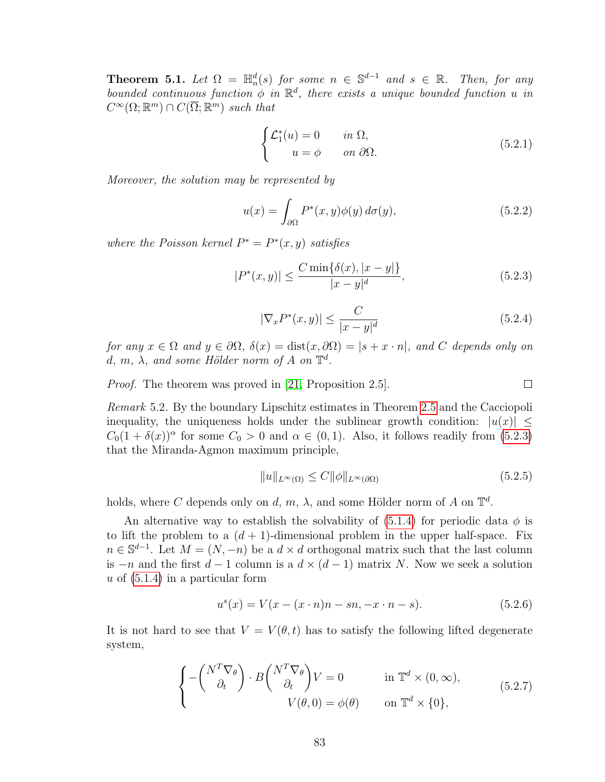**Theorem 5.1.** Let  $\Omega = \mathbb{H}_n^d(s)$  for some  $n \in \mathbb{S}^{d-1}$  and  $s \in \mathbb{R}$ . Then, for any bounded continuous function  $\phi$  in  $\mathbb{R}^d$ , there exists a unique bounded function u in  $C^{\infty}(\Omega;\mathbb{R}^m) \cap C(\overline{\Omega};\mathbb{R}^m)$  such that

<span id="page-90-4"></span>
$$
\begin{cases}\n\mathcal{L}_1^*(u) = 0 & \text{in } \Omega, \\
u = \phi & \text{on } \partial\Omega.\n\end{cases}
$$
\n(5.2.1)

Moreover, the solution may be represented by

<span id="page-90-0"></span>
$$
u(x) = \int_{\partial\Omega} P^*(x, y)\phi(y) d\sigma(y), \qquad (5.2.2)
$$

where the Poisson kernel  $P^* = P^*(x, y)$  satisfies

$$
|P^*(x,y)| \le \frac{C \min\{\delta(x), |x-y|\}}{|x-y|^d},\tag{5.2.3}
$$

$$
|\nabla_x P^*(x, y)| \le \frac{C}{|x - y|^d} \tag{5.2.4}
$$

 $\Box$ 

<span id="page-90-5"></span>for any  $x \in \Omega$  and  $y \in \partial\Omega$ ,  $\delta(x) = \text{dist}(x, \partial\Omega) = |s + x \cdot n|$ , and C depends only on d, m,  $\lambda$ , and some Hölder norm of A on  $\mathbb{T}^d$ .

*Proof.* The theorem was proved in [\[21,](#page-109-0) Proposition 2.5].

<span id="page-90-3"></span>Remark 5.2. By the boundary Lipschitz estimates in Theorem [2.5](#page-21-0) and the Cacciopoli inequality, the uniqueness holds under the sublinear growth condition:  $|u(x)| \leq$  $C_0(1 + \delta(x))^{\alpha}$  for some  $C_0 > 0$  and  $\alpha \in (0, 1)$ . Also, it follows readily from [\(5.2.3\)](#page-90-0) that the Miranda-Agmon maximum principle,

<span id="page-90-6"></span>
$$
||u||_{L^{\infty}(\Omega)} \le C ||\phi||_{L^{\infty}(\partial\Omega)} \tag{5.2.5}
$$

holds, where C depends only on d, m,  $\lambda$ , and some Hölder norm of A on  $\mathbb{T}^d$ .

An alternative way to establish the solvability of [\(5.1.4\)](#page-88-1) for periodic data  $\phi$  is to lift the problem to a  $(d + 1)$ -dimensional problem in the upper half-space. Fix  $n \in \mathbb{S}^{d-1}$ . Let  $M = (N, -n)$  be a  $d \times d$  orthogonal matrix such that the last column is  $-n$  and the first  $d-1$  column is a  $d \times (d-1)$  matrix N. Now we seek a solution u of  $(5.1.4)$  in a particular form

<span id="page-90-2"></span>
$$
u^{s}(x) = V(x - (x \cdot n)n - sn, -x \cdot n - s).
$$
 (5.2.6)

<span id="page-90-1"></span>It is not hard to see that  $V = V(\theta, t)$  has to satisfy the following lifted degenerate system,

$$
\begin{cases}\n-\begin{pmatrix} N^T \nabla_\theta \\ \partial_t \end{pmatrix} \cdot B \begin{pmatrix} N^T \nabla_\theta \\ \partial_t \end{pmatrix} V = 0 & \text{in } \mathbb{T}^d \times (0, \infty), \\
V(\theta, 0) = \phi(\theta) & \text{on } \mathbb{T}^d \times \{0\},\n\end{cases} (5.2.7)
$$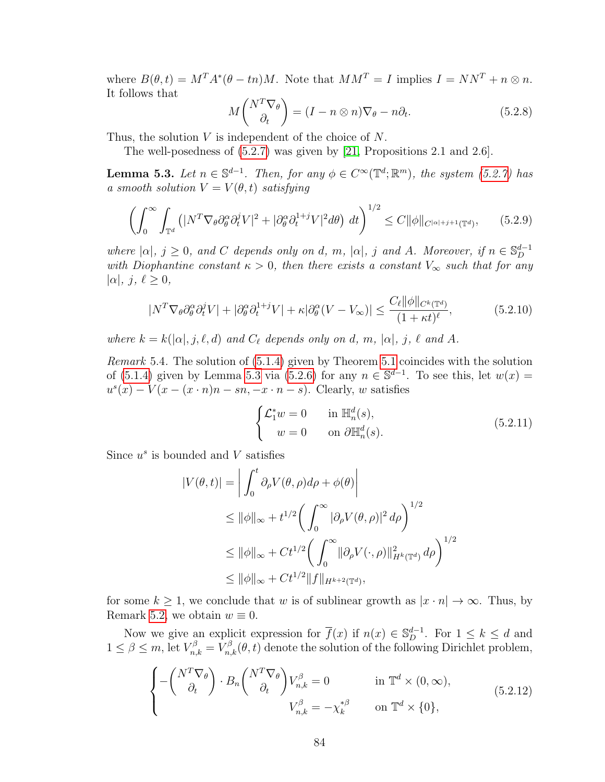where  $B(\theta, t) = M^T A^* (\theta - t n) M$ . Note that  $M M^T = I$  implies  $I = N N^T + n \otimes n$ . It follows that

<span id="page-91-2"></span>
$$
M\begin{pmatrix} N^T \nabla_\theta \\ \partial_t \end{pmatrix} = (I - n \otimes n) \nabla_\theta - n \partial_t.
$$
 (5.2.8)

Thus, the solution V is independent of the choice of N.

The well-posedness of [\(5.2.7\)](#page-90-1) was given by [\[21,](#page-109-0) Propositions 2.1 and 2.6].

<span id="page-91-0"></span>**Lemma 5.3.** Let  $n \in \mathbb{S}^{d-1}$ . Then, for any  $\phi \in C^{\infty}(\mathbb{T}^d;\mathbb{R}^m)$ , the system [\(5.2.7\)](#page-90-1) has a smooth solution  $V = V(\theta, t)$  satisfying

$$
\left(\int_0^\infty \int_{\mathbb{T}^d} \left(|N^T \nabla_\theta \partial_\theta^\alpha \partial_t^j V|^2 + |\partial_\theta^\alpha \partial_t^{1+j} V|^2 d\theta\right) dt\right)^{1/2} \le C \|\phi\|_{C^{|\alpha|+j+1}(\mathbb{T}^d)},\tag{5.2.9}
$$

where  $|\alpha|, j \ge 0$ , and C depends only on d, m,  $|\alpha|, j$  and A. Moreover, if  $n \in \mathbb{S}_{D}^{d-1}$ D with Diophantine constant  $\kappa > 0$ , then there exists a constant  $V_{\infty}$  such that for any  $|\alpha|, j, \ell \geq 0,$ 

<span id="page-91-3"></span>
$$
|N^T \nabla_{\theta} \partial_{\theta}^{\alpha} \partial_{t}^{j} V| + |\partial_{\theta}^{\alpha} \partial_{t}^{1+j} V| + \kappa |\partial_{\theta}^{\alpha} (V - V_{\infty})| \le \frac{C_{\ell} ||\phi||_{C^{k}(\mathbb{T}^{d})}}{(1 + \kappa t)^{\ell}},
$$
(5.2.10)

where  $k = k(|\alpha|, j, \ell, d)$  and  $C_{\ell}$  depends only on d, m,  $|\alpha|, j, \ell$  and A.

<span id="page-91-4"></span>Remark 5.4. The solution of [\(5.1.4\)](#page-88-1) given by Theorem [5.1](#page-89-2) coincides with the solution of [\(5.1.4\)](#page-88-1) given by Lemma [5.3](#page-91-0) via [\(5.2.6\)](#page-90-2) for any  $n \in \mathbb{S}^{d-1}$ . To see this, let  $w(x) =$  $u^{s}(x) - V(x - (x \cdot n)n - sn, -x \cdot n - s)$ . Clearly, w satisfies

$$
\begin{cases}\n\mathcal{L}_1^* w = 0 & \text{in } \mathbb{H}_n^d(s), \\
w = 0 & \text{on } \partial \mathbb{H}_n^d(s).\n\end{cases}
$$
\n(5.2.11)

Since  $u^s$  is bounded and V satisfies

$$
|V(\theta, t)| = \left| \int_0^t \partial_\rho V(\theta, \rho) d\rho + \phi(\theta) \right|
$$
  
\n
$$
\leq ||\phi||_{\infty} + t^{1/2} \left( \int_0^\infty |\partial_\rho V(\theta, \rho)|^2 d\rho \right)^{1/2}
$$
  
\n
$$
\leq ||\phi||_{\infty} + Ct^{1/2} \left( \int_0^\infty ||\partial_\rho V(\cdot, \rho)||^2_{H^k(\mathbb{T}^d)} d\rho \right)^{1/2}
$$
  
\n
$$
\leq ||\phi||_{\infty} + Ct^{1/2} ||f||_{H^{k+2}(\mathbb{T}^d)},
$$

for some  $k \ge 1$ , we conclude that w is of sublinear growth as  $|x \cdot n| \to \infty$ . Thus, by Remark [5.2,](#page-90-3) we obtain  $w \equiv 0$ .

<span id="page-91-1"></span>Now we give an explicit expression for  $\overline{f}(x)$  if  $n(x) \in \mathbb{S}_{D}^{d-1}$ . For  $1 \leq k \leq d$  and  $1 \leq \beta \leq m$ , let  $V_{n,k}^{\beta} = V_{n,k}^{\beta}(\theta, t)$  denote the solution of the following Dirichlet problem,

$$
\begin{cases}\n-\left(\begin{array}{c} N^T \nabla_\theta \\ \partial_t \end{array}\right) \cdot B_n \left(\begin{array}{c} N^T \nabla_\theta \\ \partial_t \end{array}\right) V_{n,k}^\beta = 0 & \text{in } \mathbb{T}^d \times (0, \infty), \\
V_{n,k}^\beta = -\chi_k^{*\beta} & \text{on } \mathbb{T}^d \times \{0\},\n\end{cases} (5.2.12)
$$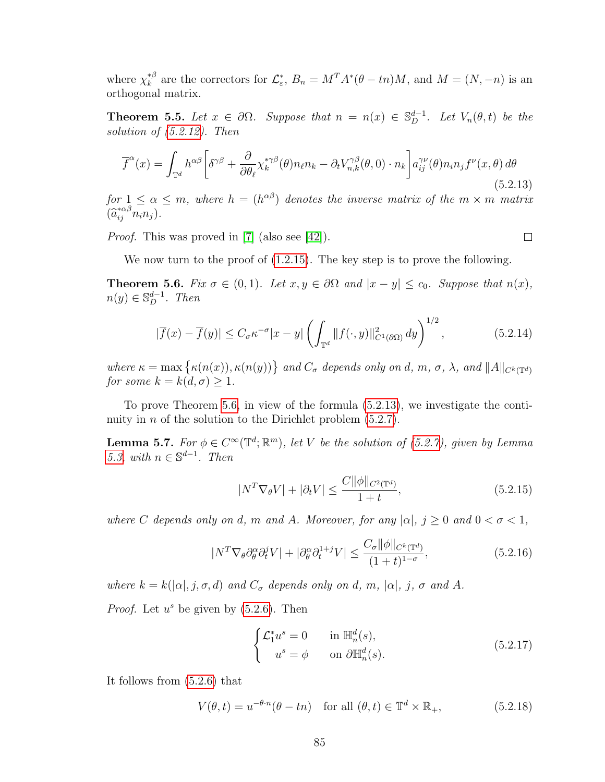where  $\chi_k^{*\beta}$ <sup>\*β</sup> are the correctors for  $\mathcal{L}_{\varepsilon}^*$ ,  $B_n = M^T A^* (\theta - t_n) M$ , and  $M = (N, -n)$  is an orthogonal matrix.

<span id="page-92-6"></span>**Theorem 5.5.** Let  $x \in \partial\Omega$ . Suppose that  $n = n(x) \in \mathbb{S}_{D}^{d-1}$ . Let  $V_n(\theta, t)$  be the solution of [\(5.2.12\)](#page-91-1). Then

<span id="page-92-1"></span>
$$
\overline{f}^{\alpha}(x) = \int_{\mathbb{T}^d} h^{\alpha\beta} \left[ \delta^{\gamma\beta} + \frac{\partial}{\partial \theta_\ell} \chi_k^{*\gamma\beta}(\theta) n_\ell n_k - \partial_t V_{n,k}^{\gamma\beta}(\theta,0) \cdot n_k \right] a_{ij}^{\gamma\nu}(\theta) n_i n_j f^{\nu}(x,\theta) d\theta
$$
\n(5.2.13)

for  $1 \leq \alpha \leq m$ , where  $h = (h^{\alpha\beta})$  denotes the inverse matrix of the  $m \times m$  matrix  $(\widehat{a}_{ij}^{*\alpha\beta}n_i n_j).$ 

Proof. This was proved in [\[7\]](#page-108-0) (also see [\[42\]](#page-110-0)).

<span id="page-92-3"></span> $\Box$ 

We now turn to the proof of  $(1.2.15)$ . The key step is to prove the following.

<span id="page-92-0"></span>**Theorem 5.6.** Fix  $\sigma \in (0,1)$ . Let  $x, y \in \partial \Omega$  and  $|x-y| \leq c_0$ . Suppose that  $n(x)$ ,  $n(y) \in \mathbb{S}_D^{d-1}$ . Then

<span id="page-92-7"></span>
$$
|\overline{f}(x) - \overline{f}(y)| \le C_{\sigma} \kappa^{-\sigma} |x - y| \left( \int_{\mathbb{T}^d} ||f(\cdot, y)||^2_{C^1(\partial \Omega)} dy \right)^{1/2},
$$
\n(5.2.14)

where  $\kappa = \max \{ \kappa(n(x)), \kappa(n(y)) \}$  and  $C_{\sigma}$  depends only on d, m,  $\sigma$ ,  $\lambda$ , and  $||A||_{C^{k}(\mathbb{T}^d)}$ for some  $k = k(d, \sigma) \geq 1$ .

To prove Theorem [5.6,](#page-92-0) in view of the formula [\(5.2.13\)](#page-92-1), we investigate the continuity in  $n$  of the solution to the Dirichlet problem  $(5.2.7)$ .

<span id="page-92-8"></span>**Lemma 5.7.** For  $\phi \in C^{\infty}(\mathbb{T}^d; \mathbb{R}^m)$ , let V be the solution of [\(5.2.7\)](#page-90-1), given by Lemma [5.3,](#page-91-0) with  $n \in \mathbb{S}^{d-1}$ . Then

<span id="page-92-2"></span>
$$
|N^T \nabla_{\theta} V| + |\partial_t V| \le \frac{C \|\phi\|_{C^2(\mathbb{T}^d)}}{1+t},\tag{5.2.15}
$$

where C depends only on d, m and A. Moreover, for any  $|\alpha|, j \geq 0$  and  $0 < \sigma < 1$ ,

$$
|N^T \nabla_{\theta} \partial_{\theta}^{\alpha} \partial_{t}^{j} V| + |\partial_{\theta}^{\alpha} \partial_{t}^{1+j} V| \le \frac{C_{\sigma} \|\phi\|_{C^{k}(\mathbb{T}^d)}}{(1+t)^{1-\sigma}},
$$
\n(5.2.16)

where  $k = k(|\alpha|, j, \sigma, d)$  and  $C_{\sigma}$  depends only on d, m,  $|\alpha|, j, \sigma$  and A.

*Proof.* Let  $u^s$  be given by  $(5.2.6)$ . Then

<span id="page-92-5"></span><span id="page-92-4"></span>
$$
\begin{cases}\n\mathcal{L}_1^* u^s = 0 & \text{in } \mathbb{H}_n^d(s), \\
u^s = \phi & \text{on } \partial \mathbb{H}_n^d(s).\n\end{cases}
$$
\n(5.2.17)

It follows from [\(5.2.6\)](#page-90-2) that

$$
V(\theta, t) = u^{-\theta \cdot n} (\theta - t n) \quad \text{for all } (\theta, t) \in \mathbb{T}^d \times \mathbb{R}_+, \tag{5.2.18}
$$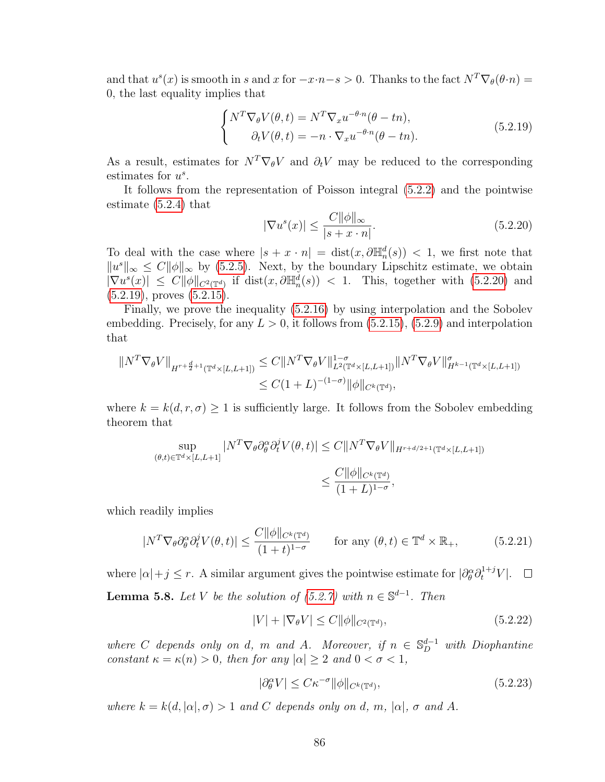and that  $u^s(x)$  is smooth in s and x for  $-x \cdot n - s > 0$ . Thanks to the fact  $N^T \nabla_{\theta} (\theta \cdot n) =$ 0, the last equality implies that

<span id="page-93-1"></span>
$$
\begin{cases}\nN^T \nabla_{\theta} V(\theta, t) = N^T \nabla_x u^{-\theta \cdot n} (\theta - t_n), \\
\partial_t V(\theta, t) = -n \cdot \nabla_x u^{-\theta \cdot n} (\theta - t_n).\n\end{cases} \tag{5.2.19}
$$

As a result, estimates for  $N^T \nabla_{\theta} V$  and  $\partial_t V$  may be reduced to the corresponding estimates for  $u^s$ .

It follows from the representation of Poisson integral [\(5.2.2\)](#page-90-4) and the pointwise estimate [\(5.2.4\)](#page-90-5) that

<span id="page-93-0"></span>
$$
|\nabla u^s(x)| \le \frac{C \|\phi\|_{\infty}}{|s+x \cdot n|}.\tag{5.2.20}
$$

To deal with the case where  $|s + x \cdot n| = \text{dist}(x, \partial \mathbb{H}_n^d(s)) < 1$ , we first note that  $||u^s||_{\infty} \leq C||\phi||_{\infty}$  by [\(5.2.5\)](#page-90-6). Next, by the boundary Lipschitz estimate, we obtain  $|\nabla u^s(x)| \leq C ||\phi||_{C^2(\mathbb{T}^d)}$  if  $dist(x, \partial \mathbb{H}_n^d(s)) < 1$ . This, together with [\(5.2.20\)](#page-93-0) and  $(5.2.19)$ , proves  $(5.2.15)$ .

Finally, we prove the inequality [\(5.2.16\)](#page-92-3) by using interpolation and the Sobolev embedding. Precisely, for any  $L > 0$ , it follows from  $(5.2.15)$ ,  $(5.2.9)$  and interpolation that

$$
||N^T \nabla_{\theta} V||_{H^{r+\frac{d}{2}+1}(\mathbb{T}^d \times [L,L+1])} \leq C||N^T \nabla_{\theta} V||_{L^2(\mathbb{T}^d \times [L,L+1])}^{1-\sigma} ||N^T \nabla_{\theta} V||_{H^{k-1}(\mathbb{T}^d \times [L,L+1])}^{\sigma}
$$
  

$$
\leq C(1+L)^{-(1-\sigma)} ||\phi||_{C^k(\mathbb{T}^d)},
$$

where  $k = k(d, r, \sigma) \ge 1$  is sufficiently large. It follows from the Sobolev embedding theorem that

$$
\sup_{(\theta,t)\in\mathbb{T}^d\times[L,L+1]}|N^T\nabla_{\theta}\partial_{\theta}^{\alpha}\partial_t^j V(\theta,t)| \leq C\|N^T\nabla_{\theta}V\|_{H^{r+d/2+1}(\mathbb{T}^d\times[L,L+1])}
$$
  

$$
\leq \frac{C\|\phi\|_{C^k(\mathbb{T}^d)}}{(1+L)^{1-\sigma}},
$$

which readily implies

$$
|N^T \nabla_{\theta} \partial_{\theta}^{\alpha} \partial_{t}^{j} V(\theta, t)| \le \frac{C ||\phi||_{C^{k}(\mathbb{T}^d)}}{(1+t)^{1-\sigma}} \quad \text{for any } (\theta, t) \in \mathbb{T}^d \times \mathbb{R}_+, \tag{5.2.21}
$$

where  $|\alpha| + j \leq r$ . A similar argument gives the pointwise estimate for  $|\partial_{\theta}^{\alpha} \partial_t^{1+j} V|$ . **Lemma 5.8.** Let V be the solution of  $(5.2.7)$  with  $n \in \mathbb{S}^{d-1}$ . Then

<span id="page-93-2"></span>
$$
|V| + |\nabla_{\theta} V| \le C \|\phi\|_{C^2(\mathbb{T}^d)},\tag{5.2.22}
$$

where C depends only on d, m and A. Moreover, if  $n \in \mathbb{S}_{D}^{d-1}$  with Diophantine constant  $\kappa = \kappa(n) > 0$ , then for any  $|\alpha| > 2$  and  $0 < \sigma < 1$ ,

<span id="page-93-3"></span>
$$
|\partial_{\theta}^{\alpha} V| \leq C \kappa^{-\sigma} ||\phi||_{C^{k}(\mathbb{T}^{d})},\tag{5.2.23}
$$

where  $k = k(d, |\alpha|, \sigma) > 1$  and C depends only on d, m,  $|\alpha|$ ,  $\sigma$  and A.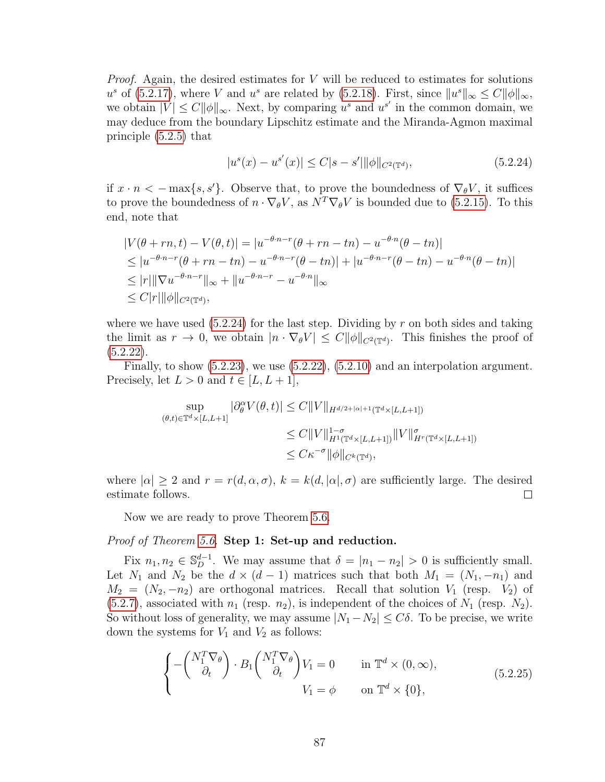*Proof.* Again, the desired estimates for  $V$  will be reduced to estimates for solutions u<sup>s</sup> of [\(5.2.17\)](#page-92-4), where V and u<sup>s</sup> are related by [\(5.2.18\)](#page-92-5). First, since  $||u^s||_{\infty} \leq C||\phi||_{\infty}$ , we obtain  $|V| \leq C ||\phi||_{\infty}$ . Next, by comparing  $u^s$  and  $u^{s'}$  in the common domain, we may deduce from the boundary Lipschitz estimate and the Miranda-Agmon maximal principle [\(5.2.5\)](#page-90-6) that

<span id="page-94-0"></span>
$$
|u^{s}(x) - u^{s'}(x)| \le C|s - s'||\phi\|_{C^{2}(\mathbb{T}^{d})},
$$
\n(5.2.24)

if  $x \cdot n < -\max\{s, s'\}.$  Observe that, to prove the boundedness of  $\nabla_{\theta}V$ , it suffices to prove the boundedness of  $n \cdot \nabla_{\theta} V$ , as  $N^{T} \nabla_{\theta} V$  is bounded due to [\(5.2.15\)](#page-92-2). To this end, note that

$$
|V(\theta + rn, t) - V(\theta, t)| = |u^{-\theta \cdot n - r}(\theta + rn - tn) - u^{-\theta \cdot n}(\theta - tn)|
$$
  
\n
$$
\leq |u^{-\theta \cdot n - r}(\theta + rn - tn) - u^{-\theta \cdot n - r}(\theta - tn)| + |u^{-\theta \cdot n - r}(\theta - tn) - u^{-\theta \cdot n}(\theta - tn)|
$$
  
\n
$$
\leq |r| ||\nabla u^{-\theta \cdot n - r}||_{\infty} + ||u^{-\theta \cdot n - r} - u^{-\theta \cdot n}||_{\infty}
$$
  
\n
$$
\leq C |r| ||\phi||_{C^{2}(\mathbb{T}^{d})},
$$

where we have used  $(5.2.24)$  for the last step. Dividing by r on both sides and taking the limit as  $r \to 0$ , we obtain  $|n \cdot \nabla_{\theta} V| \leq C ||\phi||_{C^2(\mathbb{T}^d)}$ . This finishes the proof of  $(5.2.22)$ .

Finally, to show  $(5.2.23)$ , we use  $(5.2.22)$ ,  $(5.2.10)$  and an interpolation argument. Precisely, let  $L > 0$  and  $t \in [L, L + 1]$ ,

$$
\sup_{(\theta,t)\in\mathbb{T}^d\times[L,L+1]}|\partial_{\theta}^{\alpha}V(\theta,t)|\leq C\|V\|_{H^{d/2+|\alpha|+1}(\mathbb{T}^d\times[L,L+1])}
$$
  

$$
\leq C\|V\|_{H^1(\mathbb{T}^d\times[L,L+1])}^{1-\sigma}\|V\|_{H^r(\mathbb{T}^d\times[L,L+1])}^{\sigma}
$$
  

$$
\leq C\kappa^{-\sigma}\|\phi\|_{C^k(\mathbb{T}^d)},
$$

where  $|\alpha| \geq 2$  and  $r = r(d, \alpha, \sigma)$ ,  $k = k(d, |\alpha|, \sigma)$  are sufficiently large. The desired estimate follows.  $\Box$ 

Now we are ready to prove Theorem [5.6.](#page-92-0)

## Proof of Theorem [5.6.](#page-92-0) Step 1: Set-up and reduction.

Fix  $n_1, n_2 \in \mathbb{S}_D^{d-1}$ . We may assume that  $\delta = |n_1 - n_2| > 0$  is sufficiently small. Let  $N_1$  and  $N_2$  be the  $d \times (d-1)$  matrices such that both  $M_1 = (N_1, -n_1)$  and  $M_2 = (N_2, -n_2)$  are orthogonal matrices. Recall that solution  $V_1$  (resp.  $V_2$ ) of  $(5.2.7)$ , associated with  $n_1$  (resp.  $n_2$ ), is independent of the choices of  $N_1$  (resp.  $N_2$ ). So without loss of generality, we may assume  $|N_1 - N_2| \leq C\delta$ . To be precise, we write down the systems for  $V_1$  and  $V_2$  as follows:

$$
\begin{cases}\n-\left(\begin{array}{c} N_1^T \nabla_\theta \\ \partial_t \end{array}\right) \cdot B_1 \left(\begin{array}{c} N_1^T \nabla_\theta \\ \partial_t \end{array}\right) V_1 = 0 & \text{in } \mathbb{T}^d \times (0, \infty), \\
V_1 = \phi & \text{on } \mathbb{T}^d \times \{0\},\n\end{cases} (5.2.25)
$$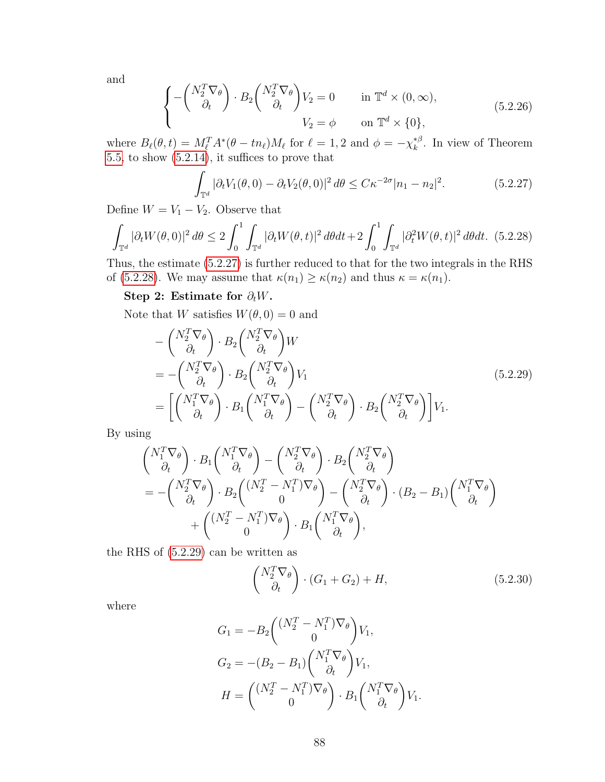and

$$
\begin{cases}\n-\begin{pmatrix}N_2^T \nabla_\theta\\ \partial_t\end{pmatrix} \cdot B_2 \begin{pmatrix}N_2^T \nabla_\theta\\ \partial_t\end{pmatrix} V_2 = 0 & \text{in } \mathbb{T}^d \times (0, \infty), \\
V_2 = \phi & \text{on } \mathbb{T}^d \times \{0\},\n\end{cases} (5.2.26)
$$

where  $B_{\ell}(\theta, t) = M_{\ell}^T A^*(\theta - t n_{\ell}) M_{\ell}$  for  $\ell = 1, 2$  and  $\phi = -\chi_k^{*\beta}$  $k^{\ast \beta}$ . In view of Theorem [5.5,](#page-92-6) to show [\(5.2.14\)](#page-92-7), it suffices to prove that

<span id="page-95-1"></span><span id="page-95-0"></span>
$$
\int_{\mathbb{T}^d} |\partial_t V_1(\theta, 0) - \partial_t V_2(\theta, 0)|^2 d\theta \le C\kappa^{-2\sigma} |n_1 - n_2|^2. \tag{5.2.27}
$$

Define  $W = V_1 - V_2$ . Observe that

$$
\int_{\mathbb{T}^d} |\partial_t W(\theta, 0)|^2 d\theta \le 2 \int_0^1 \int_{\mathbb{T}^d} |\partial_t W(\theta, t)|^2 d\theta dt + 2 \int_0^1 \int_{\mathbb{T}^d} |\partial_t^2 W(\theta, t)|^2 d\theta dt. \tag{5.2.28}
$$

Thus, the estimate [\(5.2.27\)](#page-95-0) is further reduced to that for the two integrals in the RHS of [\(5.2.28\)](#page-95-1). We may assume that  $\kappa(n_1) \geq \kappa(n_2)$  and thus  $\kappa = \kappa(n_1)$ .

## Step 2: Estimate for  $\partial_t W$ .

Note that W satisfies  $W(\theta, 0) = 0$  and

$$
- \begin{pmatrix} N_2^T \nabla_{\theta} \\ \partial_t \end{pmatrix} \cdot B_2 \begin{pmatrix} N_2^T \nabla_{\theta} \\ \partial_t \end{pmatrix} W
$$
  
= 
$$
- \begin{pmatrix} N_2^T \nabla_{\theta} \\ \partial_t \end{pmatrix} \cdot B_2 \begin{pmatrix} N_2^T \nabla_{\theta} \\ \partial_t \end{pmatrix} V_1
$$
  
= 
$$
\begin{bmatrix} \begin{pmatrix} N_1^T \nabla_{\theta} \\ \partial_t \end{pmatrix} \cdot B_1 \begin{pmatrix} N_1^T \nabla_{\theta} \\ \partial_t \end{pmatrix} - \begin{pmatrix} N_2^T \nabla_{\theta} \\ \partial_t \end{pmatrix} \cdot B_2 \begin{pmatrix} N_2^T \nabla_{\theta} \\ \partial_t \end{pmatrix} \end{bmatrix} V_1.
$$
 (5.2.29)

By using

$$
\begin{aligned}\n\begin{pmatrix}\nN_1^T \nabla_\theta \\
\partial_t\n\end{pmatrix} \cdot B_1 \begin{pmatrix}\nN_1^T \nabla_\theta \\
\partial_t\n\end{pmatrix} - \begin{pmatrix}\nN_2^T \nabla_\theta \\
\partial_t\n\end{pmatrix} \cdot B_2 \begin{pmatrix}\nN_2^T \nabla_\theta \\
\partial_t\n\end{pmatrix} \\
&= -\begin{pmatrix}\nN_2^T \nabla_\theta \\
\partial_t\n\end{pmatrix} \cdot B_2 \begin{pmatrix}\n(N_2^T - N_1^T) \nabla_\theta \\
0\n\end{pmatrix} - \begin{pmatrix}\nN_2^T \nabla_\theta \\
\partial_t\n\end{pmatrix} \cdot (B_2 - B_1) \begin{pmatrix}\nN_1^T \nabla_\theta \\
\partial_t\n\end{pmatrix} \\
&+ \begin{pmatrix}\n(N_2^T - N_1^T) \nabla_\theta \\
0\n\end{pmatrix} \cdot B_1 \begin{pmatrix}\nN_1^T \nabla_\theta \\
\partial_t\n\end{pmatrix},\n\end{aligned}
$$

the RHS of [\(5.2.29\)](#page-95-2) can be written as

<span id="page-95-3"></span><span id="page-95-2"></span>
$$
\begin{pmatrix} N_2^T \nabla_\theta \\ \partial_t \end{pmatrix} \cdot (G_1 + G_2) + H,\tag{5.2.30}
$$

where

$$
G_1 = -B_2 \begin{pmatrix} (N_2^T - N_1^T) \nabla_{\theta} \\ 0 \end{pmatrix} V_1,
$$
  
\n
$$
G_2 = -(B_2 - B_1) \begin{pmatrix} N_1^T \nabla_{\theta} \\ \partial_t \end{pmatrix} V_1,
$$
  
\n
$$
H = \begin{pmatrix} (N_2^T - N_1^T) \nabla_{\theta} \\ 0 \end{pmatrix} \cdot B_1 \begin{pmatrix} N_1^T \nabla_{\theta} \\ \partial_t \end{pmatrix} V_1.
$$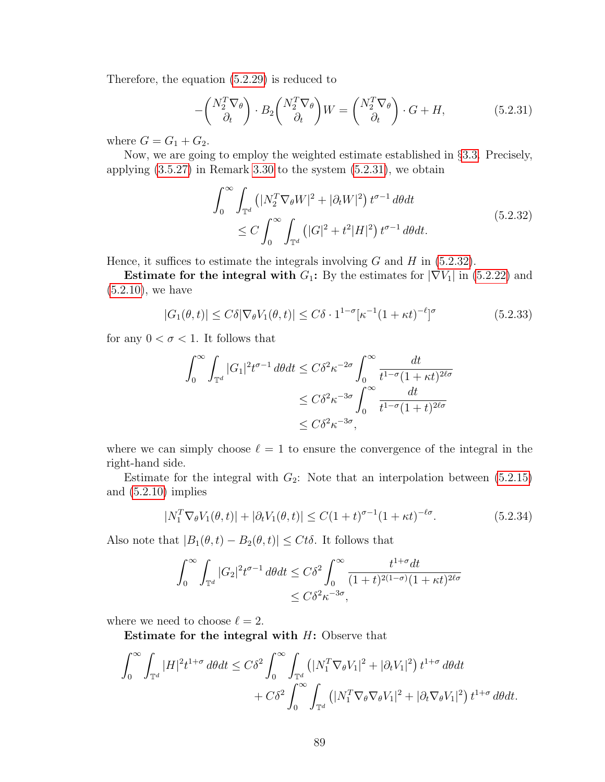Therefore, the equation [\(5.2.29\)](#page-95-2) is reduced to

<span id="page-96-0"></span>
$$
-\begin{pmatrix} N_2^T \nabla_\theta \\ \partial_t \end{pmatrix} \cdot B_2 \begin{pmatrix} N_2^T \nabla_\theta \\ \partial_t \end{pmatrix} W = \begin{pmatrix} N_2^T \nabla_\theta \\ \partial_t \end{pmatrix} \cdot G + H,\tag{5.2.31}
$$

where  $G = G_1 + G_2$ .

Now, we are going to employ the weighted estimate established in §[3.3.](#page-38-0) Precisely, applying [\(3.5.27\)](#page-57-1) in Remark [3.30](#page-57-0) to the system [\(5.2.31\)](#page-96-0), we obtain

<span id="page-96-1"></span>
$$
\int_0^\infty \int_{\mathbb{T}^d} \left( |N_2^T \nabla_\theta W|^2 + |\partial_t W|^2 \right) t^{\sigma - 1} d\theta dt
$$
\n
$$
\leq C \int_0^\infty \int_{\mathbb{T}^d} \left( |G|^2 + t^2 |H|^2 \right) t^{\sigma - 1} d\theta dt.
$$
\n(5.2.32)

Hence, it suffices to estimate the integrals involving  $G$  and  $H$  in [\(5.2.32\)](#page-96-1).

Estimate for the integral with  $G_1$ : By the estimates for  $|\nabla V_1|$  in [\(5.2.22\)](#page-93-2) and [\(5.2.10\)](#page-91-3), we have

$$
|G_1(\theta, t)| \le C\delta |\nabla_{\theta} V_1(\theta, t)| \le C\delta \cdot 1^{1-\sigma} [\kappa^{-1}(1 + \kappa t)^{-\ell}]^{\sigma}
$$
(5.2.33)

for any  $0 < \sigma < 1$ . It follows that

$$
\int_0^\infty \int_{\mathbb{T}^d} |G_1|^2 t^{\sigma-1} d\theta dt \le C\delta^2 \kappa^{-2\sigma} \int_0^\infty \frac{dt}{t^{1-\sigma}(1+\kappa t)^{2\ell\sigma}}
$$
  

$$
\le C\delta^2 \kappa^{-3\sigma} \int_0^\infty \frac{dt}{t^{1-\sigma}(1+t)^{2\ell\sigma}}
$$
  

$$
\le C\delta^2 \kappa^{-3\sigma},
$$

where we can simply choose  $\ell = 1$  to ensure the convergence of the integral in the right-hand side.

Estimate for the integral with  $G_2$ : Note that an interpolation between  $(5.2.15)$ and [\(5.2.10\)](#page-91-3) implies

<span id="page-96-2"></span>
$$
|N_1^T \nabla_{\theta} V_1(\theta, t)| + |\partial_t V_1(\theta, t)| \le C(1+t)^{\sigma - 1} (1 + \kappa t)^{-\ell \sigma}.
$$
 (5.2.34)

Also note that  $|B_1(\theta, t) - B_2(\theta, t)| \leq Ct\delta$ . It follows that

$$
\int_0^\infty \int_{\mathbb{T}^d} |G_2|^2 t^{\sigma-1} d\theta dt \le C\delta^2 \int_0^\infty \frac{t^{1+\sigma} dt}{(1+t)^{2(1-\sigma)}(1+\kappa t)^{2\ell\sigma}} \le C\delta^2 \kappa^{-3\sigma},
$$

where we need to choose  $\ell = 2$ .

Estimate for the integral with  $H$ : Observe that

$$
\int_0^\infty \int_{\mathbb{T}^d} |H|^2 t^{1+\sigma} d\theta dt \leq C\delta^2 \int_0^\infty \int_{\mathbb{T}^d} \left( |N_1^T \nabla_{\theta} V_1|^2 + |\partial_t V_1|^2 \right) t^{1+\sigma} d\theta dt + C\delta^2 \int_0^\infty \int_{\mathbb{T}^d} \left( |N_1^T \nabla_{\theta} \nabla_{\theta} V_1|^2 + |\partial_t \nabla_{\theta} V_1|^2 \right) t^{1+\sigma} d\theta dt.
$$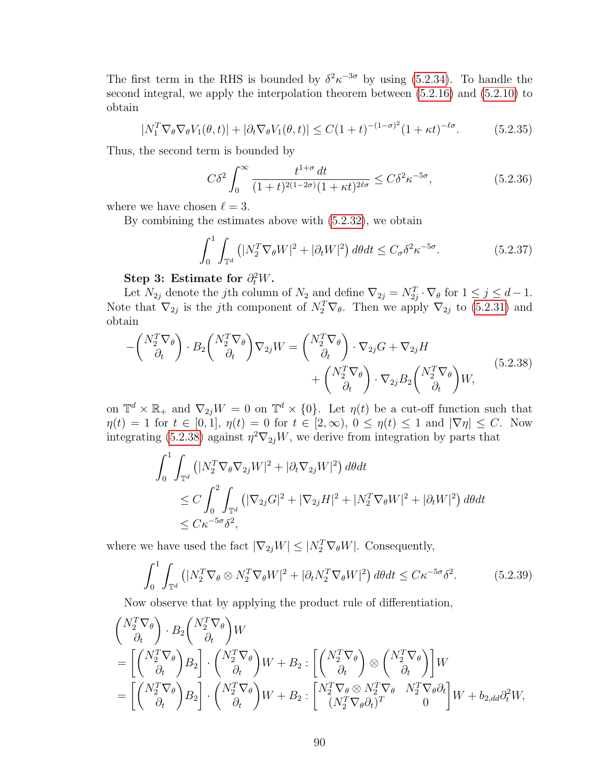The first term in the RHS is bounded by  $\delta^2 \kappa^{-3\sigma}$  by using [\(5.2.34\)](#page-96-2). To handle the second integral, we apply the interpolation theorem between [\(5.2.16\)](#page-92-3) and [\(5.2.10\)](#page-91-3) to obtain

$$
|N_1^T \nabla_{\theta} \nabla_{\theta} V_1(\theta, t)| + |\partial_t \nabla_{\theta} V_1(\theta, t)| \le C(1+t)^{-(1-\sigma)^2} (1+\kappa t)^{-\ell \sigma}.
$$
 (5.2.35)

Thus, the second term is bounded by

<span id="page-97-1"></span>
$$
C\delta^2 \int_0^\infty \frac{t^{1+\sigma} dt}{(1+t)^{2(1-2\sigma)}(1+\kappa t)^{2\ell\sigma}} \le C\delta^2 \kappa^{-5\sigma},\tag{5.2.36}
$$

where we have chosen  $\ell = 3$ .

By combining the estimates above with [\(5.2.32\)](#page-96-1), we obtain

<span id="page-97-0"></span>
$$
\int_0^1 \int_{\mathbb{T}^d} \left( |N_2^T \nabla_{\theta} W|^2 + |\partial_t W|^2 \right) d\theta dt \le C_\sigma \delta^2 \kappa^{-5\sigma}.
$$
 (5.2.37)

# Step 3: Estimate for  $\partial_t^2 W$ .

Let  $N_{2j}$  denote the jth column of  $N_2$  and define  $\nabla_{2j} = N_{2j}^T \cdot \nabla_{\theta}$  for  $1 \le j \le d-1$ . Note that  $\nabla_{2j}$  is the jth component of  $N_2^T \nabla_{\theta}$ . Then we apply  $\nabla_{2j}$  to [\(5.2.31\)](#page-96-0) and obtain

$$
-\begin{pmatrix} N_2^T \nabla_{\theta} \\ \partial_t \end{pmatrix} \cdot B_2 \begin{pmatrix} N_2^T \nabla_{\theta} \\ \partial_t \end{pmatrix} \nabla_{2j} W = \begin{pmatrix} N_2^T \nabla_{\theta} \\ \partial_t \end{pmatrix} \cdot \nabla_{2j} G + \nabla_{2j} H + \begin{pmatrix} N_2^T \nabla_{\theta} \\ \partial_t \end{pmatrix} \cdot \nabla_{2j} B_2 \begin{pmatrix} N_2^T \nabla_{\theta} \\ \partial_t \end{pmatrix} W,
$$
(5.2.38)

on  $\mathbb{T}^d \times \mathbb{R}_+$  and  $\nabla_{2j}W = 0$  on  $\mathbb{T}^d \times \{0\}$ . Let  $\eta(t)$  be a cut-off function such that  $\eta(t) = 1$  for  $t \in [0,1], \eta(t) = 0$  for  $t \in [2,\infty), 0 \leq \eta(t) \leq 1$  and  $|\nabla \eta| \leq C$ . Now integrating [\(5.2.38\)](#page-97-0) against  $\eta^2 \nabla_{2j} W$ , we derive from integration by parts that

<span id="page-97-2"></span>
$$
\int_0^1 \int_{\mathbb{T}^d} \left( |N_2^T \nabla_{\theta} \nabla_{2j} W|^2 + |\partial_t \nabla_{2j} W|^2 \right) d\theta dt
$$
  
\n
$$
\leq C \int_0^2 \int_{\mathbb{T}^d} \left( |\nabla_{2j} G|^2 + |\nabla_{2j} H|^2 + |N_2^T \nabla_{\theta} W|^2 + |\partial_t W|^2 \right) d\theta dt
$$
  
\n
$$
\leq C \kappa^{-5\sigma} \delta^2,
$$

where we have used the fact  $|\nabla_{2j}W| \leq |N_2^T \nabla_{\theta}W|$ . Consequently,

$$
\int_0^1 \int_{\mathbb{T}^d} \left( |N_2^T \nabla_{\theta} \otimes N_2^T \nabla_{\theta} W|^2 + |\partial_t N_2^T \nabla_{\theta} W|^2 \right) d\theta dt \le C \kappa^{-5\sigma} \delta^2.
$$
 (5.2.39)

Now observe that by applying the product rule of differentiation,

$$
\begin{aligned}\n\begin{pmatrix}\nN_2^T \nabla_\theta \\
\partial_t\n\end{pmatrix} \cdot B_2 \begin{pmatrix}\nN_2^T \nabla_\theta \\
\partial_t\n\end{pmatrix} W \\
&= \left[ \begin{pmatrix}\nN_2^T \nabla_\theta \\
\partial_t\n\end{pmatrix} B_2 \right] \cdot \begin{pmatrix}\nN_2^T \nabla_\theta \\
\partial_t\n\end{pmatrix} W + B_2 : \left[ \begin{pmatrix}\nN_2^T \nabla_\theta \\
\partial_t\n\end{pmatrix} \otimes \begin{pmatrix}\nN_2^T \nabla_\theta \\
\partial_t\n\end{pmatrix} \right] W \\
&= \left[ \begin{pmatrix}\nN_2^T \nabla_\theta \\
\partial_t\n\end{pmatrix} B_2 \right] \cdot \begin{pmatrix}\nN_2^T \nabla_\theta \\
\partial_t\n\end{pmatrix} W + B_2 : \left[ \begin{pmatrix}\nN_2^T \nabla_\theta \otimes N_2^T \nabla_\theta \\
\left(N_2^T \nabla_\theta \partial_t\right)^T\n\end{pmatrix} W + b_{2,dd} \partial_t^2 W,\n\end{aligned}
$$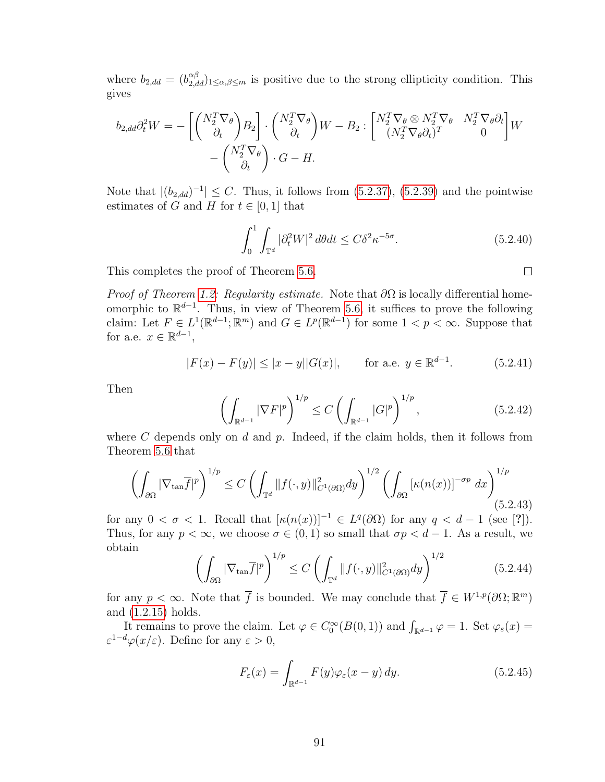where  $b_{2,dd} = (b_{2,dd}^{\alpha\beta})_{1 \leq \alpha,\beta \leq m}$  is positive due to the strong ellipticity condition. This gives

$$
b_{2,dd}\partial_t^2 W = -\left[ \begin{pmatrix} N_2^T \nabla_\theta \\ \partial_t \end{pmatrix} B_2 \right] \cdot \begin{pmatrix} N_2^T \nabla_\theta \\ \partial_t \end{pmatrix} W - B_2 : \begin{bmatrix} N_2^T \nabla_\theta \otimes N_2^T \nabla_\theta & N_2^T \nabla_\theta \partial_t \\ (N_2^T \nabla_\theta \partial_t)^T & 0 \end{bmatrix} W - \begin{pmatrix} N_2^T \nabla_\theta \\ \partial_t \end{pmatrix} \cdot G - H.
$$

Note that  $|(b_{2,dd})^{-1}| \leq C$ . Thus, it follows from [\(5.2.37\)](#page-97-1), [\(5.2.39\)](#page-97-2) and the pointwise estimates of G and H for  $t \in [0, 1]$  that

$$
\int_0^1 \int_{\mathbb{T}^d} |\partial_t^2 W|^2 d\theta dt \le C\delta^2 \kappa^{-5\sigma}.
$$
 (5.2.40)

 $\Box$ 

This completes the proof of Theorem [5.6.](#page-92-0)

*Proof of Theorem [1.2:](#page-13-1) Regularity estimate.* Note that  $\partial\Omega$  is locally differential homeomorphic to  $\mathbb{R}^{d-1}$ . Thus, in view of Theorem [5.6,](#page-92-0) it suffices to prove the following claim: Let  $F \in L^1(\mathbb{R}^{d-1}; \mathbb{R}^m)$  and  $G \in L^p(\mathbb{R}^{d-1})$  for some  $1 < p < \infty$ . Suppose that for a.e.  $x \in \mathbb{R}^{d-1}$ ,

<span id="page-98-0"></span>
$$
|F(x) - F(y)| \le |x - y||G(x)|, \qquad \text{for a.e. } y \in \mathbb{R}^{d-1}.
$$
 (5.2.41)

<span id="page-98-1"></span>Then

$$
\left(\int_{\mathbb{R}^{d-1}} |\nabla F|^p \right)^{1/p} \le C \left(\int_{\mathbb{R}^{d-1}} |G|^p \right)^{1/p},\tag{5.2.42}
$$

where  $C$  depends only on  $d$  and  $p$ . Indeed, if the claim holds, then it follows from Theorem [5.6](#page-92-0) that

$$
\left(\int_{\partial\Omega} |\nabla_{\tan}\overline{f}|^p \right)^{1/p} \le C \left(\int_{\mathbb{T}^d} ||f(\cdot,y)||^2_{C^1(\partial\Omega)} dy\right)^{1/2} \left(\int_{\partial\Omega} \left[\kappa(n(x))\right]^{-\sigma p} dx\right)^{1/p} (5.2.43)
$$

for any  $0 < \sigma < 1$ . Recall that  $[\kappa(n(x))]^{-1} \in L^q(\partial\Omega)$  for any  $q < d-1$  (see [?]). Thus, for any  $p < \infty$ , we choose  $\sigma \in (0, 1)$  so small that  $\sigma p < d - 1$ . As a result, we obtain

$$
\left(\int_{\partial\Omega} |\nabla_{\tan}\overline{f}|^p\right)^{1/p} \le C \left(\int_{\mathbb{T}^d} ||f(\cdot,y)||^2_{C^1(\partial\Omega)}dy\right)^{1/2} \tag{5.2.44}
$$

for any  $p < \infty$ . Note that  $\overline{f}$  is bounded. We may conclude that  $\overline{f} \in W^{1,p}(\partial\Omega;\mathbb{R}^m)$ and [\(1.2.15\)](#page-14-1) holds.

It remains to prove the claim. Let  $\varphi \in C_0^{\infty}(B(0,1))$  and  $\int_{\mathbb{R}^{d-1}} \varphi = 1$ . Set  $\varphi_{\varepsilon}(x) =$  $\varepsilon^{1-d}\varphi(x/\varepsilon)$ . Define for any  $\varepsilon > 0$ ,

$$
F_{\varepsilon}(x) = \int_{\mathbb{R}^{d-1}} F(y)\varphi_{\varepsilon}(x-y) \, dy. \tag{5.2.45}
$$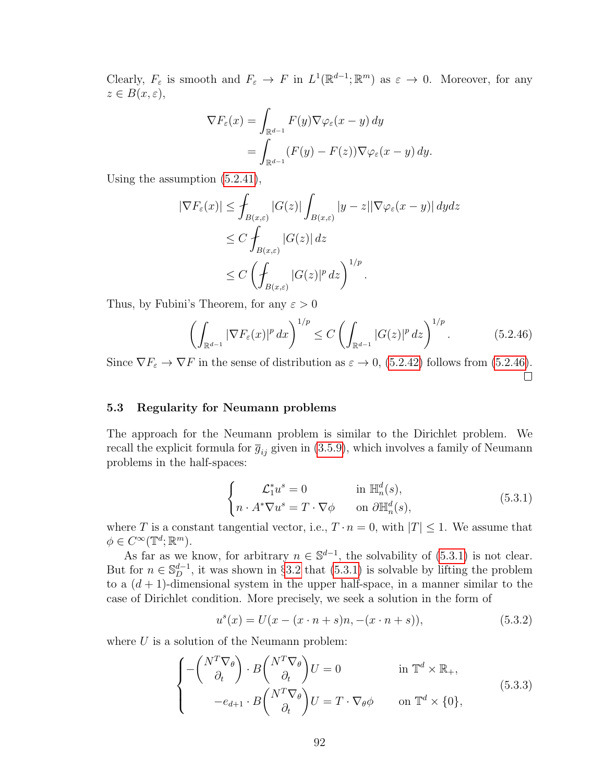Clearly,  $F_{\varepsilon}$  is smooth and  $F_{\varepsilon} \to F$  in  $L^1(\mathbb{R}^{d-1}; \mathbb{R}^m)$  as  $\varepsilon \to 0$ . Moreover, for any  $z \in B(x, \varepsilon),$ 

$$
\nabla F_{\varepsilon}(x) = \int_{\mathbb{R}^{d-1}} F(y) \nabla \varphi_{\varepsilon}(x - y) dy
$$
  
= 
$$
\int_{\mathbb{R}^{d-1}} (F(y) - F(z)) \nabla \varphi_{\varepsilon}(x - y) dy.
$$

Using the assumption [\(5.2.41\)](#page-98-0),

$$
|\nabla F_{\varepsilon}(x)| \leq \int_{B(x,\varepsilon)} |G(z)| \int_{B(x,\varepsilon)} |y - z| |\nabla \varphi_{\varepsilon}(x - y)| dy dz
$$
  
\n
$$
\leq C \int_{B(x,\varepsilon)} |G(z)| dz
$$
  
\n
$$
\leq C \left( \int_{B(x,\varepsilon)} |G(z)|^p dz \right)^{1/p}.
$$

Thus, by Fubini's Theorem, for any  $\varepsilon > 0$ 

<span id="page-99-0"></span>
$$
\left(\int_{\mathbb{R}^{d-1}} |\nabla F_{\varepsilon}(x)|^p dx\right)^{1/p} \le C \left(\int_{\mathbb{R}^{d-1}} |G(z)|^p dz\right)^{1/p}.\tag{5.2.46}
$$

Since  $\nabla F_{\varepsilon} \to \nabla F$  in the sense of distribution as  $\varepsilon \to 0$ , [\(5.2.42\)](#page-98-1) follows from [\(5.2.46\)](#page-99-0).  $\Box$ 

## 5.3 Regularity for Neumann problems

<span id="page-99-1"></span>The approach for the Neumann problem is similar to the Dirichlet problem. We recall the explicit formula for  $\bar{g}_{ij}$  given in [\(3.5.9\)](#page-54-1), which involves a family of Neumann problems in the half-spaces:

$$
\begin{cases}\n\mathcal{L}_1^* u^s = 0 & \text{in } \mathbb{H}_n^d(s), \\
n \cdot A^* \nabla u^s = T \cdot \nabla \phi & \text{on } \partial \mathbb{H}_n^d(s),\n\end{cases} \tag{5.3.1}
$$

where T is a constant tangential vector, i.e.,  $T \cdot n = 0$ , with  $|T| \leq 1$ . We assume that  $\phi \in C^{\infty}(\mathbb{T}^d;\mathbb{R}^m).$ 

As far as we know, for arbitrary  $n \in \mathbb{S}^{d-1}$ , the solvability of [\(5.3.1\)](#page-99-1) is not clear. But for  $n \in \mathbb{S}_{D}^{d-1}$ , it was shown in §[3.2](#page-30-1) that [\(5.3.1\)](#page-99-1) is solvable by lifting the problem to a  $(d + 1)$ -dimensional system in the upper half-space, in a manner similar to the case of Dirichlet condition. More precisely, we seek a solution in the form of

<span id="page-99-3"></span><span id="page-99-2"></span>
$$
u^{s}(x) = U(x - (x \cdot n + s)n, -(x \cdot n + s)), \qquad (5.3.2)
$$

where  $U$  is a solution of the Neumann problem:

$$
\begin{cases}\n-\begin{pmatrix}N^T \nabla_\theta \\ \partial_t \end{pmatrix} \cdot B \begin{pmatrix}N^T \nabla_\theta \\ \partial_t \end{pmatrix} U = 0 & \text{in } \mathbb{T}^d \times \mathbb{R}_+, \\
-\epsilon_{d+1} \cdot B \begin{pmatrix}N^T \nabla_\theta \\ \partial_t \end{pmatrix} U = T \cdot \nabla_\theta \phi & \text{on } \mathbb{T}^d \times \{0\},\n\end{cases} (5.3.3)
$$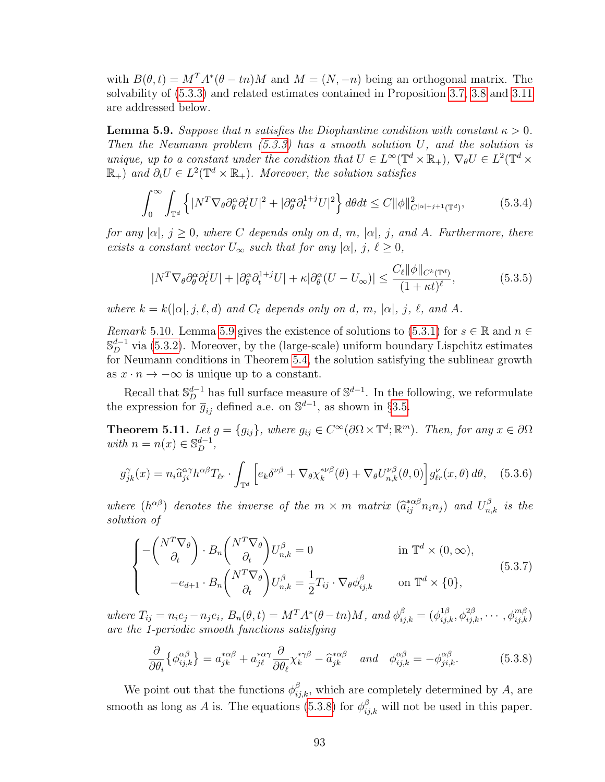with  $B(\theta, t) = M^T A^*(\theta - t_n) M$  and  $M = (N, -n)$  being an orthogonal matrix. The solvability of [\(5.3.3\)](#page-99-2) and related estimates contained in Proposition [3.7,](#page-32-0) [3.8](#page-32-1) and [3.11](#page-34-0) are addressed below.

<span id="page-100-1"></span>**Lemma 5.9.** Suppose that n satisfies the Diophantine condition with constant  $\kappa > 0$ . Then the Neumann problem  $(5.3.3)$  has a smooth solution U, and the solution is unique, up to a constant under the condition that  $U \in L^{\infty}(\mathbb{T}^d \times \mathbb{R}_+)$ ,  $\nabla_{\theta} U \in L^2(\mathbb{T}^d \times$  $\mathbb{R}_+$ ) and  $\partial_t U \in L^2(\mathbb{T}^d \times \mathbb{R}_+)$ . Moreover, the solution satisfies

<span id="page-100-4"></span>
$$
\int_0^\infty \int_{\mathbb{T}^d} \left\{ |N^T \nabla_\theta \partial_\theta^\alpha \partial_t^j U|^2 + |\partial_\theta^\alpha \partial_t^{1+j} U|^2 \right\} d\theta dt \le C \|\phi\|_{C^{|\alpha|+j+1}(\mathbb{T}^d)}^2,
$$
(5.3.4)

for any  $|\alpha|, j \geq 0$ , where C depends only on d, m,  $|\alpha|, j$ , and A. Furthermore, there exists a constant vector  $U_{\infty}$  such that for any  $|\alpha|, j, \ell \geq 0$ ,

<span id="page-100-5"></span>
$$
|N^T \nabla_{\theta} \partial_{\theta}^{\alpha} \partial_{t}^{j} U| + |\partial_{\theta}^{\alpha} \partial_{t}^{1+j} U| + \kappa |\partial_{\theta}^{\alpha} (U - U_{\infty})| \le \frac{C_{\ell} ||\phi||_{C^{k}(\mathbb{T}^d)}}{(1 + \kappa t)^{\ell}},
$$
(5.3.5)

where  $k = k(|\alpha|, j, \ell, d)$  and  $C_{\ell}$  depends only on d, m,  $|\alpha|, j, \ell,$  and A.

Remark 5.10. Lemma [5.9](#page-100-1) gives the existence of solutions to [\(5.3.1\)](#page-99-1) for  $s \in \mathbb{R}$  and  $n \in$  $\mathbb{S}_{D}^{d-1}$  via [\(5.3.2\)](#page-99-3). Moreover, by the (large-scale) uniform boundary Lispchitz estimates for Neumann conditions in Theorem [5.4,](#page-91-4) the solution satisfying the sublinear growth as  $x \cdot n \to -\infty$  is unique up to a constant.

Recall that  $\mathbb{S}_{D}^{d-1}$  has full surface measure of  $\mathbb{S}^{d-1}$ . In the following, we reformulate the expression for  $\overline{g}_{ij}$  defined a.e. on  $\mathbb{S}^{d-1}$ , as shown in §[3.5.](#page-52-0)

<span id="page-100-0"></span>**Theorem 5.11.** Let  $g = \{g_{ij}\}\$ , where  $g_{ij} \in C^{\infty}(\partial \Omega \times \mathbb{T}^d; \mathbb{R}^m)$ . Then, for any  $x \in \partial \Omega$ with  $n = n(x) \in \mathbb{S}_D^{d-1}$ ,

<span id="page-100-7"></span>
$$
\overline{g}_{jk}^{\gamma}(x) = n_i \widehat{a}_{ji}^{\alpha\gamma} h^{\alpha\beta} T_{\ell r} \cdot \int_{\mathbb{T}^d} \left[ e_k \delta^{\nu\beta} + \nabla_{\theta} \chi_k^{*\nu\beta}(\theta) + \nabla_{\theta} U_{n,k}^{\nu\beta}(\theta,0) \right] g_{\ell r}^{\nu}(x,\theta) d\theta, \quad (5.3.6)
$$

where  $(h^{\alpha\beta})$  denotes the inverse of the  $m \times m$  matrix  $(\hat{a}_{ij}^{*\alpha\beta} n_i n_j)$  and  $U_{n,k}^{\beta}$  is the solution of solution of

<span id="page-100-6"></span>
$$
\begin{cases}\n-\begin{pmatrix} N^T \nabla_\theta \\ \partial_t \end{pmatrix} \cdot B_n \begin{pmatrix} N^T \nabla_\theta \\ \partial_t \end{pmatrix} U_{n,k}^\beta = 0 & \text{in } \mathbb{T}^d \times (0, \infty), \\
-e_{d+1} \cdot B_n \begin{pmatrix} N^T \nabla_\theta \\ \partial_t \end{pmatrix} U_{n,k}^\beta = \frac{1}{2} T_{ij} \cdot \nabla_\theta \phi_{ij,k}^\beta & \text{on } \mathbb{T}^d \times \{0\},\n\end{cases} (5.3.7)
$$

where  $T_{ij} = n_i e_j - n_j e_i$ ,  $B_n(\theta, t) = M^T A^*(\theta - t_n) M$ , and  $\phi_{ij,k}^{\beta} = (\phi_{ij,k}^{1\beta}, \phi_{ij,k}^{2\beta}, \cdots, \phi_{ij,k}^{m\beta})$ are the 1-periodic smooth functions satisfying

<span id="page-100-2"></span>
$$
\frac{\partial}{\partial \theta_i} \left\{ \phi_{ij,k}^{\alpha \beta} \right\} = a_{jk}^{*\alpha \beta} + a_{jl}^{*\alpha \gamma} \frac{\partial}{\partial \theta_\ell} \chi_k^{*\gamma \beta} - \hat{a}_{jk}^{*\alpha \beta} \quad \text{and} \quad \phi_{ij,k}^{\alpha \beta} = -\phi_{ji,k}^{\alpha \beta}.
$$
 (5.3.8)

<span id="page-100-3"></span>We point out that the functions  $\phi_{ij,k}^{\beta}$ , which are completely determined by A, are smooth as long as A is. The equations [\(5.3.8\)](#page-100-2) for  $\phi_{ij,k}^{\beta}$  will not be used in this paper.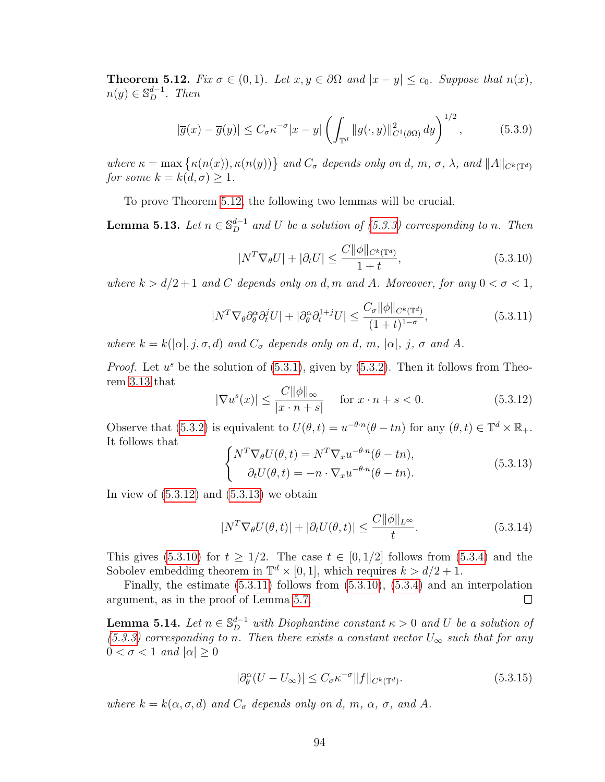**Theorem 5.12.** Fix  $\sigma \in (0,1)$ . Let  $x, y \in \partial \Omega$  and  $|x - y| \leq c_0$ . Suppose that  $n(x)$ ,  $n(y) \in \mathbb{S}_D^{d-1}$ . Then

$$
|\overline{g}(x) - \overline{g}(y)| \le C_{\sigma} \kappa^{-\sigma} |x - y| \left( \int_{\mathbb{T}^d} ||g(\cdot, y)||^2_{C^1(\partial \Omega)} dy \right)^{1/2}, \tag{5.3.9}
$$

where  $\kappa = \max \{ \kappa(n(x)), \kappa(n(y)) \}$  and  $C_{\sigma}$  depends only on d, m,  $\sigma$ ,  $\lambda$ , and  $||A||_{C^{k}(\mathbb{T}^d)}$ for some  $k = k(d, \sigma) \geq 1$ .

To prove Theorem [5.12,](#page-100-3) the following two lemmas will be crucial.

<span id="page-101-5"></span><span id="page-101-2"></span>**Lemma 5.13.** Let  $n \in \mathbb{S}_{D}^{d-1}$  and U be a solution of [\(5.3.3\)](#page-99-2) corresponding to n. Then

$$
|N^T \nabla_{\theta} U| + |\partial_t U| \le \frac{C ||\phi||_{C^k(\mathbb{T}^d)}}{1+t},\tag{5.3.10}
$$

<span id="page-101-3"></span>where  $k > d/2 + 1$  and C depends only on d, m and A. Moreover, for any  $0 < \sigma < 1$ ,

$$
|N^T \nabla_{\theta} \partial_{\theta}^{\alpha} \partial_{t}^{j} U| + |\partial_{\theta}^{\alpha} \partial_{t}^{1+j} U| \le \frac{C_{\sigma} \|\phi\|_{C^{k}(\mathbb{T}^{d})}}{(1+t)^{1-\sigma}},
$$
\n(5.3.11)

where  $k = k(|\alpha|, j, \sigma, d)$  and  $C_{\sigma}$  depends only on d, m,  $|\alpha|, j, \sigma$  and A.

*Proof.* Let  $u^s$  be the solution of  $(5.3.1)$ , given by  $(5.3.2)$ . Then it follows from Theorem [3.13](#page-38-1) that

<span id="page-101-0"></span>
$$
|\nabla u^s(x)| \le \frac{C \|\phi\|_{\infty}}{|x \cdot n + s|} \quad \text{for } x \cdot n + s < 0.
$$
 (5.3.12)

Observe that [\(5.3.2\)](#page-99-3) is equivalent to  $U(\theta, t) = u^{-\theta \cdot n}(\theta - t_n)$  for any  $(\theta, t) \in \mathbb{T}^d \times \mathbb{R}_+$ . It follows that

<span id="page-101-1"></span>
$$
\begin{cases}\nN^T \nabla_{\theta} U(\theta, t) = N^T \nabla_x u^{-\theta \cdot n} (\theta - t n), \\
\partial_t U(\theta, t) = -n \cdot \nabla_x u^{-\theta \cdot n} (\theta - t n).\n\end{cases} \tag{5.3.13}
$$

In view of  $(5.3.12)$  and  $(5.3.13)$  we obtain

$$
|N^T \nabla_{\theta} U(\theta, t)| + |\partial_t U(\theta, t)| \le \frac{C ||\phi||_{L^{\infty}}}{t}.
$$
\n(5.3.14)

This gives [\(5.3.10\)](#page-101-2) for  $t \geq 1/2$ . The case  $t \in [0, 1/2]$  follows from [\(5.3.4\)](#page-100-4) and the Sobolev embedding theorem in  $\mathbb{T}^d \times [0,1]$ , which requires  $k > d/2 + 1$ .

Finally, the estimate [\(5.3.11\)](#page-101-3) follows from [\(5.3.10\)](#page-101-2), [\(5.3.4\)](#page-100-4) and an interpolation argument, as in the proof of Lemma [5.7.](#page-92-8)  $\Box$ 

<span id="page-101-6"></span>**Lemma 5.14.** Let  $n \in \mathbb{S}_{D}^{d-1}$  with Diophantine constant  $\kappa > 0$  and U be a solution of [\(5.3.3\)](#page-99-2) corresponding to n. Then there exists a constant vector  $U_{\infty}$  such that for any  $0 < \sigma < 1$  and  $|\alpha| > 0$ 

<span id="page-101-4"></span>
$$
|\partial_{\theta}^{\alpha}(U - U_{\infty})| \le C_{\sigma} \kappa^{-\sigma} \|f\|_{C^{k}(\mathbb{T}^d)}.
$$
\n(5.3.15)

where  $k = k(\alpha, \sigma, d)$  and  $C_{\sigma}$  depends only on d, m,  $\alpha$ ,  $\sigma$ , and A.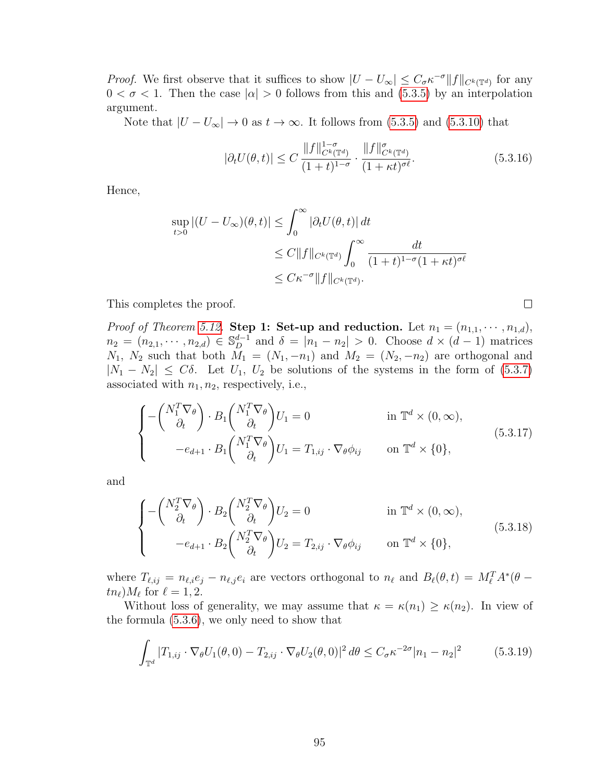*Proof.* We first observe that it suffices to show  $|U - U_{\infty}| \leq C_{\sigma} \kappa^{-\sigma} ||f||_{C^{k}(\mathbb{T}^{d})}$  for any  $0 < \sigma < 1$ . Then the case  $|\alpha| > 0$  follows from this and [\(5.3.5\)](#page-100-5) by an interpolation argument.

Note that  $|U - U_{\infty}| \to 0$  as  $t \to \infty$ . It follows from [\(5.3.5\)](#page-100-5) and [\(5.3.10\)](#page-101-2) that

$$
|\partial_t U(\theta, t)| \le C \frac{\|f\|_{C^k(\mathbb{T}^d)}^{1-\sigma}}{(1+t)^{1-\sigma}} \cdot \frac{\|f\|_{C^k(\mathbb{T}^d)}^{\sigma}}{(1+\kappa t)^{\sigma \ell}}.
$$
(5.3.16)

 $\Box$ 

Hence,

$$
\sup_{t>0} |(U - U_{\infty})(\theta, t)| \leq \int_0^{\infty} |\partial_t U(\theta, t)| dt
$$
  
\n
$$
\leq C \|f\|_{C^k(\mathbb{T}^d)} \int_0^{\infty} \frac{dt}{(1+t)^{1-\sigma}(1+\kappa t)^{\sigma \ell}}
$$
  
\n
$$
\leq C\kappa^{-\sigma} \|f\|_{C^k(\mathbb{T}^d)}.
$$

This completes the proof.

*Proof of Theorem [5.12.](#page-100-3)* Step 1: Set-up and reduction. Let  $n_1 = (n_{1,1}, \dots, n_{1,d})$ ,  $n_2 = (n_{2,1}, \dots, n_{2,d}) \in \mathbb{S}_{D}^{d-1}$  and  $\delta = |n_1 - n_2| > 0$ . Choose  $d \times (d-1)$  matrices  $N_1, N_2$  such that both  $M_1 = (N_1, -n_1)$  and  $M_2 = (N_2, -n_2)$  are orthogonal and  $|N_1 - N_2| \leq C\delta$ . Let  $U_1, U_2$  be solutions of the systems in the form of [\(5.3.7\)](#page-100-6) associated with  $n_1, n_2$ , respectively, i.e.,

$$
\begin{cases}\n-\begin{pmatrix} N_1^T \nabla_\theta \\ \partial_t \end{pmatrix} \cdot B_1 \begin{pmatrix} N_1^T \nabla_\theta \\ \partial_t \end{pmatrix} U_1 = 0 & \text{in } \mathbb{T}^d \times (0, \infty), \\
-e_{d+1} \cdot B_1 \begin{pmatrix} N_1^T \nabla_\theta \\ \partial_t \end{pmatrix} U_1 = T_{1,ij} \cdot \nabla_\theta \phi_{ij} & \text{on } \mathbb{T}^d \times \{0\},\n\end{cases} (5.3.17)
$$

and

$$
\begin{cases}\n-\begin{pmatrix}N_2^T \nabla_\theta\\ \partial_t\end{pmatrix} \cdot B_2 \begin{pmatrix}N_2^T \nabla_\theta\\ \partial_t\end{pmatrix} U_2 = 0 & \text{in } \mathbb{T}^d \times (0, \infty), \\
-e_{d+1} \cdot B_2 \begin{pmatrix}N_2^T \nabla_\theta\\ \partial_t\end{pmatrix} U_2 = T_{2,ij} \cdot \nabla_\theta \phi_{ij} & \text{on } \mathbb{T}^d \times \{0\},\n\end{cases}
$$
\n(5.3.18)

where  $T_{\ell,ij} = n_{\ell,i}e_j - n_{\ell,j}e_i$  are vectors orthogonal to  $n_\ell$  and  $B_\ell(\theta, t) = M_\ell^T A^*(\theta - t)$  $t n_{\ell}$ ) $M_{\ell}$  for  $\ell = 1, 2$ .

Without loss of generality, we may assume that  $\kappa = \kappa(n_1) \geq \kappa(n_2)$ . In view of the formula [\(5.3.6\)](#page-100-7), we only need to show that

$$
\int_{\mathbb{T}^d} |T_{1,ij} \cdot \nabla_{\theta} U_1(\theta,0) - T_{2,ij} \cdot \nabla_{\theta} U_2(\theta,0)|^2 d\theta \le C_{\sigma} \kappa^{-2\sigma} |n_1 - n_2|^2 \tag{5.3.19}
$$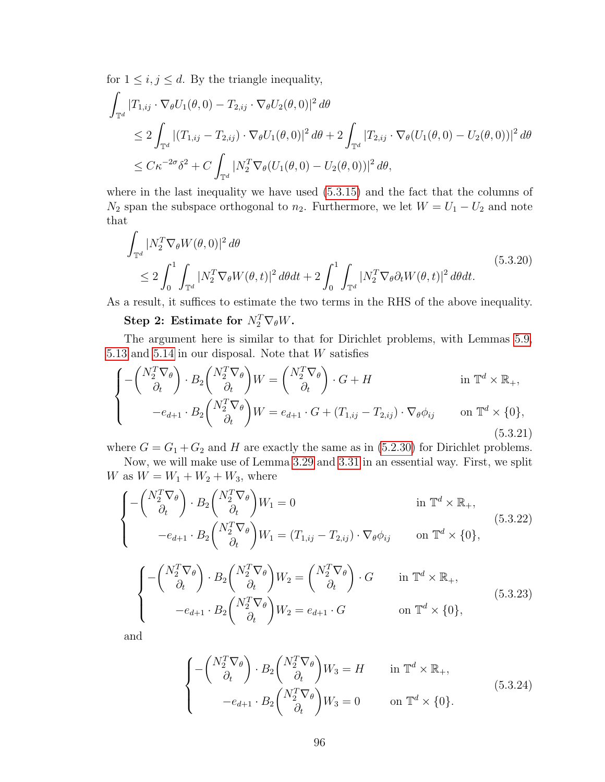for  $1 \leq i, j \leq d$ . By the triangle inequality,

$$
\int_{\mathbb{T}^d} |T_{1,ij} \cdot \nabla_{\theta} U_1(\theta,0) - T_{2,ij} \cdot \nabla_{\theta} U_2(\theta,0)|^2 d\theta
$$
\n
$$
\leq 2 \int_{\mathbb{T}^d} |(T_{1,ij} - T_{2,ij}) \cdot \nabla_{\theta} U_1(\theta,0)|^2 d\theta + 2 \int_{\mathbb{T}^d} |T_{2,ij} \cdot \nabla_{\theta} (U_1(\theta,0) - U_2(\theta,0))|^2 d\theta
$$
\n
$$
\leq C\kappa^{-2\sigma} \delta^2 + C \int_{\mathbb{T}^d} |N_2^T \nabla_{\theta} (U_1(\theta,0) - U_2(\theta,0))|^2 d\theta,
$$

where in the last inequality we have used  $(5.3.15)$  and the fact that the columns of  $N_2$  span the subspace orthogonal to  $n_2$ . Furthermore, we let  $W = U_1 - U_2$  and note that

<span id="page-103-1"></span>
$$
\int_{\mathbb{T}^d} |N_2^T \nabla_{\theta} W(\theta, 0)|^2 d\theta
$$
\n
$$
\leq 2 \int_0^1 \int_{\mathbb{T}^d} |N_2^T \nabla_{\theta} W(\theta, t)|^2 d\theta dt + 2 \int_0^1 \int_{\mathbb{T}^d} |N_2^T \nabla_{\theta} \partial_t W(\theta, t)|^2 d\theta dt.
$$
\n(5.3.20)

As a result, it suffices to estimate the two terms in the RHS of the above inequality.

Step 2: Estimate for  $N_2^T \nabla_{\theta} W$ .

The argument here is similar to that for Dirichlet problems, with Lemmas [5.9,](#page-100-1) [5.13](#page-101-5) and [5.14](#page-101-6) in our disposal. Note that  $W$  satisfies

$$
\begin{cases}\n-\begin{pmatrix} N_2^T \nabla_\theta \\ \partial_t \end{pmatrix} \cdot B_2 \begin{pmatrix} N_2^T \nabla_\theta \\ \partial_t \end{pmatrix} W = \begin{pmatrix} N_2^T \nabla_\theta \\ \partial_t \end{pmatrix} \cdot G + H & \text{in } \mathbb{T}^d \times \mathbb{R}_+, \\
-e_{d+1} \cdot B_2 \begin{pmatrix} N_2^T \nabla_\theta \\ \partial_t \end{pmatrix} W = e_{d+1} \cdot G + (T_{1,ij} - T_{2,ij}) \cdot \nabla_\theta \phi_{ij} & \text{on } \mathbb{T}^d \times \{0\},\n\end{cases}
$$
\n(5.3.21)

where  $G = G_1 + G_2$  and H are exactly the same as in [\(5.2.30\)](#page-95-3) for Dirichlet problems. Now, we will make use of Lemma [3.29](#page-55-0) and [3.31](#page-57-2) in an essential way. First, we split

W as 
$$
W = W_1 + W_2 + W_3
$$
, where  
\n
$$
\int -\left(\frac{N_2^T \nabla_{\theta}}{\partial_t}\right) \cdot B_2 \left(\frac{N_2^T \nabla_{\theta}}{\partial_t}\right) W_1 = 0
$$
 in  $\mathbb{T}^d \times$ 

<span id="page-103-0"></span>
$$
\begin{cases}\n\left(\begin{array}{cc}\n\partial_t\n\end{array}\right)^{+D_2}\n\left(\begin{array}{cc}\n\partial_t\n\end{array}\right)^{W_1 - 0} & \text{if } \mathbb{R} \times \mathbb{R}_+, \\
-\frac{e_{d+1}}{D_2}\left(\begin{array}{c}\nN_2^T \nabla_\theta \\
\partial_t\n\end{array}\right)W_1 = (T_{1,ij} - T_{2,ij}) \cdot \nabla_\theta \phi_{ij} & \text{on } \mathbb{T}^d \times \{0\},\n\end{cases} (5.3.22)
$$

<span id="page-103-2"></span> $\mathbb{R}_+,$ 

$$
\begin{cases}\n-\begin{pmatrix} N_2^T \nabla_\theta \\ \partial_t \end{pmatrix} \cdot B_2 \begin{pmatrix} N_2^T \nabla_\theta \\ \partial_t \end{pmatrix} W_2 = \begin{pmatrix} N_2^T \nabla_\theta \\ \partial_t \end{pmatrix} \cdot G & \text{in } \mathbb{T}^d \times \mathbb{R}_+, \\
-e_{d+1} \cdot B_2 \begin{pmatrix} N_2^T \nabla_\theta \\ \partial_t \end{pmatrix} W_2 = e_{d+1} \cdot G & \text{on } \mathbb{T}^d \times \{0\},\n\end{cases}
$$
\n(5.3.23)

and

$$
\begin{cases}\n-\begin{pmatrix}N_2^T \nabla_\theta\\ \partial_t\end{pmatrix} \cdot B_2 \begin{pmatrix}N_2^T \nabla_\theta\\ \partial_t\end{pmatrix} W_3 = H & \text{in } \mathbb{T}^d \times \mathbb{R}_+, \\
-e_{d+1} \cdot B_2 \begin{pmatrix}N_2^T \nabla_\theta\\ \partial_t\end{pmatrix} W_3 = 0 & \text{on } \mathbb{T}^d \times \{0\}.\n\end{cases}
$$
\n(5.3.24)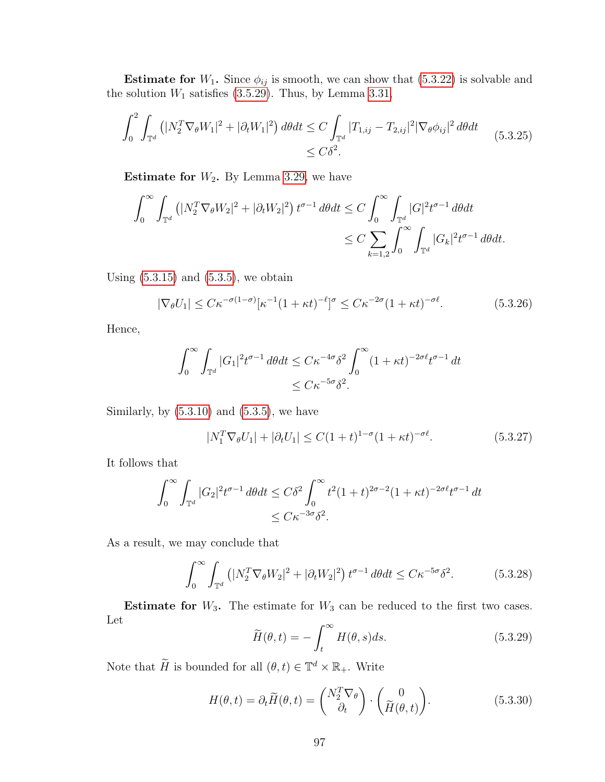**Estimate for**  $W_1$ . Since  $\phi_{ij}$  is smooth, we can show that [\(5.3.22\)](#page-103-0) is solvable and the solution  $W_1$  satisfies [\(3.5.29\)](#page-58-0). Thus, by Lemma [3.31,](#page-57-2)

$$
\int_0^2 \int_{\mathbb{T}^d} \left( |N_2^T \nabla_{\theta} W_1|^2 + |\partial_t W_1|^2 \right) d\theta dt \le C \int_{\mathbb{T}^d} |T_{1,ij} - T_{2,ij}|^2 |\nabla_{\theta} \phi_{ij}|^2 d\theta dt
$$
\n(5.3.25)\n
$$
\le C\delta^2.
$$

**Estimate for**  $W_2$ . By Lemma [3.29,](#page-55-0) we have

$$
\int_0^\infty \int_{\mathbb{T}^d} \left( |N_2^T \nabla_\theta W_2|^2 + |\partial_t W_2|^2 \right) t^{\sigma - 1} d\theta dt \le C \int_0^\infty \int_{\mathbb{T}^d} |G|^2 t^{\sigma - 1} d\theta dt
$$
  

$$
\le C \sum_{k=1,2} \int_0^\infty \int_{\mathbb{T}^d} |G_k|^2 t^{\sigma - 1} d\theta dt.
$$

Using  $(5.3.15)$  and  $(5.3.5)$ , we obtain

$$
|\nabla_{\theta} U_1| \leq C\kappa^{-\sigma(1-\sigma)} [\kappa^{-1}(1+\kappa t)^{-\ell}]^{\sigma} \leq C\kappa^{-2\sigma}(1+\kappa t)^{-\sigma\ell}.
$$
 (5.3.26)

Hence,

$$
\int_0^\infty \int_{\mathbb{T}^d} |G_1|^2 t^{\sigma - 1} d\theta dt \le C\kappa^{-4\sigma} \delta^2 \int_0^\infty (1 + \kappa t)^{-2\sigma \ell} t^{\sigma - 1} dt
$$
  

$$
\le C\kappa^{-5\sigma} \delta^2.
$$

Similarly, by  $(5.3.10)$  and  $(5.3.5)$ , we have

$$
|N_1^T \nabla_{\theta} U_1| + |\partial_t U_1| \le C(1+t)^{1-\sigma} (1+\kappa t)^{-\sigma \ell}.
$$
 (5.3.27)

It follows that

$$
\int_0^\infty \int_{\mathbb{T}^d} |G_2|^2 t^{\sigma-1} d\theta dt \le C\delta^2 \int_0^\infty t^2 (1+t)^{2\sigma-2} (1+\kappa t)^{-2\sigma\ell} t^{\sigma-1} dt
$$
  

$$
\le C\kappa^{-3\sigma} \delta^2.
$$

As a result, we may conclude that

$$
\int_0^\infty \int_{\mathbb{T}^d} \left( |N_2^T \nabla_\theta W_2|^2 + |\partial_t W_2|^2 \right) t^{\sigma - 1} d\theta dt \le C\kappa^{-5\sigma} \delta^2. \tag{5.3.28}
$$

**Estimate for**  $W_3$ . The estimate for  $W_3$  can be reduced to the first two cases. Let

$$
\widetilde{H}(\theta, t) = -\int_{t}^{\infty} H(\theta, s)ds.
$$
\n(5.3.29)

Note that  $\widetilde{H}$  is bounded for all  $(\theta, t) \in \mathbb{T}^d \times \mathbb{R}_+$ . Write

$$
H(\theta, t) = \partial_t \widetilde{H}(\theta, t) = \begin{pmatrix} N_2^T \nabla_\theta \\ \partial_t \end{pmatrix} \cdot \begin{pmatrix} 0 \\ \widetilde{H}(\theta, t) \end{pmatrix}.
$$
 (5.3.30)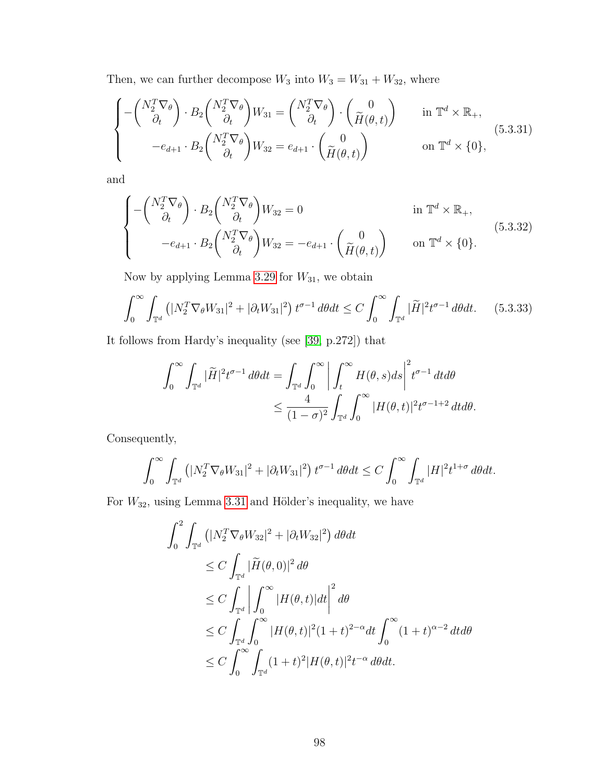Then, we can further decompose  $W_3$  into  $W_3=W_{31}+W_{32}$  , where

$$
\begin{cases}\n-\begin{pmatrix}N_2^T \nabla_\theta\\ \partial_t\end{pmatrix} \cdot B_2 \begin{pmatrix}N_2^T \nabla_\theta\\ \partial_t\end{pmatrix} W_{31} = \begin{pmatrix}N_2^T \nabla_\theta\\ \partial_t\end{pmatrix} \cdot \begin{pmatrix} 0\\ \widetilde{H}(\theta, t)\end{pmatrix} & \text{in } \mathbb{T}^d \times \mathbb{R}_+,\\
-e_{d+1} \cdot B_2 \begin{pmatrix}N_2^T \nabla_\theta\\ \partial_t\end{pmatrix} W_{32} = e_{d+1} \cdot \begin{pmatrix} 0\\ \widetilde{H}(\theta, t)\end{pmatrix} & \text{on } \mathbb{T}^d \times \{0\},\n\end{cases}
$$
\n(5.3.31)

and

$$
\begin{cases}\n-\left(\begin{array}{c} N_2^T \nabla_\theta \\ \partial_t \end{array}\right) \cdot B_2 \left(\begin{array}{c} N_2^T \nabla_\theta \\ \partial_t \end{array}\right) W_{32} = 0 & \text{in } \mathbb{T}^d \times \mathbb{R}_+, \\
-e_{d+1} \cdot B_2 \left(\begin{array}{c} N_2^T \nabla_\theta \\ \partial_t \end{array}\right) W_{32} = -e_{d+1} \cdot \left(\begin{array}{c} 0 \\ \widetilde{H}(\theta, t) \end{array}\right) & \text{on } \mathbb{T}^d \times \{0\}.\n\end{cases} (5.3.32)
$$

Now by applying Lemma [3.29](#page-55-0) for  $W_{31}$ , we obtain

$$
\int_0^\infty \int_{\mathbb{T}^d} \left( |N_2^T \nabla_{\theta} W_{31}|^2 + |\partial_t W_{31}|^2 \right) t^{\sigma - 1} d\theta dt \le C \int_0^\infty \int_{\mathbb{T}^d} |\widetilde{H}|^2 t^{\sigma - 1} d\theta dt. \tag{5.3.33}
$$

It follows from Hardy's inequality (see [\[39,](#page-110-3) p.272]) that

$$
\int_0^\infty \int_{\mathbb{T}^d} |\widetilde{H}|^2 t^{\sigma-1} d\theta dt = \int_{\mathbb{T}^d} \int_0^\infty \left| \int_t^\infty H(\theta, s) ds \right|^2 t^{\sigma-1} dt d\theta
$$
  

$$
\leq \frac{4}{(1-\sigma)^2} \int_{\mathbb{T}^d} \int_0^\infty |H(\theta, t)|^2 t^{\sigma-1+2} dt d\theta.
$$

Consequently,

$$
\int_0^\infty \int_{\mathbb{T}^d} \left( |N_2^T \nabla_{\theta} W_{31}|^2 + |\partial_t W_{31}|^2 \right) t^{\sigma - 1} d\theta dt \le C \int_0^\infty \int_{\mathbb{T}^d} |H|^2 t^{1 + \sigma} d\theta dt.
$$

For  $W_{32}$ , using Lemma [3.31](#page-57-2) and Hölder's inequality, we have

$$
\int_0^2 \int_{\mathbb{T}^d} \left( |N_2^T \nabla_{\theta} W_{32}|^2 + |\partial_t W_{32}|^2 \right) d\theta dt
$$
  
\n
$$
\leq C \int_{\mathbb{T}^d} |\widetilde{H}(\theta, 0)|^2 d\theta
$$
  
\n
$$
\leq C \int_{\mathbb{T}^d} \left| \int_0^{\infty} |H(\theta, t)| dt \right|^2 d\theta
$$
  
\n
$$
\leq C \int_{\mathbb{T}^d} \int_0^{\infty} |H(\theta, t)|^2 (1 + t)^{2-\alpha} dt \int_0^{\infty} (1 + t)^{\alpha-2} dt d\theta
$$
  
\n
$$
\leq C \int_0^{\infty} \int_{\mathbb{T}^d} (1 + t)^2 |H(\theta, t)|^2 t^{-\alpha} d\theta dt.
$$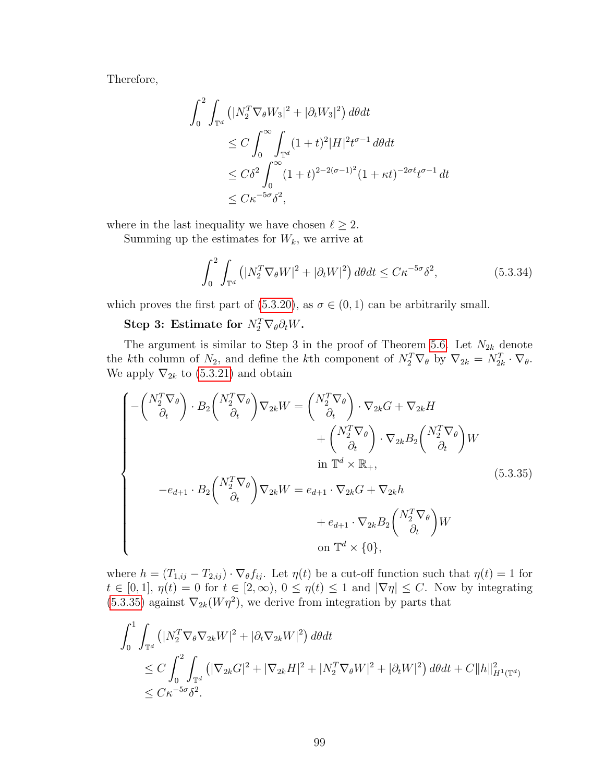Therefore,

$$
\int_0^2 \int_{\mathbb{T}^d} \left( |N_2^T \nabla_{\theta} W_3|^2 + |\partial_t W_3|^2 \right) d\theta dt
$$
  
\n
$$
\leq C \int_0^{\infty} \int_{\mathbb{T}^d} (1+t)^2 |H|^2 t^{\sigma-1} d\theta dt
$$
  
\n
$$
\leq C \delta^2 \int_0^{\infty} (1+t)^{2-2(\sigma-1)^2} (1+\kappa t)^{-2\sigma \ell} t^{\sigma-1} dt
$$
  
\n
$$
\leq C \kappa^{-5\sigma} \delta^2,
$$

where in the last inequality we have chosen  $\ell \geq 2$ .

Summing up the estimates for  $W_k$ , we arrive at

<span id="page-106-0"></span>
$$
\int_0^2 \int_{\mathbb{T}^d} \left( |N_2^T \nabla_{\theta} W|^2 + |\partial_t W|^2 \right) d\theta dt \le C \kappa^{-5\sigma} \delta^2,
$$
\n(5.3.34)

which proves the first part of [\(5.3.20\)](#page-103-1), as  $\sigma \in (0,1)$  can be arbitrarily small.

# Step 3: Estimate for  $N_2^T \nabla_{\theta} \partial_t W$ .

The argument is similar to Step 3 in the proof of Theorem [5.6.](#page-92-0) Let  $N_{2k}$  denote the kth column of  $N_2$ , and define the kth component of  $N_2^T \nabla_{\theta}$  by  $\nabla_{2k} = N_{2k}^T \cdot \nabla_{\theta}$ . We apply  $\nabla_{2k}$  to [\(5.3.21\)](#page-103-2) and obtain

$$
\begin{cases}\n-\left(\begin{array}{c}\nN_2^T \nabla_\theta \\
\partial_t\n\end{array}\right) \cdot B_2 \begin{pmatrix}\nN_2^T \nabla_\theta \\
\partial_t\n\end{pmatrix} \nabla_{2k} W = \begin{pmatrix}\nN_2^T \nabla_\theta \\
\partial_t\n\end{pmatrix} \cdot \nabla_{2k} G + \nabla_{2k} H \\
&+ \left(\begin{array}{c}\nN_2^T \nabla_\theta \\
\partial_t\n\end{array}\right) \cdot \nabla_{2k} B_2 \begin{pmatrix}\nN_2^T \nabla_\theta \\
\partial_t\n\end{pmatrix} W \\
&\text{in } \mathbb{T}^d \times \mathbb{R}_+, \\
-e_{d+1} \cdot B_2 \begin{pmatrix}\nN_2^T \nabla_\theta \\
\partial_t\n\end{pmatrix} \nabla_{2k} W = e_{d+1} \cdot \nabla_{2k} G + \nabla_{2k} h \\
&+ e_{d+1} \cdot \nabla_{2k} B_2 \begin{pmatrix}\nN_2^T \nabla_\theta \\
\partial_t\n\end{pmatrix} W \\
&\text{on } \mathbb{T}^d \times \{0\},\n\end{cases}
$$
\n(5.3.35)

where  $h = (T_{1,ij} - T_{2,ij}) \cdot \nabla_{\theta} f_{ij}$ . Let  $\eta(t)$  be a cut-off function such that  $\eta(t) = 1$  for  $t \in [0,1], \eta(t) = 0$  for  $t \in [2,\infty), 0 \leq \eta(t) \leq 1$  and  $|\nabla \eta| \leq C$ . Now by integrating  $(5.3.35)$  against  $\nabla_{2k}(W\eta^2)$ , we derive from integration by parts that

$$
\int_{0}^{1} \int_{\mathbb{T}^{d}} \left( |N_{2}^{T} \nabla_{\theta} \nabla_{2k} W|^{2} + |\partial_{t} \nabla_{2k} W|^{2} \right) d\theta dt
$$
\n
$$
\leq C \int_{0}^{2} \int_{\mathbb{T}^{d}} \left( |\nabla_{2k} G|^{2} + |\nabla_{2k} H|^{2} + |N_{2}^{T} \nabla_{\theta} W|^{2} + |\partial_{t} W|^{2} \right) d\theta dt + C \|h\|_{H^{1}(\mathbb{T}^{d})}^{2}
$$
\n
$$
\leq C \kappa^{-5\sigma} \delta^{2}.
$$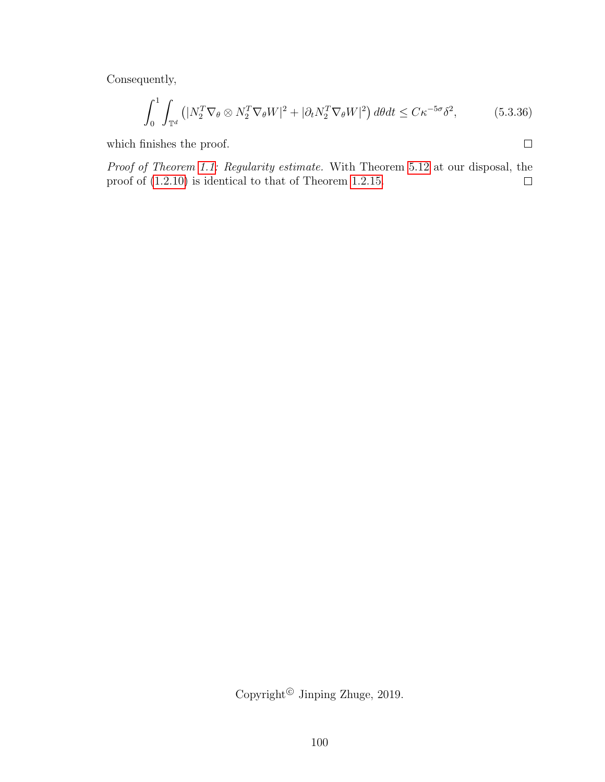Consequently,

$$
\int_0^1 \int_{\mathbb{T}^d} \left( |N_2^T \nabla_{\theta} \otimes N_2^T \nabla_{\theta} W|^2 + |\partial_t N_2^T \nabla_{\theta} W|^2 \right) d\theta dt \le C \kappa^{-5\sigma} \delta^2, \tag{5.3.36}
$$

which finishes the proof.

 $\Box$ 

Proof of Theorem [1.1:](#page-12-0) Regularity estimate. With Theorem [5.12](#page-100-3) at our disposal, the proof of [\(1.2.10\)](#page-13-2) is identical to that of Theorem [1.2.15.](#page-14-1)  $\Box$ 

Copyright<sup>©</sup> Jinping Zhuge, 2019.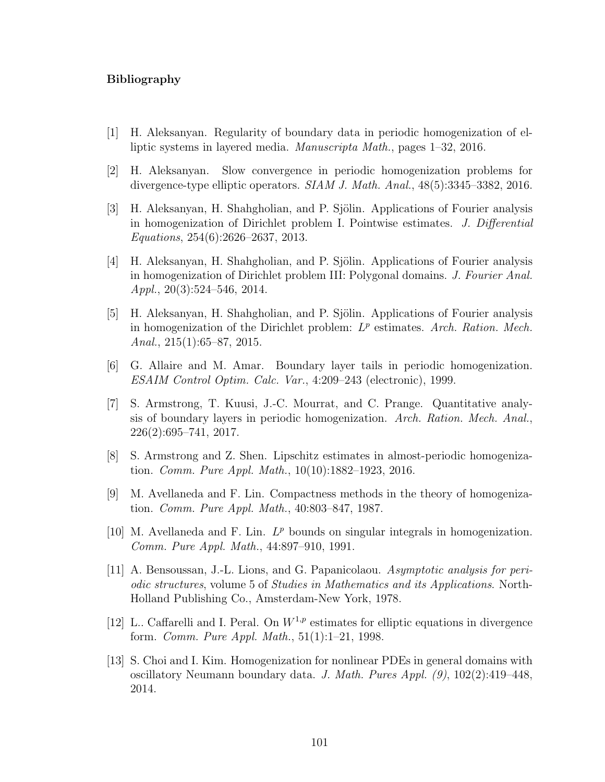#### Bibliography

- [1] H. Aleksanyan. Regularity of boundary data in periodic homogenization of elliptic systems in layered media. Manuscripta Math., pages 1–32, 2016.
- [2] H. Aleksanyan. Slow convergence in periodic homogenization problems for divergence-type elliptic operators. SIAM J. Math. Anal., 48(5):3345–3382, 2016.
- [3] H. Aleksanyan, H. Shahgholian, and P. Sjölin. Applications of Fourier analysis in homogenization of Dirichlet problem I. Pointwise estimates. J. Differential Equations, 254(6):2626–2637, 2013.
- [4] H. Aleksanyan, H. Shahgholian, and P. Sjölin. Applications of Fourier analysis in homogenization of Dirichlet problem III: Polygonal domains. J. Fourier Anal. Appl., 20(3):524–546, 2014.
- [5] H. Aleksanyan, H. Shahgholian, and P. Sjölin. Applications of Fourier analysis in homogenization of the Dirichlet problem:  $L^p$  estimates. Arch. Ration. Mech. Anal.,  $215(1):65-87, 2015$ .
- [6] G. Allaire and M. Amar. Boundary layer tails in periodic homogenization. ESAIM Control Optim. Calc. Var., 4:209–243 (electronic), 1999.
- [7] S. Armstrong, T. Kuusi, J.-C. Mourrat, and C. Prange. Quantitative analysis of boundary layers in periodic homogenization. Arch. Ration. Mech. Anal., 226(2):695–741, 2017.
- [8] S. Armstrong and Z. Shen. Lipschitz estimates in almost-periodic homogenization. Comm. Pure Appl. Math., 10(10):1882–1923, 2016.
- [9] M. Avellaneda and F. Lin. Compactness methods in the theory of homogenization. Comm. Pure Appl. Math., 40:803–847, 1987.
- [10] M. Avellaneda and F. Lin.  $L^p$  bounds on singular integrals in homogenization. Comm. Pure Appl. Math., 44:897–910, 1991.
- [11] A. Bensoussan, J.-L. Lions, and G. Papanicolaou. Asymptotic analysis for periodic structures, volume 5 of Studies in Mathematics and its Applications. North-Holland Publishing Co., Amsterdam-New York, 1978.
- [12] L.. Caffarelli and I. Peral. On  $W^{1,p}$  estimates for elliptic equations in divergence form. Comm. Pure Appl. Math., 51(1):1–21, 1998.
- [13] S. Choi and I. Kim. Homogenization for nonlinear PDEs in general domains with oscillatory Neumann boundary data. J. Math. Pures Appl.  $(9)$ ,  $102(2):419-448$ , 2014.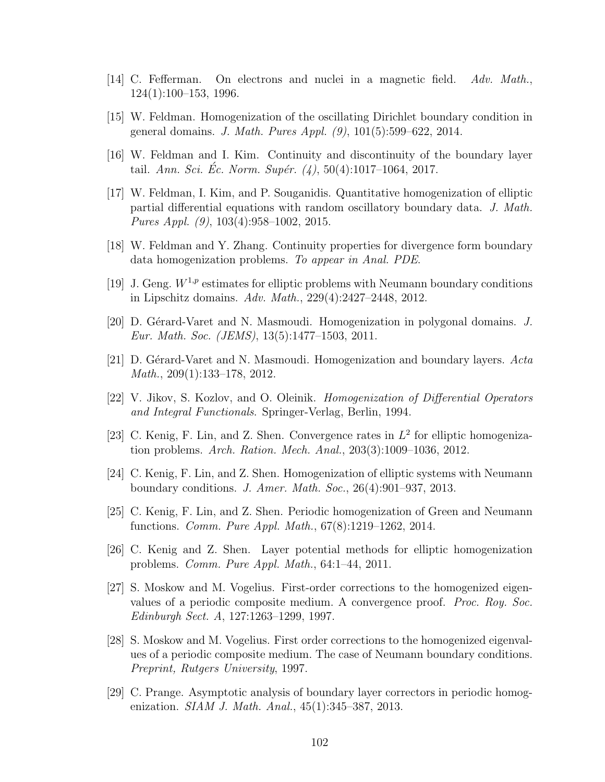- [14] C. Fefferman. On electrons and nuclei in a magnetic field.  $Adv. Math.,$ 124(1):100–153, 1996.
- [15] W. Feldman. Homogenization of the oscillating Dirichlet boundary condition in general domains. J. Math. Pures Appl. (9), 101(5):599–622, 2014.
- [16] W. Feldman and I. Kim. Continuity and discontinuity of the boundary layer tail. Ann. Sci. Éc. Norm. Supér.  $(4)$ , 50(4):1017-1064, 2017.
- [17] W. Feldman, I. Kim, and P. Souganidis. Quantitative homogenization of elliptic partial differential equations with random oscillatory boundary data. J. Math. Pures Appl. (9), 103(4):958–1002, 2015.
- [18] W. Feldman and Y. Zhang. Continuity properties for divergence form boundary data homogenization problems. To appear in Anal. PDE.
- [19] J. Geng.  $W^{1,p}$  estimates for elliptic problems with Neumann boundary conditions in Lipschitz domains. Adv. Math., 229(4):2427–2448, 2012.
- [20] D. Gérard-Varet and N. Masmoudi. Homogenization in polygonal domains.  $J$ . Eur. Math. Soc. (JEMS), 13(5):1477–1503, 2011.
- [21] D. Gérard-Varet and N. Masmoudi. Homogenization and boundary layers.  $Acta$ Math., 209(1):133–178, 2012.
- [22] V. Jikov, S. Kozlov, and O. Oleinik. Homogenization of Differential Operators and Integral Functionals. Springer-Verlag, Berlin, 1994.
- [23] C. Kenig, F. Lin, and Z. Shen. Convergence rates in  $L^2$  for elliptic homogenization problems. Arch. Ration. Mech. Anal., 203(3):1009–1036, 2012.
- [24] C. Kenig, F. Lin, and Z. Shen. Homogenization of elliptic systems with Neumann boundary conditions. J. Amer. Math. Soc., 26(4):901–937, 2013.
- [25] C. Kenig, F. Lin, and Z. Shen. Periodic homogenization of Green and Neumann functions. Comm. Pure Appl. Math., 67(8):1219–1262, 2014.
- [26] C. Kenig and Z. Shen. Layer potential methods for elliptic homogenization problems. Comm. Pure Appl. Math., 64:1–44, 2011.
- [27] S. Moskow and M. Vogelius. First-order corrections to the homogenized eigenvalues of a periodic composite medium. A convergence proof. Proc. Roy. Soc. Edinburgh Sect. A, 127:1263–1299, 1997.
- [28] S. Moskow and M. Vogelius. First order corrections to the homogenized eigenvalues of a periodic composite medium. The case of Neumann boundary conditions. Preprint, Rutgers University, 1997.
- [29] C. Prange. Asymptotic analysis of boundary layer correctors in periodic homogenization. *SIAM J. Math. Anal.*, 45(1):345–387, 2013.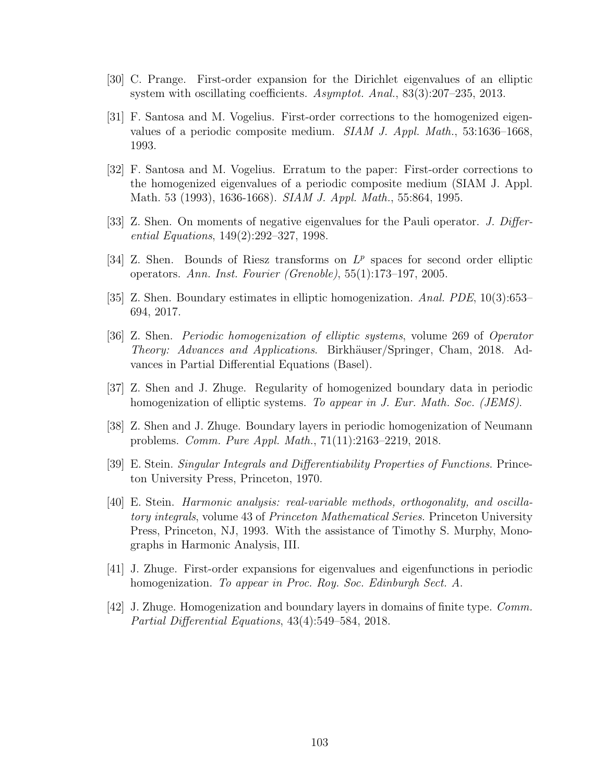- [30] C. Prange. First-order expansion for the Dirichlet eigenvalues of an elliptic system with oscillating coefficients. Asymptot. Anal., 83(3):207–235, 2013.
- [31] F. Santosa and M. Vogelius. First-order corrections to the homogenized eigenvalues of a periodic composite medium. SIAM J. Appl. Math., 53:1636–1668, 1993.
- [32] F. Santosa and M. Vogelius. Erratum to the paper: First-order corrections to the homogenized eigenvalues of a periodic composite medium (SIAM J. Appl. Math. 53 (1993), 1636-1668). SIAM J. Appl. Math., 55:864, 1995.
- [33] Z. Shen. On moments of negative eigenvalues for the Pauli operator. J. Differential Equations, 149(2):292–327, 1998.
- [34] Z. Shen. Bounds of Riesz transforms on  $L^p$  spaces for second order elliptic operators. Ann. Inst. Fourier (Grenoble), 55(1):173–197, 2005.
- [35] Z. Shen. Boundary estimates in elliptic homogenization. Anal. PDE, 10(3):653– 694, 2017.
- [36] Z. Shen. Periodic homogenization of elliptic systems, volume 269 of Operator Theory: Advances and Applications. Birkhäuser/Springer, Cham, 2018. Advances in Partial Differential Equations (Basel).
- [37] Z. Shen and J. Zhuge. Regularity of homogenized boundary data in periodic homogenization of elliptic systems. To appear in J. Eur. Math. Soc. (JEMS).
- [38] Z. Shen and J. Zhuge. Boundary layers in periodic homogenization of Neumann problems. Comm. Pure Appl. Math., 71(11):2163–2219, 2018.
- [39] E. Stein. Singular Integrals and Differentiability Properties of Functions. Princeton University Press, Princeton, 1970.
- [40] E. Stein. Harmonic analysis: real-variable methods, orthogonality, and oscillatory integrals, volume 43 of Princeton Mathematical Series. Princeton University Press, Princeton, NJ, 1993. With the assistance of Timothy S. Murphy, Monographs in Harmonic Analysis, III.
- [41] J. Zhuge. First-order expansions for eigenvalues and eigenfunctions in periodic homogenization. To appear in Proc. Roy. Soc. Edinburgh Sect. A.
- [42] J. Zhuge. Homogenization and boundary layers in domains of finite type. Comm. Partial Differential Equations, 43(4):549–584, 2018.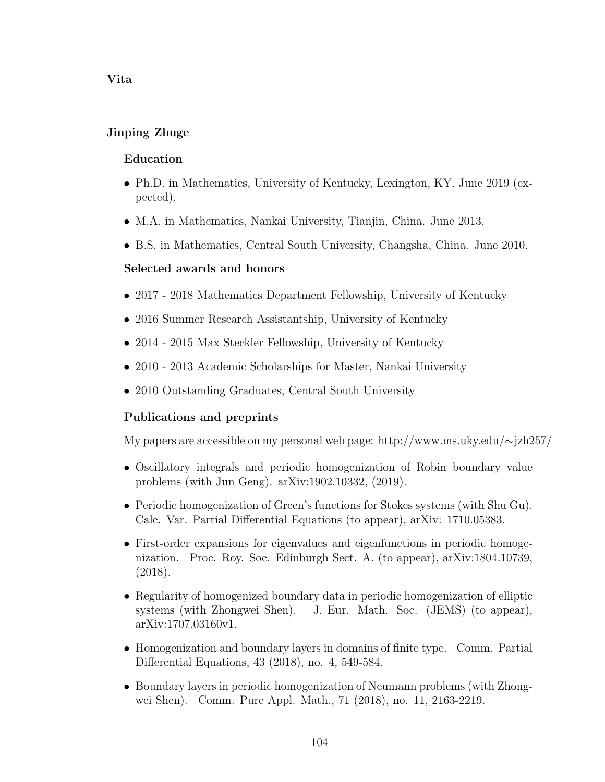### Vita

# Jinping Zhuge

### Education

- Ph.D. in Mathematics, University of Kentucky, Lexington, KY. June 2019 (expected).
- M.A. in Mathematics, Nankai University, Tianjin, China. June 2013.
- B.S. in Mathematics, Central South University, Changsha, China. June 2010.

# Selected awards and honors

- 2017 2018 Mathematics Department Fellowship, University of Kentucky
- 2016 Summer Research Assistantship, University of Kentucky
- 2014 2015 Max Steckler Fellowship, University of Kentucky
- 2010 2013 Academic Scholarships for Master, Nankai University
- 2010 Outstanding Graduates, Central South University

# Publications and preprints

My papers are accessible on my personal web page: http://www.ms.uky.edu/∼jzh257/

- Oscillatory integrals and periodic homogenization of Robin boundary value problems (with Jun Geng). arXiv:1902.10332, (2019).
- Periodic homogenization of Green's functions for Stokes systems (with Shu Gu). Calc. Var. Partial Differential Equations (to appear), arXiv: 1710.05383.
- First-order expansions for eigenvalues and eigenfunctions in periodic homogenization. Proc. Roy. Soc. Edinburgh Sect. A. (to appear), arXiv:1804.10739, (2018).
- Regularity of homogenized boundary data in periodic homogenization of elliptic systems (with Zhongwei Shen). J. Eur. Math. Soc. (JEMS) (to appear), arXiv:1707.03160v1.
- Homogenization and boundary layers in domains of finite type. Comm. Partial Differential Equations, 43 (2018), no. 4, 549-584.
- Boundary layers in periodic homogenization of Neumann problems (with Zhongwei Shen). Comm. Pure Appl. Math., 71 (2018), no. 11, 2163-2219.